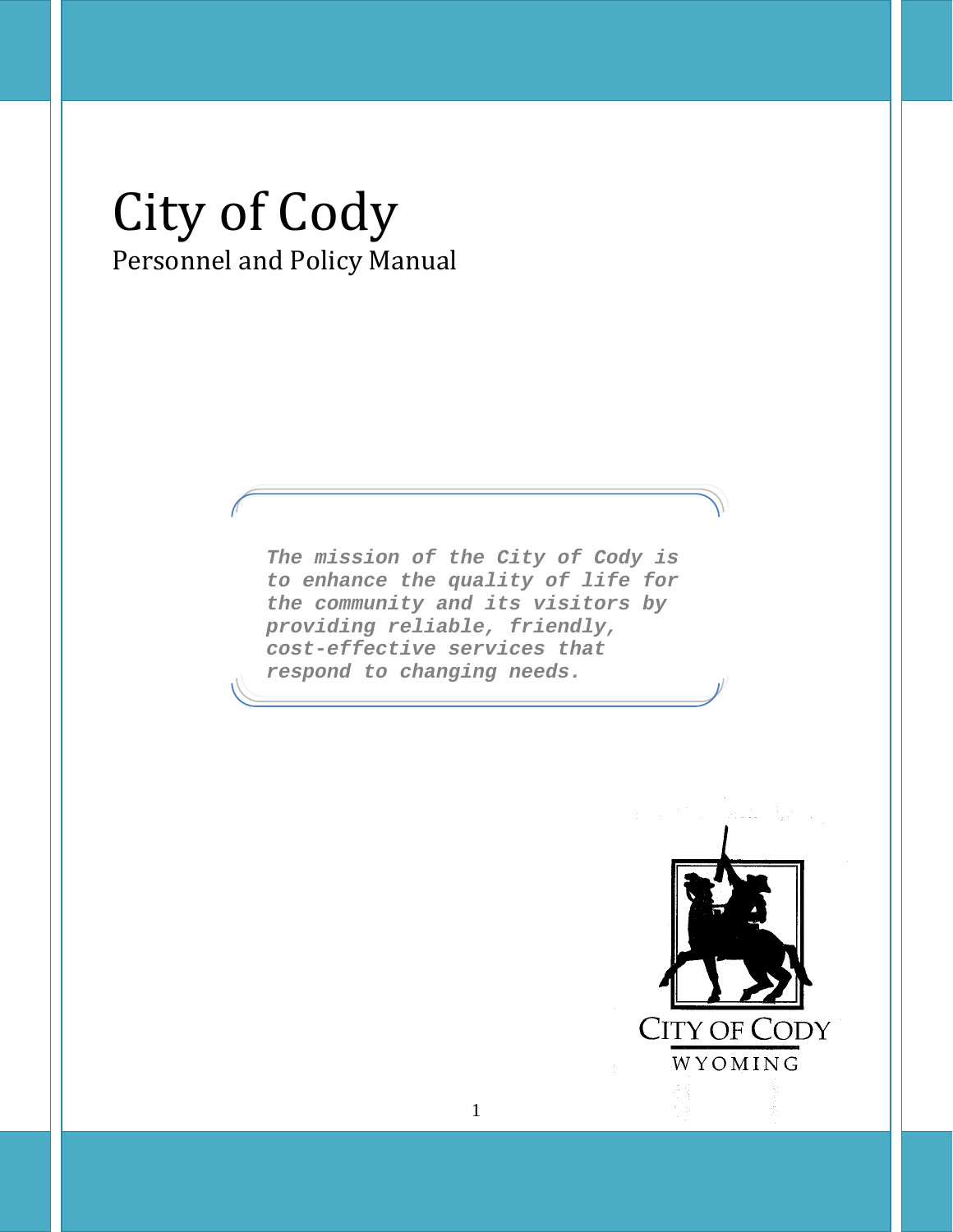# City of Cody Personnel and Policy Manual

*The mission of the City of Cody is to enhance the quality of life for the community and its visitors by providing reliable, friendly, cost-effective services that respond to changing needs.*

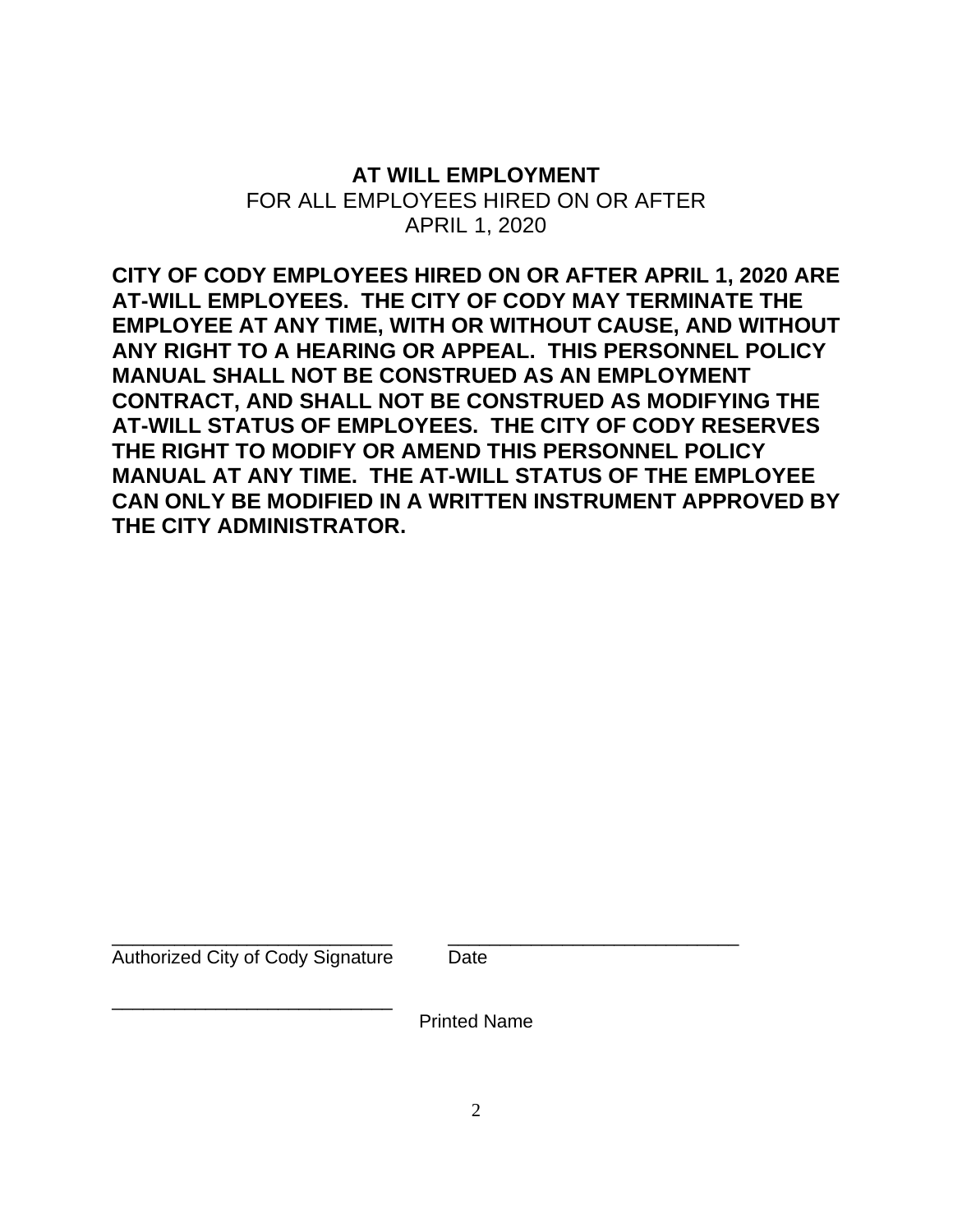# **AT WILL EMPLOYMENT** FOR ALL EMPLOYEES HIRED ON OR AFTER APRIL 1, 2020

**CITY OF CODY EMPLOYEES HIRED ON OR AFTER APRIL 1, 2020 ARE AT-WILL EMPLOYEES. THE CITY OF CODY MAY TERMINATE THE EMPLOYEE AT ANY TIME, WITH OR WITHOUT CAUSE, AND WITHOUT ANY RIGHT TO A HEARING OR APPEAL. THIS PERSONNEL POLICY MANUAL SHALL NOT BE CONSTRUED AS AN EMPLOYMENT CONTRACT, AND SHALL NOT BE CONSTRUED AS MODIFYING THE AT-WILL STATUS OF EMPLOYEES. THE CITY OF CODY RESERVES THE RIGHT TO MODIFY OR AMEND THIS PERSONNEL POLICY MANUAL AT ANY TIME. THE AT-WILL STATUS OF THE EMPLOYEE CAN ONLY BE MODIFIED IN A WRITTEN INSTRUMENT APPROVED BY THE CITY ADMINISTRATOR.**

Authorized City of Cody Signature Date

\_\_\_\_\_\_\_\_\_\_\_\_\_\_\_\_\_\_\_\_\_\_\_\_\_\_\_

\_\_\_\_\_\_\_\_\_\_\_\_\_\_\_\_\_\_\_\_\_\_\_\_\_\_\_ \_\_\_\_\_\_\_\_\_\_\_\_\_\_\_\_\_\_\_\_\_\_\_\_\_\_\_\_

Printed Name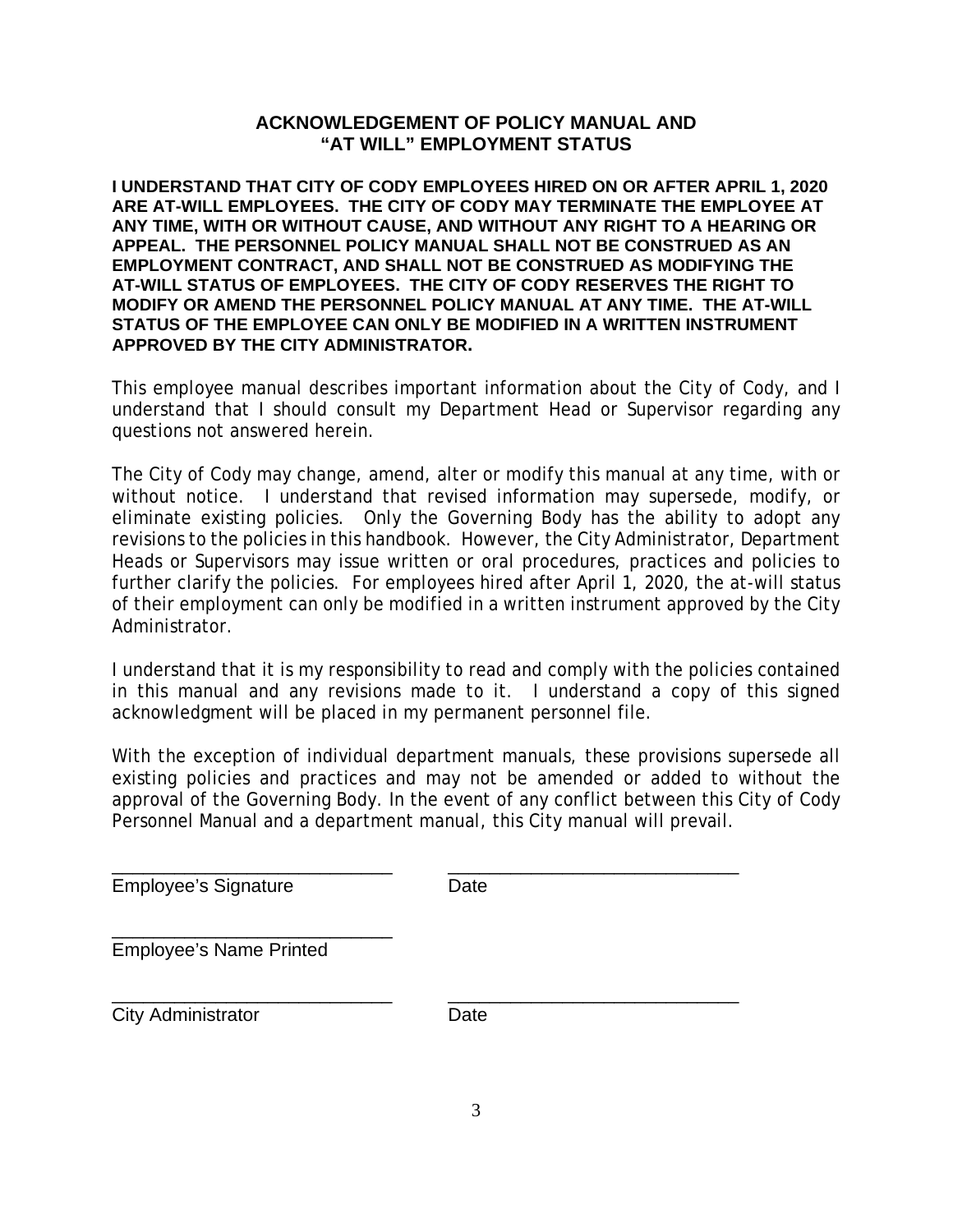#### **ACKNOWLEDGEMENT OF POLICY MANUAL AND "AT WILL" EMPLOYMENT STATUS**

**I UNDERSTAND THAT CITY OF CODY EMPLOYEES HIRED ON OR AFTER APRIL 1, 2020 ARE AT-WILL EMPLOYEES. THE CITY OF CODY MAY TERMINATE THE EMPLOYEE AT ANY TIME, WITH OR WITHOUT CAUSE, AND WITHOUT ANY RIGHT TO A HEARING OR APPEAL. THE PERSONNEL POLICY MANUAL SHALL NOT BE CONSTRUED AS AN EMPLOYMENT CONTRACT, AND SHALL NOT BE CONSTRUED AS MODIFYING THE AT-WILL STATUS OF EMPLOYEES. THE CITY OF CODY RESERVES THE RIGHT TO MODIFY OR AMEND THE PERSONNEL POLICY MANUAL AT ANY TIME. THE AT-WILL STATUS OF THE EMPLOYEE CAN ONLY BE MODIFIED IN A WRITTEN INSTRUMENT APPROVED BY THE CITY ADMINISTRATOR.**

This employee manual describes important information about the City of Cody, and I understand that I should consult my Department Head or Supervisor regarding any questions not answered herein.

The City of Cody may change, amend, alter or modify this manual at any time, with or without notice. I understand that revised information may supersede, modify, or eliminate existing policies. Only the Governing Body has the ability to adopt any revisions to the policies in this handbook. However, the City Administrator, Department Heads or Supervisors may issue written or oral procedures, practices and policies to further clarify the policies. For employees hired after April 1, 2020, the at-will status of their employment can only be modified in a written instrument approved by the City Administrator.

I understand that it is my responsibility to read and comply with the policies contained in this manual and any revisions made to it. I understand a copy of this signed acknowledgment will be placed in my permanent personnel file.

With the exception of individual department manuals, these provisions supersede all existing policies and practices and may not be amended or added to without the approval of the Governing Body. In the event of any conflict between this City of Cody Personnel Manual and a department manual, this City manual will prevail.

\_\_\_\_\_\_\_\_\_\_\_\_\_\_\_\_\_\_\_\_\_\_\_\_\_\_\_ \_\_\_\_\_\_\_\_\_\_\_\_\_\_\_\_\_\_\_\_\_\_\_\_\_\_\_\_ Employee's Signature **Date** 

\_\_\_\_\_\_\_\_\_\_\_\_\_\_\_\_\_\_\_\_\_\_\_\_\_\_\_ Employee's Name Printed

\_\_\_\_\_\_\_\_\_\_\_\_\_\_\_\_\_\_\_\_\_\_\_\_\_\_\_ \_\_\_\_\_\_\_\_\_\_\_\_\_\_\_\_\_\_\_\_\_\_\_\_\_\_\_\_ City Administrator **Date**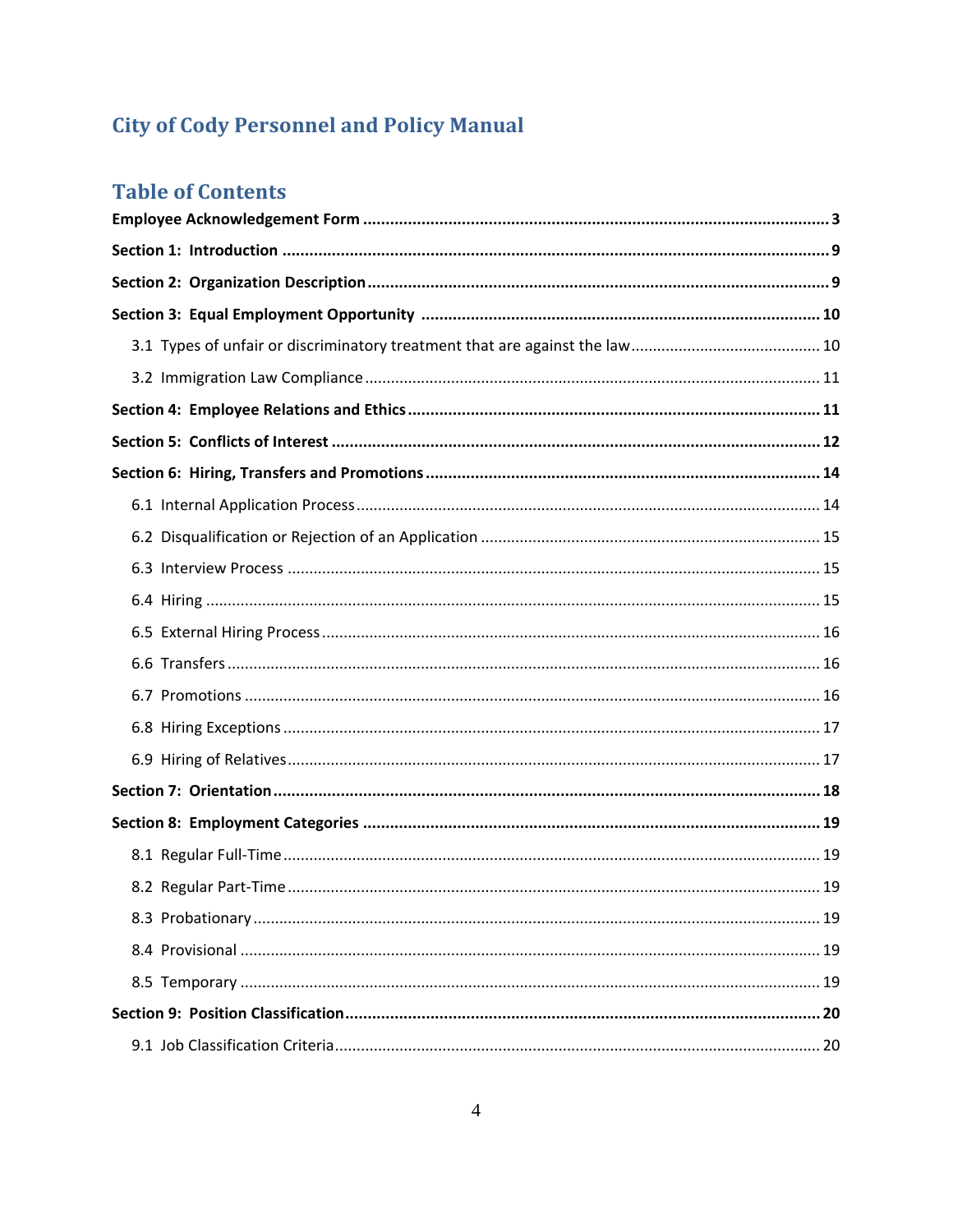# **City of Cody Personnel and Policy Manual**

# **Table of Contents**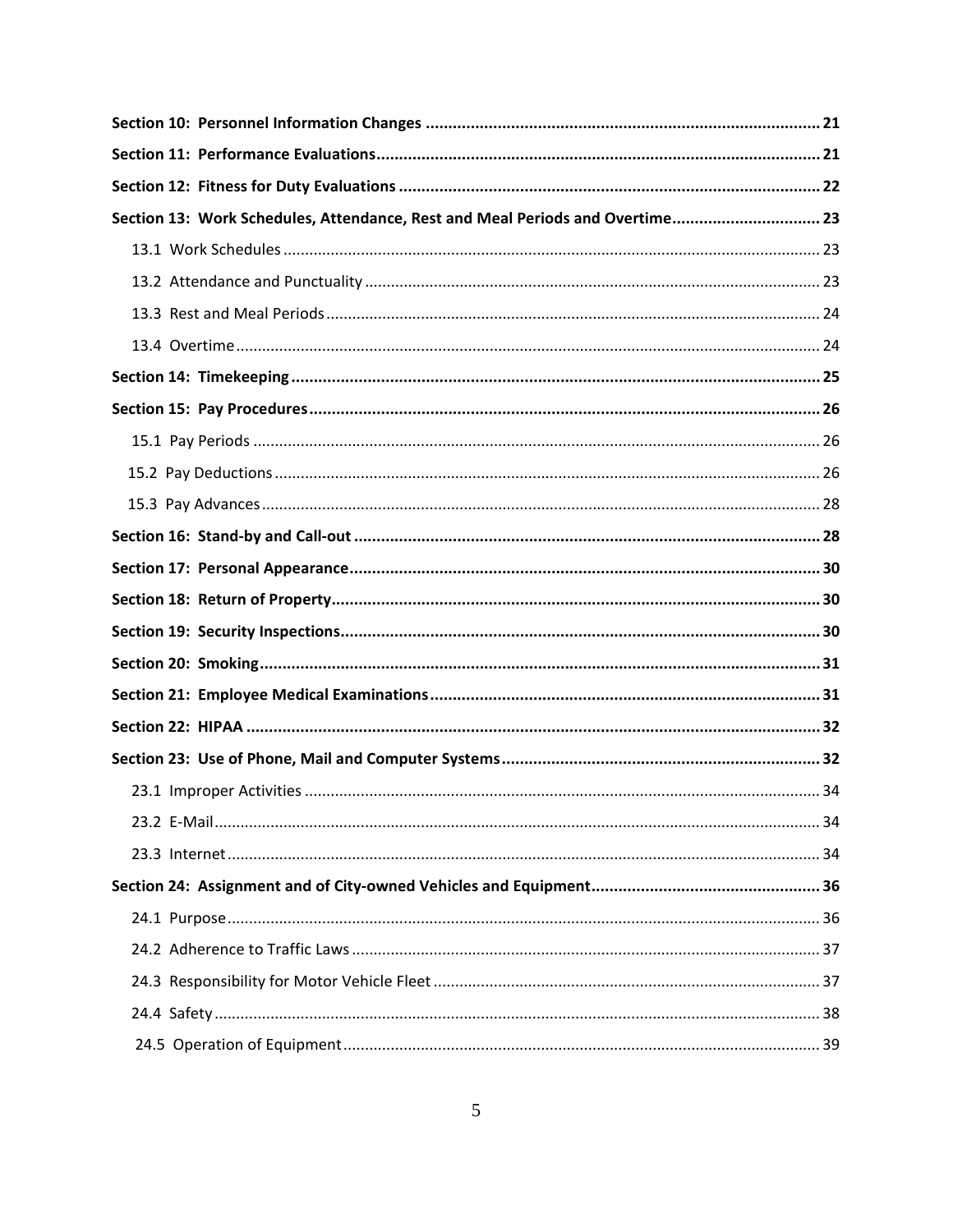| Section 13: Work Schedules, Attendance, Rest and Meal Periods and Overtime 23 |  |
|-------------------------------------------------------------------------------|--|
|                                                                               |  |
|                                                                               |  |
|                                                                               |  |
|                                                                               |  |
|                                                                               |  |
|                                                                               |  |
|                                                                               |  |
|                                                                               |  |
|                                                                               |  |
|                                                                               |  |
|                                                                               |  |
|                                                                               |  |
|                                                                               |  |
|                                                                               |  |
|                                                                               |  |
|                                                                               |  |
|                                                                               |  |
|                                                                               |  |
|                                                                               |  |
|                                                                               |  |
|                                                                               |  |
|                                                                               |  |
|                                                                               |  |
|                                                                               |  |
|                                                                               |  |
|                                                                               |  |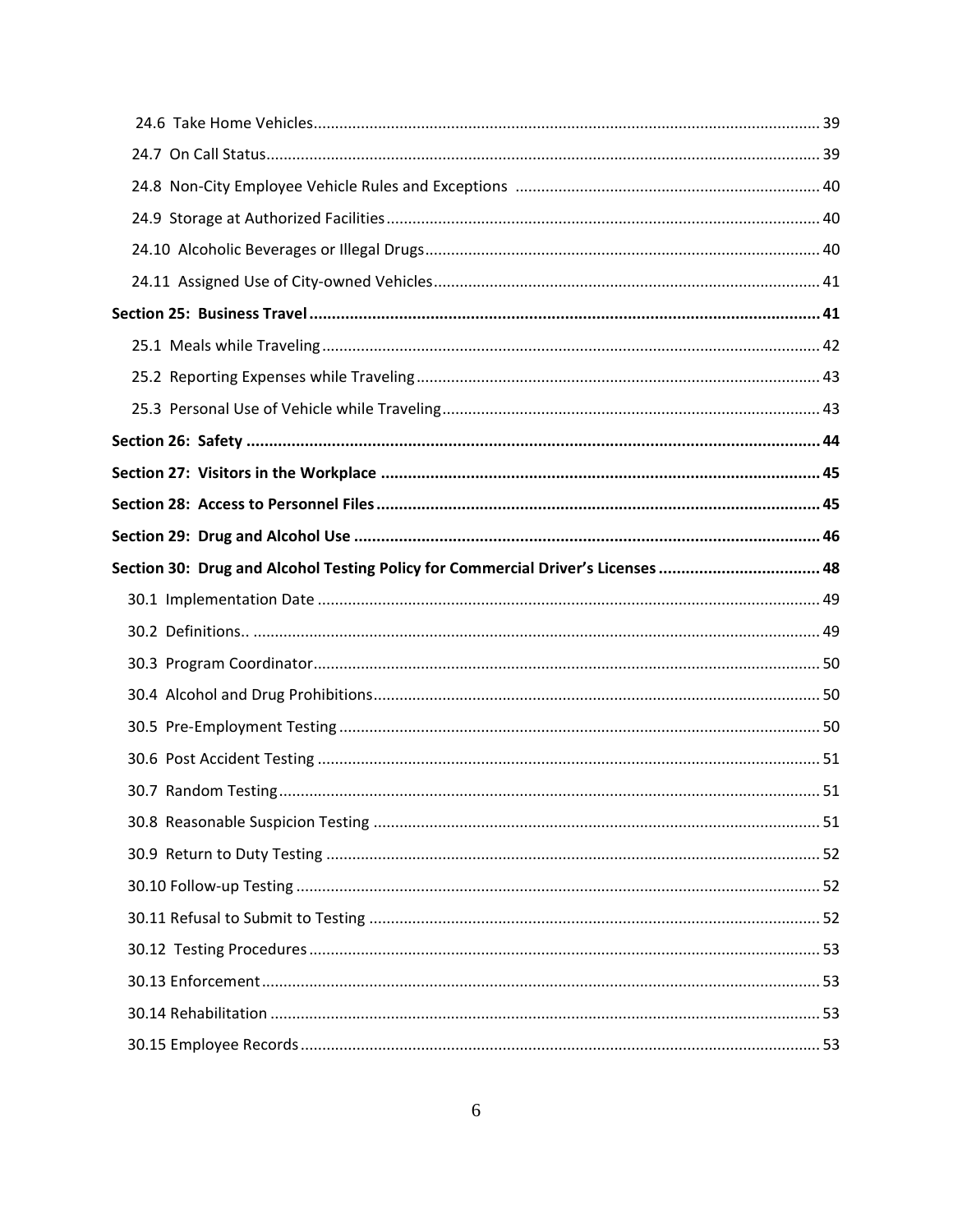| Section 30: Drug and Alcohol Testing Policy for Commercial Driver's Licenses  48 |  |
|----------------------------------------------------------------------------------|--|
|                                                                                  |  |
|                                                                                  |  |
|                                                                                  |  |
|                                                                                  |  |
|                                                                                  |  |
|                                                                                  |  |
|                                                                                  |  |
|                                                                                  |  |
|                                                                                  |  |
|                                                                                  |  |
|                                                                                  |  |
|                                                                                  |  |
|                                                                                  |  |
|                                                                                  |  |
|                                                                                  |  |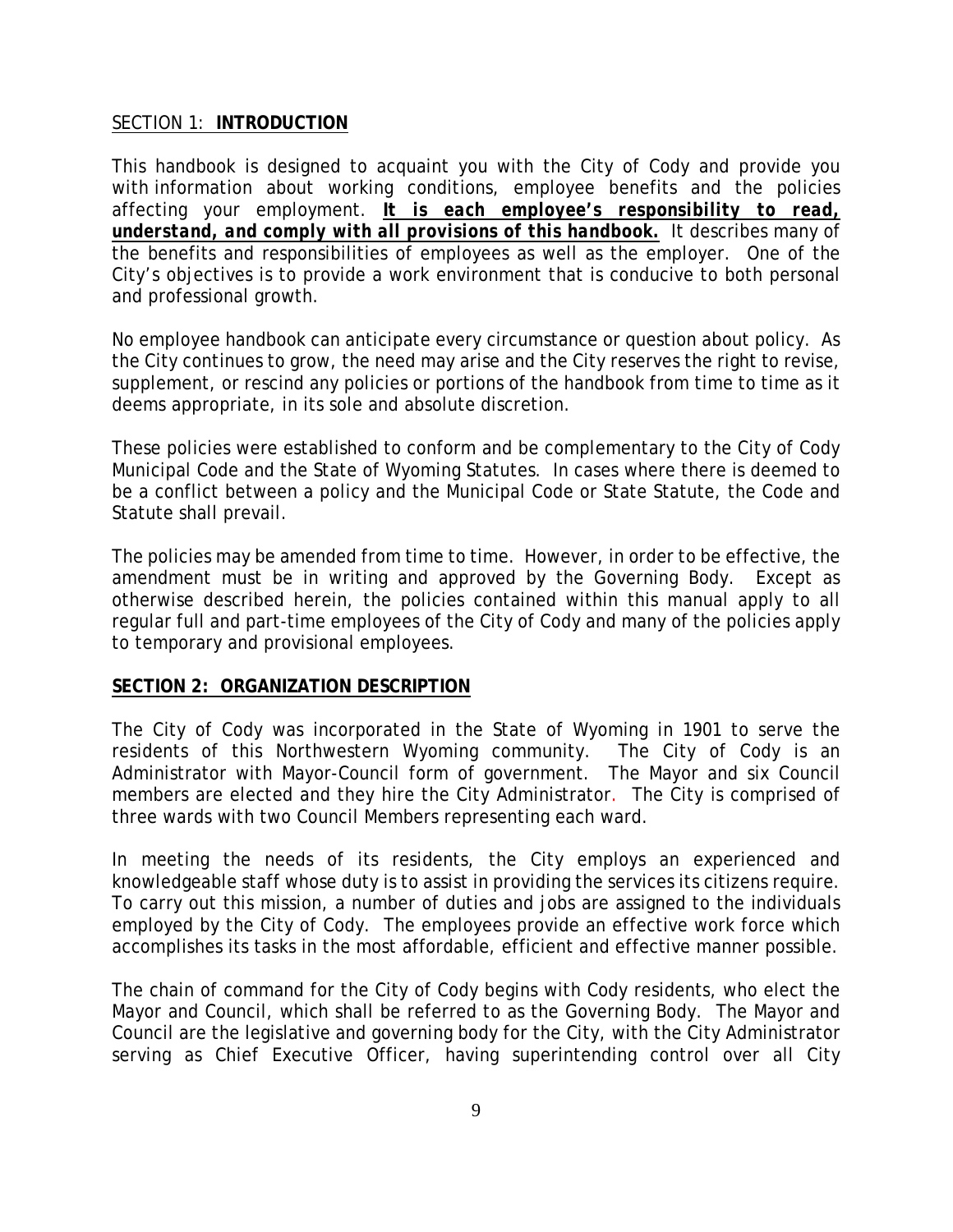#### SECTION 1: **INTRODUCTION**

This handbook is designed to acquaint you with the City of Cody and provide you with information about working conditions, employee benefits and the policies affecting your employment. *It is each employee's responsibility to read, understand, and comply with all provisions of this handbook.* It describes many of the benefits and responsibilities of employees as well as the employer. One of the City's objectives is to provide a work environment that is conducive to both personal and professional growth.

No employee handbook can anticipate every circumstance or question about policy. As the City continues to grow, the need may arise and the City reserves the right to revise, supplement, or rescind any policies or portions of the handbook from time to time as it deems appropriate, in its sole and absolute discretion.

These policies were established to conform and be complementary to the City of Cody Municipal Code and the State of Wyoming Statutes. In cases where there is deemed to be a conflict between a policy and the Municipal Code or State Statute, the Code and Statute shall prevail.

The policies may be amended from time to time. However, in order to be effective, the amendment must be in writing and approved by the Governing Body. Except as otherwise described herein, the policies contained within this manual apply to all regular full and part-time employees of the City of Cody and many of the policies apply to temporary and provisional employees.

#### **SECTION 2: ORGANIZATION DESCRIPTION**

The City of Cody was incorporated in the State of Wyoming in 1901 to serve the residents of this Northwestern Wyoming community. The City of Cody is an Administrator with Mayor-Council form of government. The Mayor and six Council members are elected and they hire the City Administrator. The City is comprised of three wards with two Council Members representing each ward.

In meeting the needs of its residents, the City employs an experienced and knowledgeable staff whose duty is to assist in providing the services its citizens require. To carry out this mission, a number of duties and jobs are assigned to the individuals employed by the City of Cody. The employees provide an effective work force which accomplishes its tasks in the most affordable, efficient and effective manner possible.

The chain of command for the City of Cody begins with Cody residents, who elect the Mayor and Council, which shall be referred to as the Governing Body. The Mayor and Council are the legislative and governing body for the City, with the City Administrator serving as Chief Executive Officer, having superintending control over all City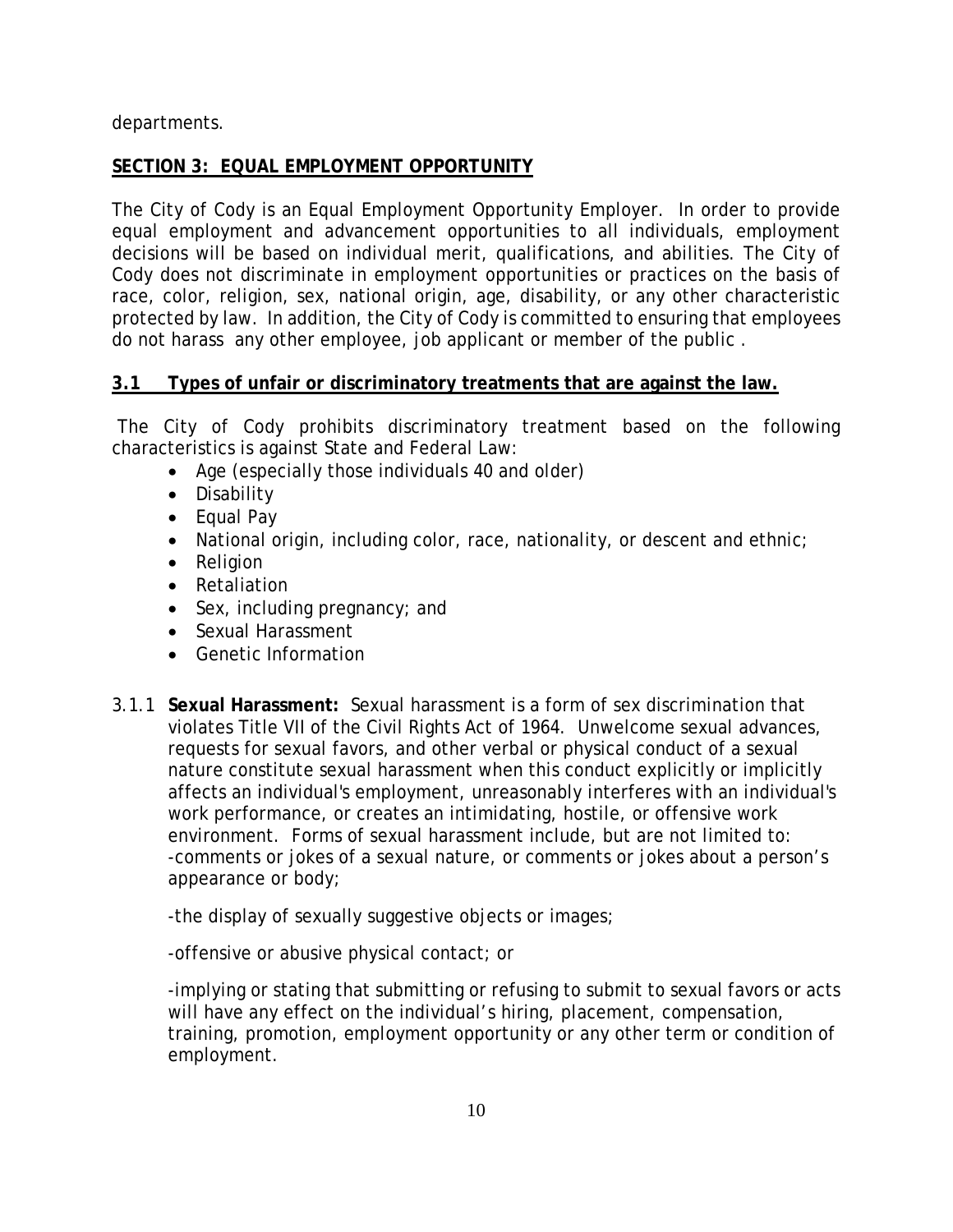departments.

# **SECTION 3: EQUAL EMPLOYMENT OPPORTUNITY**

The City of Cody is an Equal Employment Opportunity Employer. In order to provide equal employment and advancement opportunities to all individuals, employment decisions will be based on individual merit, qualifications, and abilities. The City of Cody does not discriminate in employment opportunities or practices on the basis of race, color, religion, sex, national origin, age, disability, or any other characteristic protected by law. In addition, the City of Cody is committed to ensuring that employees do not harass any other employee, job applicant or member of the public .

# **3.1 Types of unfair or discriminatory treatments that are against the law.**

The City of Cody prohibits discriminatory treatment based on the following characteristics is against State and Federal Law:

- Age (especially those individuals 40 and older)
- Disability
- Equal Pay
- National origin, including color, race, nationality, or descent and ethnic;
- Religion
- Retaliation
- Sex, including pregnancy; and
- Sexual Harassment
- Genetic Information
- 3.1.1 **Sexual Harassment:** Sexual harassment is a form of sex discrimination that violates [Title VII of the Civil Rights Act of 1964.](http://www.eeoc.gov/policy/vii.html) Unwelcome sexual advances, requests for sexual favors, and other verbal or physical conduct of a sexual nature constitute sexual harassment when this conduct explicitly or implicitly affects an individual's employment, unreasonably interferes with an individual's work performance, or creates an intimidating, hostile, or offensive work environment. Forms of sexual harassment include, but are not limited to: -comments or jokes of a sexual nature, or comments or jokes about a person's appearance or body;

-the display of sexually suggestive objects or images;

-offensive or abusive physical contact; or

-implying or stating that submitting or refusing to submit to sexual favors or acts will have any effect on the individual's hiring, placement, compensation, training, promotion, employment opportunity or any other term or condition of employment.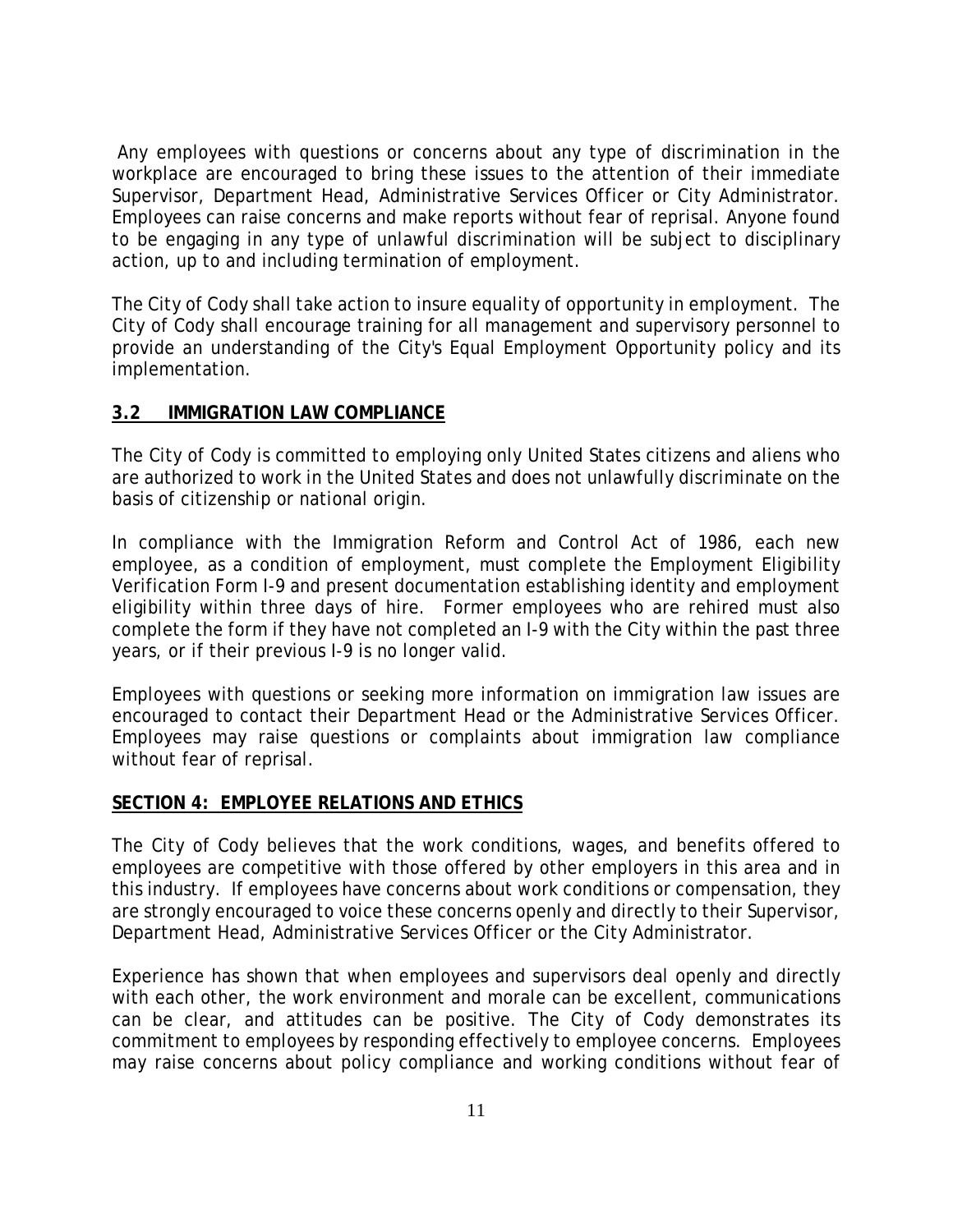Any employees with questions or concerns about any type of discrimination in the workplace are encouraged to bring these issues to the attention of their immediate Supervisor, Department Head, Administrative Services Officer or City Administrator. Employees can raise concerns and make reports without fear of reprisal. Anyone found to be engaging in any type of unlawful discrimination will be subject to disciplinary action, up to and including termination of employment.

The City of Cody shall take action to insure equality of opportunity in employment. The City of Cody shall encourage training for all management and supervisory personnel to provide an understanding of the City's Equal Employment Opportunity policy and its implementation.

#### **3.2 IMMIGRATION LAW COMPLIANCE**

The City of Cody is committed to employing only United States citizens and aliens who are authorized to work in the United States and does not unlawfully discriminate on the basis of citizenship or national origin.

In compliance with the Immigration Reform and Control Act of 1986, each new employee, as a condition of employment, must complete the Employment Eligibility Verification Form I-9 and present documentation establishing identity and employment eligibility within three days of hire. Former employees who are rehired must also complete the form if they have not completed an I-9 with the City within the past three years, or if their previous I-9 is no longer valid.

Employees with questions or seeking more information on immigration law issues are encouraged to contact their Department Head or the Administrative Services Officer. Employees may raise questions or complaints about immigration law compliance without fear of reprisal.

#### **SECTION 4: EMPLOYEE RELATIONS AND ETHICS**

The City of Cody believes that the work conditions, wages, and benefits offered to employees are competitive with those offered by other employers in this area and in this industry. If employees have concerns about work conditions or compensation, they are strongly encouraged to voice these concerns openly and directly to their Supervisor, Department Head, Administrative Services Officer or the City Administrator.

Experience has shown that when employees and supervisors deal openly and directly with each other, the work environment and morale can be excellent, communications can be clear, and attitudes can be positive. The City of Cody demonstrates its commitment to employees by responding effectively to employee concerns. Employees may raise concerns about policy compliance and working conditions without fear of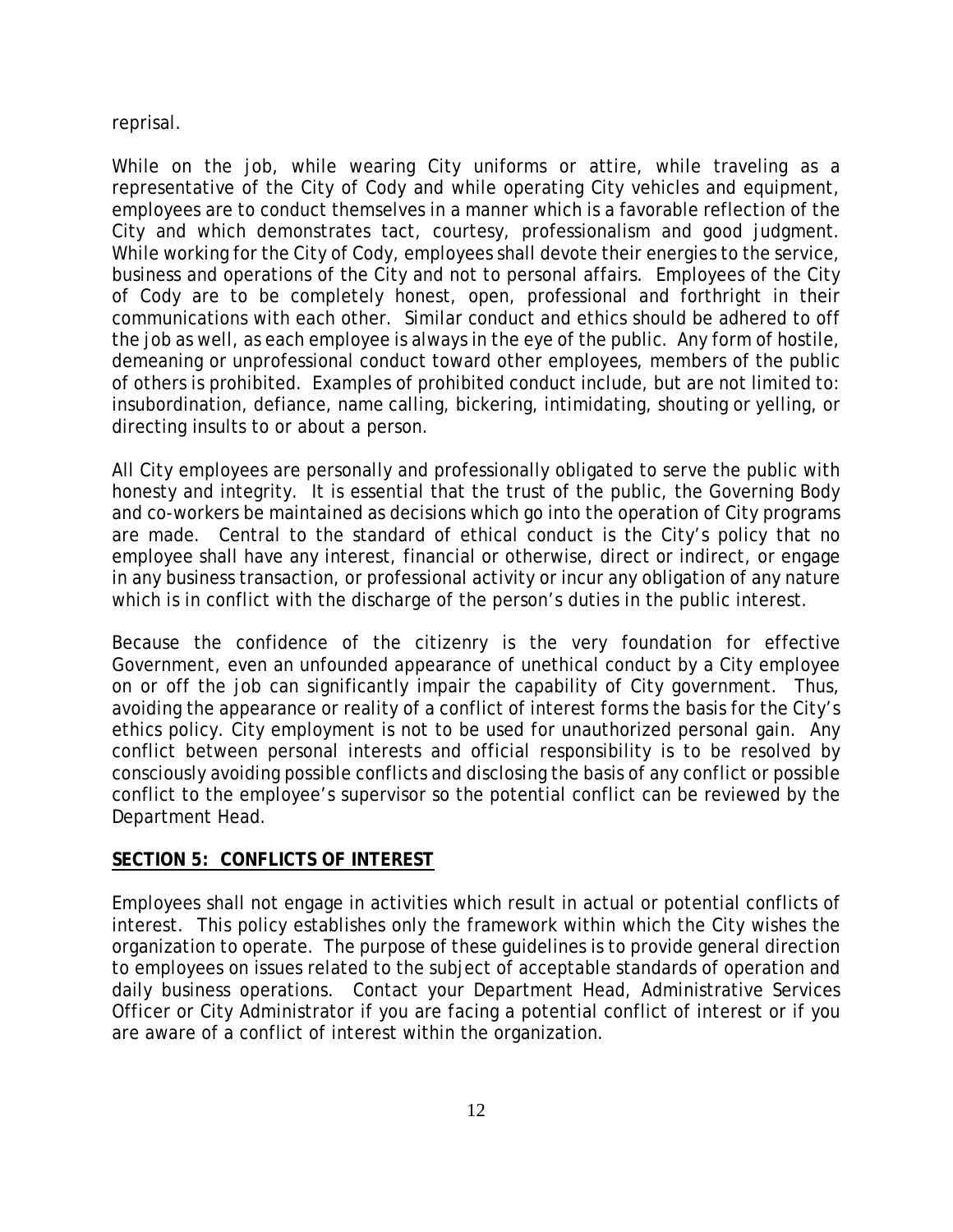reprisal.

While on the job, while wearing City uniforms or attire, while traveling as a representative of the City of Cody and while operating City vehicles and equipment, employees are to conduct themselves in a manner which is a favorable reflection of the City and which demonstrates tact, courtesy, professionalism and good judgment. While working for the City of Cody, employees shall devote their energies to the service, business and operations of the City and not to personal affairs. Employees of the City of Cody are to be completely honest, open, professional and forthright in their communications with each other. Similar conduct and ethics should be adhered to off the job as well, as each employee is always in the eye of the public. Any form of hostile, demeaning or unprofessional conduct toward other employees, members of the public of others is prohibited. Examples of prohibited conduct include, but are not limited to: insubordination, defiance, name calling, bickering, intimidating, shouting or yelling, or directing insults to or about a person.

All City employees are personally and professionally obligated to serve the public with honesty and integrity. It is essential that the trust of the public, the Governing Body and co-workers be maintained as decisions which go into the operation of City programs are made. Central to the standard of ethical conduct is the City's policy that no employee shall have any interest, financial or otherwise, direct or indirect, or engage in any business transaction, or professional activity or incur any obligation of any nature which is in conflict with the discharge of the person's duties in the public interest.

Because the confidence of the citizenry is the very foundation for effective Government, even an unfounded appearance of unethical conduct by a City employee on or off the job can significantly impair the capability of City government. Thus, avoiding the appearance or reality of a conflict of interest forms the basis for the City's ethics policy. City employment is not to be used for unauthorized personal gain. Any conflict between personal interests and official responsibility is to be resolved by consciously avoiding possible conflicts and disclosing the basis of any conflict or possible conflict to the employee's supervisor so the potential conflict can be reviewed by the Department Head.

#### **SECTION 5: CONFLICTS OF INTEREST**

Employees shall not engage in activities which result in actual or potential conflicts of interest. This policy establishes only the framework within which the City wishes the organization to operate. The purpose of these guidelines is to provide general direction to employees on issues related to the subject of acceptable standards of operation and daily business operations. Contact your Department Head, Administrative Services Officer or City Administrator if you are facing a potential conflict of interest or if you are aware of a conflict of interest within the organization.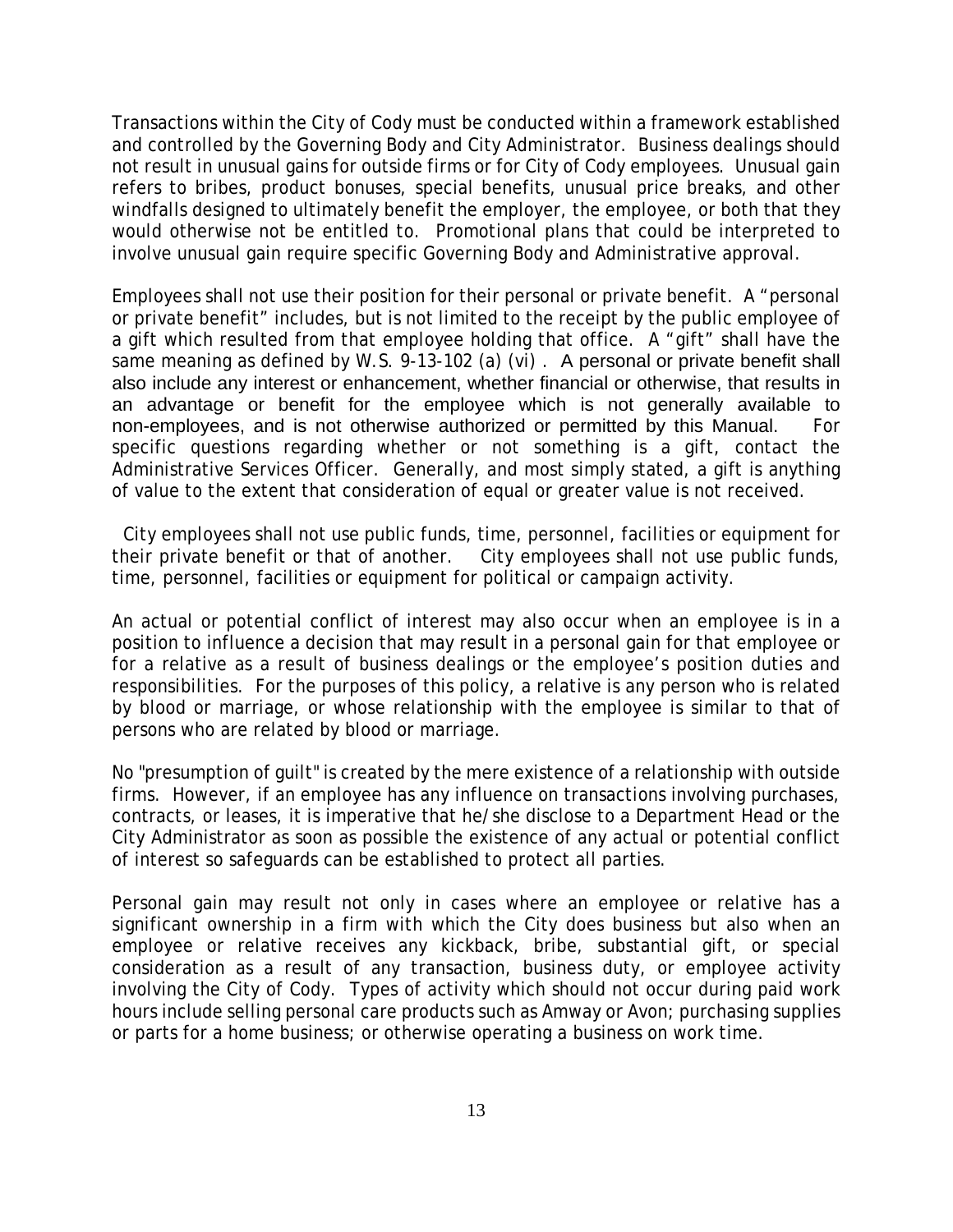Transactions within the City of Cody must be conducted within a framework established and controlled by the Governing Body and City Administrator. Business dealings should not result in unusual gains for outside firms or for City of Cody employees. Unusual gain refers to bribes, product bonuses, special benefits, unusual price breaks, and other windfalls designed to ultimately benefit the employer, the employee, or both that they would otherwise not be entitled to. Promotional plans that could be interpreted to involve unusual gain require specific Governing Body and Administrative approval.

Employees shall not use their position for their personal or private benefit. A "personal or private benefit" includes, but is not limited to the receipt by the public employee of a gift which resulted from that employee holding that office. A "gift" shall have the same meaning as defined by W.S. 9-13-102 (a) (vi). A personal or private benefit shall also include any interest or enhancement, whether financial or otherwise, that results in an advantage or benefit for the employee which is not generally available to non-employees, and is not otherwise authorized or permitted by this Manual. For specific questions regarding whether or not something is a gift, contact the Administrative Services Officer. Generally, and most simply stated, a gift is anything of value to the extent that consideration of equal or greater value is not received.

 City employees shall not use public funds, time, personnel, facilities or equipment for their private benefit or that of another. City employees shall not use public funds, time, personnel, facilities or equipment for political or campaign activity.

An actual or potential conflict of interest may also occur when an employee is in a position to influence a decision that may result in a personal gain for that employee or for a relative as a result of business dealings or the employee's position duties and responsibilities. For the purposes of this policy, a relative is any person who is related by blood or marriage, or whose relationship with the employee is similar to that of persons who are related by blood or marriage.

No "presumption of guilt" is created by the mere existence of a relationship with outside firms. However, if an employee has any influence on transactions involving purchases, contracts, or leases, it is imperative that he/she disclose to a Department Head or the City Administrator as soon as possible the existence of any actual or potential conflict of interest so safeguards can be established to protect all parties.

Personal gain may result not only in cases where an employee or relative has a significant ownership in a firm with which the City does business but also when an employee or relative receives any kickback, bribe, substantial gift, or special consideration as a result of any transaction, business duty, or employee activity involving the City of Cody. Types of activity which should not occur during paid work hours include selling personal care products such as Amway or Avon; purchasing supplies or parts for a home business; or otherwise operating a business on work time.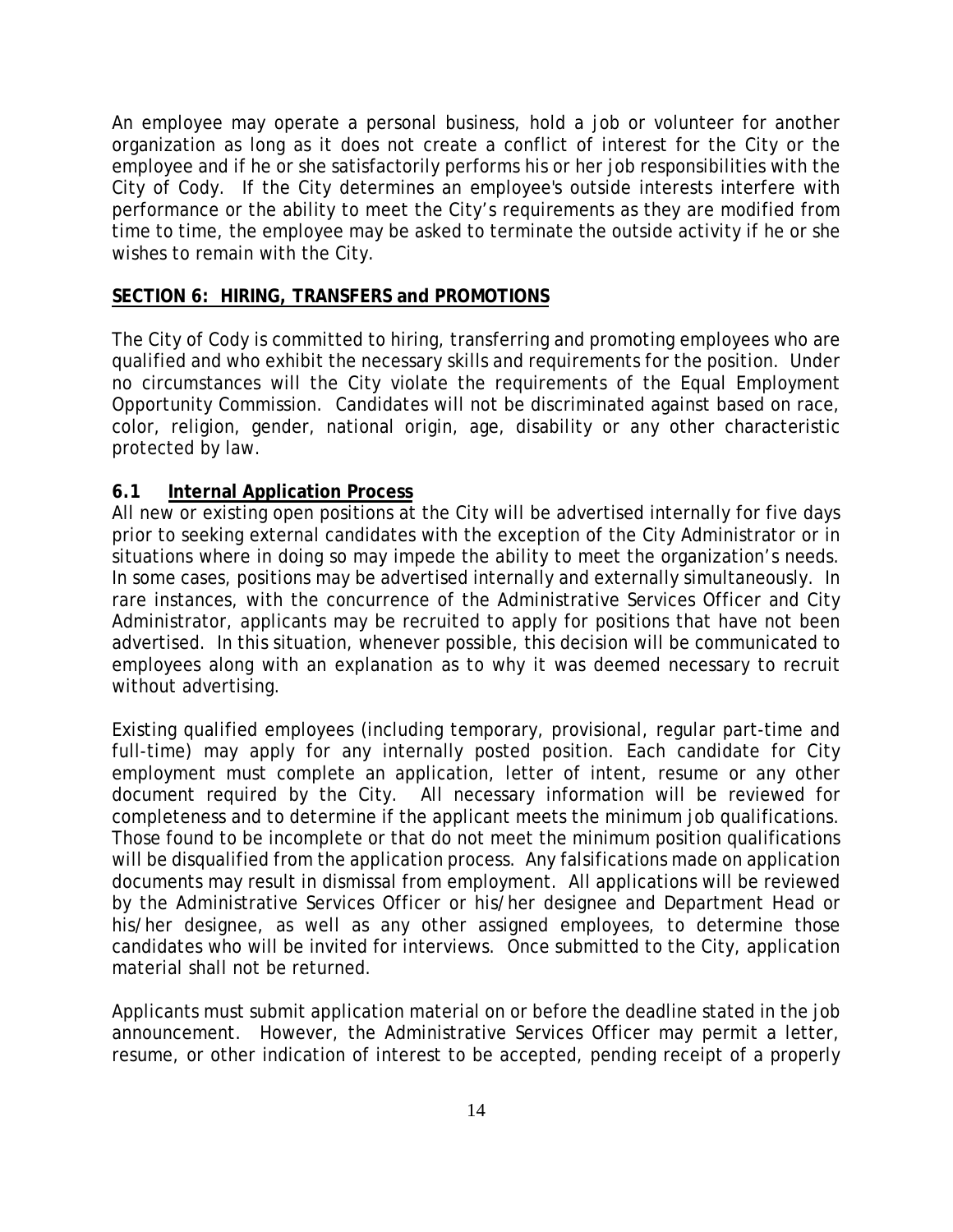An employee may operate a personal business, hold a job or volunteer for another organization as long as it does not create a conflict of interest for the City or the employee and if he or she satisfactorily performs his or her job responsibilities with the City of Cody. If the City determines an employee's outside interests interfere with performance or the ability to meet the City's requirements as they are modified from time to time, the employee may be asked to terminate the outside activity if he or she wishes to remain with the City.

#### **SECTION 6: HIRING, TRANSFERS and PROMOTIONS**

The City of Cody is committed to hiring, transferring and promoting employees who are qualified and who exhibit the necessary skills and requirements for the position. Under no circumstances will the City violate the requirements of the Equal Employment Opportunity Commission. Candidates will not be discriminated against based on race, color, religion, gender, national origin, age, disability or any other characteristic protected by law.

#### **6.1 Internal Application Process**

All new or existing open positions at the City will be advertised internally for five days prior to seeking external candidates with the exception of the City Administrator or in situations where in doing so may impede the ability to meet the organization's needs. In some cases, positions may be advertised internally and externally simultaneously. In rare instances, with the concurrence of the Administrative Services Officer and City Administrator, applicants may be recruited to apply for positions that have not been advertised. In this situation, whenever possible, this decision will be communicated to employees along with an explanation as to why it was deemed necessary to recruit without advertising.

Existing qualified employees (including temporary, provisional, regular part-time and full-time) may apply for any internally posted position. Each candidate for City employment must complete an application, letter of intent, resume or any other document required by the City. All necessary information will be reviewed for completeness and to determine if the applicant meets the minimum job qualifications. Those found to be incomplete or that do not meet the minimum position qualifications will be disqualified from the application process. Any falsifications made on application documents may result in dismissal from employment. All applications will be reviewed by the Administrative Services Officer or his/her designee and Department Head or his/her designee, as well as any other assigned employees, to determine those candidates who will be invited for interviews. Once submitted to the City, application material shall not be returned.

Applicants must submit application material on or before the deadline stated in the job announcement. However, the Administrative Services Officer may permit a letter, resume, or other indication of interest to be accepted, pending receipt of a properly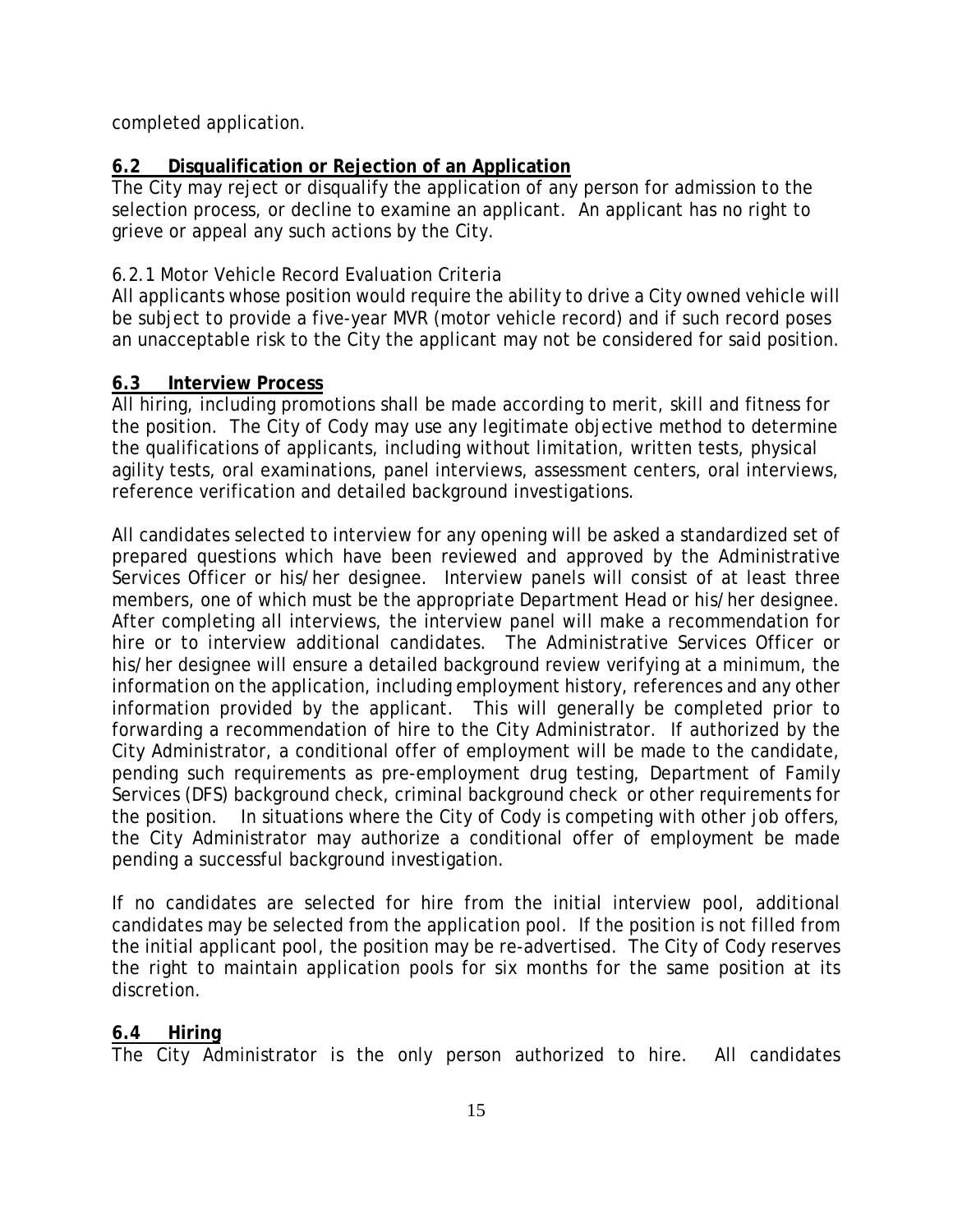completed application.

# **6.2 Disqualification or Rejection of an Application**

The City may reject or disqualify the application of any person for admission to the selection process, or decline to examine an applicant. An applicant has no right to grieve or appeal any such actions by the City.

# 6.2.1 Motor Vehicle Record Evaluation Criteria

All applicants whose position would require the ability to drive a City owned vehicle will be subject to provide a five-year MVR (motor vehicle record) and if such record poses an unacceptable risk to the City the applicant may not be considered for said position.

# **6.3 Interview Process**

All hiring, including promotions shall be made according to merit, skill and fitness for the position. The City of Cody may use any legitimate objective method to determine the qualifications of applicants, including without limitation, written tests, physical agility tests, oral examinations, panel interviews, assessment centers, oral interviews, reference verification and detailed background investigations.

All candidates selected to interview for any opening will be asked a standardized set of prepared questions which have been reviewed and approved by the Administrative Services Officer or his/her designee. Interview panels will consist of at least three members, one of which must be the appropriate Department Head or his/her designee. After completing all interviews, the interview panel will make a recommendation for hire or to interview additional candidates. The Administrative Services Officer or his/her designee will ensure a detailed background review verifying at a minimum, the information on the application, including employment history, references and any other information provided by the applicant. This will generally be completed prior to forwarding a recommendation of hire to the City Administrator. If authorized by the City Administrator, a conditional offer of employment will be made to the candidate, pending such requirements as pre-employment drug testing, Department of Family Services (DFS) background check, criminal background check or other requirements for the position. In situations where the City of Cody is competing with other job offers, the City Administrator may authorize a conditional offer of employment be made pending a successful background investigation.

If no candidates are selected for hire from the initial interview pool, additional candidates may be selected from the application pool. If the position is not filled from the initial applicant pool, the position may be re-advertised. The City of Cody reserves the right to maintain application pools for six months for the same position at its discretion.

# **6.4 Hiring**

The City Administrator is the only person authorized to hire. All candidates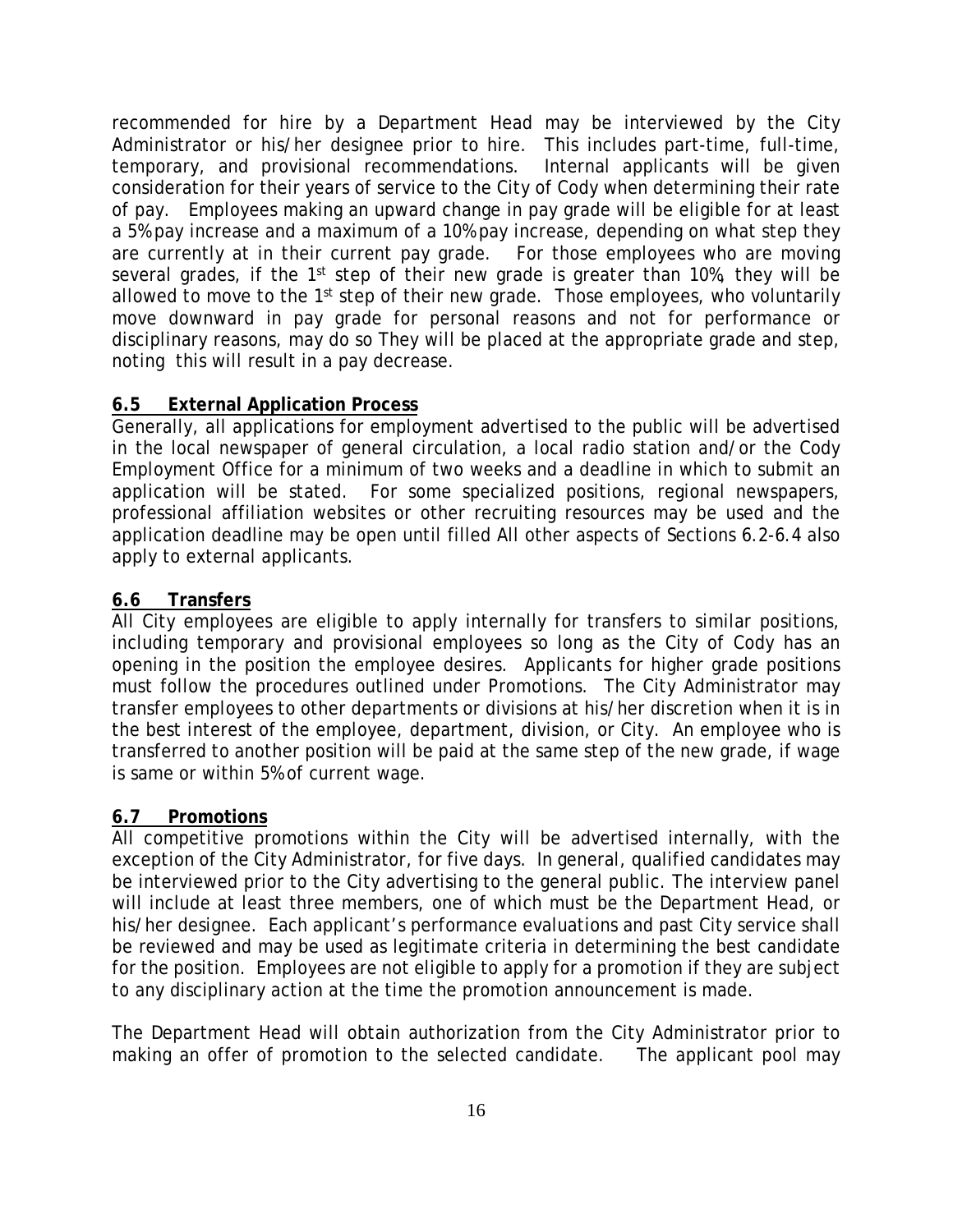recommended for hire by a Department Head may be interviewed by the City Administrator or his/her designee prior to hire. This includes part-time, full-time, temporary, and provisional recommendations. Internal applicants will be given consideration for their years of service to the City of Cody when determining their rate of pay. Employees making an upward change in pay grade will be eligible for at least a 5% pay increase and a maximum of a 10% pay increase, depending on what step they are currently at in their current pay grade. For those employees who are moving several grades, if the 1<sup>st</sup> step of their new grade is greater than 10%, they will be allowed to move to the 1<sup>st</sup> step of their new grade. Those employees, who voluntarily move downward in pay grade for personal reasons and not for performance or disciplinary reasons, may do so They will be placed at the appropriate grade and step, noting this will result in a pay decrease.

# **6.5 External Application Process**

Generally, all applications for employment advertised to the public will be advertised in the local newspaper of general circulation, a local radio station and/or the Cody Employment Office for a minimum of two weeks and a deadline in which to submit an application will be stated. For some specialized positions, regional newspapers, professional affiliation websites or other recruiting resources may be used and the application deadline may be open until filled All other aspects of Sections 6.2-6.4 also apply to external applicants.

# **6.6 Transfers**

All City employees are eligible to apply internally for transfers to similar positions, including temporary and provisional employees so long as the City of Cody has an opening in the position the employee desires. Applicants for higher grade positions must follow the procedures outlined under Promotions. The City Administrator may transfer employees to other departments or divisions at his/her discretion when it is in the best interest of the employee, department, division, or City. An employee who is transferred to another position will be paid at the same step of the new grade, if wage is same or within 5% of current wage.

# **6.7 Promotions**

All competitive promotions within the City will be advertised internally, with the exception of the City Administrator, for five days. In general, qualified candidates may be interviewed prior to the City advertising to the general public. The interview panel will include at least three members, one of which must be the Department Head, or his/her designee. Each applicant's performance evaluations and past City service shall be reviewed and may be used as legitimate criteria in determining the best candidate for the position. Employees are not eligible to apply for a promotion if they are subject to any disciplinary action at the time the promotion announcement is made.

The Department Head will obtain authorization from the City Administrator prior to making an offer of promotion to the selected candidate. The applicant pool may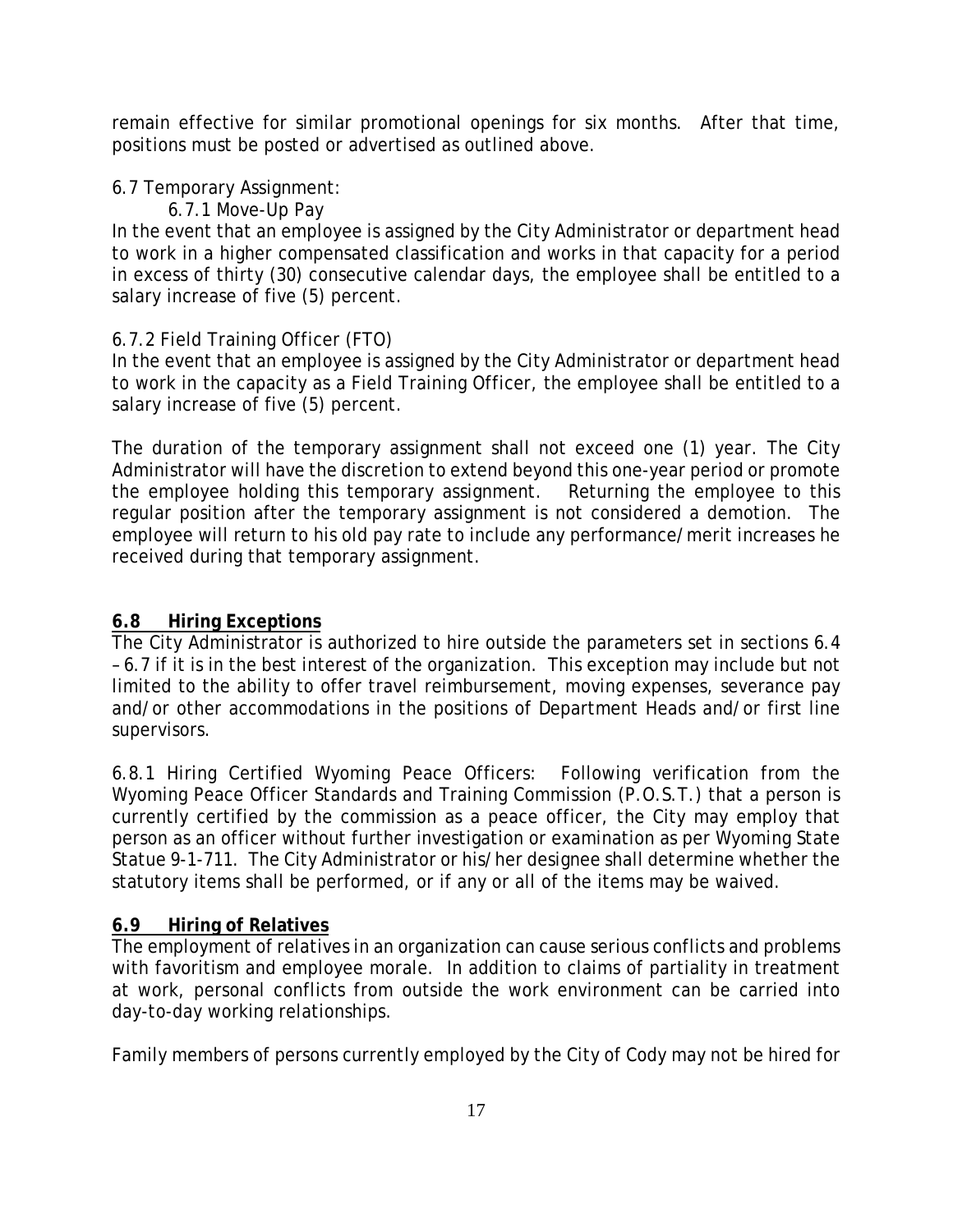remain effective for similar promotional openings for six months. After that time, positions must be posted or advertised as outlined above.

# 6.7 Temporary Assignment:

6.7.1 Move-Up Pay

In the event that an employee is assigned by the City Administrator or department head to work in a higher compensated classification and works in that capacity for a period in excess of thirty (30) consecutive calendar days, the employee shall be entitled to a salary increase of five (5) percent.

# 6.7.2 Field Training Officer (FTO)

In the event that an employee is assigned by the City Administrator or department head to work in the capacity as a Field Training Officer, the employee shall be entitled to a salary increase of five (5) percent.

The duration of the temporary assignment shall not exceed one (1) year. The City Administrator will have the discretion to extend beyond this one-year period or promote the employee holding this temporary assignment. Returning the employee to this regular position after the temporary assignment is not considered a demotion. The employee will return to his old pay rate to include any performance/merit increases he received during that temporary assignment.

# **6.8 Hiring Exceptions**

The City Administrator is authorized to hire outside the parameters set in sections 6.4 – 6.7 if it is in the best interest of the organization. This exception may include but not limited to the ability to offer travel reimbursement, moving expenses, severance pay and/or other accommodations in the positions of Department Heads and/or first line supervisors.

6.8.1 Hiring Certified Wyoming Peace Officers: Following verification from the Wyoming Peace Officer Standards and Training Commission (P.O.S.T.) that a person is currently certified by the commission as a peace officer, the City may employ that person as an officer without further investigation or examination as per Wyoming State Statue 9-1-711. The City Administrator or his/her designee shall determine whether the statutory items shall be performed, or if any or all of the items may be waived.

# **6.9 Hiring of Relatives**

The employment of relatives in an organization can cause serious conflicts and problems with favoritism and employee morale. In addition to claims of partiality in treatment at work, personal conflicts from outside the work environment can be carried into day-to-day working relationships.

Family members of persons currently employed by the City of Cody may not be hired for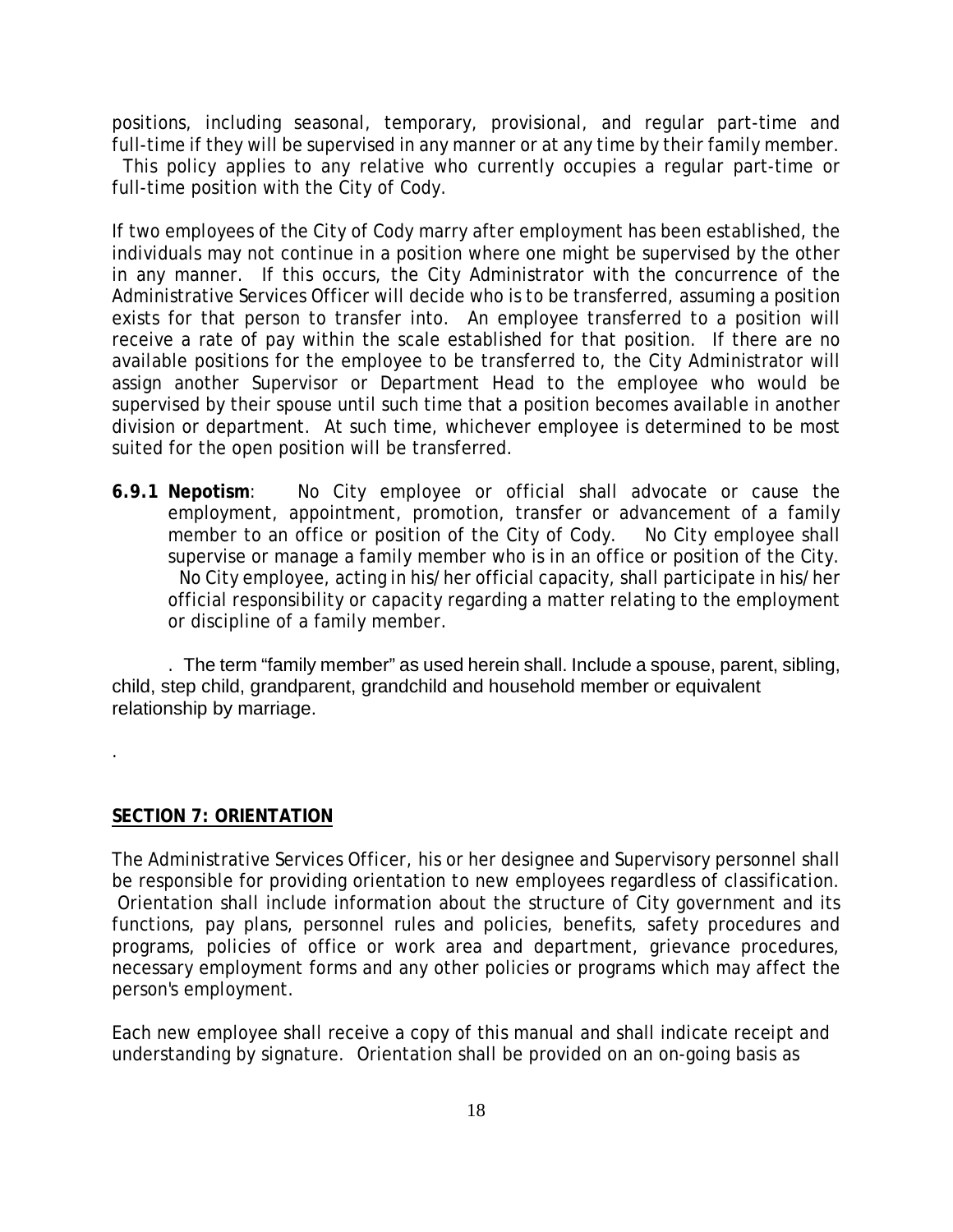positions, including seasonal, temporary, provisional, and regular part-time and full-time if they will be supervised in any manner or at any time by their family member.

 This policy applies to any relative who currently occupies a regular part-time or full-time position with the City of Cody.

If two employees of the City of Cody marry after employment has been established, the individuals may not continue in a position where one might be supervised by the other in any manner. If this occurs, the City Administrator with the concurrence of the Administrative Services Officer will decide who is to be transferred, assuming a position exists for that person to transfer into. An employee transferred to a position will receive a rate of pay within the scale established for that position. If there are no available positions for the employee to be transferred to, the City Administrator will assign another Supervisor or Department Head to the employee who would be supervised by their spouse until such time that a position becomes available in another division or department. At such time, whichever employee is determined to be most suited for the open position will be transferred.

**6.9.1 Nepotism**: No City employee or official shall advocate or cause the employment, appointment, promotion, transfer or advancement of a family member to an office or position of the City of Cody. No City employee shall supervise or manage a family member who is in an office or position of the City. No City employee, acting in his/her official capacity, shall participate in his/her official responsibility or capacity regarding a matter relating to the employment or discipline of a family member.

. The term "family member" as used herein shall. Include a spouse, parent, sibling, child, step child, grandparent, grandchild and household member or equivalent relationship by marriage.

#### **SECTION 7: ORIENTATION**

.

The Administrative Services Officer, his or her designee and Supervisory personnel shall be responsible for providing orientation to new employees regardless of classification. Orientation shall include information about the structure of City government and its functions, pay plans, personnel rules and policies, benefits, safety procedures and programs, policies of office or work area and department, grievance procedures, necessary employment forms and any other policies or programs which may affect the person's employment.

Each new employee shall receive a copy of this manual and shall indicate receipt and understanding by signature. Orientation shall be provided on an on-going basis as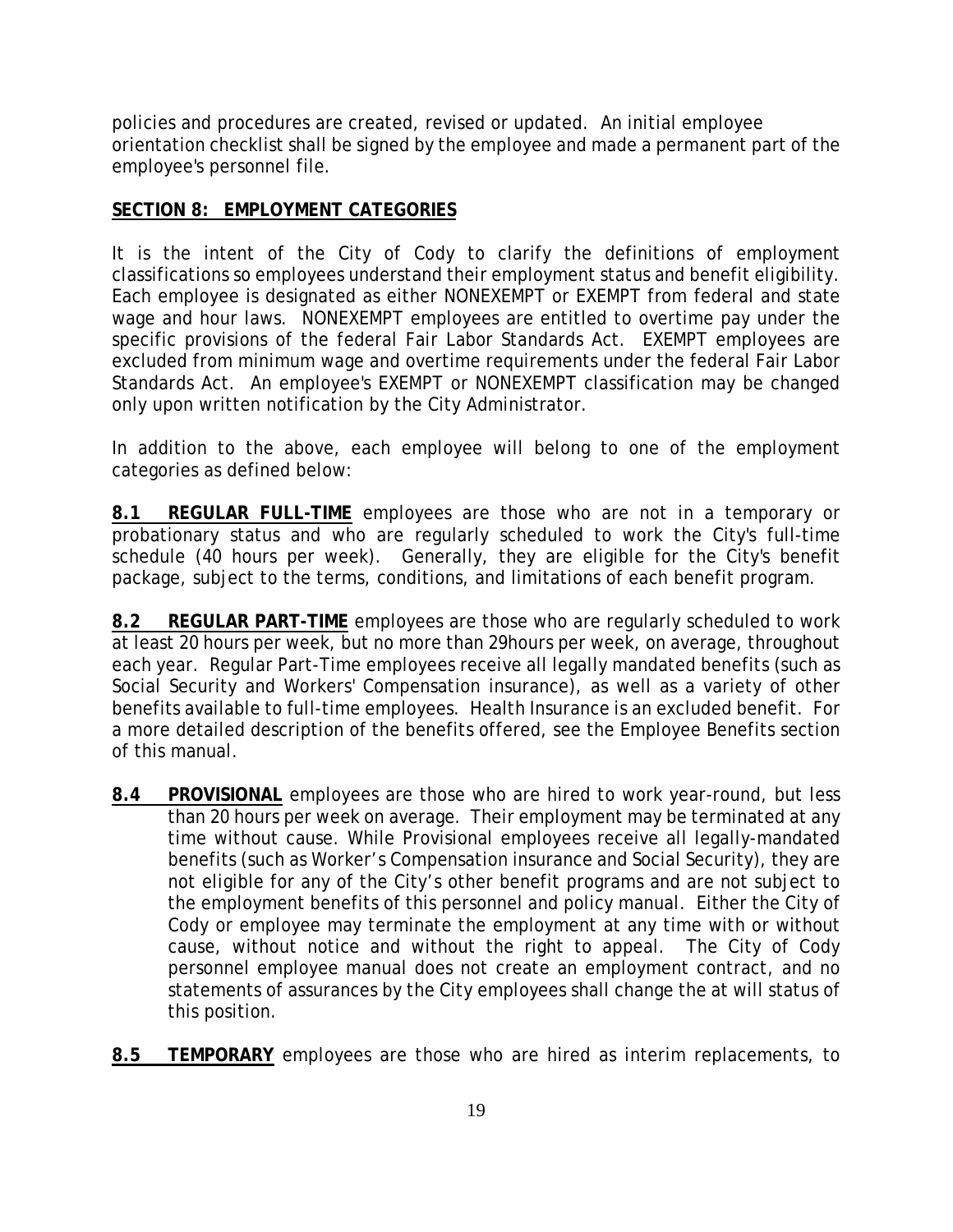policies and procedures are created, revised or updated. An initial employee orientation checklist shall be signed by the employee and made a permanent part of the employee's personnel file.

#### **SECTION 8: EMPLOYMENT CATEGORIES**

It is the intent of the City of Cody to clarify the definitions of employment classifications so employees understand their employment status and benefit eligibility. Each employee is designated as either NONEXEMPT or EXEMPT from federal and state wage and hour laws. NONEXEMPT employees are entitled to overtime pay under the specific provisions of the federal Fair Labor Standards Act. EXEMPT employees are excluded from minimum wage and overtime requirements under the federal Fair Labor Standards Act. An employee's EXEMPT or NONEXEMPT classification may be changed only upon written notification by the City Administrator.

In addition to the above, each employee will belong to one of the employment categories as defined below:

**8.1 REGULAR FULL-TIME** employees are those who are not in a temporary or probationary status and who are regularly scheduled to work the City's full-time schedule (40 hours per week). Generally, they are eligible for the City's benefit package, subject to the terms, conditions, and limitations of each benefit program.

**8.2 REGULAR PART-TIME** employees are those who are regularly scheduled to work at least 20 hours per week, but no more than 29hours per week, on average, throughout each year. Regular Part-Time employees receive all legally mandated benefits (such as Social Security and Workers' Compensation insurance), as well as a variety of other benefits available to full-time employees. Health Insurance is an excluded benefit. For a more detailed description of the benefits offered, see the Employee Benefits section of this manual.

- **8.4 PROVISIONAL** employees are those who are hired to work year-round, but less than 20 hours per week on average. Their employment may be terminated at any time without cause. While Provisional employees receive all legally-mandated benefits (such as Worker's Compensation insurance and Social Security), they are not eligible for any of the City's other benefit programs and are not subject to the employment benefits of this personnel and policy manual. Either the City of Cody or employee may terminate the employment at any time with or without cause, without notice and without the right to appeal. The City of Cody personnel employee manual does not create an employment contract, and no statements of assurances by the City employees shall change the at will status of this position.
- **8.5 TEMPORARY** employees are those who are hired as interim replacements, to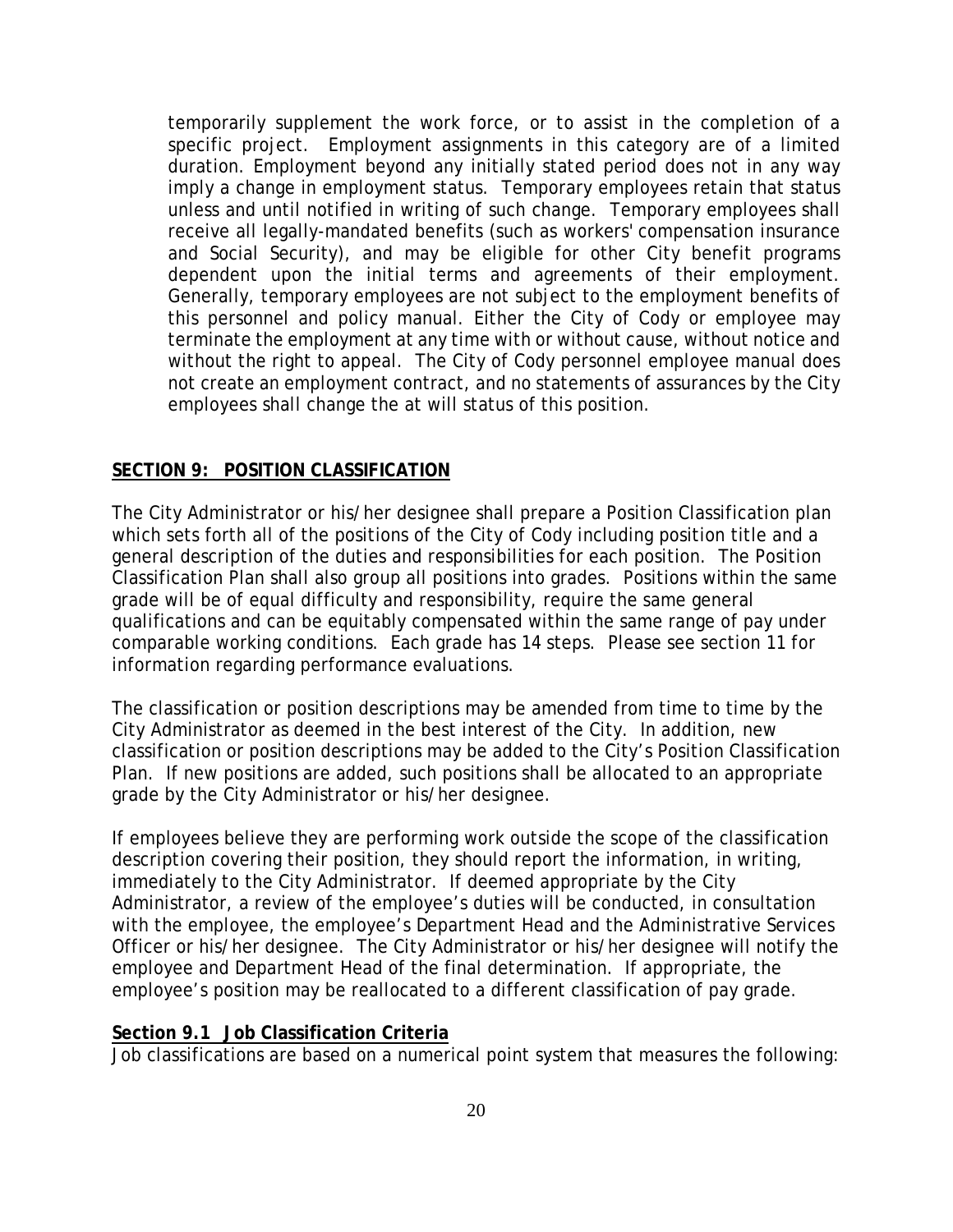temporarily supplement the work force, or to assist in the completion of a specific project. Employment assignments in this category are of a limited duration. Employment beyond any initially stated period does not in any way imply a change in employment status. Temporary employees retain that status unless and until notified in writing of such change. Temporary employees shall receive all legally-mandated benefits (such as workers' compensation insurance and Social Security), and may be eligible for other City benefit programs dependent upon the initial terms and agreements of their employment. Generally, temporary employees are not subject to the employment benefits of this personnel and policy manual. Either the City of Cody or employee may terminate the employment at any time with or without cause, without notice and without the right to appeal. The City of Cody personnel employee manual does not create an employment contract, and no statements of assurances by the City employees shall change the at will status of this position.

#### **SECTION 9: POSITION CLASSIFICATION**

The City Administrator or his/her designee shall prepare a Position Classification plan which sets forth all of the positions of the City of Cody including position title and a general description of the duties and responsibilities for each position. The Position Classification Plan shall also group all positions into grades. Positions within the same grade will be of equal difficulty and responsibility, require the same general qualifications and can be equitably compensated within the same range of pay under comparable working conditions. Each grade has 14 steps. Please see section 11 for information regarding performance evaluations.

The classification or position descriptions may be amended from time to time by the City Administrator as deemed in the best interest of the City. In addition, new classification or position descriptions may be added to the City's Position Classification Plan. If new positions are added, such positions shall be allocated to an appropriate grade by the City Administrator or his/her designee.

If employees believe they are performing work outside the scope of the classification description covering their position, they should report the information, in writing, immediately to the City Administrator. If deemed appropriate by the City Administrator, a review of the employee's duties will be conducted, in consultation with the employee, the employee's Department Head and the Administrative Services Officer or his/her designee. The City Administrator or his/her designee will notify the employee and Department Head of the final determination. If appropriate, the employee's position may be reallocated to a different classification of pay grade.

#### **Section 9.1 Job Classification Criteria**

Job classifications are based on a numerical point system that measures the following: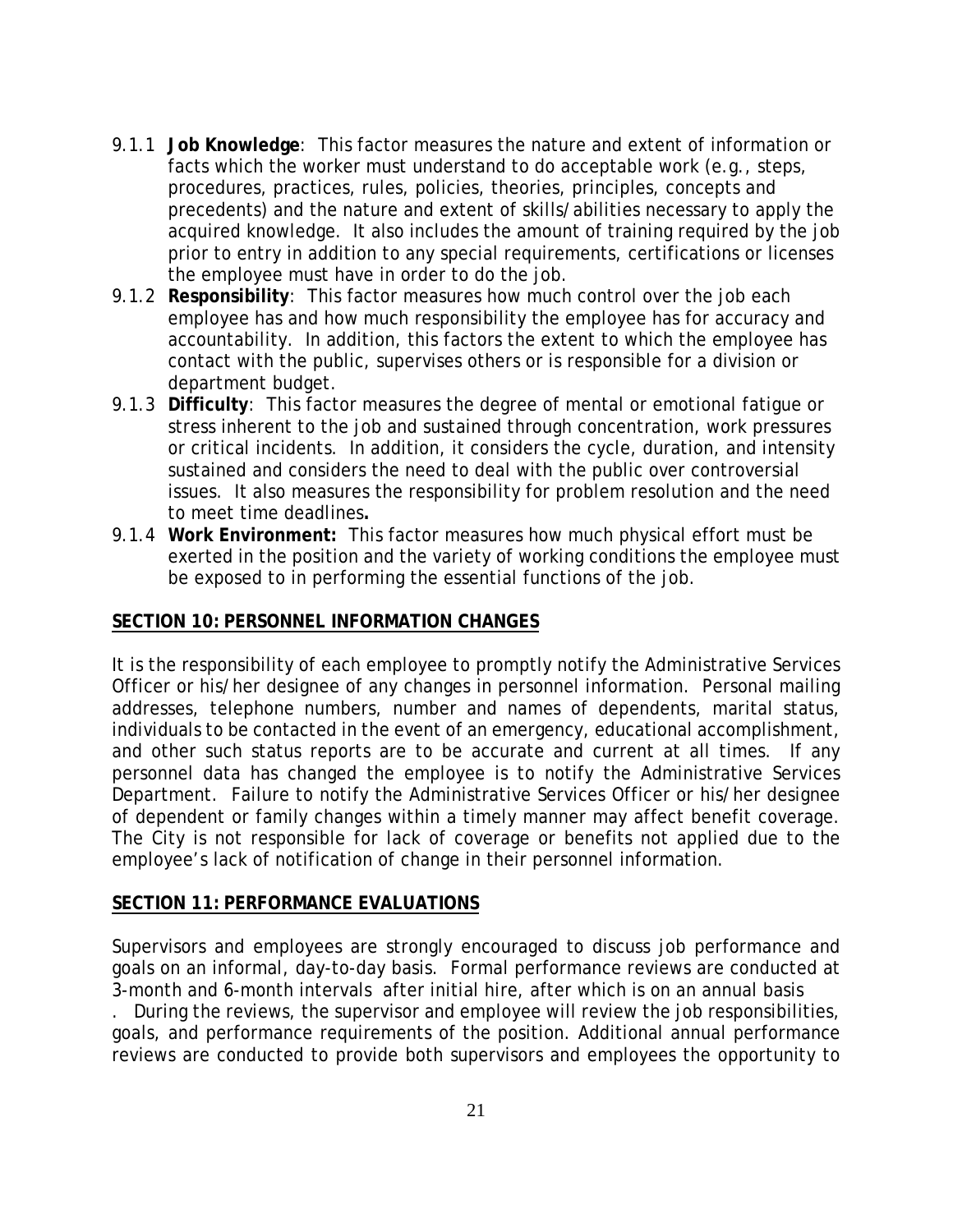- 9.1.1 **Job Knowledge**: This factor measures the nature and extent of information or facts which the worker must understand to do acceptable work (e.g., steps, procedures, practices, rules, policies, theories, principles, concepts and precedents) and the nature and extent of skills/abilities necessary to apply the acquired knowledge. It also includes the amount of training required by the job prior to entry in addition to any special requirements, certifications or licenses the employee must have in order to do the job.
- 9.1.2 **Responsibility**: This factor measures how much control over the job each employee has and how much responsibility the employee has for accuracy and accountability. In addition, this factors the extent to which the employee has contact with the public, supervises others or is responsible for a division or department budget.
- 9.1.3 **Difficulty**: This factor measures the degree of mental or emotional fatigue or stress inherent to the job and sustained through concentration, work pressures or critical incidents. In addition, it considers the cycle, duration, and intensity sustained and considers the need to deal with the public over controversial issues. It also measures the responsibility for problem resolution and the need to meet time deadlines**.**
- 9.1.4 **Work Environment:** This factor measures how much physical effort must be exerted in the position and the variety of working conditions the employee must be exposed to in performing the essential functions of the job.

#### **SECTION 10: PERSONNEL INFORMATION CHANGES**

It is the responsibility of each employee to promptly notify the Administrative Services Officer or his/her designee of any changes in personnel information. Personal mailing addresses, telephone numbers, number and names of dependents, marital status, individuals to be contacted in the event of an emergency, educational accomplishment, and other such status reports are to be accurate and current at all times. If any personnel data has changed the employee is to notify the Administrative Services Department. Failure to notify the Administrative Services Officer or his/her designee of dependent or family changes within a timely manner may affect benefit coverage. The City is not responsible for lack of coverage or benefits not applied due to the employee's lack of notification of change in their personnel information.

#### **SECTION 11: PERFORMANCE EVALUATIONS**

Supervisors and employees are strongly encouraged to discuss job performance and goals on an informal, day-to-day basis. Formal performance reviews are conducted at 3-month and 6-month intervals after initial hire, after which is on an annual basis

. During the reviews, the supervisor and employee will review the job responsibilities, goals, and performance requirements of the position. Additional annual performance reviews are conducted to provide both supervisors and employees the opportunity to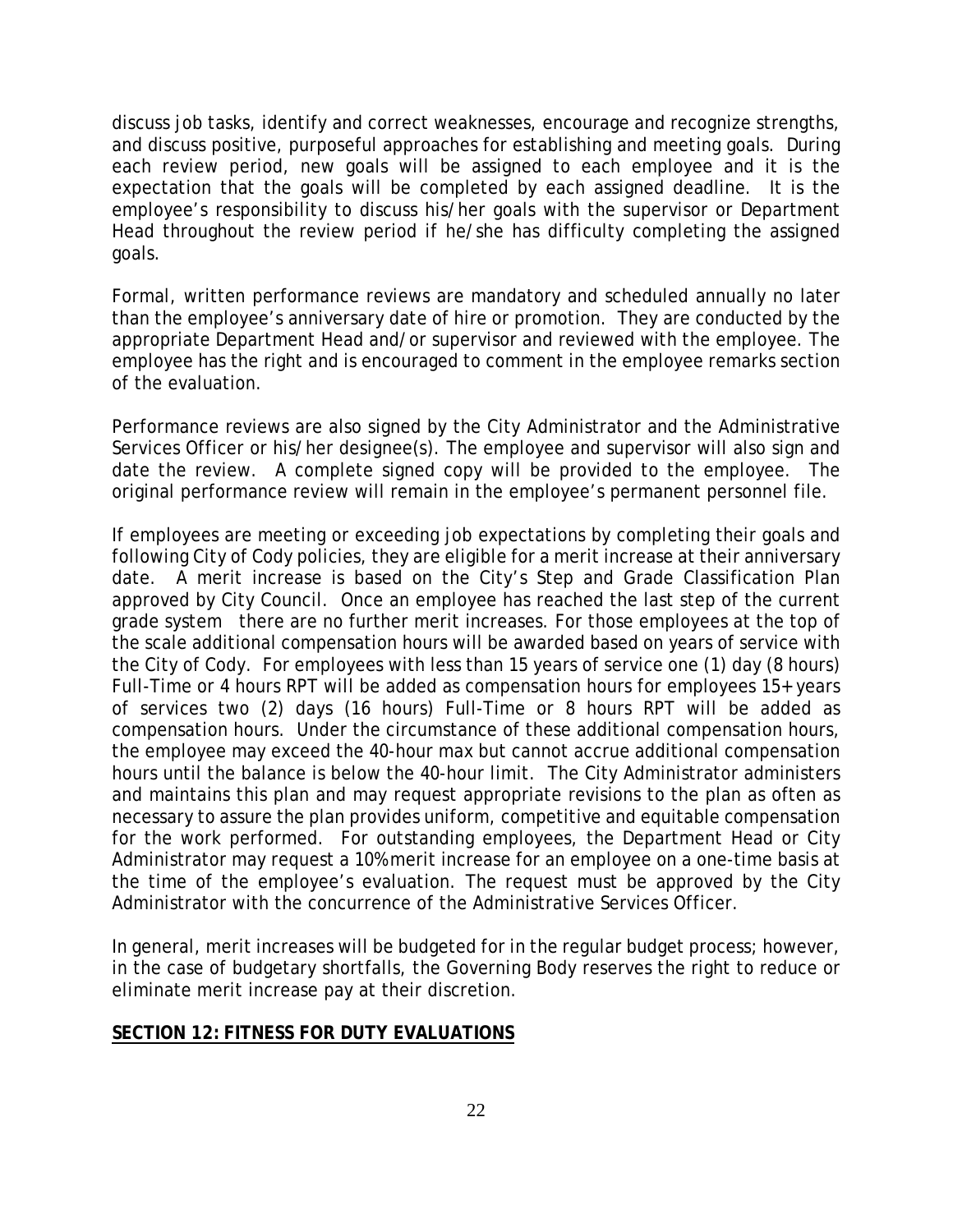discuss job tasks, identify and correct weaknesses, encourage and recognize strengths, and discuss positive, purposeful approaches for establishing and meeting goals. During each review period, new goals will be assigned to each employee and it is the expectation that the goals will be completed by each assigned deadline. It is the employee's responsibility to discuss his/her goals with the supervisor or Department Head throughout the review period if he/she has difficulty completing the assigned goals.

Formal, written performance reviews are mandatory and scheduled annually no later than the employee's anniversary date of hire or promotion. They are conducted by the appropriate Department Head and/or supervisor and reviewed with the employee. The employee has the right and is encouraged to comment in the employee remarks section of the evaluation.

Performance reviews are also signed by the City Administrator and the Administrative Services Officer or his/her designee(s). The employee and supervisor will also sign and date the review. A complete signed copy will be provided to the employee. The original performance review will remain in the employee's permanent personnel file.

If employees are meeting or exceeding job expectations by completing their goals and following City of Cody policies, they are eligible for a merit increase at their anniversary date. A merit increase is based on the City's Step and Grade Classification Plan approved by City Council. Once an employee has reached the last step of the current grade system there are no further merit increases. For those employees at the top of the scale additional compensation hours will be awarded based on years of service with the City of Cody. For employees with less than 15 years of service one (1) day (8 hours) Full-Time or 4 hours RPT will be added as compensation hours for employees 15+ years of services two (2) days (16 hours) Full-Time or 8 hours RPT will be added as compensation hours. Under the circumstance of these additional compensation hours, the employee may exceed the 40-hour max but cannot accrue additional compensation hours until the balance is below the 40-hour limit. The City Administrator administers and maintains this plan and may request appropriate revisions to the plan as often as necessary to assure the plan provides uniform, competitive and equitable compensation for the work performed. For outstanding employees, the Department Head or City Administrator may request a 10% merit increase for an employee on a one-time basis at the time of the employee's evaluation. The request must be approved by the City Administrator with the concurrence of the Administrative Services Officer.

In general, merit increases will be budgeted for in the regular budget process; however, in the case of budgetary shortfalls, the Governing Body reserves the right to reduce or eliminate merit increase pay at their discretion.

#### **SECTION 12: FITNESS FOR DUTY EVALUATIONS**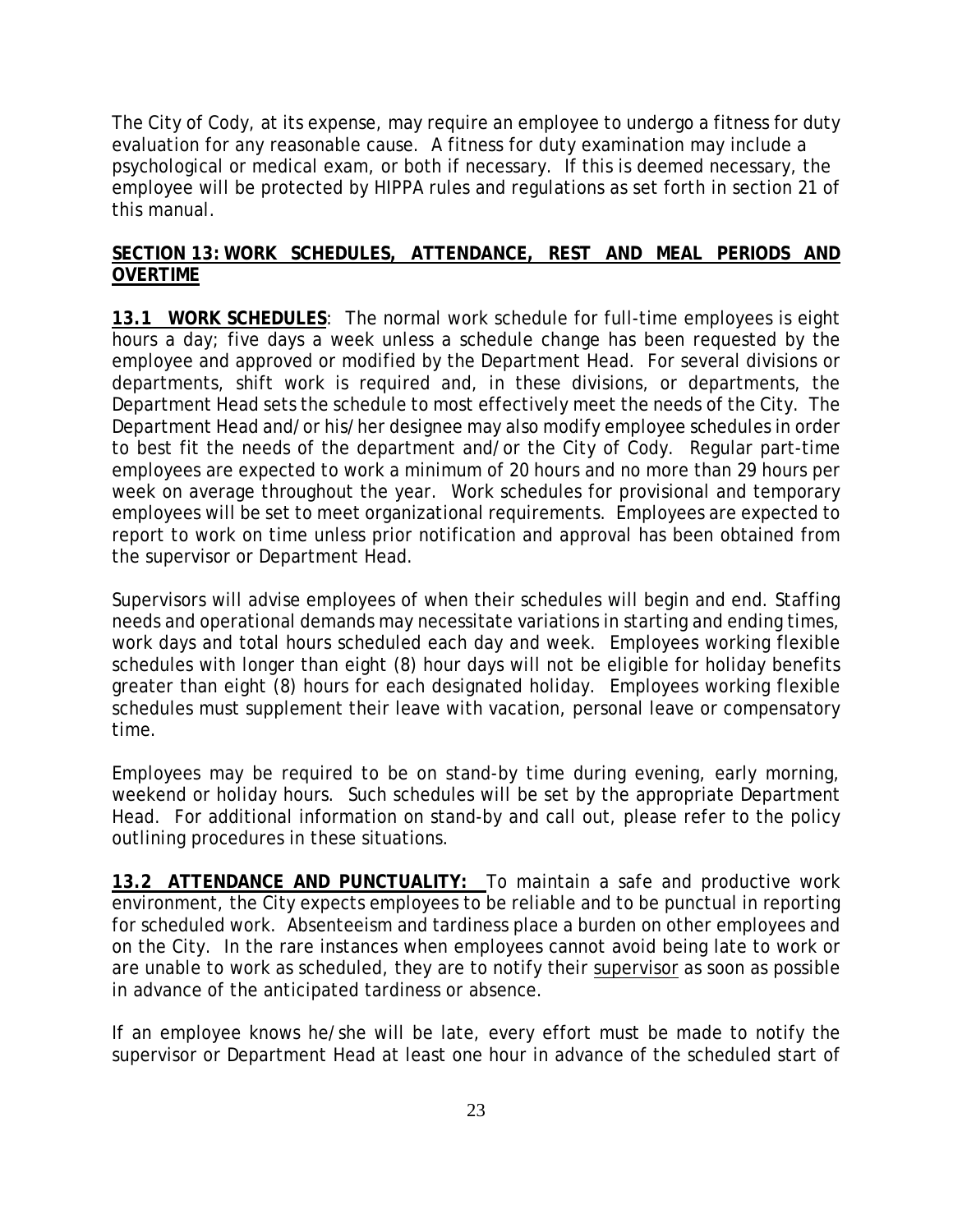The City of Cody, at its expense, may require an employee to undergo a fitness for duty evaluation for any reasonable cause. A fitness for duty examination may include a psychological or medical exam, or both if necessary. If this is deemed necessary, the employee will be protected by HIPPA rules and regulations as set forth in section 21 of this manual.

#### **SECTION 13: WORK SCHEDULES, ATTENDANCE, REST AND MEAL PERIODS AND OVERTIME**

**13.1 WORK SCHEDULES**: The normal work schedule for full-time employees is eight hours a day; five days a week unless a schedule change has been requested by the employee and approved or modified by the Department Head. For several divisions or departments, shift work is required and, in these divisions, or departments, the Department Head sets the schedule to most effectively meet the needs of the City. The Department Head and/or his/her designee may also modify employee schedules in order to best fit the needs of the department and/or the City of Cody. Regular part-time employees are expected to work a minimum of 20 hours and no more than 29 hours per week on average throughout the year. Work schedules for provisional and temporary employees will be set to meet organizational requirements. Employees are expected to report to work on time unless prior notification and approval has been obtained from the supervisor or Department Head.

Supervisors will advise employees of when their schedules will begin and end. Staffing needs and operational demands may necessitate variations in starting and ending times, work days and total hours scheduled each day and week. Employees working flexible schedules with longer than eight (8) hour days will not be eligible for holiday benefits greater than eight (8) hours for each designated holiday. Employees working flexible schedules must supplement their leave with vacation, personal leave or compensatory time.

Employees may be required to be on stand-by time during evening, early morning, weekend or holiday hours. Such schedules will be set by the appropriate Department Head. For additional information on stand-by and call out, please refer to the policy outlining procedures in these situations.

**13.2 ATTENDANCE AND PUNCTUALITY:** To maintain a safe and productive work environment, the City expects employees to be reliable and to be punctual in reporting for scheduled work. Absenteeism and tardiness place a burden on other employees and on the City. In the rare instances when employees cannot avoid being late to work or are unable to work as scheduled, they are to notify their supervisor as soon as possible in advance of the anticipated tardiness or absence.

If an employee knows he/she will be late, every effort must be made to notify the supervisor or Department Head at least one hour in advance of the scheduled start of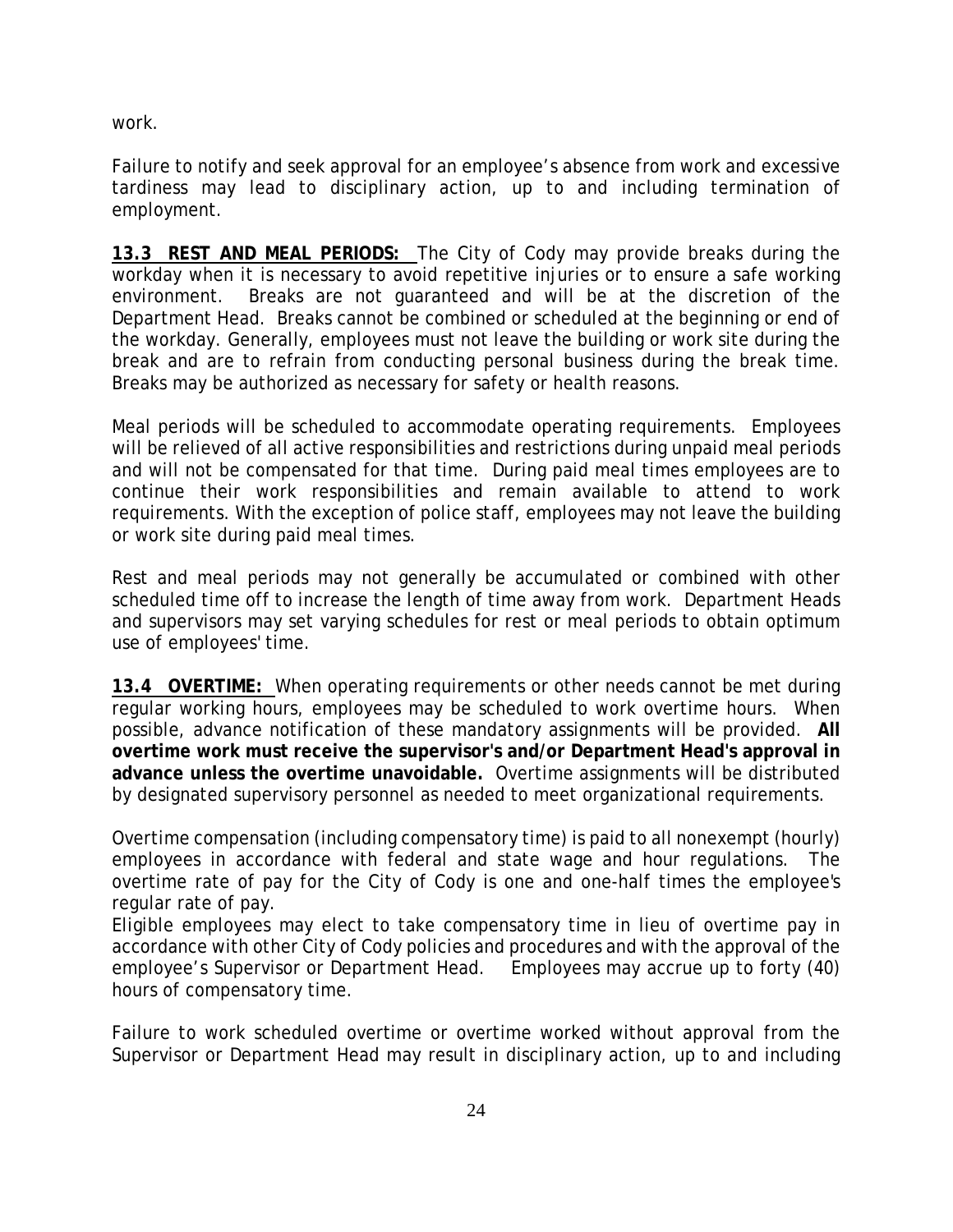work.

Failure to notify and seek approval for an employee's absence from work and excessive tardiness may lead to disciplinary action, up to and including termination of employment.

**13.3 REST AND MEAL PERIODS:** The City of Cody may provide breaks during the workday when it is necessary to avoid repetitive injuries or to ensure a safe working environment. Breaks are not guaranteed and will be at the discretion of the Department Head. Breaks cannot be combined or scheduled at the beginning or end of the workday. Generally, employees must not leave the building or work site during the break and are to refrain from conducting personal business during the break time. Breaks may be authorized as necessary for safety or health reasons.

Meal periods will be scheduled to accommodate operating requirements. Employees will be relieved of all active responsibilities and restrictions during unpaid meal periods and will not be compensated for that time. During paid meal times employees are to continue their work responsibilities and remain available to attend to work requirements. With the exception of police staff, employees may not leave the building or work site during paid meal times.

Rest and meal periods may not generally be accumulated or combined with other scheduled time off to increase the length of time away from work. Department Heads and supervisors may set varying schedules for rest or meal periods to obtain optimum use of employees' time.

**13.4 OVERTIME:** When operating requirements or other needs cannot be met during regular working hours, employees may be scheduled to work overtime hours. When possible, advance notification of these mandatory assignments will be provided. **All overtime work must receive the supervisor's and/or Department Head's approval in advance unless the overtime unavoidable.** Overtime assignments will be distributed by designated supervisory personnel as needed to meet organizational requirements.

Overtime compensation (including compensatory time) is paid to all nonexempt (hourly) employees in accordance with federal and state wage and hour regulations. The overtime rate of pay for the City of Cody is one and one-half times the employee's regular rate of pay.

Eligible employees may elect to take compensatory time in lieu of overtime pay in accordance with other City of Cody policies and procedures and with the approval of the employee's Supervisor or Department Head. Employees may accrue up to forty (40) hours of compensatory time.

Failure to work scheduled overtime or overtime worked without approval from the Supervisor or Department Head may result in disciplinary action, up to and including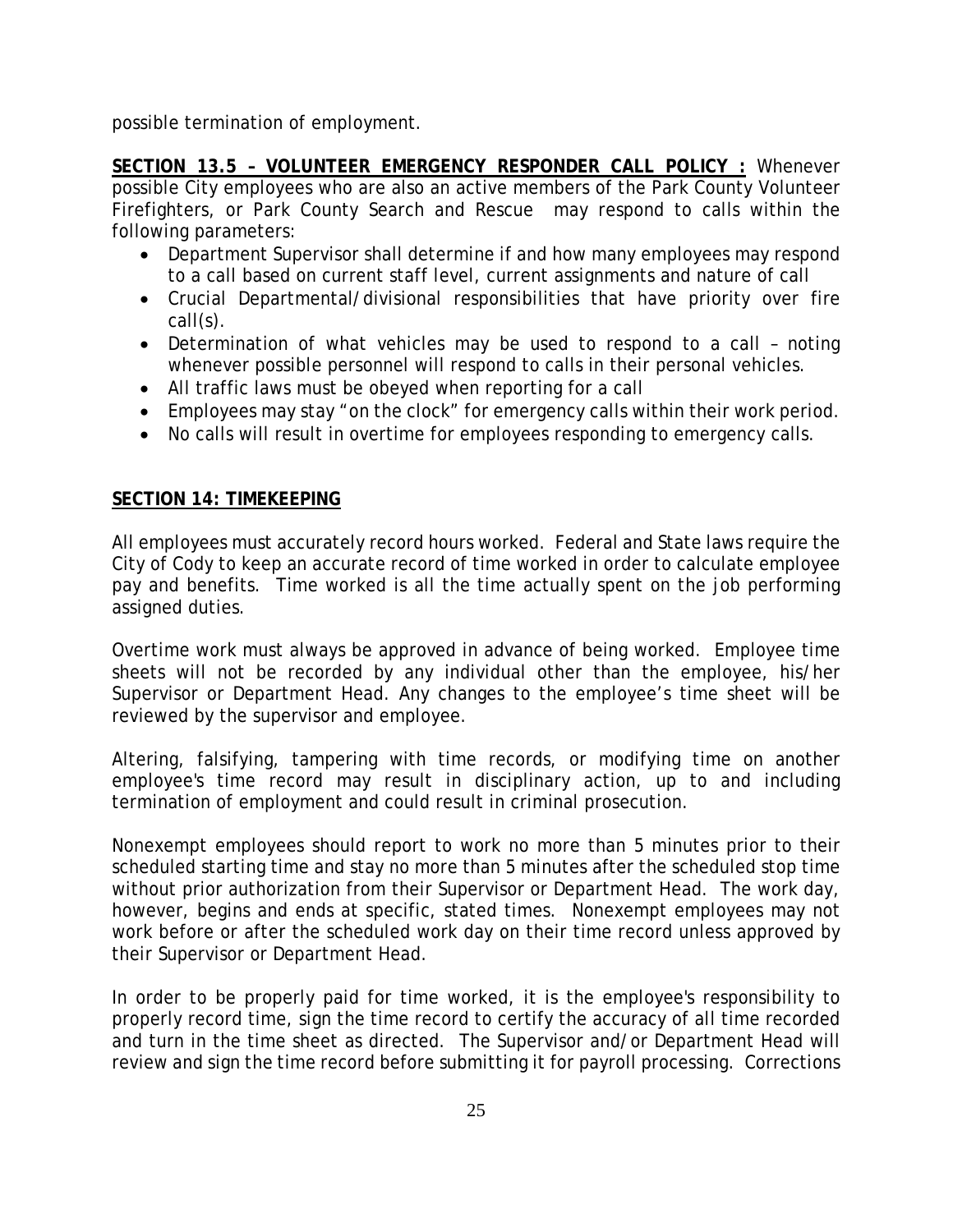possible termination of employment.

**SECTION 13.5 – VOLUNTEER EMERGENCY RESPONDER CALL POLICY :** Whenever possible City employees who are also an active members of the Park County Volunteer Firefighters, or Park County Search and Rescue may respond to calls within the following parameters:

- Department Supervisor shall determine if and how many employees may respond to a call based on current staff level, current assignments and nature of call
- Crucial Departmental/divisional responsibilities that have priority over fire call(s).
- Determination of what vehicles may be used to respond to a call noting whenever possible personnel will respond to calls in their personal vehicles.
- All traffic laws must be obeyed when reporting for a call
- Employees may stay "on the clock" for emergency calls within their work period.
- No calls will result in overtime for employees responding to emergency calls.

# **SECTION 14: TIMEKEEPING**

All employees must accurately record hours worked. Federal and State laws require the City of Cody to keep an accurate record of time worked in order to calculate employee pay and benefits. Time worked is all the time actually spent on the job performing assigned duties.

Overtime work must always be approved in advance of being worked. Employee time sheets will not be recorded by any individual other than the employee, his/her Supervisor or Department Head. Any changes to the employee's time sheet will be reviewed by the supervisor and employee.

Altering, falsifying, tampering with time records, or modifying time on another employee's time record may result in disciplinary action, up to and including termination of employment and could result in criminal prosecution.

Nonexempt employees should report to work no more than 5 minutes prior to their scheduled starting time and stay no more than 5 minutes after the scheduled stop time without prior authorization from their Supervisor or Department Head. The work day, however, begins and ends at specific, stated times. Nonexempt employees may not work before or after the scheduled work day on their time record unless approved by their Supervisor or Department Head.

In order to be properly paid for time worked, it is the employee's responsibility to properly record time, sign the time record to certify the accuracy of all time recorded and turn in the time sheet as directed. The Supervisor and/or Department Head will review and sign the time record before submitting it for payroll processing. Corrections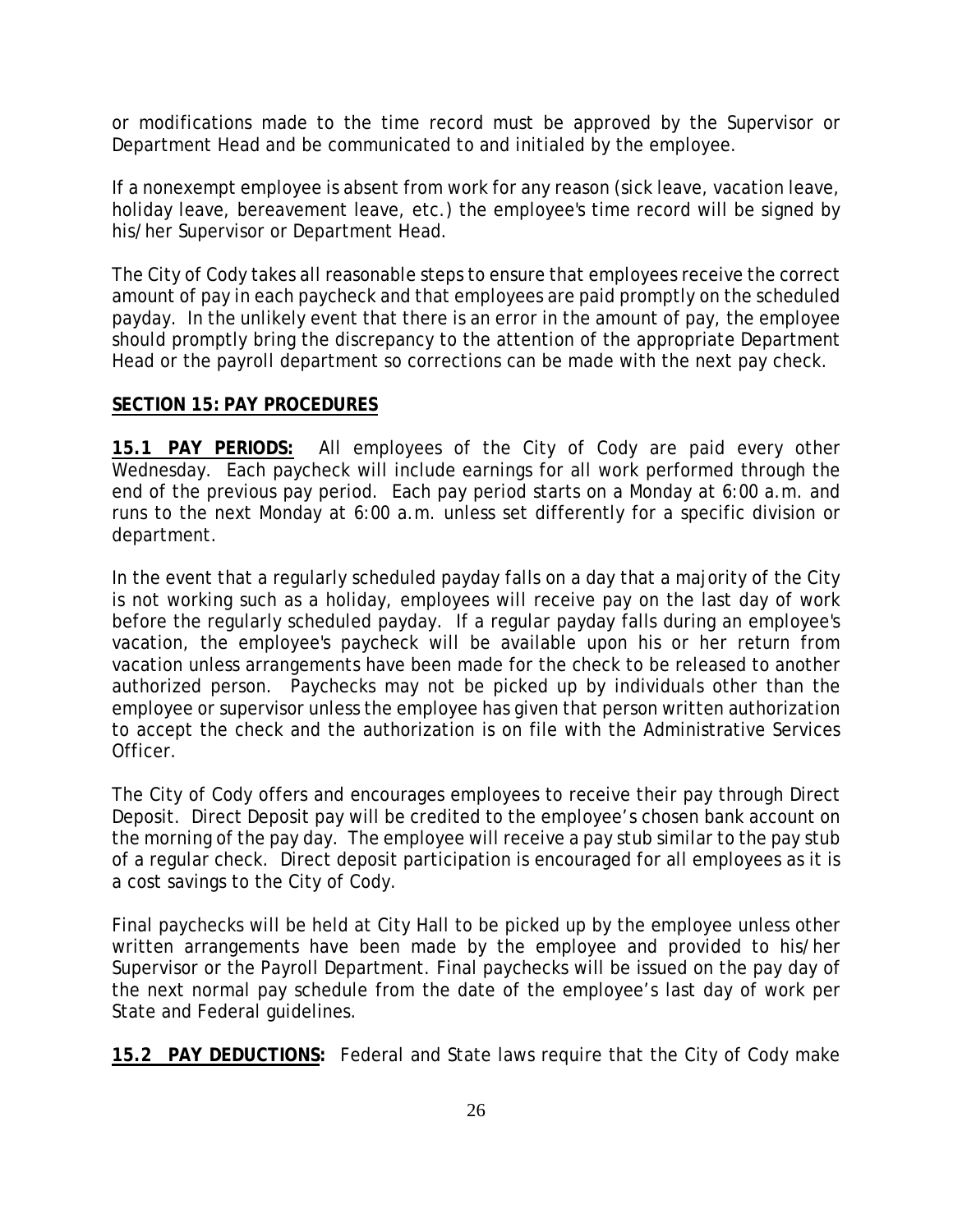or modifications made to the time record must be approved by the Supervisor or Department Head and be communicated to and initialed by the employee.

If a nonexempt employee is absent from work for any reason (sick leave, vacation leave, holiday leave, bereavement leave, etc.) the employee's time record will be signed by his/her Supervisor or Department Head.

The City of Cody takes all reasonable steps to ensure that employees receive the correct amount of pay in each paycheck and that employees are paid promptly on the scheduled payday. In the unlikely event that there is an error in the amount of pay, the employee should promptly bring the discrepancy to the attention of the appropriate Department Head or the payroll department so corrections can be made with the next pay check.

#### **SECTION 15: PAY PROCEDURES**

**15.1 PAY PERIODS:** All employees of the City of Cody are paid every other Wednesday. Each paycheck will include earnings for all work performed through the end of the previous pay period. Each pay period starts on a Monday at 6:00 a.m. and runs to the next Monday at 6:00 a.m. unless set differently for a specific division or department.

In the event that a regularly scheduled payday falls on a day that a majority of the City is not working such as a holiday, employees will receive pay on the last day of work before the regularly scheduled payday. If a regular payday falls during an employee's vacation, the employee's paycheck will be available upon his or her return from vacation unless arrangements have been made for the check to be released to another authorized person. Paychecks may not be picked up by individuals other than the employee or supervisor unless the employee has given that person written authorization to accept the check and the authorization is on file with the Administrative Services Officer.

The City of Cody offers and encourages employees to receive their pay through Direct Deposit. Direct Deposit pay will be credited to the employee's chosen bank account on the morning of the pay day. The employee will receive a pay stub similar to the pay stub of a regular check. Direct deposit participation is encouraged for all employees as it is a cost savings to the City of Cody.

Final paychecks will be held at City Hall to be picked up by the employee unless other written arrangements have been made by the employee and provided to his/her Supervisor or the Payroll Department. Final paychecks will be issued on the pay day of the next normal pay schedule from the date of the employee's last day of work per State and Federal guidelines.

**15.2 PAY DEDUCTIONS:** Federal and State laws require that the City of Cody make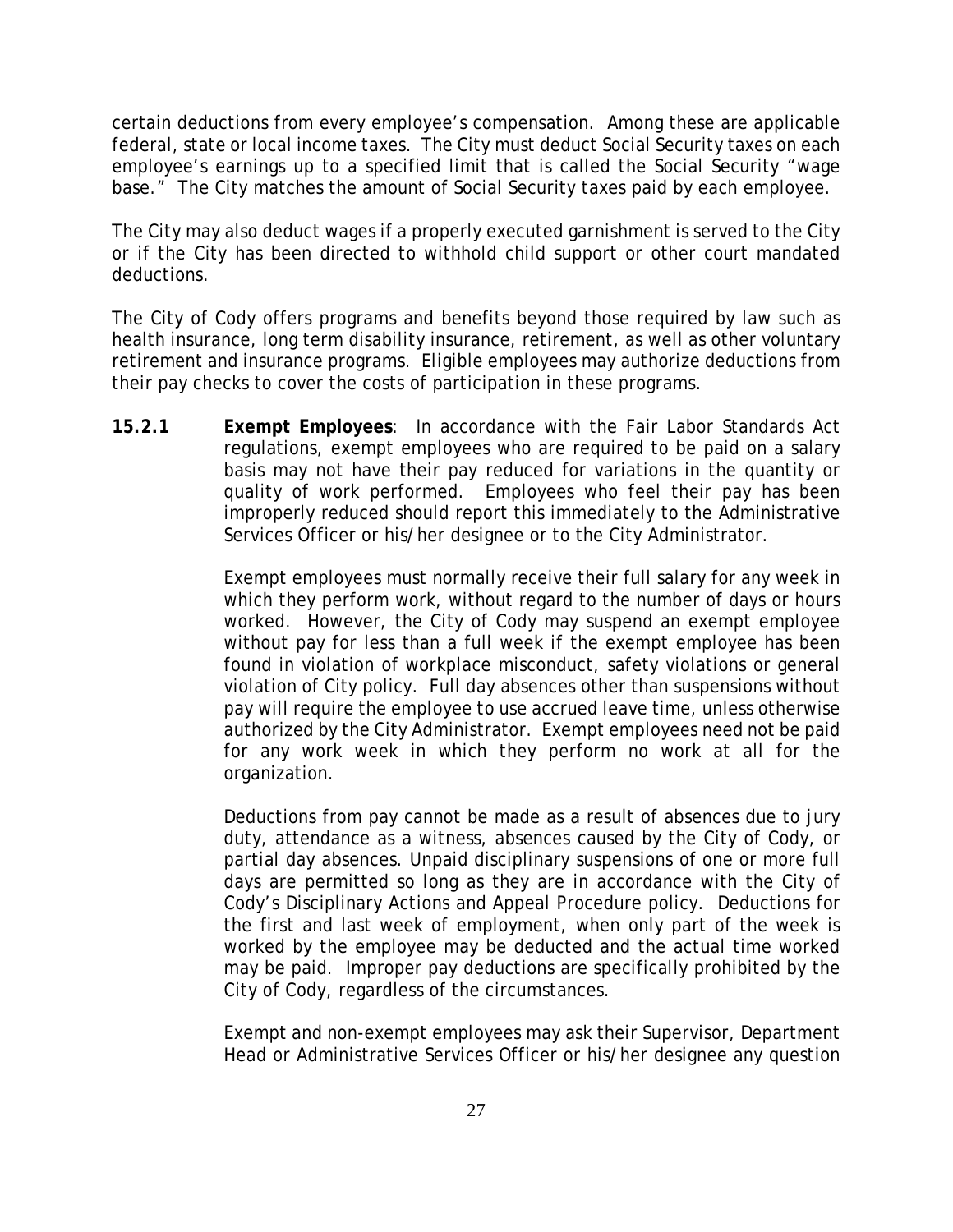certain deductions from every employee's compensation. Among these are applicable federal, state or local income taxes. The City must deduct Social Security taxes on each employee's earnings up to a specified limit that is called the Social Security "wage base." The City matches the amount of Social Security taxes paid by each employee.

The City may also deduct wages if a properly executed garnishment is served to the City or if the City has been directed to withhold child support or other court mandated deductions.

The City of Cody offers programs and benefits beyond those required by law such as health insurance, long term disability insurance, retirement, as well as other voluntary retirement and insurance programs. Eligible employees may authorize deductions from their pay checks to cover the costs of participation in these programs.

**15.2.1 Exempt Employees**: In accordance with the Fair Labor Standards Act regulations, exempt employees who are required to be paid on a salary basis may not have their pay reduced for variations in the quantity or quality of work performed. Employees who feel their pay has been improperly reduced should report this immediately to the Administrative Services Officer or his/her designee or to the City Administrator.

> Exempt employees must normally receive their full salary for any week in which they perform work, without regard to the number of days or hours worked. However, the City of Cody may suspend an exempt employee without pay for less than a full week if the exempt employee has been found in violation of workplace misconduct, safety violations or general violation of City policy. Full day absences other than suspensions without pay will require the employee to use accrued leave time, unless otherwise authorized by the City Administrator. Exempt employees need not be paid for any work week in which they perform no work at all for the organization.

> Deductions from pay cannot be made as a result of absences due to jury duty, attendance as a witness, absences caused by the City of Cody, or partial day absences. Unpaid disciplinary suspensions of one or more full days are permitted so long as they are in accordance with the City of Cody's Disciplinary Actions and Appeal Procedure policy. Deductions for the first and last week of employment, when only part of the week is worked by the employee may be deducted and the actual time worked may be paid. Improper pay deductions are specifically prohibited by the City of Cody, regardless of the circumstances.

> Exempt and non-exempt employees may ask their Supervisor, Department Head or Administrative Services Officer or his/her designee any question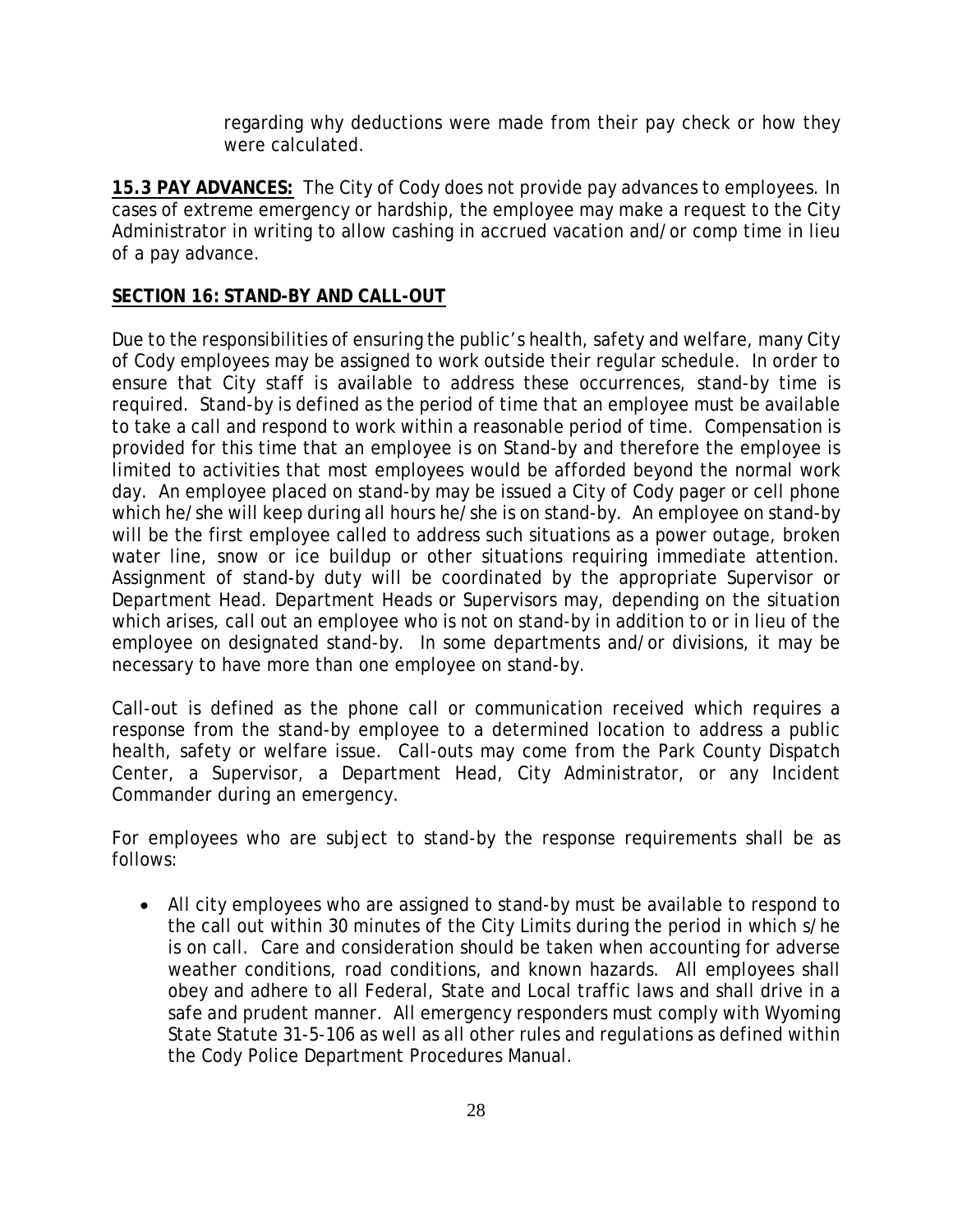regarding why deductions were made from their pay check or how they were calculated.

**15.3 PAY ADVANCES:** The City of Cody does not provide pay advances to employees. In cases of extreme emergency or hardship, the employee may make a request to the City Administrator in writing to allow cashing in accrued vacation and/or comp time in lieu of a pay advance.

#### **SECTION 16: STAND-BY AND CALL-OUT**

Due to the responsibilities of ensuring the public's health, safety and welfare, many City of Cody employees may be assigned to work outside their regular schedule. In order to ensure that City staff is available to address these occurrences, stand-by time is required. Stand-by is defined as the period of time that an employee must be available to take a call and respond to work within a reasonable period of time. Compensation is provided for this time that an employee is on Stand-by and therefore the employee is limited to activities that most employees would be afforded beyond the normal work day. An employee placed on stand-by may be issued a City of Cody pager or cell phone which he/she will keep during all hours he/she is on stand-by. An employee on stand-by will be the first employee called to address such situations as a power outage, broken water line, snow or ice buildup or other situations requiring immediate attention. Assignment of stand-by duty will be coordinated by the appropriate Supervisor or Department Head. Department Heads or Supervisors may, depending on the situation which arises, call out an employee who is not on stand-by in addition to or in lieu of the employee on designated stand-by. In some departments and/or divisions, it may be necessary to have more than one employee on stand-by.

Call-out is defined as the phone call or communication received which requires a response from the stand-by employee to a determined location to address a public health, safety or welfare issue. Call-outs may come from the Park County Dispatch Center, a Supervisor, a Department Head, City Administrator, or any Incident Commander during an emergency.

For employees who are subject to stand-by the response requirements shall be as follows:

• All city employees who are assigned to stand-by must be available to respond to the call out within 30 minutes of the City Limits during the period in which s/he is on call. Care and consideration should be taken when accounting for adverse weather conditions, road conditions, and known hazards. All employees shall obey and adhere to all Federal, State and Local traffic laws and shall drive in a safe and prudent manner. All emergency responders must comply with Wyoming State Statute 31-5-106 as well as all other rules and regulations as defined within the Cody Police Department Procedures Manual.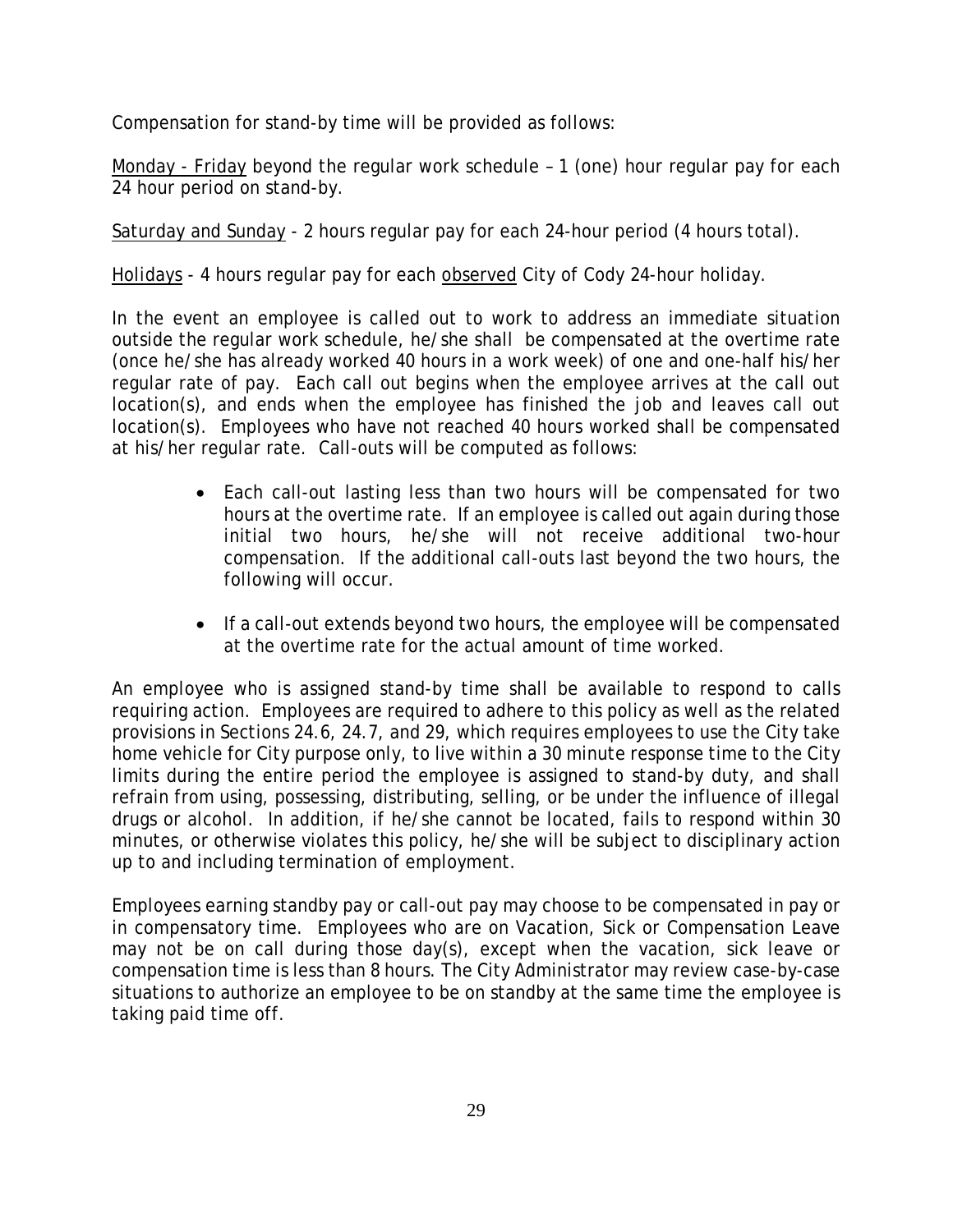Compensation for stand-by time will be provided as follows:

Monday - Friday beyond the regular work schedule – 1 (one) hour regular pay for each 24 hour period on stand-by.

Saturday and Sunday - 2 hours regular pay for each 24-hour period (4 hours total).

Holidays - 4 hours regular pay for each observed City of Cody 24-hour holiday.

In the event an employee is called out to work to address an immediate situation outside the regular work schedule, he/she shall be compensated at the overtime rate (once he/she has already worked 40 hours in a work week) of one and one-half his/her regular rate of pay. Each call out begins when the employee arrives at the call out location(s), and ends when the employee has finished the job and leaves call out location(s). Employees who have not reached 40 hours worked shall be compensated at his/her regular rate. Call-outs will be computed as follows:

- Each call-out lasting less than two hours will be compensated for two hours at the overtime rate. If an employee is called out again during those initial two hours, he/she will not receive additional two-hour compensation. If the additional call-outs last beyond the two hours, the following will occur.
- If a call-out extends beyond two hours, the employee will be compensated at the overtime rate for the actual amount of time worked.

An employee who is assigned stand-by time shall be available to respond to calls requiring action. Employees are required to adhere to this policy as well as the related provisions in Sections 24.6, 24.7, and 29, which requires employees to use the City take home vehicle for City purpose only, to live within a 30 minute response time to the City limits during the entire period the employee is assigned to stand-by duty, and shall refrain from using, possessing, distributing, selling, or be under the influence of illegal drugs or alcohol. In addition, if he/she cannot be located, fails to respond within 30 minutes, or otherwise violates this policy, he/she will be subject to disciplinary action up to and including termination of employment.

Employees earning standby pay or call-out pay may choose to be compensated in pay or in compensatory time. Employees who are on Vacation, Sick or Compensation Leave may not be on call during those day(s), except when the vacation, sick leave or compensation time is less than 8 hours. The City Administrator may review case-by-case situations to authorize an employee to be on standby at the same time the employee is taking paid time off.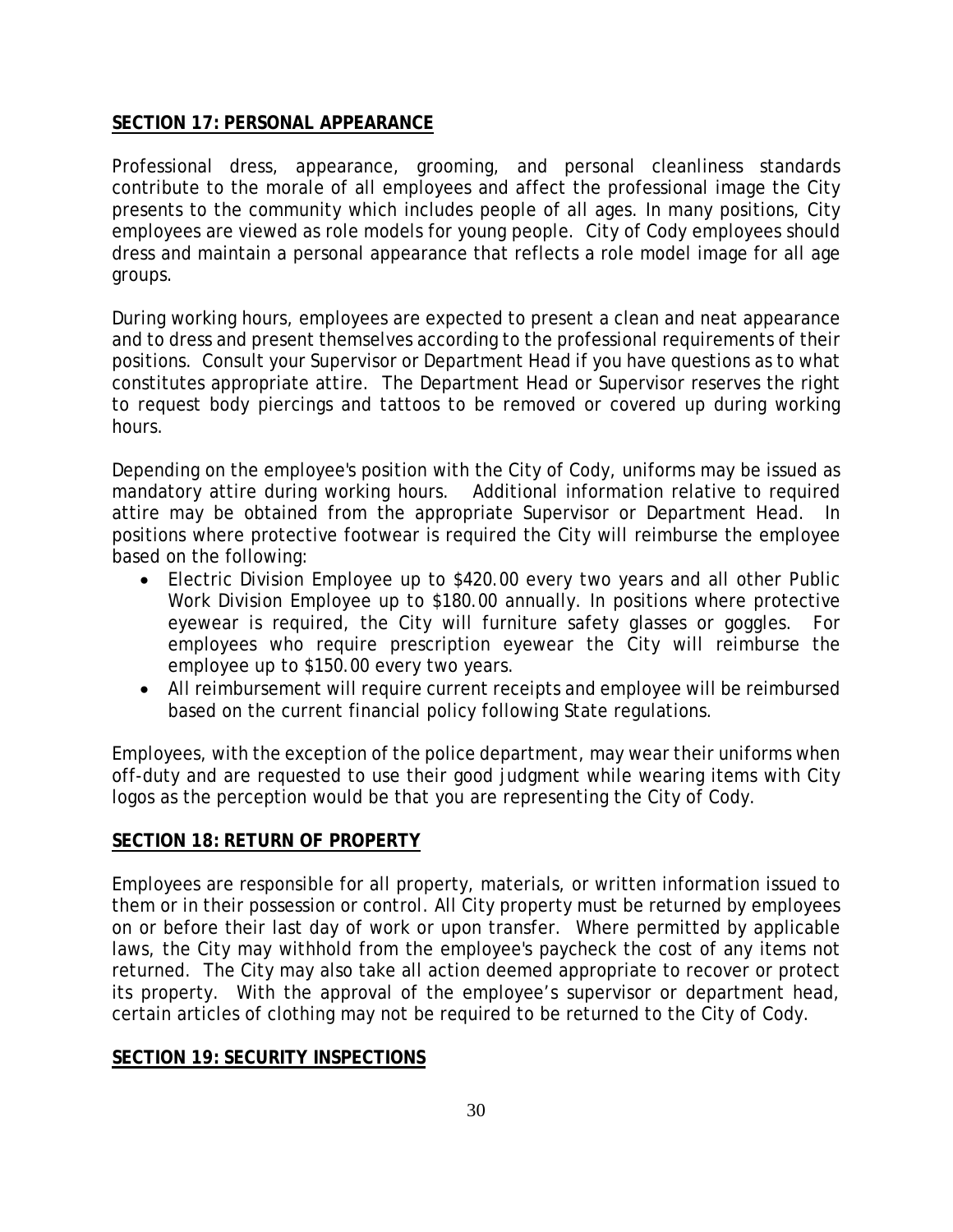#### **SECTION 17: PERSONAL APPEARANCE**

Professional dress, appearance, grooming, and personal cleanliness standards contribute to the morale of all employees and affect the professional image the City presents to the community which includes people of all ages. In many positions, City employees are viewed as role models for young people. City of Cody employees should dress and maintain a personal appearance that reflects a role model image for all age groups.

During working hours, employees are expected to present a clean and neat appearance and to dress and present themselves according to the professional requirements of their positions. Consult your Supervisor or Department Head if you have questions as to what constitutes appropriate attire. The Department Head or Supervisor reserves the right to request body piercings and tattoos to be removed or covered up during working hours.

Depending on the employee's position with the City of Cody, uniforms may be issued as mandatory attire during working hours. Additional information relative to required attire may be obtained from the appropriate Supervisor or Department Head. In positions where protective footwear is required the City will reimburse the employee based on the following:

- Electric Division Employee up to \$420.00 every two years and all other Public Work Division Employee up to \$180.00 annually. In positions where protective eyewear is required, the City will furniture safety glasses or goggles. For employees who require prescription eyewear the City will reimburse the employee up to \$150.00 every two years.
- All reimbursement will require current receipts and employee will be reimbursed based on the current financial policy following State regulations.

Employees, with the exception of the police department, may wear their uniforms when off-duty and are requested to use their good judgment while wearing items with City logos as the perception would be that you are representing the City of Cody.

#### **SECTION 18: RETURN OF PROPERTY**

Employees are responsible for all property, materials, or written information issued to them or in their possession or control. All City property must be returned by employees on or before their last day of work or upon transfer. Where permitted by applicable laws, the City may withhold from the employee's paycheck the cost of any items not returned. The City may also take all action deemed appropriate to recover or protect its property. With the approval of the employee's supervisor or department head, certain articles of clothing may not be required to be returned to the City of Cody.

#### **SECTION 19: SECURITY INSPECTIONS**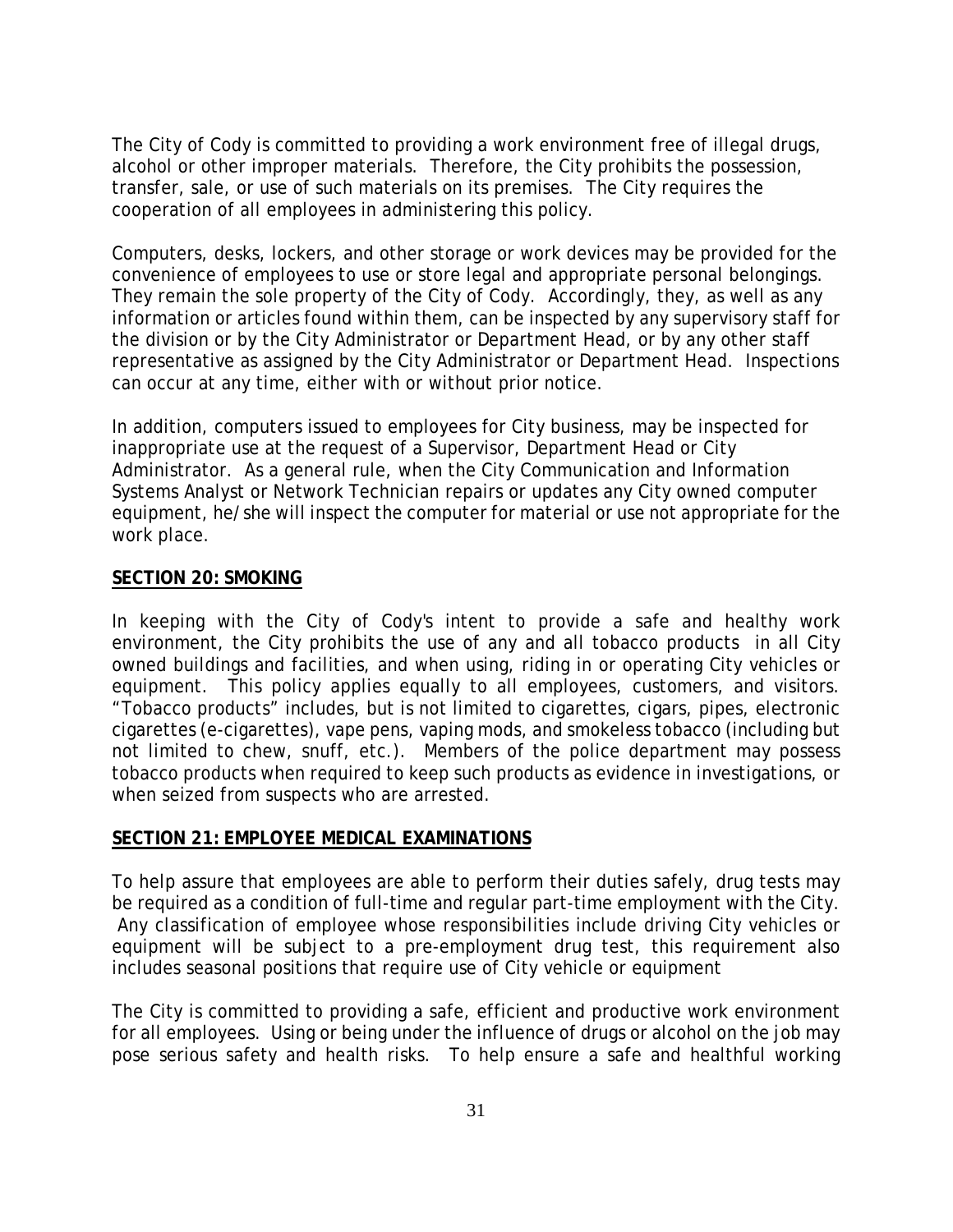The City of Cody is committed to providing a work environment free of illegal drugs, alcohol or other improper materials. Therefore, the City prohibits the possession, transfer, sale, or use of such materials on its premises. The City requires the cooperation of all employees in administering this policy.

Computers, desks, lockers, and other storage or work devices may be provided for the convenience of employees to use or store legal and appropriate personal belongings. They remain the sole property of the City of Cody. Accordingly, they, as well as any information or articles found within them, can be inspected by any supervisory staff for the division or by the City Administrator or Department Head, or by any other staff representative as assigned by the City Administrator or Department Head. Inspections can occur at any time, either with or without prior notice.

In addition, computers issued to employees for City business, may be inspected for inappropriate use at the request of a Supervisor, Department Head or City Administrator. As a general rule, when the City Communication and Information Systems Analyst or Network Technician repairs or updates any City owned computer equipment, he/she will inspect the computer for material or use not appropriate for the work place.

#### **SECTION 20: SMOKING**

In keeping with the City of Cody's intent to provide a safe and healthy work environment, the City prohibits the use of any and all tobacco products in all City owned buildings and facilities, and when using, riding in or operating City vehicles or equipment. This policy applies equally to all employees, customers, and visitors. "Tobacco products" includes, but is not limited to cigarettes, cigars, pipes, electronic cigarettes (e-cigarettes), vape pens, vaping mods, and smokeless tobacco (including but not limited to chew, snuff, etc.). Members of the police department may possess tobacco products when required to keep such products as evidence in investigations, or when seized from suspects who are arrested.

#### **SECTION 21: EMPLOYEE MEDICAL EXAMINATIONS**

To help assure that employees are able to perform their duties safely, drug tests may be required as a condition of full-time and regular part-time employment with the City. Any classification of employee whose responsibilities include driving City vehicles or equipment will be subject to a pre-employment drug test, this requirement also includes seasonal positions that require use of City vehicle or equipment

The City is committed to providing a safe, efficient and productive work environment for all employees. Using or being under the influence of drugs or alcohol on the job may pose serious safety and health risks. To help ensure a safe and healthful working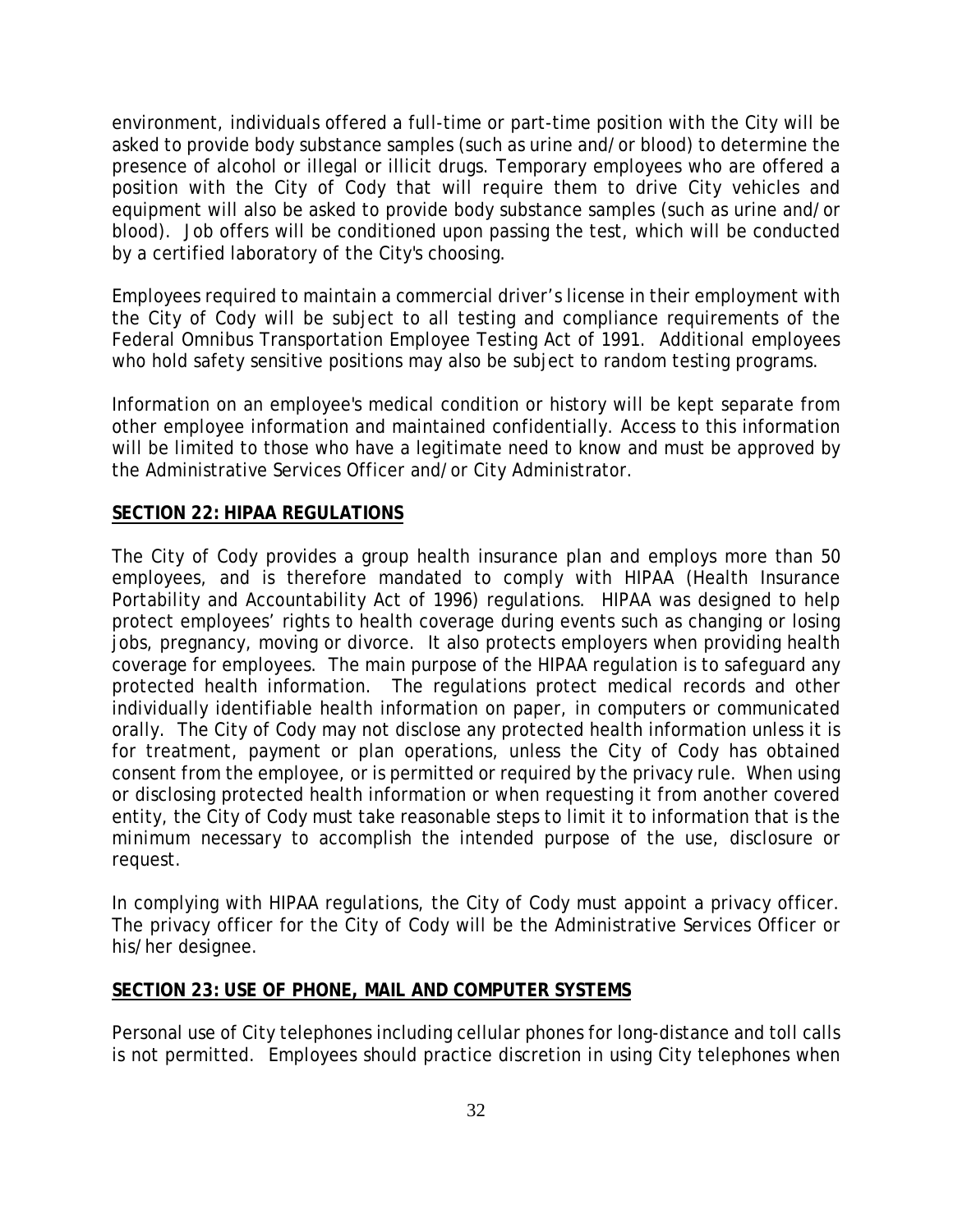environment, individuals offered a full-time or part-time position with the City will be asked to provide body substance samples (such as urine and/or blood) to determine the presence of alcohol or illegal or illicit drugs. Temporary employees who are offered a position with the City of Cody that will require them to drive City vehicles and equipment will also be asked to provide body substance samples (such as urine and/or blood). Job offers will be conditioned upon passing the test, which will be conducted by a certified laboratory of the City's choosing.

Employees required to maintain a commercial driver's license in their employment with the City of Cody will be subject to all testing and compliance requirements of the Federal Omnibus Transportation Employee Testing Act of 1991. Additional employees who hold safety sensitive positions may also be subject to random testing programs.

Information on an employee's medical condition or history will be kept separate from other employee information and maintained confidentially. Access to this information will be limited to those who have a legitimate need to know and must be approved by the Administrative Services Officer and/or City Administrator.

#### **SECTION 22: HIPAA REGULATIONS**

The City of Cody provides a group health insurance plan and employs more than 50 employees, and is therefore mandated to comply with HIPAA (Health Insurance Portability and Accountability Act of 1996) regulations. HIPAA was designed to help protect employees' rights to health coverage during events such as changing or losing jobs, pregnancy, moving or divorce. It also protects employers when providing health coverage for employees. The main purpose of the HIPAA regulation is to safeguard any protected health information. The regulations protect medical records and other individually identifiable health information on paper, in computers or communicated orally. The City of Cody may not disclose any protected health information unless it is for treatment, payment or plan operations, unless the City of Cody has obtained consent from the employee, or is permitted or required by the privacy rule. When using or disclosing protected health information or when requesting it from another covered entity, the City of Cody must take reasonable steps to limit it to information that is the *minimum necessary* to accomplish the intended purpose of the use, disclosure or request.

In complying with HIPAA regulations, the City of Cody must appoint a privacy officer. The privacy officer for the City of Cody will be the Administrative Services Officer or his/her designee.

#### **SECTION 23: USE OF PHONE, MAIL AND COMPUTER SYSTEMS**

Personal use of City telephones including cellular phones for long-distance and toll calls is not permitted. Employees should practice discretion in using City telephones when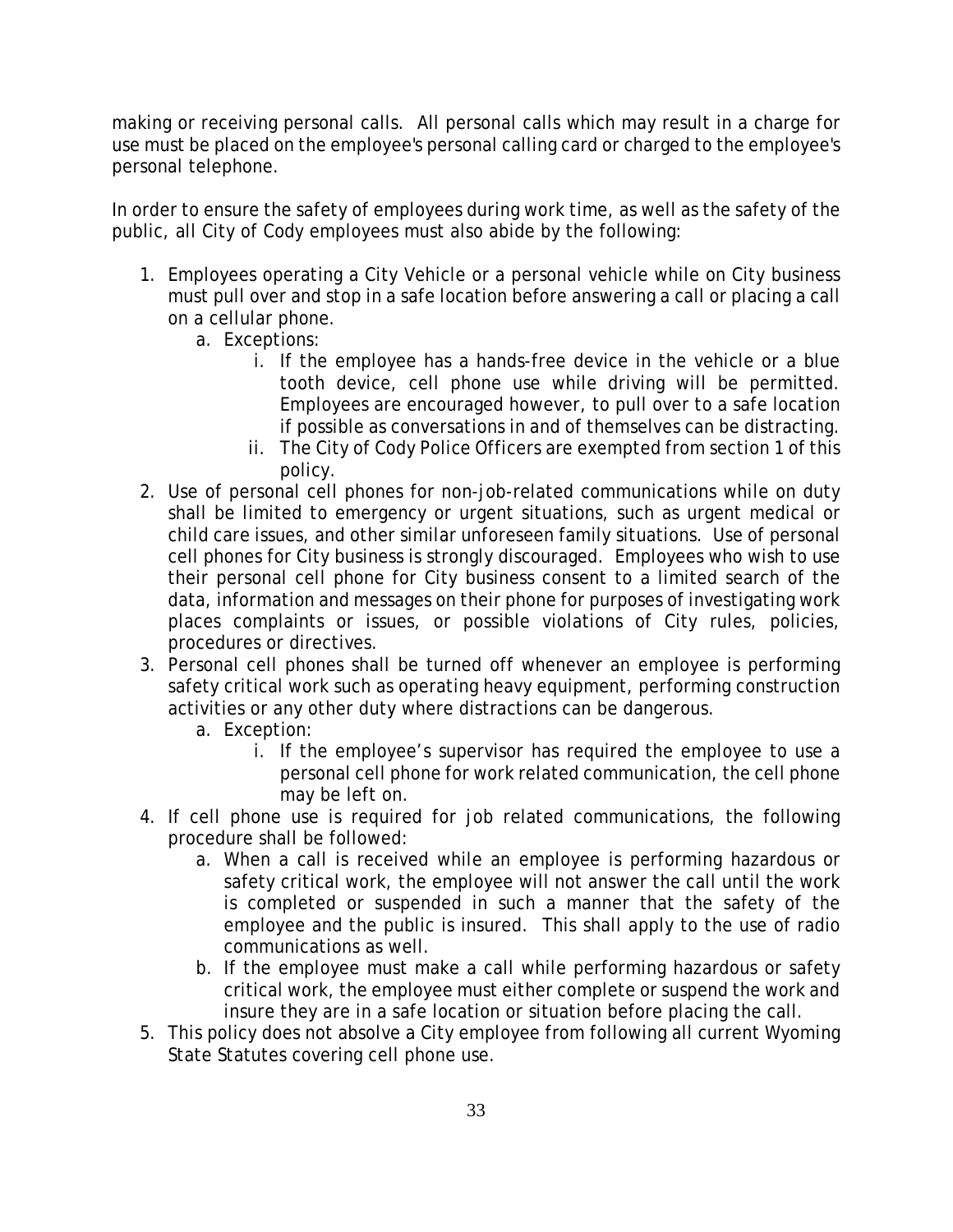making or receiving personal calls. All personal calls which may result in a charge for use must be placed on the employee's personal calling card or charged to the employee's personal telephone.

In order to ensure the safety of employees during work time, as well as the safety of the public, all City of Cody employees must also abide by the following:

- 1. Employees operating a City Vehicle or a personal vehicle while on City business must pull over and stop in a safe location before answering a call or placing a call on a cellular phone.
	- a. Exceptions:
		- i. If the employee has a hands-free device in the vehicle or a blue tooth device, cell phone use while driving will be permitted. Employees are encouraged however, to pull over to a safe location if possible as conversations in and of themselves can be distracting.
		- ii. The City of Cody Police Officers are exempted from section 1 of this policy.
- 2. Use of personal cell phones for non-job-related communications while on duty shall be limited to emergency or urgent situations, such as urgent medical or child care issues, and other similar unforeseen family situations. Use of personal cell phones for City business is strongly discouraged. Employees who wish to use their personal cell phone for City business consent to a limited search of the data, information and messages on their phone for purposes of investigating work places complaints or issues, or possible violations of City rules, policies, procedures or directives.
- 3. Personal cell phones shall be turned off whenever an employee is performing safety critical work such as operating heavy equipment, performing construction activities or any other duty where distractions can be dangerous.
	- a. Exception:
		- i. If the employee's supervisor has required the employee to use a personal cell phone for work related communication, the cell phone may be left on.
- 4. If cell phone use is required for job related communications, the following procedure shall be followed:
	- a. When a call is received while an employee is performing hazardous or safety critical work, the employee will not answer the call until the work is completed or suspended in such a manner that the safety of the employee and the public is insured. This shall apply to the use of radio communications as well.
	- b. If the employee must make a call while performing hazardous or safety critical work, the employee must either complete or suspend the work and insure they are in a safe location or situation before placing the call.
- 5. This policy does not absolve a City employee from following all current Wyoming State Statutes covering cell phone use.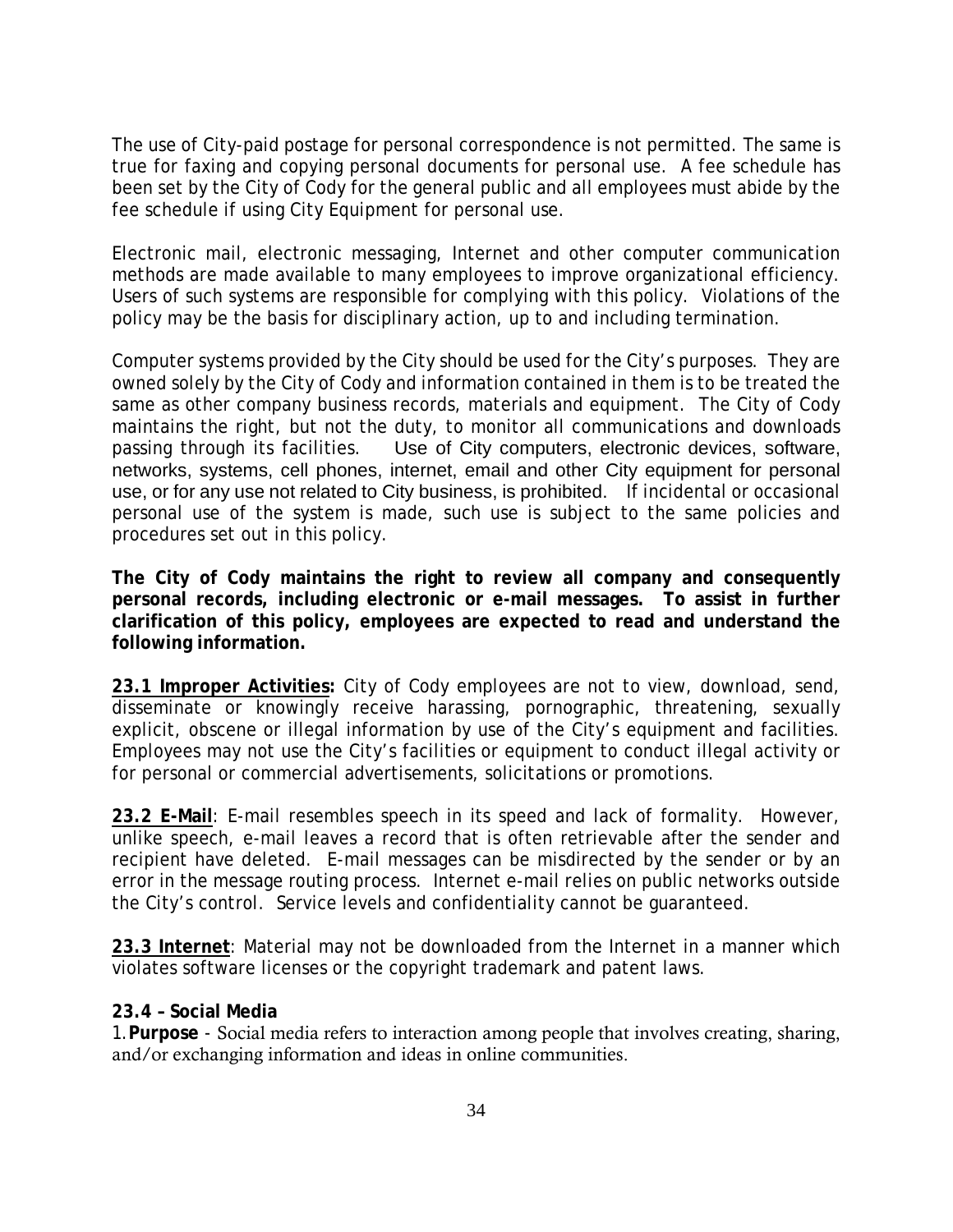The use of City-paid postage for personal correspondence is not permitted. The same is true for faxing and copying personal documents for personal use. A fee schedule has been set by the City of Cody for the general public and all employees must abide by the fee schedule if using City Equipment for personal use.

Electronic mail, electronic messaging, Internet and other computer communication methods are made available to many employees to improve organizational efficiency. Users of such systems are responsible for complying with this policy. Violations of the policy may be the basis for disciplinary action, up to and including termination.

Computer systems provided by the City should be used for the City's purposes. They are owned solely by the City of Cody and information contained in them is to be treated the same as other company business records, materials and equipment. The City of Cody maintains the right, but not the duty, to monitor all communications and downloads passing through its facilities. Use of City computers, electronic devices, software, networks, systems, cell phones, internet, email and other City equipment for personal use, or for any use not related to City business, is prohibited. If incidental or occasional personal use of the system is made, such use is subject to the same policies and procedures set out in this policy.

**The City of Cody maintains the right to review all company and consequently personal records, including electronic or e-mail messages. To assist in further clarification of this policy, employees are expected to read and understand the following information.**

**23.1 Improper Activities:** City of Cody employees are not to view, download, send, disseminate or knowingly receive harassing, pornographic, threatening, sexually explicit, obscene or illegal information by use of the City's equipment and facilities. Employees may not use the City's facilities or equipment to conduct illegal activity or for personal or commercial advertisements, solicitations or promotions.

**23.2 E-Mail**: E-mail resembles speech in its speed and lack of formality. However, unlike speech, e-mail leaves a record that is often retrievable after the sender and recipient have deleted. E-mail messages can be misdirected by the sender or by an error in the message routing process. Internet e-mail relies on public networks outside the City's control. Service levels and confidentiality cannot be guaranteed.

**23.3 Internet**: Material may not be downloaded from the Internet in a manner which violates software licenses or the copyright trademark and patent laws.

#### **23.4 – Social Media**

1.**Purpose** - Social media refers to interaction among people that involves creating, sharing, and/or exchanging information and ideas in online communities.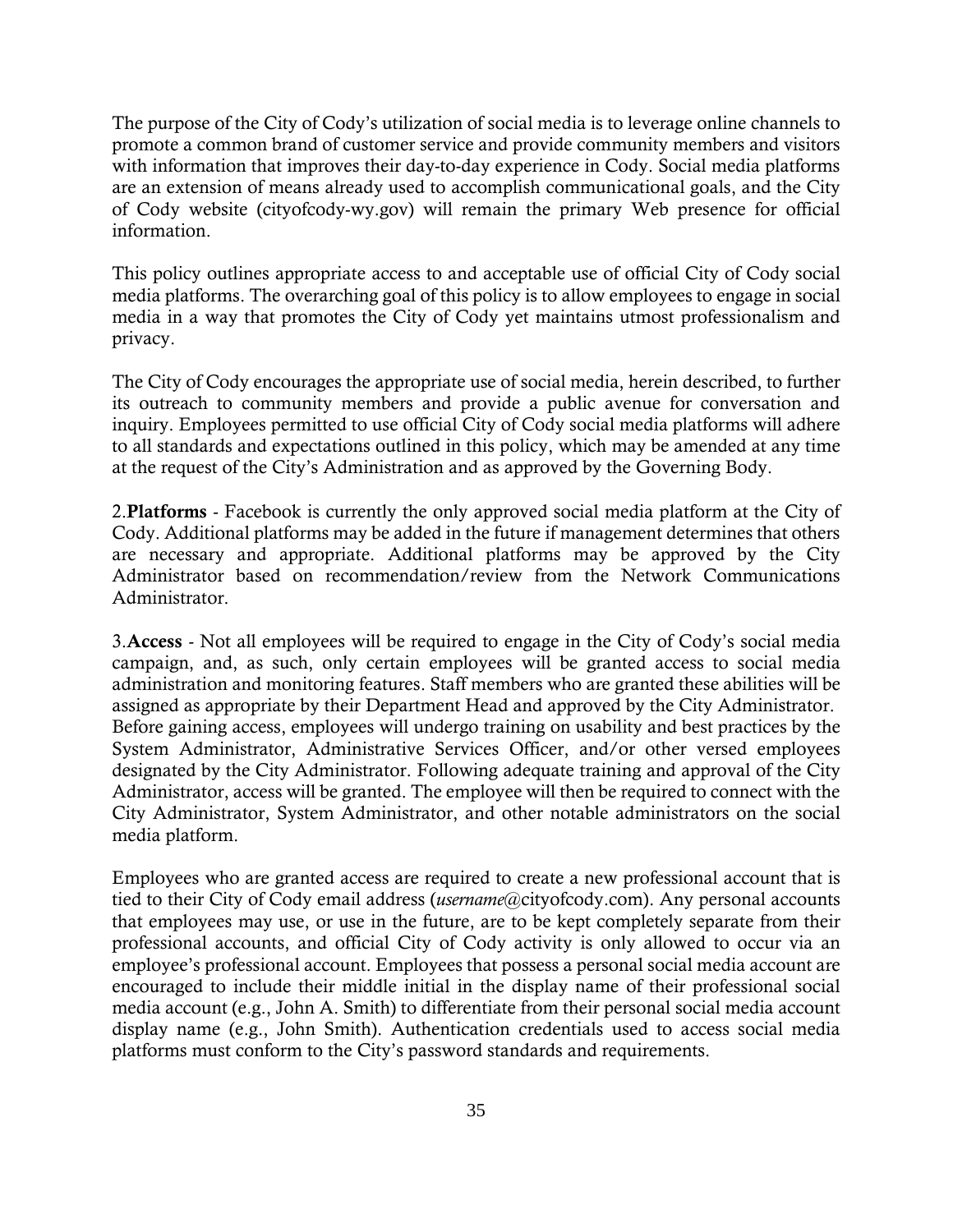The purpose of the City of Cody's utilization of social media is to leverage online channels to promote a common brand of customer service and provide community members and visitors with information that improves their day-to-day experience in Cody. Social media platforms are an extension of means already used to accomplish communicational goals, and the City of Cody website (cityofcody-wy.gov) will remain the primary Web presence for official information.

This policy outlines appropriate access to and acceptable use of official City of Cody social media platforms. The overarching goal of this policy is to allow employees to engage in social media in a way that promotes the City of Cody yet maintains utmost professionalism and privacy.

The City of Cody encourages the appropriate use of social media, herein described, to further its outreach to community members and provide a public avenue for conversation and inquiry. Employees permitted to use official City of Cody social media platforms will adhere to all standards and expectations outlined in this policy, which may be amended at any time at the request of the City's Administration and as approved by the Governing Body.

2.Platforms - Facebook is currently the only approved social media platform at the City of Cody. Additional platforms may be added in the future if management determines that others are necessary and appropriate. Additional platforms may be approved by the City Administrator based on recommendation/review from the Network Communications Administrator.

3.Access - Not all employees will be required to engage in the City of Cody's social media campaign, and, as such, only certain employees will be granted access to social media administration and monitoring features. Staff members who are granted these abilities will be assigned as appropriate by their Department Head and approved by the City Administrator. Before gaining access, employees will undergo training on usability and best practices by the System Administrator, Administrative Services Officer, and/or other versed employees designated by the City Administrator. Following adequate training and approval of the City Administrator, access will be granted. The employee will then be required to connect with the City Administrator, System Administrator, and other notable administrators on the social media platform.

Employees who are granted access are required to create a new professional account that is tied to their City of Cody email address (*username*@cityofcody.com). Any personal accounts that employees may use, or use in the future, are to be kept completely separate from their professional accounts, and official City of Cody activity is only allowed to occur via an employee's professional account. Employees that possess a personal social media account are encouraged to include their middle initial in the display name of their professional social media account (e.g., John A. Smith) to differentiate from their personal social media account display name (e.g., John Smith). Authentication credentials used to access social media platforms must conform to the City's password standards and requirements.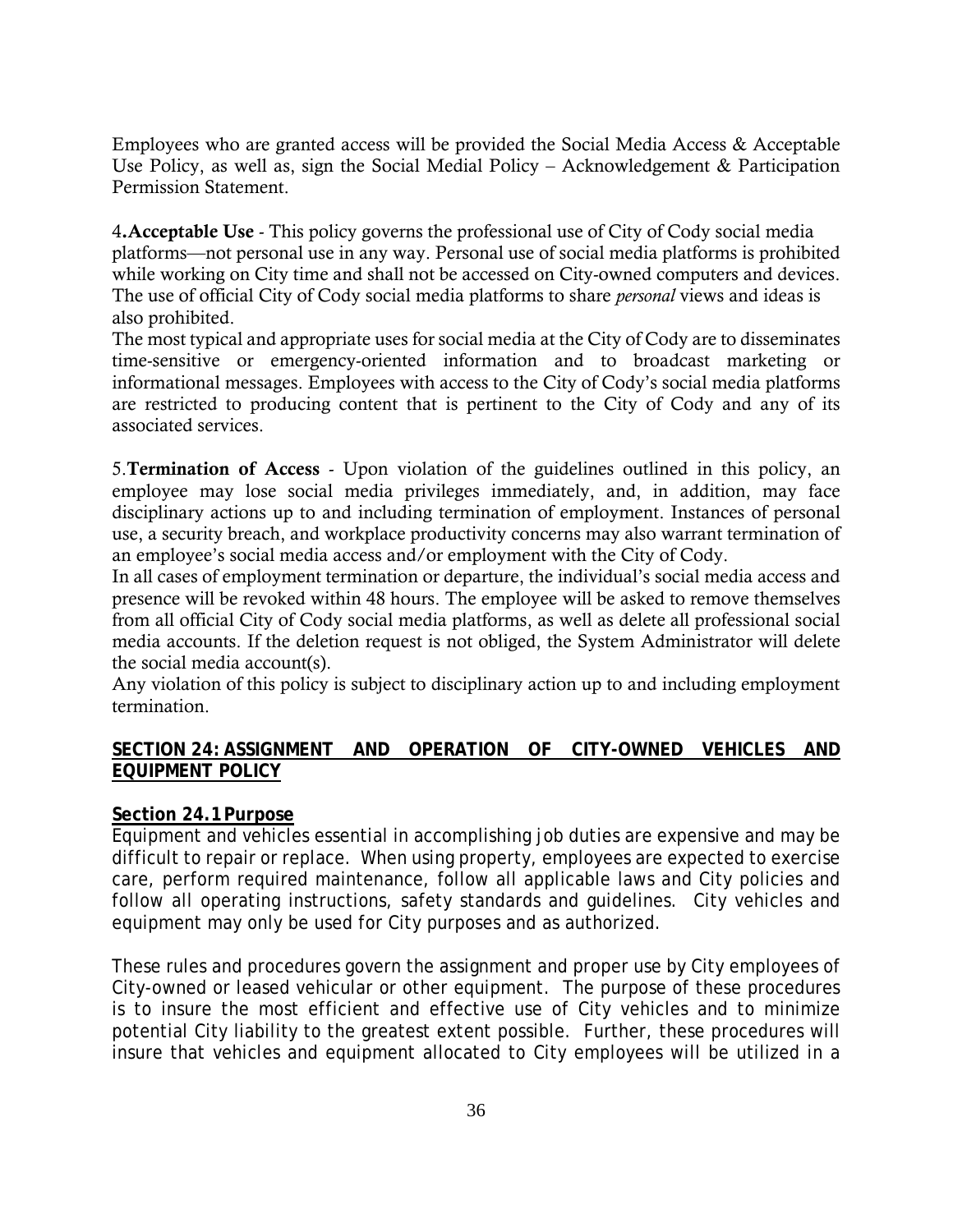Employees who are granted access will be provided the Social Media Access & Acceptable Use Policy, as well as, sign the Social Medial Policy – Acknowledgement & Participation Permission Statement.

4.Acceptable Use - This policy governs the professional use of City of Cody social media platforms—not personal use in any way. Personal use of social media platforms is prohibited while working on City time and shall not be accessed on City-owned computers and devices. The use of official City of Cody social media platforms to share *personal* views and ideas is also prohibited.

The most typical and appropriate uses for social media at the City of Cody are to disseminates time-sensitive or emergency-oriented information and to broadcast marketing or informational messages. Employees with access to the City of Cody's social media platforms are restricted to producing content that is pertinent to the City of Cody and any of its associated services.

5.Termination of Access - Upon violation of the guidelines outlined in this policy, an employee may lose social media privileges immediately, and, in addition, may face disciplinary actions up to and including termination of employment. Instances of personal use, a security breach, and workplace productivity concerns may also warrant termination of an employee's social media access and/or employment with the City of Cody.

In all cases of employment termination or departure, the individual's social media access and presence will be revoked within 48 hours. The employee will be asked to remove themselves from all official City of Cody social media platforms, as well as delete all professional social media accounts. If the deletion request is not obliged, the System Administrator will delete the social media account(s).

Any violation of this policy is subject to disciplinary action up to and including employment termination.

# **SECTION 24: ASSIGNMENT AND OPERATION OF CITY-OWNED VEHICLES AND EQUIPMENT POLICY**

#### **Section 24.1Purpose**

Equipment and vehicles essential in accomplishing job duties are expensive and may be difficult to repair or replace. When using property, employees are expected to exercise care, perform required maintenance, follow all applicable laws and City policies and follow all operating instructions, safety standards and guidelines. City vehicles and equipment may only be used for City purposes and as authorized.

These rules and procedures govern the assignment and proper use by City employees of City-owned or leased vehicular or other equipment. The purpose of these procedures is to insure the most efficient and effective use of City vehicles and to minimize potential City liability to the greatest extent possible. Further, these procedures will insure that vehicles and equipment allocated to City employees will be utilized in a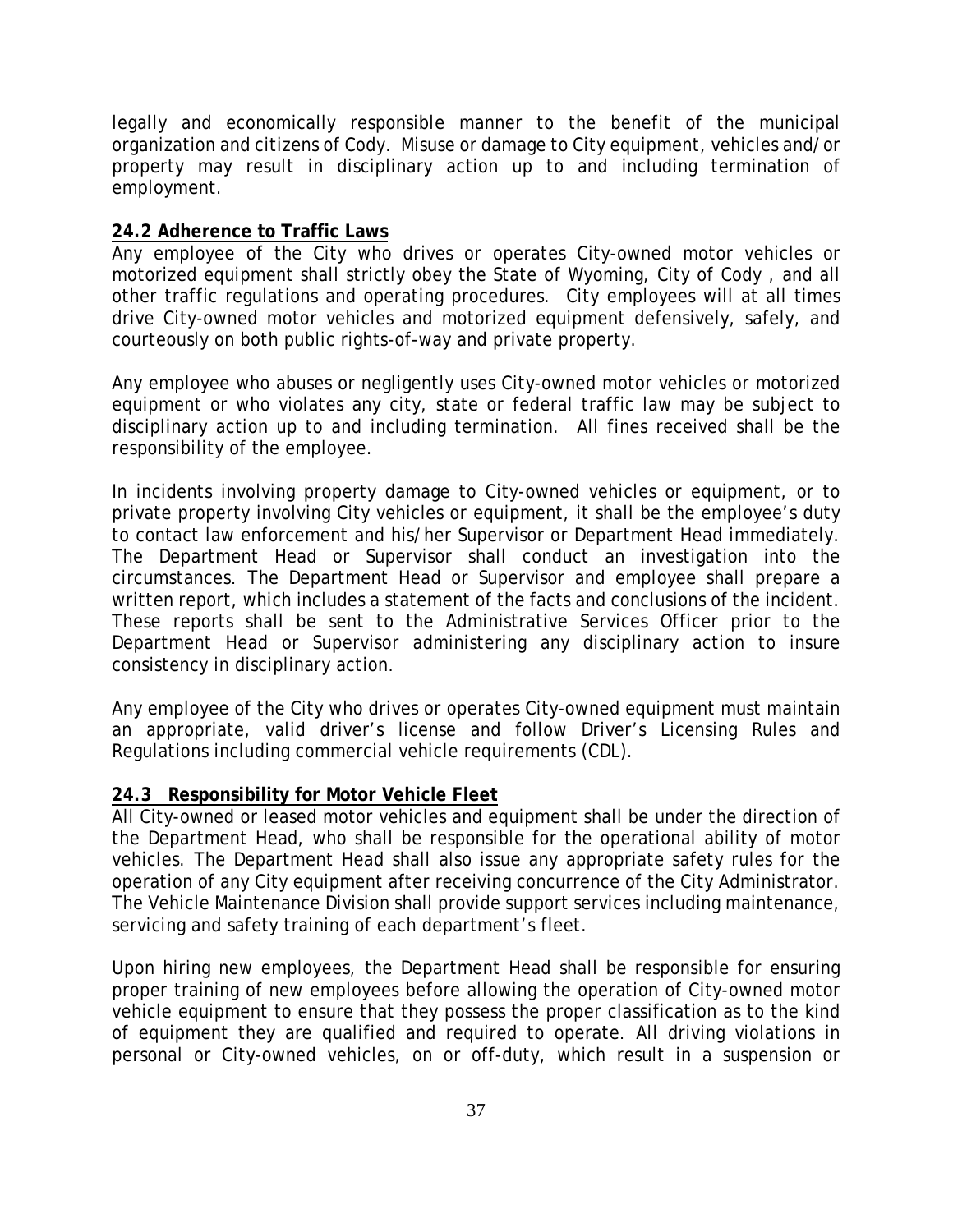legally and economically responsible manner to the benefit of the municipal organization and citizens of Cody. Misuse or damage to City equipment, vehicles and/or property may result in disciplinary action up to and including termination of employment.

### **24.2 Adherence to Traffic Laws**

Any employee of the City who drives or operates City-owned motor vehicles or motorized equipment shall strictly obey the State of Wyoming, City of Cody , and all other traffic regulations and operating procedures. City employees will at all times drive City-owned motor vehicles and motorized equipment defensively, safely, and courteously on both public rights-of-way and private property.

Any employee who abuses or negligently uses City-owned motor vehicles or motorized equipment or who violates any city, state or federal traffic law may be subject to disciplinary action up to and including termination. All fines received shall be the responsibility of the employee.

In incidents involving property damage to City-owned vehicles or equipment, or to private property involving City vehicles or equipment, it shall be the employee's duty to contact law enforcement and his/her Supervisor or Department Head immediately. The Department Head or Supervisor shall conduct an investigation into the circumstances. The Department Head or Supervisor and employee shall prepare a written report, which includes a statement of the facts and conclusions of the incident. These reports shall be sent to the Administrative Services Officer prior to the Department Head or Supervisor administering any disciplinary action to insure consistency in disciplinary action.

Any employee of the City who drives or operates City-owned equipment must maintain an appropriate, valid driver's license and follow Driver's Licensing Rules and Regulations including commercial vehicle requirements (CDL).

## **24.3 Responsibility for Motor Vehicle Fleet**

All City-owned or leased motor vehicles and equipment shall be under the direction of the Department Head, who shall be responsible for the operational ability of motor vehicles. The Department Head shall also issue any appropriate safety rules for the operation of any City equipment after receiving concurrence of the City Administrator. The Vehicle Maintenance Division shall provide support services including maintenance, servicing and safety training of each department's fleet.

Upon hiring new employees, the Department Head shall be responsible for ensuring proper training of new employees before allowing the operation of City-owned motor vehicle equipment to ensure that they possess the proper classification as to the kind of equipment they are qualified and required to operate. All driving violations in personal or City-owned vehicles, on or off-duty, which result in a suspension or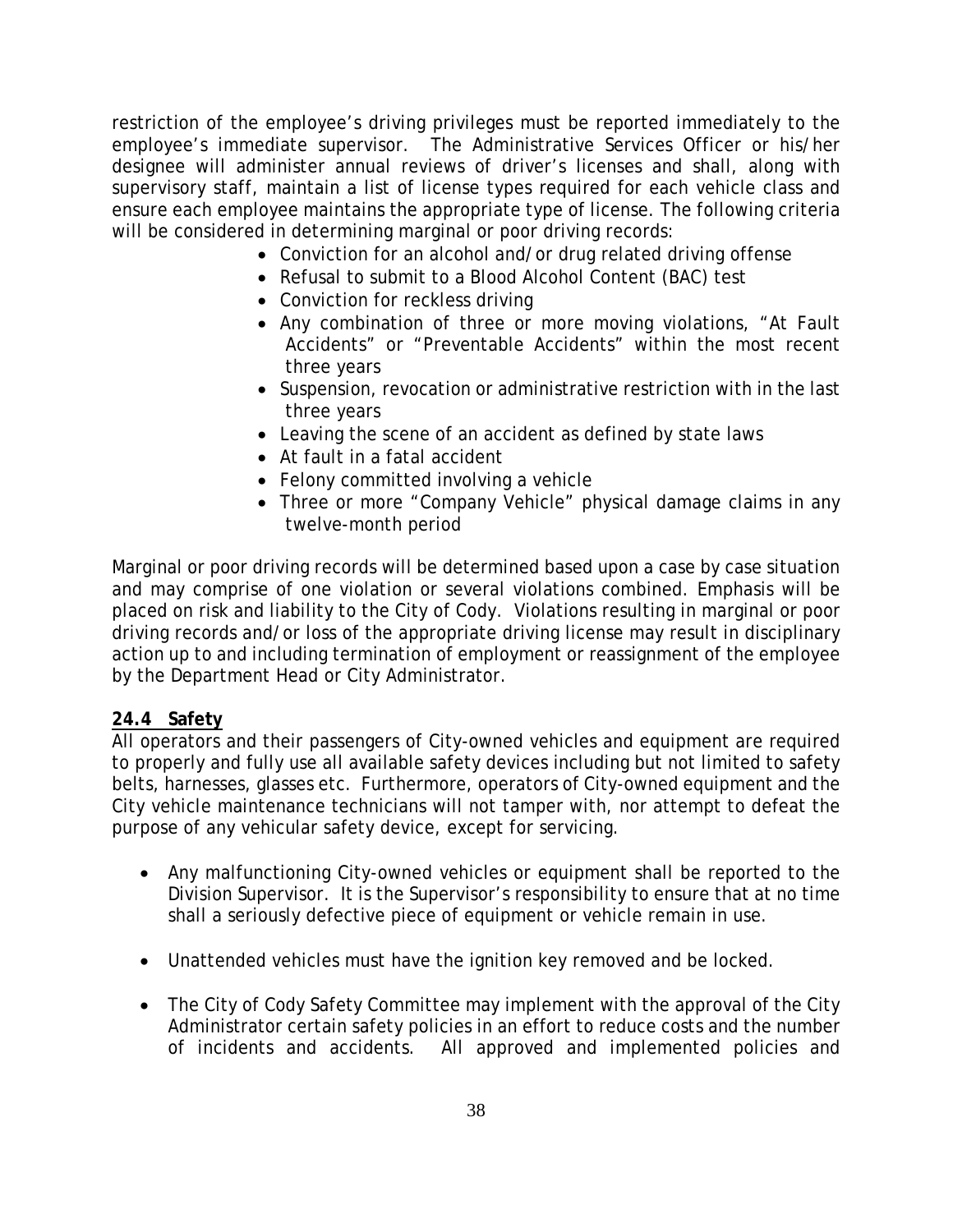restriction of the employee's driving privileges must be reported immediately to the employee's immediate supervisor. The Administrative Services Officer or his/her designee will administer annual reviews of driver's licenses and shall, along with supervisory staff, maintain a list of license types required for each vehicle class and ensure each employee maintains the appropriate type of license. The following criteria will be considered in determining marginal or poor driving records:

- Conviction for an alcohol and/or drug related driving offense
- Refusal to submit to a Blood Alcohol Content (BAC) test
- Conviction for reckless driving
- Any combination of three or more moving violations, "At Fault Accidents" or "Preventable Accidents" within the most recent three years
- Suspension, revocation or administrative restriction with in the last three years
- Leaving the scene of an accident as defined by state laws
- At fault in a fatal accident
- Felony committed involving a vehicle
- Three or more "Company Vehicle" physical damage claims in any twelve-month period

Marginal or poor driving records will be determined based upon a case by case situation and may comprise of one violation or several violations combined. Emphasis will be placed on risk and liability to the City of Cody. Violations resulting in marginal or poor driving records and/or loss of the appropriate driving license may result in disciplinary action up to and including termination of employment or reassignment of the employee by the Department Head or City Administrator.

## **24.4 Safety**

All operators and their passengers of City-owned vehicles and equipment are required to properly and fully use all available safety devices including but not limited to safety belts, harnesses, glasses etc. Furthermore, operators of City-owned equipment and the City vehicle maintenance technicians will not tamper with, nor attempt to defeat the purpose of any vehicular safety device, except for servicing.

- Any malfunctioning City-owned vehicles or equipment shall be reported to the Division Supervisor. It is the Supervisor's responsibility to ensure that at no time shall a seriously defective piece of equipment or vehicle remain in use.
- Unattended vehicles must have the ignition key removed and be locked.
- The City of Cody Safety Committee may implement with the approval of the City Administrator certain safety policies in an effort to reduce costs and the number of incidents and accidents. All approved and implemented policies and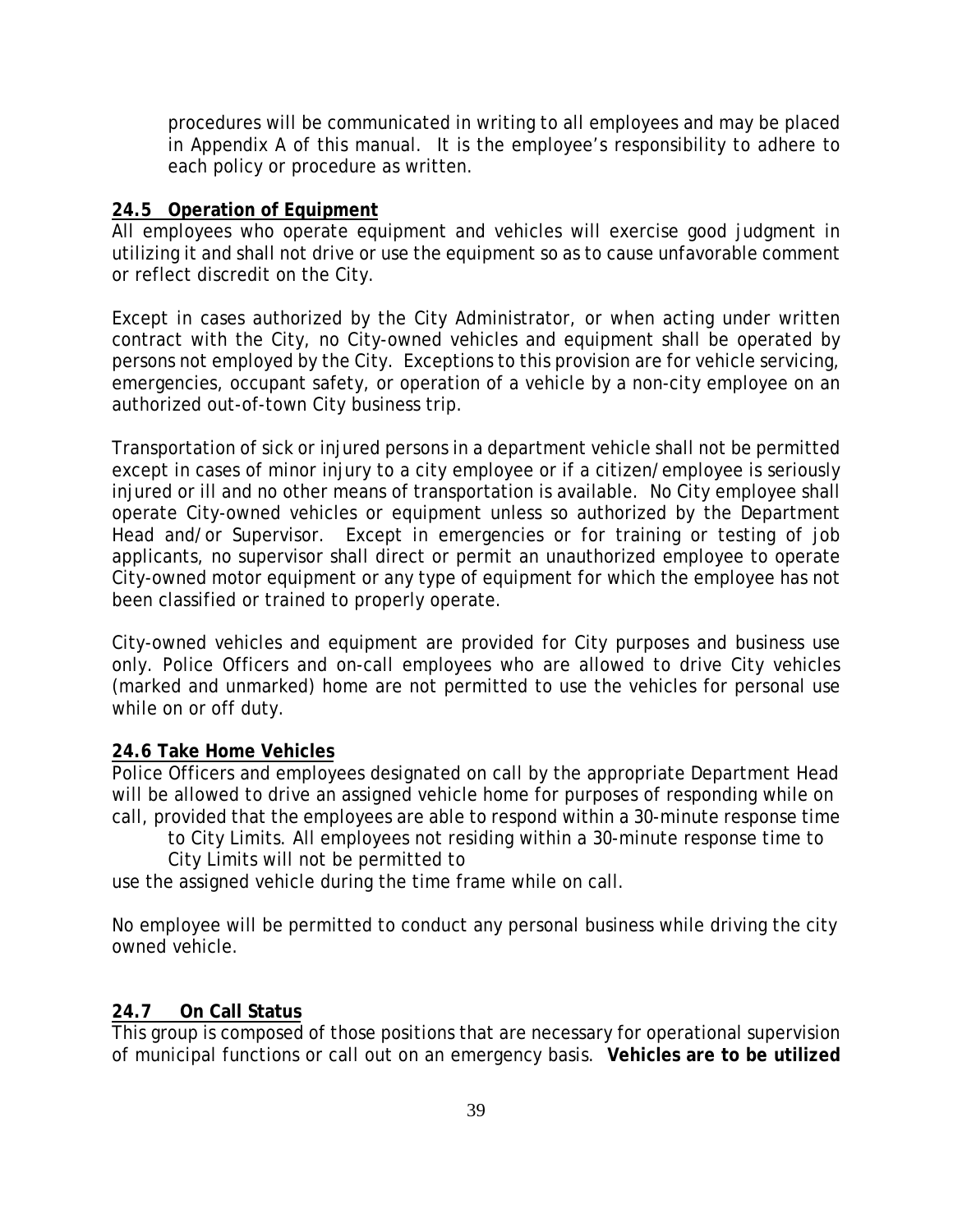procedures will be communicated in writing to all employees and may be placed in Appendix A of this manual. It is the employee's responsibility to adhere to each policy or procedure as written.

## **24.5 Operation of Equipment**

All employees who operate equipment and vehicles will exercise good judgment in utilizing it and shall not drive or use the equipment so as to cause unfavorable comment or reflect discredit on the City.

Except in cases authorized by the City Administrator, or when acting under written contract with the City, no City-owned vehicles and equipment shall be operated by persons not employed by the City. Exceptions to this provision are for vehicle servicing, emergencies, occupant safety, or operation of a vehicle by a non-city employee on an authorized out-of-town City business trip.

Transportation of sick or injured persons in a department vehicle shall not be permitted except in cases of minor injury to a city employee or if a citizen/employee is seriously injured or ill and no other means of transportation is available. No City employee shall operate City-owned vehicles or equipment unless so authorized by the Department Head and/or Supervisor. Except in emergencies or for training or testing of job applicants, no supervisor shall direct or permit an unauthorized employee to operate City-owned motor equipment or any type of equipment for which the employee has not been classified or trained to properly operate.

City-owned vehicles and equipment are provided for City purposes and business use only. Police Officers and on-call employees who are allowed to drive City vehicles (marked and unmarked) home are not permitted to use the vehicles for personal use while on or off duty.

## **24.6 Take Home Vehicles**

Police Officers and employees designated on call by the appropriate Department Head will be allowed to drive an assigned vehicle home for purposes of responding while on call, provided that the employees are able to respond within a 30-minute response time

to City Limits. All employees not residing within a 30-minute response time to

City Limits will not be permitted to

use the assigned vehicle during the time frame while on call.

No employee will be permitted to conduct any personal business while driving the city owned vehicle.

# **24.7 On Call Status**

This group is composed of those positions that are necessary for operational supervision of municipal functions or call out on an emergency basis. **Vehicles are to be utilized**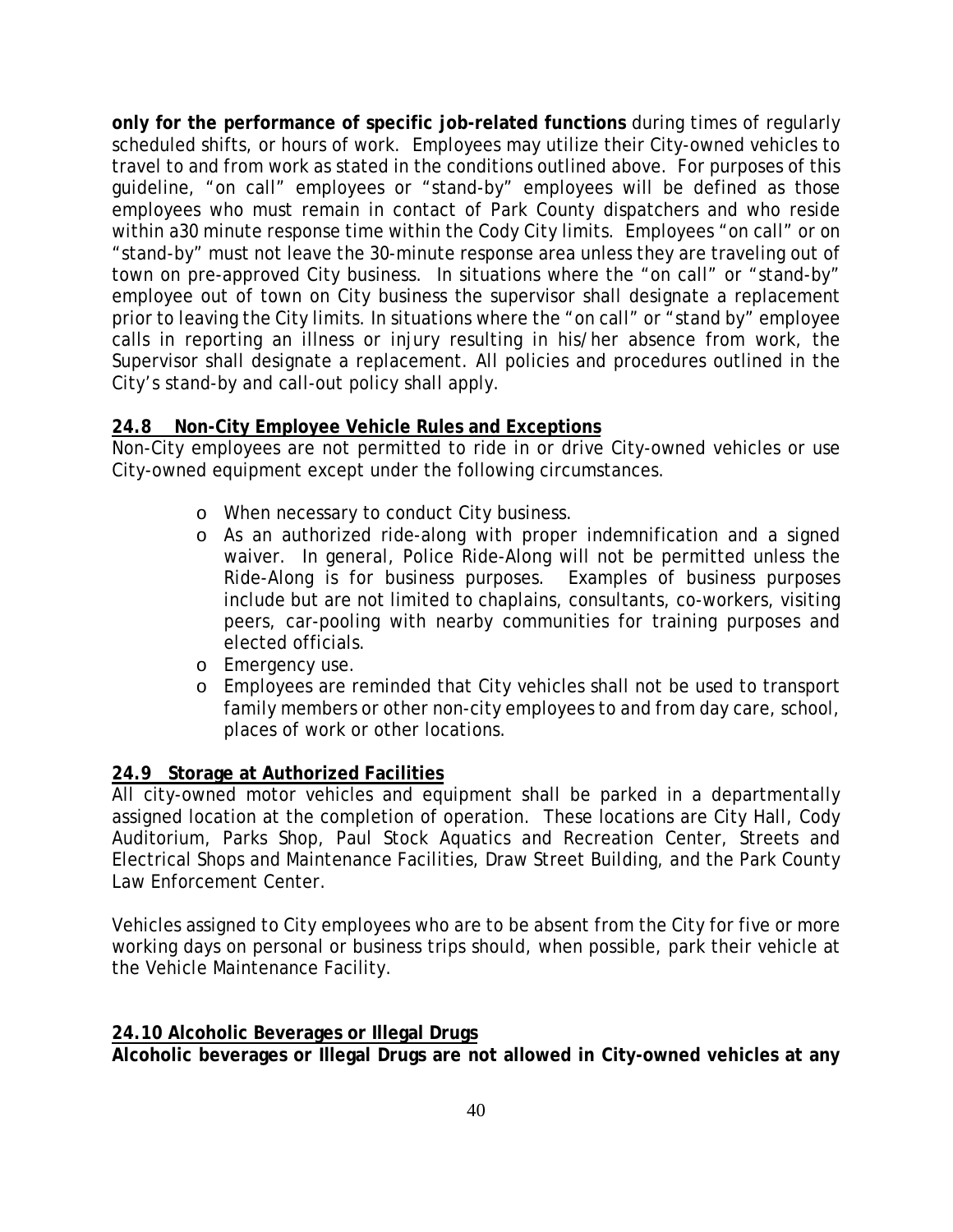**only for the performance of specific job-related functions** during times of regularly scheduled shifts, or hours of work. Employees may utilize their City-owned vehicles to travel to and from work as stated in the conditions outlined above. For purposes of this guideline, "on call" employees or "stand-by" employees will be defined as those employees who must remain in contact of Park County dispatchers and who reside within a30 minute response time within the Cody City limits. Employees "on call" or on "stand-by" must not leave the 30-minute response area unless they are traveling out of town on pre-approved City business. In situations where the "on call" or "stand-by" employee out of town on City business the supervisor shall designate a replacement prior to leaving the City limits. In situations where the "on call" or "stand by" employee calls in reporting an illness or injury resulting in his/her absence from work, the Supervisor shall designate a replacement. All policies and procedures outlined in the City's stand-by and call-out policy shall apply.

# **24.8 Non-City Employee Vehicle Rules and Exceptions**

Non-City employees are not permitted to ride in or drive City-owned vehicles or use City-owned equipment except under the following circumstances.

- o When necessary to conduct City business.
- o As an authorized ride-along with proper indemnification and a signed waiver. In general, Police Ride-Along will not be permitted unless the Ride-Along is for business purposes. Examples of business purposes include but are not limited to chaplains, consultants, co-workers, visiting peers, car-pooling with nearby communities for training purposes and elected officials.
- o Emergency use.
- o Employees are reminded that City vehicles shall not be used to transport family members or other non-city employees to and from day care, school, places of work or other locations.

# **24.9 Storage at Authorized Facilities**

All city-owned motor vehicles and equipment shall be parked in a departmentally assigned location at the completion of operation. These locations are City Hall, Cody Auditorium, Parks Shop, Paul Stock Aquatics and Recreation Center, Streets and Electrical Shops and Maintenance Facilities, Draw Street Building, and the Park County Law Enforcement Center.

Vehicles assigned to City employees who are to be absent from the City for five or more working days on personal or business trips should, when possible, park their vehicle at the Vehicle Maintenance Facility.

# **24.10 Alcoholic Beverages or Illegal Drugs**

**Alcoholic beverages or Illegal Drugs are not allowed in City-owned vehicles at any**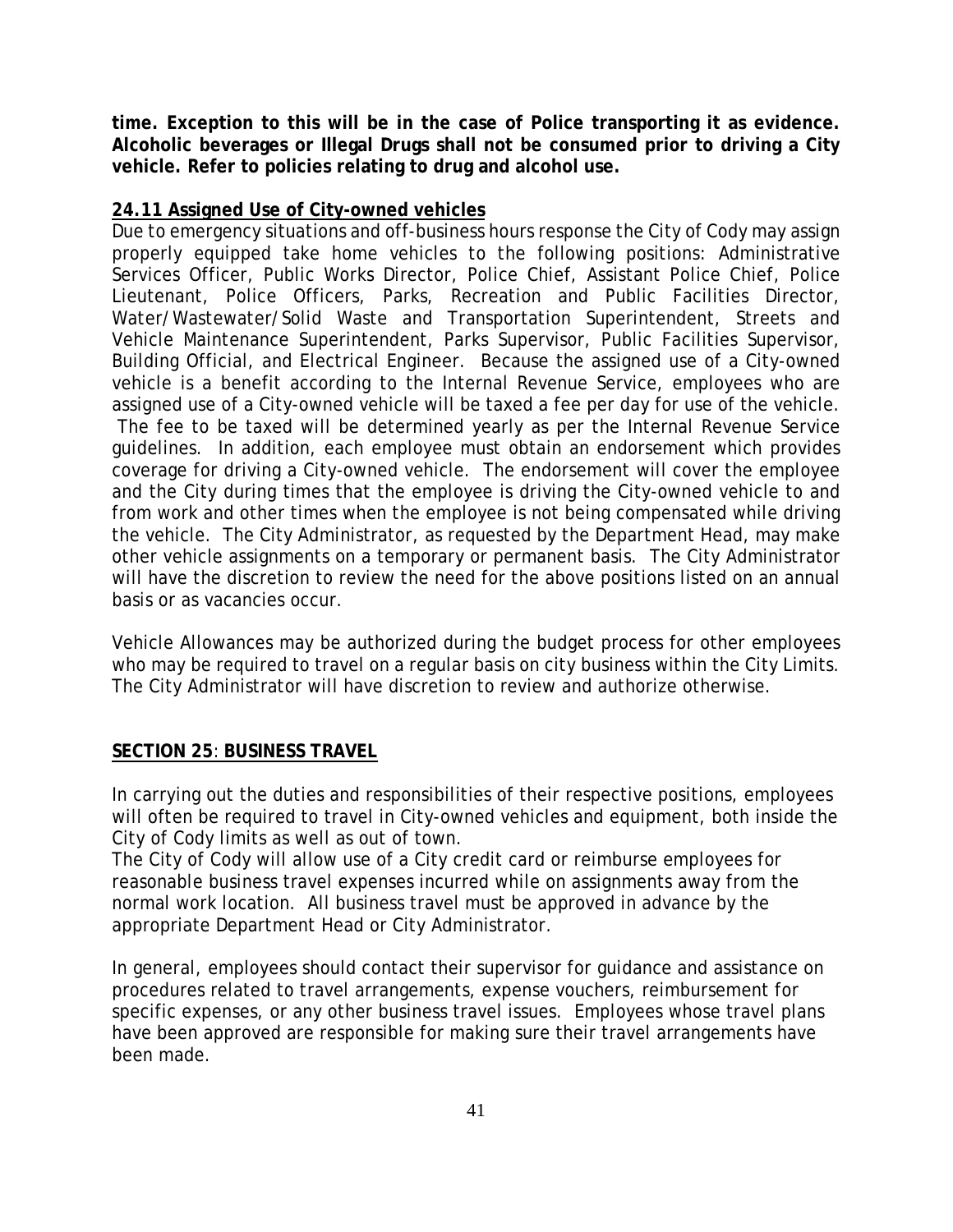**time. Exception to this will be in the case of Police transporting it as evidence. Alcoholic beverages or Illegal Drugs shall not be consumed prior to driving a City vehicle. Refer to policies relating to drug and alcohol use.**

# **24.11 Assigned Use of City-owned vehicles**

Due to emergency situations and off-business hours response the City of Cody may assign properly equipped take home vehicles to the following positions: Administrative Services Officer, Public Works Director, Police Chief, Assistant Police Chief, Police Lieutenant, Police Officers, Parks, Recreation and Public Facilities Director, Water/Wastewater/Solid Waste and Transportation Superintendent, Streets and Vehicle Maintenance Superintendent, Parks Supervisor, Public Facilities Supervisor, Building Official, and Electrical Engineer. Because the assigned use of a City-owned vehicle is a benefit according to the Internal Revenue Service, employees who are assigned use of a City-owned vehicle will be taxed a fee per day for use of the vehicle. The fee to be taxed will be determined yearly as per the Internal Revenue Service guidelines. In addition, each employee must obtain an endorsement which provides coverage for driving a City-owned vehicle. The endorsement will cover the employee and the City during times that the employee is driving the City-owned vehicle to and from work and other times when the employee is not being compensated while driving the vehicle. The City Administrator, as requested by the Department Head, may make other vehicle assignments on a temporary or permanent basis. The City Administrator will have the discretion to review the need for the above positions listed on an annual basis or as vacancies occur.

Vehicle Allowances may be authorized during the budget process for other employees who may be required to travel on a regular basis on city business within the City Limits. The City Administrator will have discretion to review and authorize otherwise.

## **SECTION 25**: **BUSINESS TRAVEL**

In carrying out the duties and responsibilities of their respective positions, employees will often be required to travel in City-owned vehicles and equipment, both inside the City of Cody limits as well as out of town.

The City of Cody will allow use of a City credit card or reimburse employees for reasonable business travel expenses incurred while on assignments away from the normal work location. All business travel must be approved in advance by the appropriate Department Head or City Administrator.

In general, employees should contact their supervisor for guidance and assistance on procedures related to travel arrangements, expense vouchers, reimbursement for specific expenses, or any other business travel issues. Employees whose travel plans have been approved are responsible for making sure their travel arrangements have been made.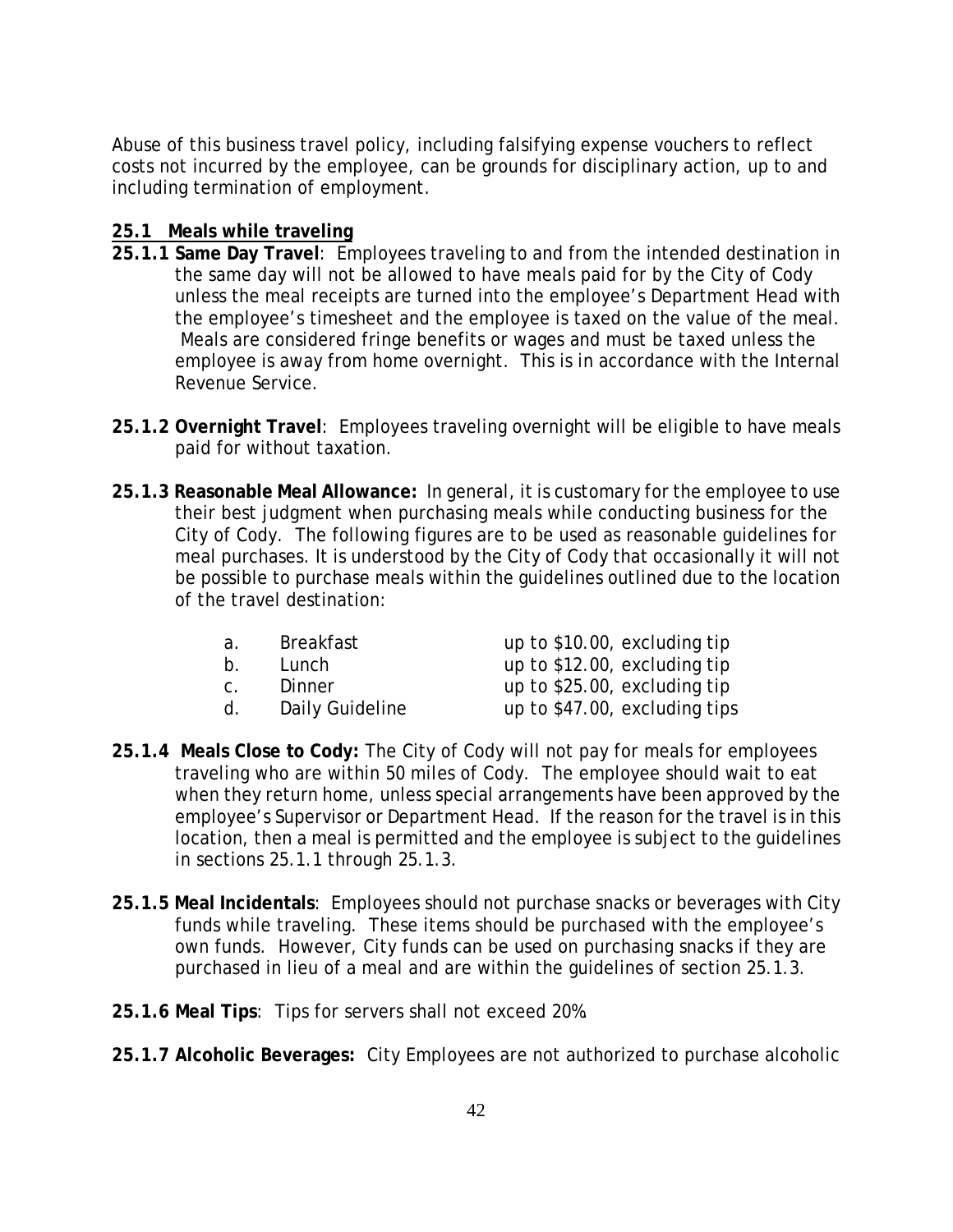Abuse of this business travel policy, including falsifying expense vouchers to reflect costs not incurred by the employee, can be grounds for disciplinary action, up to and including termination of employment.

### **25.1 Meals while traveling**

- **25.1.1 Same Day Travel**: Employees traveling to and from the intended destination in the same day will not be allowed to have meals paid for by the City of Cody unless the meal receipts are turned into the employee's Department Head with the employee's timesheet and the employee is taxed on the value of the meal. Meals are considered fringe benefits or wages and must be taxed unless the employee is away from home overnight. This is in accordance with the Internal Revenue Service.
- **25.1.2 Overnight Travel**: Employees traveling overnight will be eligible to have meals paid for without taxation.
- **25.1.3 Reasonable Meal Allowance:** In general, it is customary for the employee to use their best judgment when purchasing meals while conducting business for the City of Cody. The following figures are to be used as reasonable guidelines for meal purchases. It is understood by the City of Cody that occasionally it will not be possible to purchase meals within the guidelines outlined due to the location of the travel destination:

| а.             | <b>Breakfast</b> | up to \$10.00, excluding tip  |
|----------------|------------------|-------------------------------|
| $\mathsf{b}$ . | Lunch            | up to \$12.00, excluding tip  |
| C <sub>1</sub> | Dinner           | up to \$25.00, excluding tip  |
| d.             | Daily Guideline  | up to \$47.00, excluding tips |

- **25.1.4 Meals Close to Cody:** The City of Cody will not pay for meals for employees traveling who are within 50 miles of Cody. The employee should wait to eat when they return home, unless special arrangements have been approved by the employee's Supervisor or Department Head. If the reason for the travel is in this location, then a meal is permitted and the employee is subject to the guidelines in sections 25.1.1 through 25.1.3.
- **25.1.5 Meal Incidentals**: Employees should not purchase snacks or beverages with City funds while traveling. These items should be purchased with the employee's own funds. However, City funds can be used on purchasing snacks if they are purchased in lieu of a meal and are within the guidelines of section 25.1.3.
- **25.1.6 Meal Tips**: Tips for servers shall not exceed 20%.
- **25.1.7 Alcoholic Beverages:** City Employees are not authorized to purchase alcoholic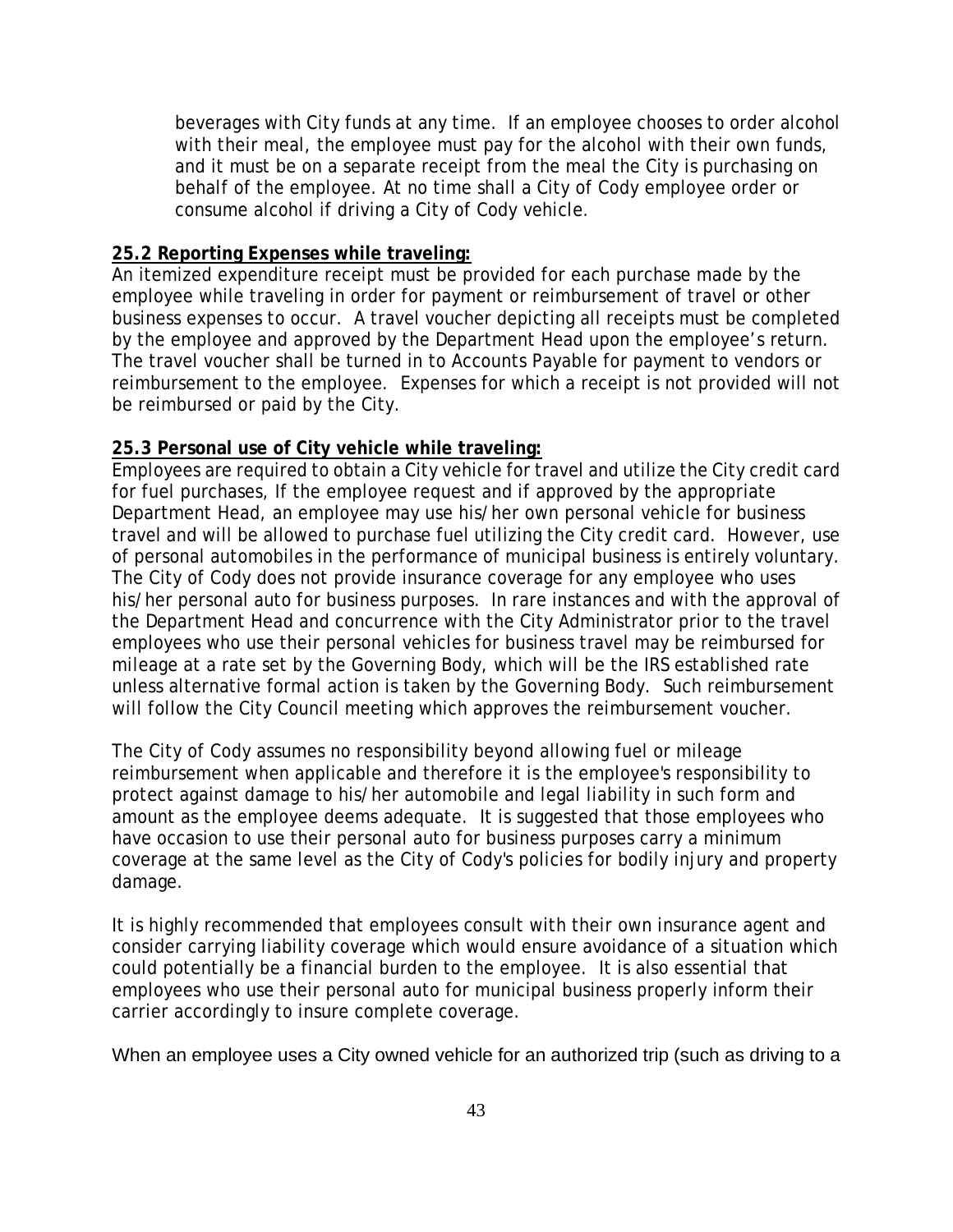beverages with City funds at any time. If an employee chooses to order alcohol with their meal, the employee must pay for the alcohol with their own funds, and it must be on a separate receipt from the meal the City is purchasing on behalf of the employee. At no time shall a City of Cody employee order or consume alcohol if driving a City of Cody vehicle.

### **25.2 Reporting Expenses while traveling:**

An itemized expenditure receipt must be provided for each purchase made by the employee while traveling in order for payment or reimbursement of travel or other business expenses to occur. A travel voucher depicting all receipts must be completed by the employee and approved by the Department Head upon the employee's return. The travel voucher shall be turned in to Accounts Payable for payment to vendors or reimbursement to the employee. Expenses for which a receipt is not provided will not be reimbursed or paid by the City.

### **25.3 Personal use of City vehicle while traveling:**

Employees are required to obtain a City vehicle for travel and utilize the City credit card for fuel purchases, If the employee request and if approved by the appropriate Department Head, an employee may use his/her own personal vehicle for business travel and will be allowed to purchase fuel utilizing the City credit card. However, use of personal automobiles in the performance of municipal business is entirely voluntary. The City of Cody does not provide insurance coverage for any employee who uses his/her personal auto for business purposes. In rare instances and with the approval of the Department Head and concurrence with the City Administrator prior to the travel employees who use their personal vehicles for business travel may be reimbursed for mileage at a rate set by the Governing Body, which will be the IRS established rate unless alternative formal action is taken by the Governing Body. Such reimbursement will follow the City Council meeting which approves the reimbursement voucher.

The City of Cody assumes no responsibility beyond allowing fuel or mileage reimbursement when applicable and therefore it is the employee's responsibility to protect against damage to his/her automobile and legal liability in such form and amount as the employee deems adequate. It is suggested that those employees who have occasion to use their personal auto for business purposes carry a minimum coverage at the same level as the City of Cody's policies for bodily injury and property damage.

It is highly recommended that employees consult with their own insurance agent and consider carrying liability coverage which would ensure avoidance of a situation which could potentially be a financial burden to the employee. It is also essential that employees who use their personal auto for municipal business properly inform their carrier accordingly to insure complete coverage.

When an employee uses a City owned vehicle for an authorized trip (such as driving to a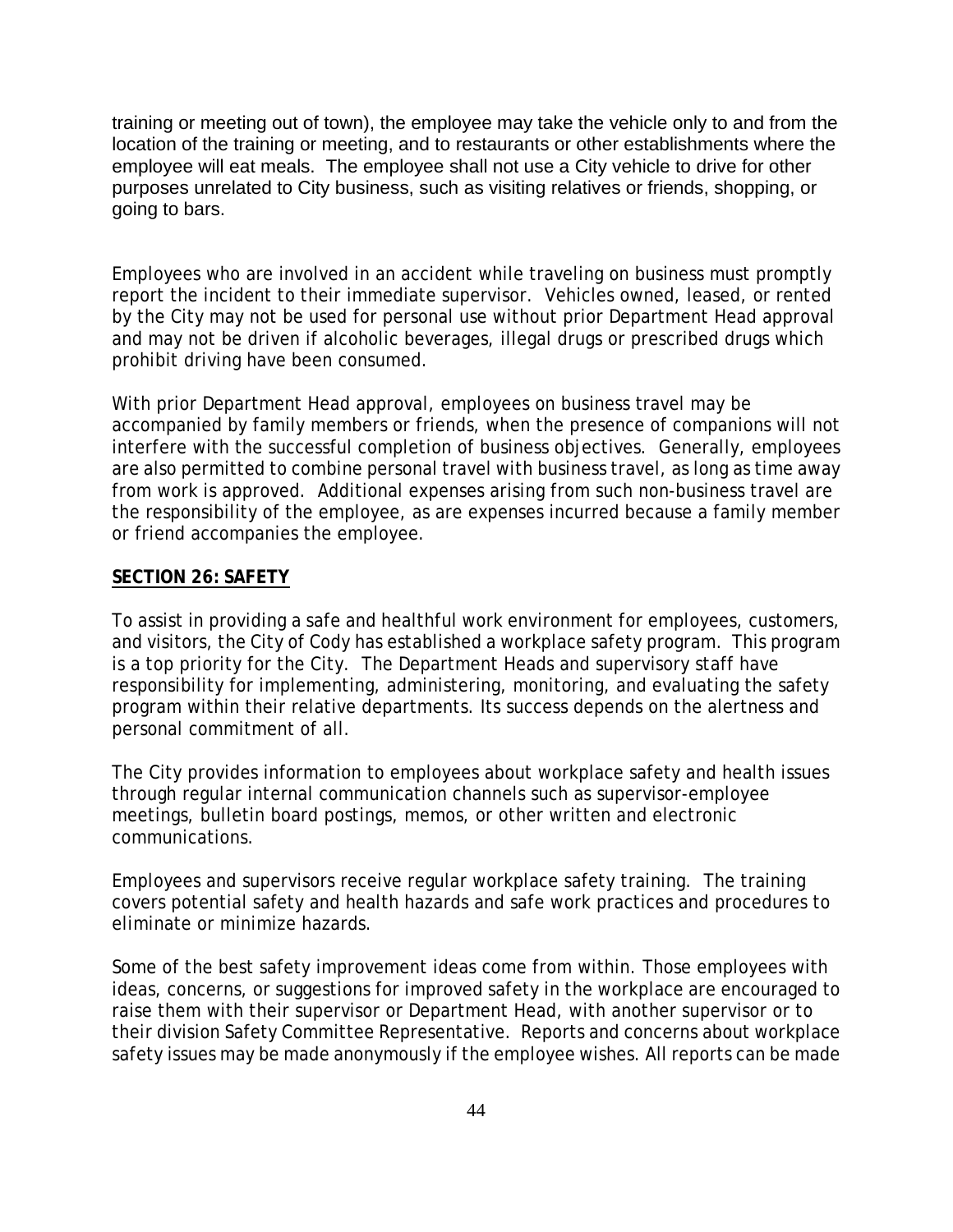training or meeting out of town), the employee may take the vehicle only to and from the location of the training or meeting, and to restaurants or other establishments where the employee will eat meals. The employee shall not use a City vehicle to drive for other purposes unrelated to City business, such as visiting relatives or friends, shopping, or going to bars.

Employees who are involved in an accident while traveling on business must promptly report the incident to their immediate supervisor. Vehicles owned, leased, or rented by the City may not be used for personal use without prior Department Head approval and may not be driven if alcoholic beverages, illegal drugs or prescribed drugs which prohibit driving have been consumed.

With prior Department Head approval, employees on business travel may be accompanied by family members or friends, when the presence of companions will not interfere with the successful completion of business objectives. Generally, employees are also permitted to combine personal travel with business travel, as long as time away from work is approved. Additional expenses arising from such non-business travel are the responsibility of the employee, as are expenses incurred because a family member or friend accompanies the employee.

## **SECTION 26: SAFETY**

To assist in providing a safe and healthful work environment for employees, customers, and visitors, the City of Cody has established a workplace safety program. This program is a top priority for the City. The Department Heads and supervisory staff have responsibility for implementing, administering, monitoring, and evaluating the safety program within their relative departments. Its success depends on the alertness and personal commitment of all.

The City provides information to employees about workplace safety and health issues through regular internal communication channels such as supervisor-employee meetings, bulletin board postings, memos, or other written and electronic communications.

Employees and supervisors receive regular workplace safety training. The training covers potential safety and health hazards and safe work practices and procedures to eliminate or minimize hazards.

Some of the best safety improvement ideas come from within. Those employees with ideas, concerns, or suggestions for improved safety in the workplace are encouraged to raise them with their supervisor or Department Head, with another supervisor or to their division Safety Committee Representative. Reports and concerns about workplace safety issues may be made anonymously if the employee wishes. All reports can be made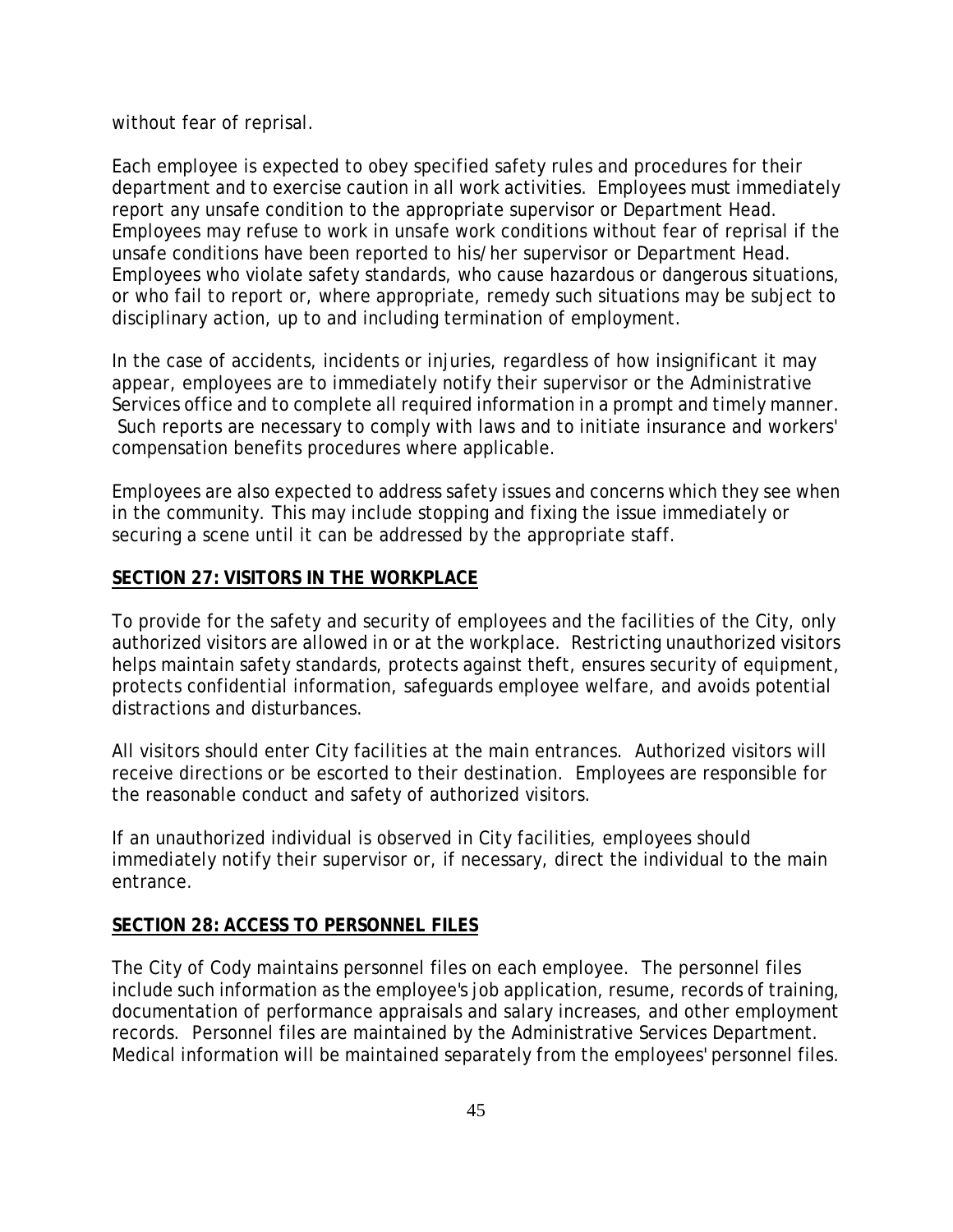without fear of reprisal.

Each employee is expected to obey specified safety rules and procedures for their department and to exercise caution in all work activities. Employees must immediately report any unsafe condition to the appropriate supervisor or Department Head. Employees may refuse to work in unsafe work conditions without fear of reprisal if the unsafe conditions have been reported to his/her supervisor or Department Head. Employees who violate safety standards, who cause hazardous or dangerous situations, or who fail to report or, where appropriate, remedy such situations may be subject to disciplinary action, up to and including termination of employment.

In the case of accidents, incidents or injuries, regardless of how insignificant it may appear, employees are to immediately notify their supervisor or the Administrative Services office and to complete all required information in a prompt and timely manner. Such reports are necessary to comply with laws and to initiate insurance and workers' compensation benefits procedures where applicable.

Employees are also expected to address safety issues and concerns which they see when in the community. This may include stopping and fixing the issue immediately or securing a scene until it can be addressed by the appropriate staff.

### **SECTION 27: VISITORS IN THE WORKPLACE**

To provide for the safety and security of employees and the facilities of the City, only authorized visitors are allowed in or at the workplace. Restricting unauthorized visitors helps maintain safety standards, protects against theft, ensures security of equipment, protects confidential information, safeguards employee welfare, and avoids potential distractions and disturbances.

All visitors should enter City facilities at the main entrances. Authorized visitors will receive directions or be escorted to their destination. Employees are responsible for the reasonable conduct and safety of authorized visitors.

If an unauthorized individual is observed in City facilities, employees should immediately notify their supervisor or, if necessary, direct the individual to the main entrance.

### **SECTION 28: ACCESS TO PERSONNEL FILES**

The City of Cody maintains personnel files on each employee. The personnel files include such information as the employee's job application, resume, records of training, documentation of performance appraisals and salary increases, and other employment records. Personnel files are maintained by the Administrative Services Department. Medical information will be maintained separately from the employees' personnel files.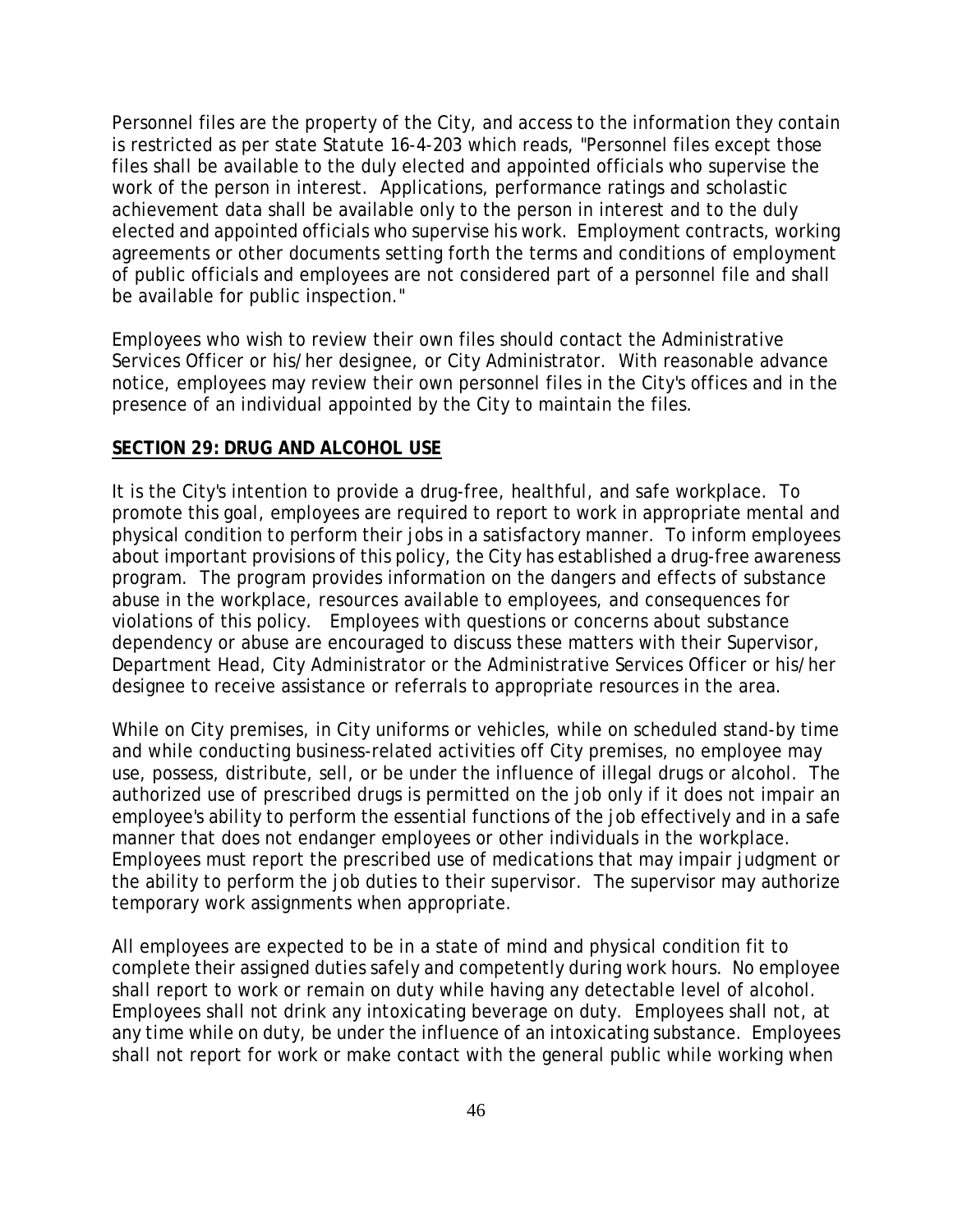Personnel files are the property of the City, and access to the information they contain is restricted as per state Statute 16-4-203 which reads, "Personnel files except those files shall be available to the duly elected and appointed officials who supervise the work of the person in interest. Applications, performance ratings and scholastic achievement data shall be available only to the person in interest and to the duly elected and appointed officials who supervise his work. Employment contracts, working agreements or other documents setting forth the terms and conditions of employment of public officials and employees are not considered part of a personnel file and shall be available for public inspection."

Employees who wish to review their own files should contact the Administrative Services Officer or his/her designee, or City Administrator. With reasonable advance notice, employees may review their own personnel files in the City's offices and in the presence of an individual appointed by the City to maintain the files.

### **SECTION 29: DRUG AND ALCOHOL USE**

It is the City's intention to provide a drug-free, healthful, and safe workplace. To promote this goal, employees are required to report to work in appropriate mental and physical condition to perform their jobs in a satisfactory manner. To inform employees about important provisions of this policy, the City has established a drug-free awareness program. The program provides information on the dangers and effects of substance abuse in the workplace, resources available to employees, and consequences for violations of this policy. Employees with questions or concerns about substance dependency or abuse are encouraged to discuss these matters with their Supervisor, Department Head, City Administrator or the Administrative Services Officer or his/her designee to receive assistance or referrals to appropriate resources in the area.

While on City premises, in City uniforms or vehicles, while on scheduled stand-by time and while conducting business-related activities off City premises, no employee may use, possess, distribute, sell, or be under the influence of illegal drugs or alcohol. The authorized use of prescribed drugs is permitted on the job only if it does not impair an employee's ability to perform the essential functions of the job effectively and in a safe manner that does not endanger employees or other individuals in the workplace. Employees must report the prescribed use of medications that may impair judgment or the ability to perform the job duties to their supervisor. The supervisor may authorize temporary work assignments when appropriate.

All employees are expected to be in a state of mind and physical condition fit to complete their assigned duties safely and competently during work hours. No employee shall report to work or remain on duty while having any detectable level of alcohol. Employees shall not drink any intoxicating beverage on duty. Employees shall not, at any time while on duty, be under the influence of an intoxicating substance. Employees shall not report for work or make contact with the general public while working when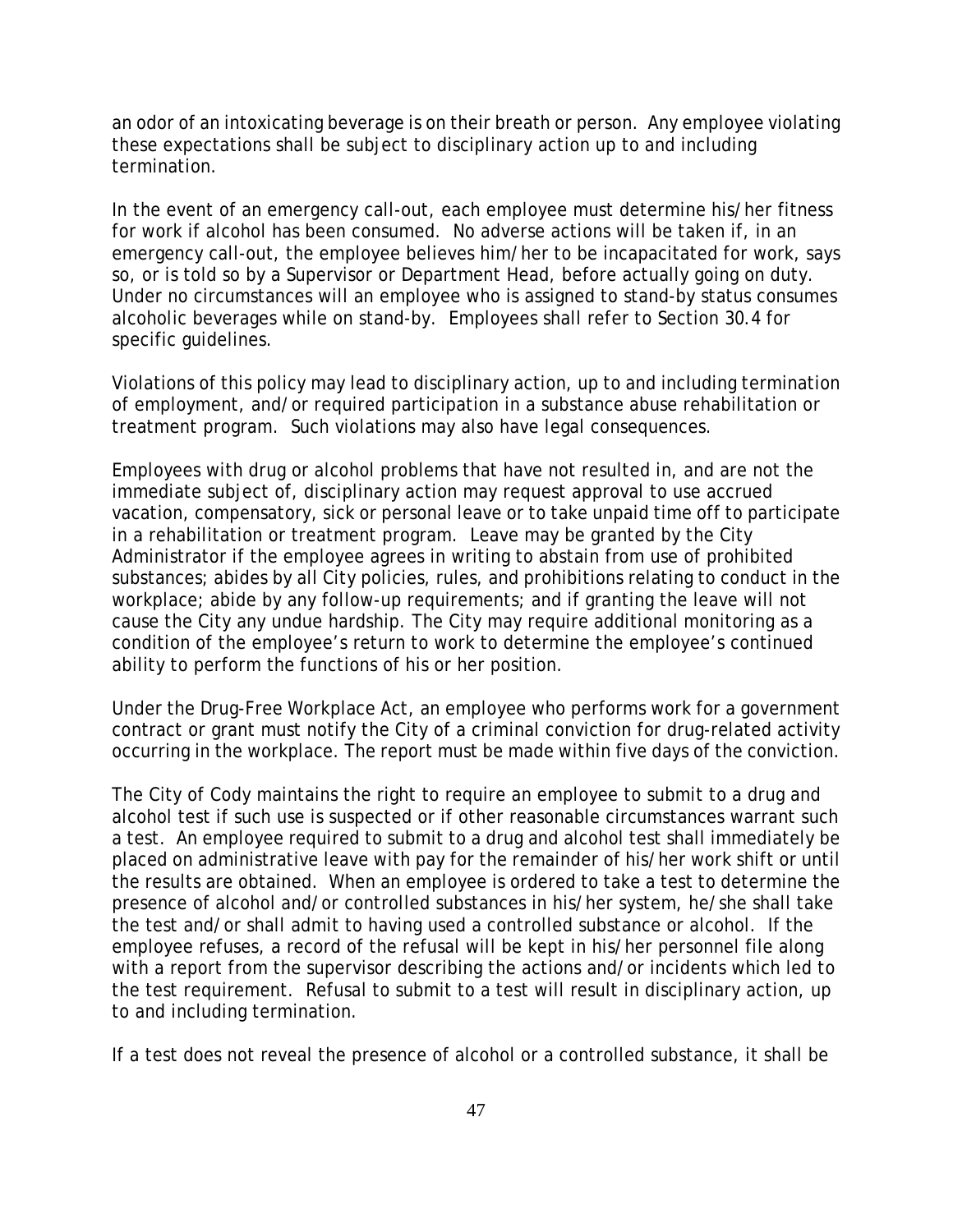an odor of an intoxicating beverage is on their breath or person. Any employee violating these expectations shall be subject to disciplinary action up to and including termination.

In the event of an emergency call-out, each employee must determine his/her fitness for work if alcohol has been consumed. No adverse actions will be taken if, in an emergency call-out, the employee believes him/her to be incapacitated for work, says so, or is told so by a Supervisor or Department Head, before actually going on duty. Under no circumstances will an employee who is assigned to stand-by status consumes alcoholic beverages while on stand-by. Employees shall refer to Section 30.4 for specific guidelines.

Violations of this policy may lead to disciplinary action, up to and including termination of employment, and/or required participation in a substance abuse rehabilitation or treatment program. Such violations may also have legal consequences.

Employees with drug or alcohol problems that have not resulted in, and are not the immediate subject of, disciplinary action may request approval to use accrued vacation, compensatory, sick or personal leave or to take unpaid time off to participate in a rehabilitation or treatment program. Leave may be granted by the City Administrator if the employee agrees in writing to abstain from use of prohibited substances; abides by all City policies, rules, and prohibitions relating to conduct in the workplace; abide by any follow-up requirements; and if granting the leave will not cause the City any undue hardship. The City may require additional monitoring as a condition of the employee's return to work to determine the employee's continued ability to perform the functions of his or her position.

Under the Drug-Free Workplace Act, an employee who performs work for a government contract or grant must notify the City of a criminal conviction for drug-related activity occurring in the workplace. The report must be made within five days of the conviction.

The City of Cody maintains the right to require an employee to submit to a drug and alcohol test if such use is suspected or if other reasonable circumstances warrant such a test. An employee required to submit to a drug and alcohol test shall immediately be placed on administrative leave with pay for the remainder of his/her work shift or until the results are obtained. When an employee is ordered to take a test to determine the presence of alcohol and/or controlled substances in his/her system, he/she shall take the test and/or shall admit to having used a controlled substance or alcohol. If the employee refuses, a record of the refusal will be kept in his/her personnel file along with a report from the supervisor describing the actions and/or incidents which led to the test requirement. Refusal to submit to a test will result in disciplinary action, up to and including termination.

If a test does not reveal the presence of alcohol or a controlled substance, it shall be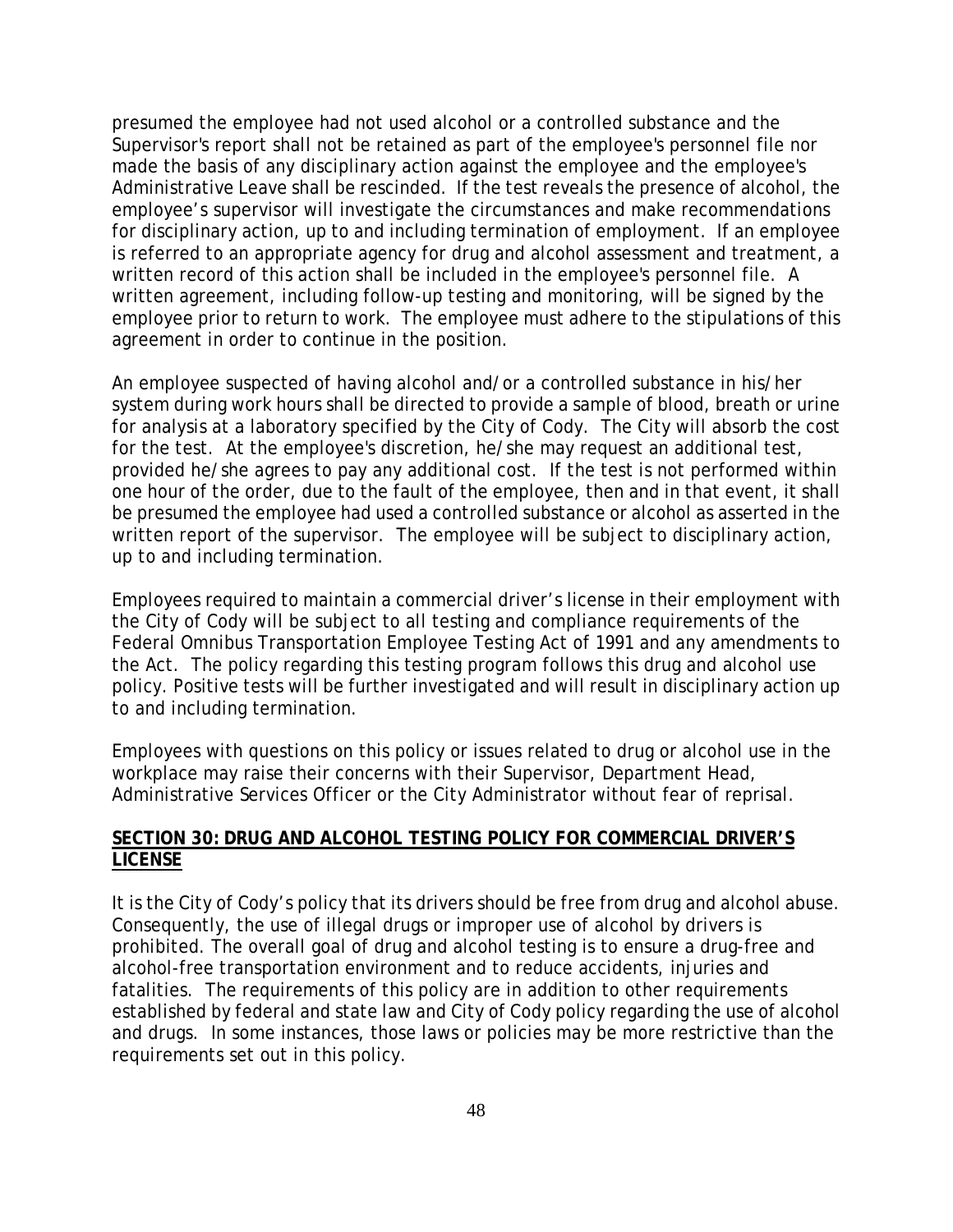presumed the employee had not used alcohol or a controlled substance and the Supervisor's report shall not be retained as part of the employee's personnel file nor made the basis of any disciplinary action against the employee and the employee's Administrative Leave shall be rescinded. If the test reveals the presence of alcohol, the employee's supervisor will investigate the circumstances and make recommendations for disciplinary action, up to and including termination of employment. If an employee is referred to an appropriate agency for drug and alcohol assessment and treatment, a written record of this action shall be included in the employee's personnel file. A written agreement, including follow-up testing and monitoring, will be signed by the employee prior to return to work. The employee must adhere to the stipulations of this agreement in order to continue in the position.

An employee suspected of having alcohol and/or a controlled substance in his/her system during work hours shall be directed to provide a sample of blood, breath or urine for analysis at a laboratory specified by the City of Cody. The City will absorb the cost for the test. At the employee's discretion, he/she may request an additional test, provided he/she agrees to pay any additional cost. If the test is not performed within one hour of the order, due to the fault of the employee, then and in that event, it shall be presumed the employee had used a controlled substance or alcohol as asserted in the written report of the supervisor. The employee will be subject to disciplinary action, up to and including termination.

Employees required to maintain a commercial driver's license in their employment with the City of Cody will be subject to all testing and compliance requirements of the Federal Omnibus Transportation Employee Testing Act of 1991 and any amendments to the Act. The policy regarding this testing program follows this drug and alcohol use policy. Positive tests will be further investigated and will result in disciplinary action up to and including termination.

Employees with questions on this policy or issues related to drug or alcohol use in the workplace may raise their concerns with their Supervisor, Department Head, Administrative Services Officer or the City Administrator without fear of reprisal.

## **SECTION 30: DRUG AND ALCOHOL TESTING POLICY FOR COMMERCIAL DRIVER'S LICENSE**

It is the City of Cody's policy that its drivers should be free from drug and alcohol abuse. Consequently, the use of illegal drugs or improper use of alcohol by drivers is prohibited. The overall goal of drug and alcohol testing is to ensure a drug-free and alcohol-free transportation environment and to reduce accidents, injuries and fatalities. The requirements of this policy are in addition to other requirements established by federal and state law and City of Cody policy regarding the use of alcohol and drugs. In some instances, those laws or policies may be more restrictive than the requirements set out in this policy.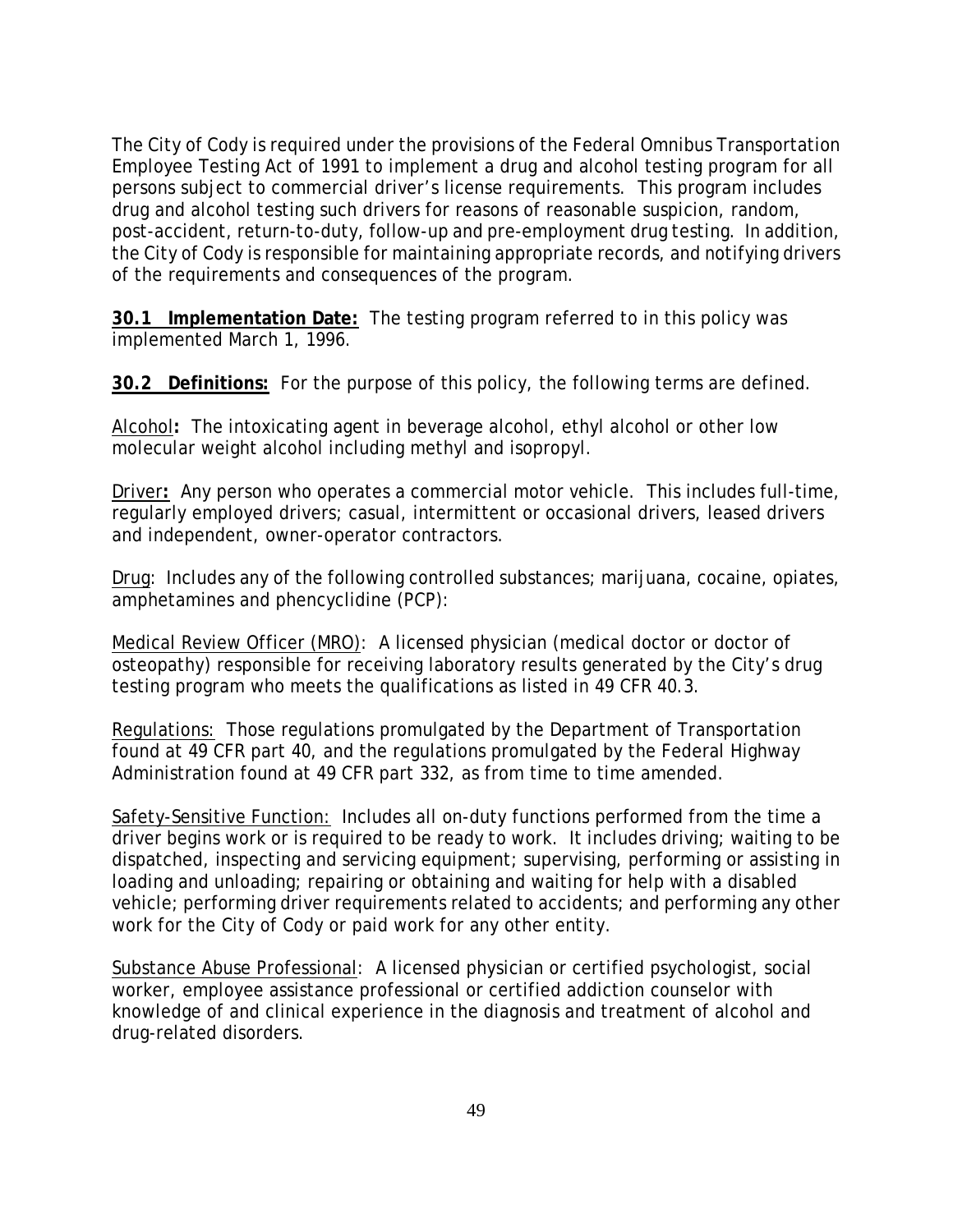The City of Cody is required under the provisions of the Federal Omnibus Transportation Employee Testing Act of 1991 to implement a drug and alcohol testing program for all persons subject to commercial driver's license requirements. This program includes drug and alcohol testing such drivers for reasons of reasonable suspicion, random, post-accident, return-to-duty, follow-up and pre-employment drug testing. In addition, the City of Cody is responsible for maintaining appropriate records, and notifying drivers of the requirements and consequences of the program.

**30.1 Implementation Date:** The testing program referred to in this policy was implemented March 1, 1996.

**30.2 Definitions:** For the purpose of this policy, the following terms are defined.

Alcohol**:** The intoxicating agent in beverage alcohol, ethyl alcohol or other low molecular weight alcohol including methyl and isopropyl.

Driver**:** Any person who operates a commercial motor vehicle. This includes full-time, regularly employed drivers; casual, intermittent or occasional drivers, leased drivers and independent, owner-operator contractors.

Drug: Includes any of the following controlled substances; marijuana, cocaine, opiates, amphetamines and phencyclidine (PCP):

Medical Review Officer (MRO): A licensed physician (medical doctor or doctor of osteopathy) responsible for receiving laboratory results generated by the City's drug testing program who meets the qualifications as listed in 49 CFR 40.3.

Regulations:Those regulations promulgated by the Department of Transportation found at 49 CFR part 40, and the regulations promulgated by the Federal Highway Administration found at 49 CFR part 332, as from time to time amended.

Safety-Sensitive Function: Includes all on-duty functions performed from the time a driver begins work or is required to be ready to work. It includes driving; waiting to be dispatched, inspecting and servicing equipment; supervising, performing or assisting in loading and unloading; repairing or obtaining and waiting for help with a disabled vehicle; performing driver requirements related to accidents; and performing any other work for the City of Cody or paid work for any other entity.

Substance Abuse Professional: A licensed physician or certified psychologist, social worker, employee assistance professional or certified addiction counselor with knowledge of and clinical experience in the diagnosis and treatment of alcohol and drug-related disorders.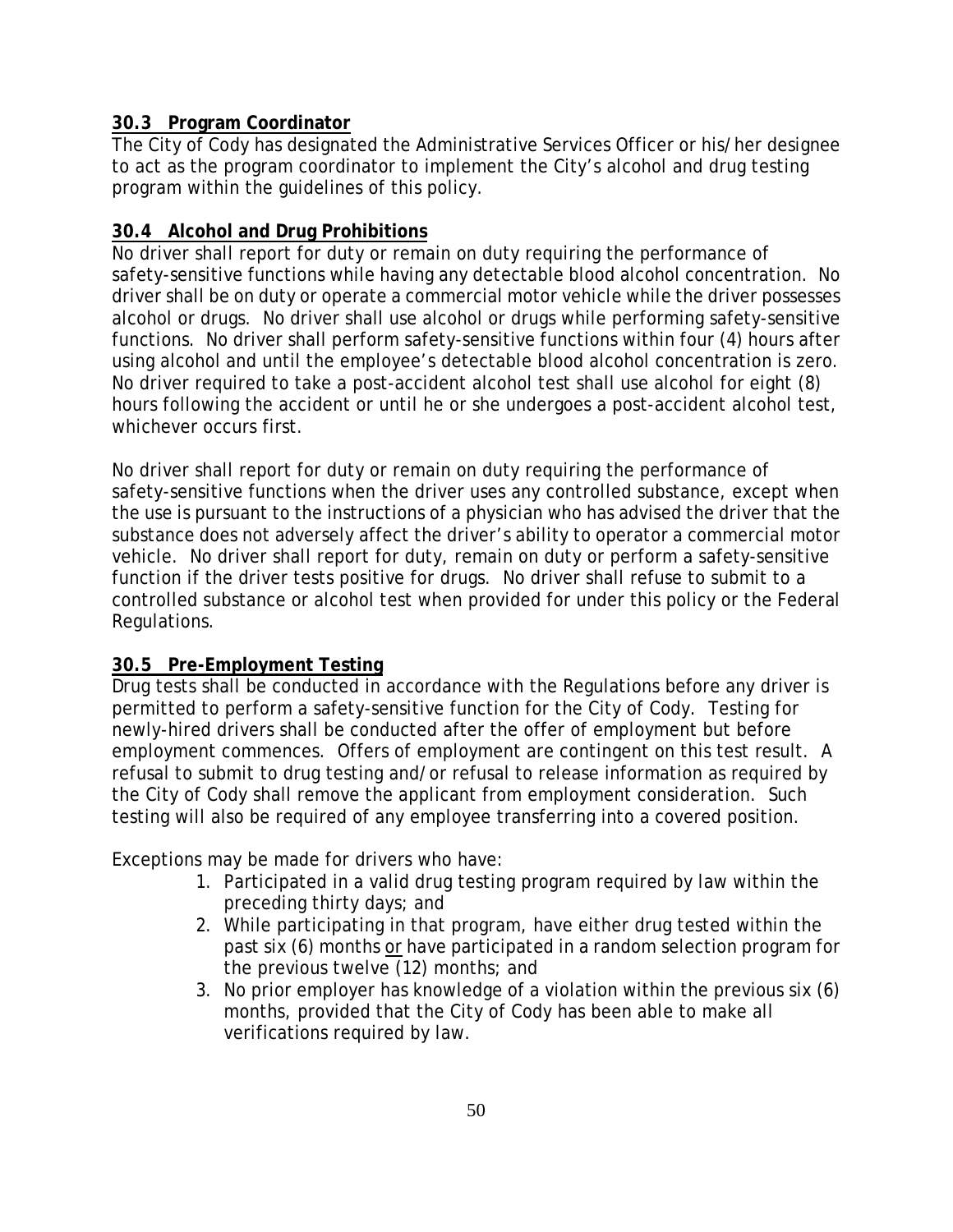# **30.3 Program Coordinator**

The City of Cody has designated the Administrative Services Officer or his/her designee to act as the program coordinator to implement the City's alcohol and drug testing program within the guidelines of this policy.

# **30.4 Alcohol and Drug Prohibitions**

No driver shall report for duty or remain on duty requiring the performance of safety-sensitive functions while having any detectable blood alcohol concentration. No driver shall be on duty or operate a commercial motor vehicle while the driver possesses alcohol or drugs. No driver shall use alcohol or drugs while performing safety-sensitive functions. No driver shall perform safety-sensitive functions within four (4) hours after using alcohol and until the employee's detectable blood alcohol concentration is zero. No driver required to take a post-accident alcohol test shall use alcohol for eight (8) hours following the accident or until he or she undergoes a post-accident alcohol test, whichever occurs first.

No driver shall report for duty or remain on duty requiring the performance of safety-sensitive functions when the driver uses any controlled substance, except when the use is pursuant to the instructions of a physician who has advised the driver that the substance does not adversely affect the driver's ability to operator a commercial motor vehicle. No driver shall report for duty, remain on duty or perform a safety-sensitive function if the driver tests positive for drugs. No driver shall refuse to submit to a controlled substance or alcohol test when provided for under this policy or the Federal Regulations.

# **30.5 Pre-Employment Testing**

Drug tests shall be conducted in accordance with the Regulations before any driver is permitted to perform a safety-sensitive function for the City of Cody. Testing for newly-hired drivers shall be conducted after the offer of employment but before employment commences. Offers of employment are contingent on this test result. A refusal to submit to drug testing and/or refusal to release information as required by the City of Cody shall remove the applicant from employment consideration. Such testing will also be required of any employee transferring into a covered position.

Exceptions may be made for drivers who have:

- 1. Participated in a valid drug testing program required by law within the preceding thirty days; and
- 2. While participating in that program, have either drug tested within the past six (6) months or have participated in a random selection program for the previous twelve (12) months; and
- 3. No prior employer has knowledge of a violation within the previous six (6) months, provided that the City of Cody has been able to make all verifications required by law.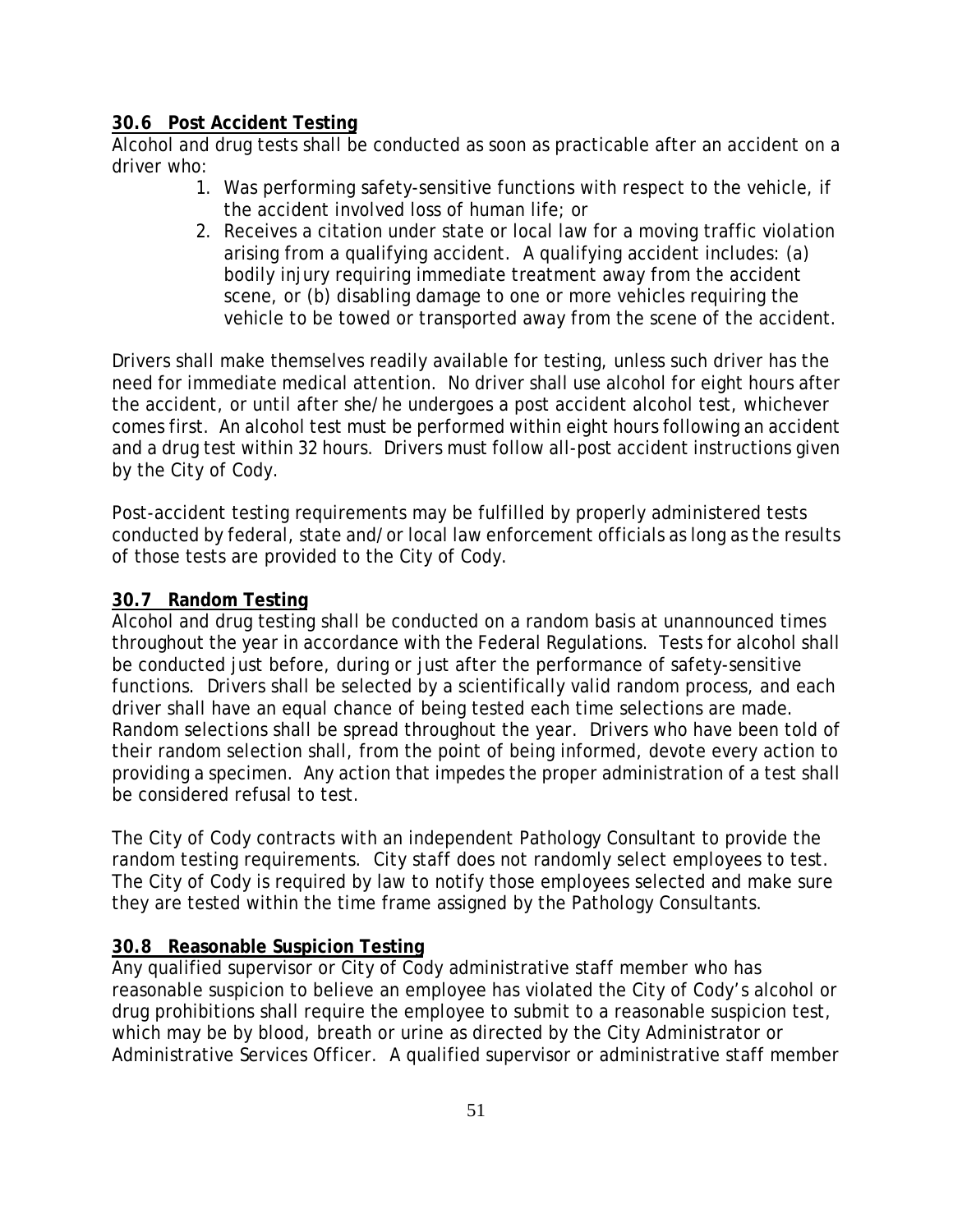# **30.6 Post Accident Testing**

Alcohol and drug tests shall be conducted as soon as practicable after an accident on a driver who:

- 1. Was performing safety-sensitive functions with respect to the vehicle, if the accident involved loss of human life; or
- 2. Receives a citation under state or local law for a moving traffic violation arising from a qualifying accident. A qualifying accident includes: (a) bodily injury requiring immediate treatment away from the accident scene, or (b) disabling damage to one or more vehicles requiring the vehicle to be towed or transported away from the scene of the accident.

Drivers shall make themselves readily available for testing, unless such driver has the need for immediate medical attention. No driver shall use alcohol for eight hours after the accident, or until after she/he undergoes a post accident alcohol test, whichever comes first. An alcohol test must be performed within eight hours following an accident and a drug test within 32 hours. Drivers must follow all-post accident instructions given by the City of Cody.

Post-accident testing requirements may be fulfilled by properly administered tests conducted by federal, state and/or local law enforcement officials as long as the results of those tests are provided to the City of Cody.

# **30.7 Random Testing**

Alcohol and drug testing shall be conducted on a random basis at unannounced times throughout the year in accordance with the Federal Regulations. Tests for alcohol shall be conducted just before, during or just after the performance of safety-sensitive functions. Drivers shall be selected by a scientifically valid random process, and each driver shall have an equal chance of being tested each time selections are made. Random selections shall be spread throughout the year. Drivers who have been told of their random selection shall, from the point of being informed, devote every action to providing a specimen. Any action that impedes the proper administration of a test shall be considered refusal to test.

The City of Cody contracts with an independent Pathology Consultant to provide the random testing requirements. City staff does not randomly select employees to test. The City of Cody is required by law to notify those employees selected and make sure they are tested within the time frame assigned by the Pathology Consultants.

# **30.8 Reasonable Suspicion Testing**

Any qualified supervisor or City of Cody administrative staff member who has reasonable suspicion to believe an employee has violated the City of Cody's alcohol or drug prohibitions shall require the employee to submit to a reasonable suspicion test, which may be by blood, breath or urine as directed by the City Administrator or Administrative Services Officer. A qualified supervisor or administrative staff member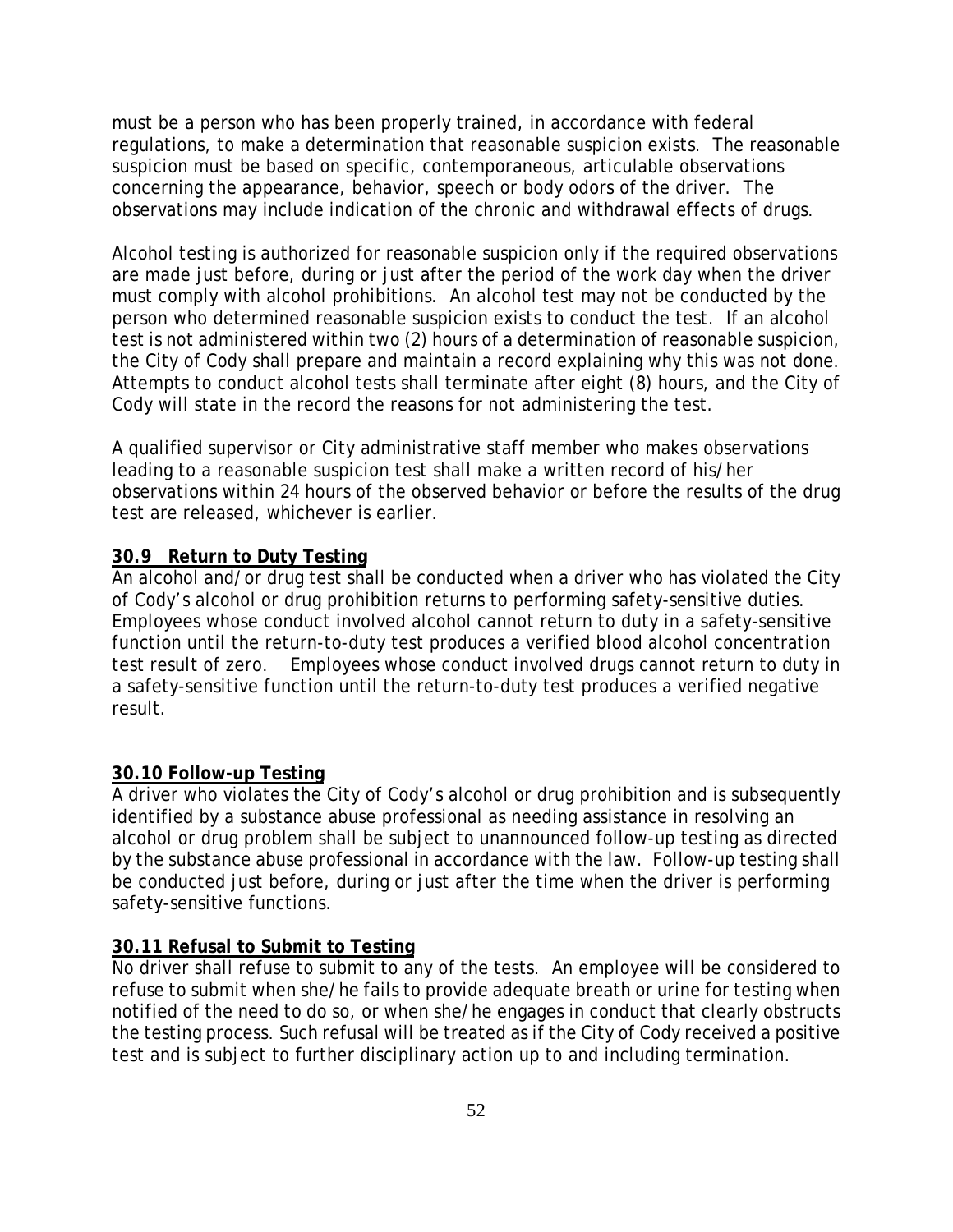must be a person who has been properly trained, in accordance with federal regulations, to make a determination that reasonable suspicion exists. The reasonable suspicion must be based on specific, contemporaneous, articulable observations concerning the appearance, behavior, speech or body odors of the driver. The observations may include indication of the chronic and withdrawal effects of drugs.

Alcohol testing is authorized for reasonable suspicion only if the required observations are made just before, during or just after the period of the work day when the driver must comply with alcohol prohibitions. An alcohol test may not be conducted by the person who determined reasonable suspicion exists to conduct the test. If an alcohol test is not administered within two (2) hours of a determination of reasonable suspicion, the City of Cody shall prepare and maintain a record explaining why this was not done. Attempts to conduct alcohol tests shall terminate after eight (8) hours, and the City of Cody will state in the record the reasons for not administering the test.

A qualified supervisor or City administrative staff member who makes observations leading to a reasonable suspicion test shall make a written record of his/her observations within 24 hours of the observed behavior or before the results of the drug test are released, whichever is earlier.

## **30.9 Return to Duty Testing**

An alcohol and/or drug test shall be conducted when a driver who has violated the City of Cody's alcohol or drug prohibition returns to performing safety-sensitive duties. Employees whose conduct involved alcohol cannot return to duty in a safety-sensitive function until the return-to-duty test produces a verified blood alcohol concentration test result of zero. Employees whose conduct involved drugs cannot return to duty in a safety-sensitive function until the return-to-duty test produces a verified negative result.

## **30.10 Follow-up Testing**

A driver who violates the City of Cody's alcohol or drug prohibition and is subsequently identified by a substance abuse professional as needing assistance in resolving an alcohol or drug problem shall be subject to unannounced follow-up testing as directed by the substance abuse professional in accordance with the law. Follow-up testing shall be conducted just before, during or just after the time when the driver is performing safety-sensitive functions.

## **30.11 Refusal to Submit to Testing**

No driver shall refuse to submit to any of the tests. An employee will be considered to refuse to submit when she/he fails to provide adequate breath or urine for testing when notified of the need to do so, or when she/he engages in conduct that clearly obstructs the testing process. Such refusal will be treated as if the City of Cody received a positive test and is subject to further disciplinary action up to and including termination.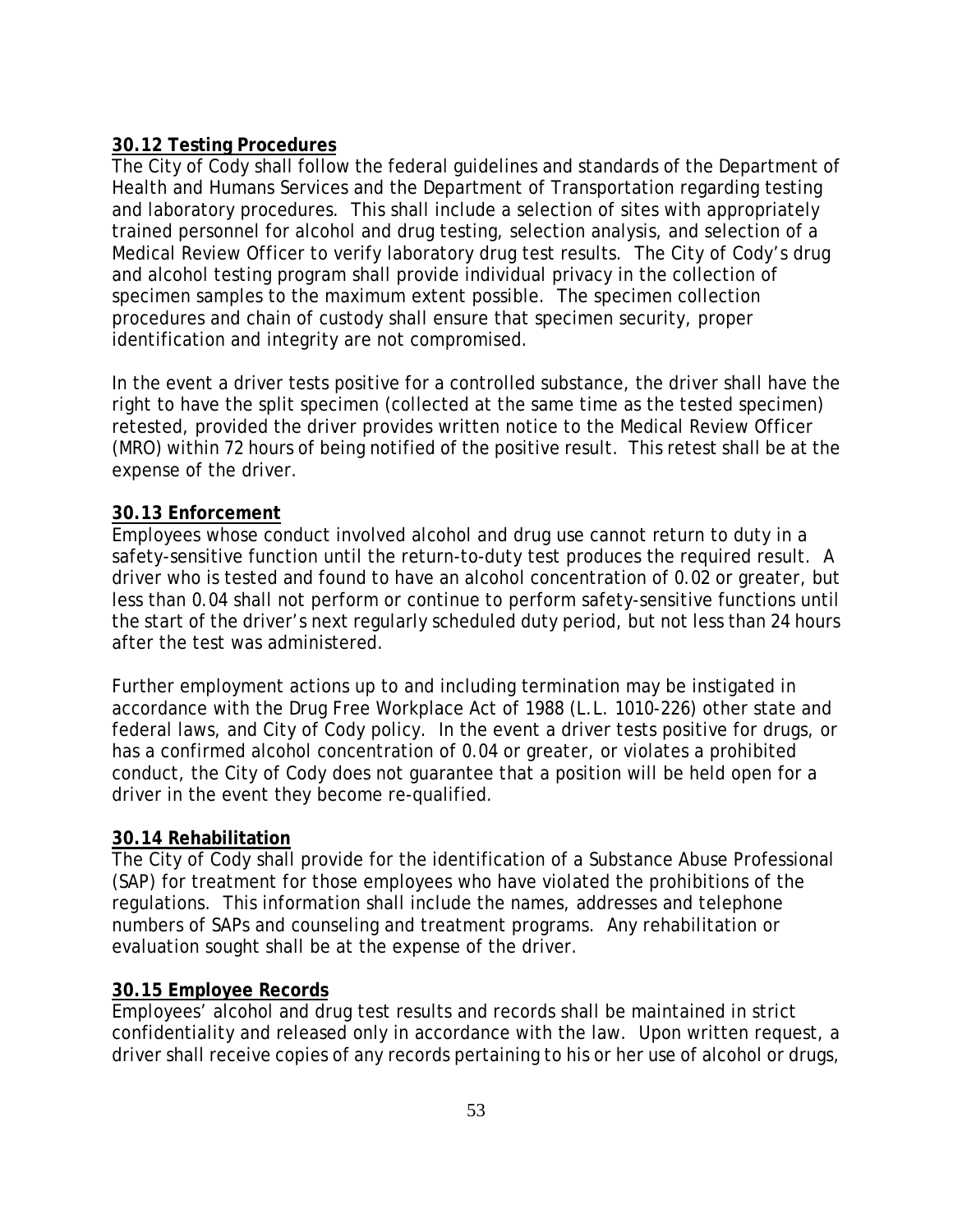# **30.12 Testing Procedures**

The City of Cody shall follow the federal guidelines and standards of the Department of Health and Humans Services and the Department of Transportation regarding testing and laboratory procedures. This shall include a selection of sites with appropriately trained personnel for alcohol and drug testing, selection analysis, and selection of a Medical Review Officer to verify laboratory drug test results. The City of Cody's drug and alcohol testing program shall provide individual privacy in the collection of specimen samples to the maximum extent possible. The specimen collection procedures and chain of custody shall ensure that specimen security, proper identification and integrity are not compromised.

In the event a driver tests positive for a controlled substance, the driver shall have the right to have the split specimen (collected at the same time as the tested specimen) retested, provided the driver provides written notice to the Medical Review Officer (MRO) within 72 hours of being notified of the positive result. This retest shall be at the expense of the driver.

# **30.13 Enforcement**

Employees whose conduct involved alcohol and drug use cannot return to duty in a safety-sensitive function until the return-to-duty test produces the required result. A driver who is tested and found to have an alcohol concentration of 0.02 or greater, but less than 0.04 shall not perform or continue to perform safety-sensitive functions until the start of the driver's next regularly scheduled duty period, but not less than 24 hours after the test was administered.

Further employment actions up to and including termination may be instigated in accordance with the Drug Free Workplace Act of 1988 (L.L. 1010-226) other state and federal laws, and City of Cody policy. In the event a driver tests positive for drugs, or has a confirmed alcohol concentration of 0.04 or greater, or violates a prohibited conduct, the City of Cody does not guarantee that a position will be held open for a driver in the event they become re-qualified.

## **30.14 Rehabilitation**

The City of Cody shall provide for the identification of a Substance Abuse Professional (SAP) for treatment for those employees who have violated the prohibitions of the regulations. This information shall include the names, addresses and telephone numbers of SAPs and counseling and treatment programs. Any rehabilitation or evaluation sought shall be at the expense of the driver.

## **30.15 Employee Records**

Employees' alcohol and drug test results and records shall be maintained in strict confidentiality and released only in accordance with the law. Upon written request, a driver shall receive copies of any records pertaining to his or her use of alcohol or drugs,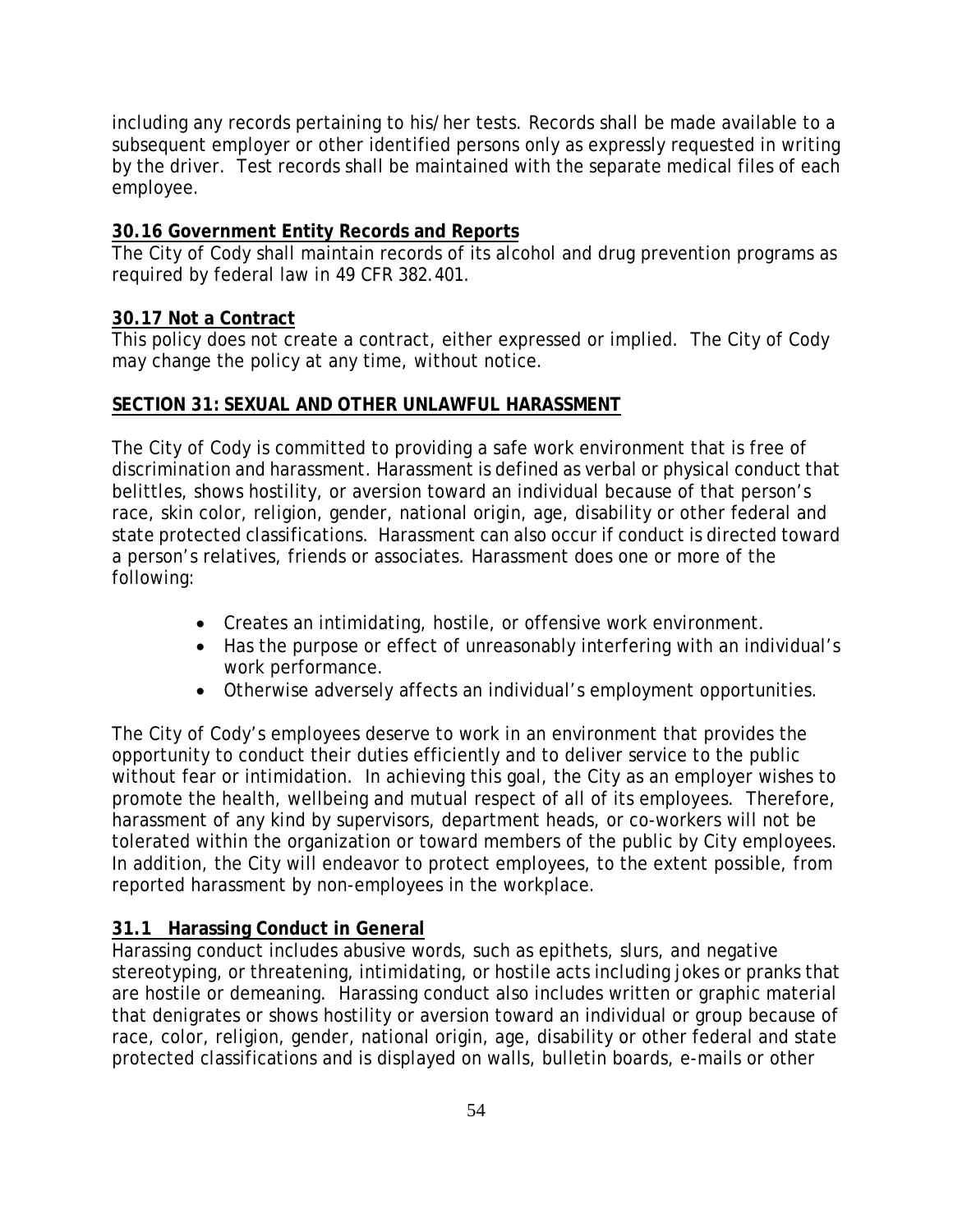including any records pertaining to his/her tests. Records shall be made available to a subsequent employer or other identified persons only as expressly requested in writing by the driver. Test records shall be maintained with the separate medical files of each employee.

# **30.16 Government Entity Records and Reports**

The City of Cody shall maintain records of its alcohol and drug prevention programs as required by federal law in 49 CFR 382.401.

# **30.17 Not a Contract**

This policy does not create a contract, either expressed or implied. The City of Cody may change the policy at any time, without notice.

# **SECTION 31: SEXUAL AND OTHER UNLAWFUL HARASSMENT**

The City of Cody is committed to providing a safe work environment that is free of discrimination and harassment. Harassment is defined as verbal or physical conduct that belittles, shows hostility, or aversion toward an individual because of that person's race, skin color, religion, gender, national origin, age, disability or other federal and state protected classifications. Harassment can also occur if conduct is directed toward a person's relatives, friends or associates. Harassment does one or more of the following:

- Creates an intimidating, hostile, or offensive work environment.
- Has the purpose or effect of unreasonably interfering with an individual's work performance.
- Otherwise adversely affects an individual's employment opportunities.

The City of Cody's employees deserve to work in an environment that provides the opportunity to conduct their duties efficiently and to deliver service to the public without fear or intimidation. In achieving this goal, the City as an employer wishes to promote the health, wellbeing and mutual respect of all of its employees. Therefore, harassment of any kind by supervisors, department heads, or co-workers will not be tolerated within the organization or toward members of the public by City employees. In addition, the City will endeavor to protect employees, to the extent possible, from reported harassment by non-employees in the workplace.

# **31.1 Harassing Conduct in General**

Harassing conduct includes abusive words, such as epithets, slurs, and negative stereotyping, or threatening, intimidating, or hostile acts including jokes or pranks that are hostile or demeaning. Harassing conduct also includes written or graphic material that denigrates or shows hostility or aversion toward an individual or group because of race, color, religion, gender, national origin, age, disability or other federal and state protected classifications and is displayed on walls, bulletin boards, e-mails or other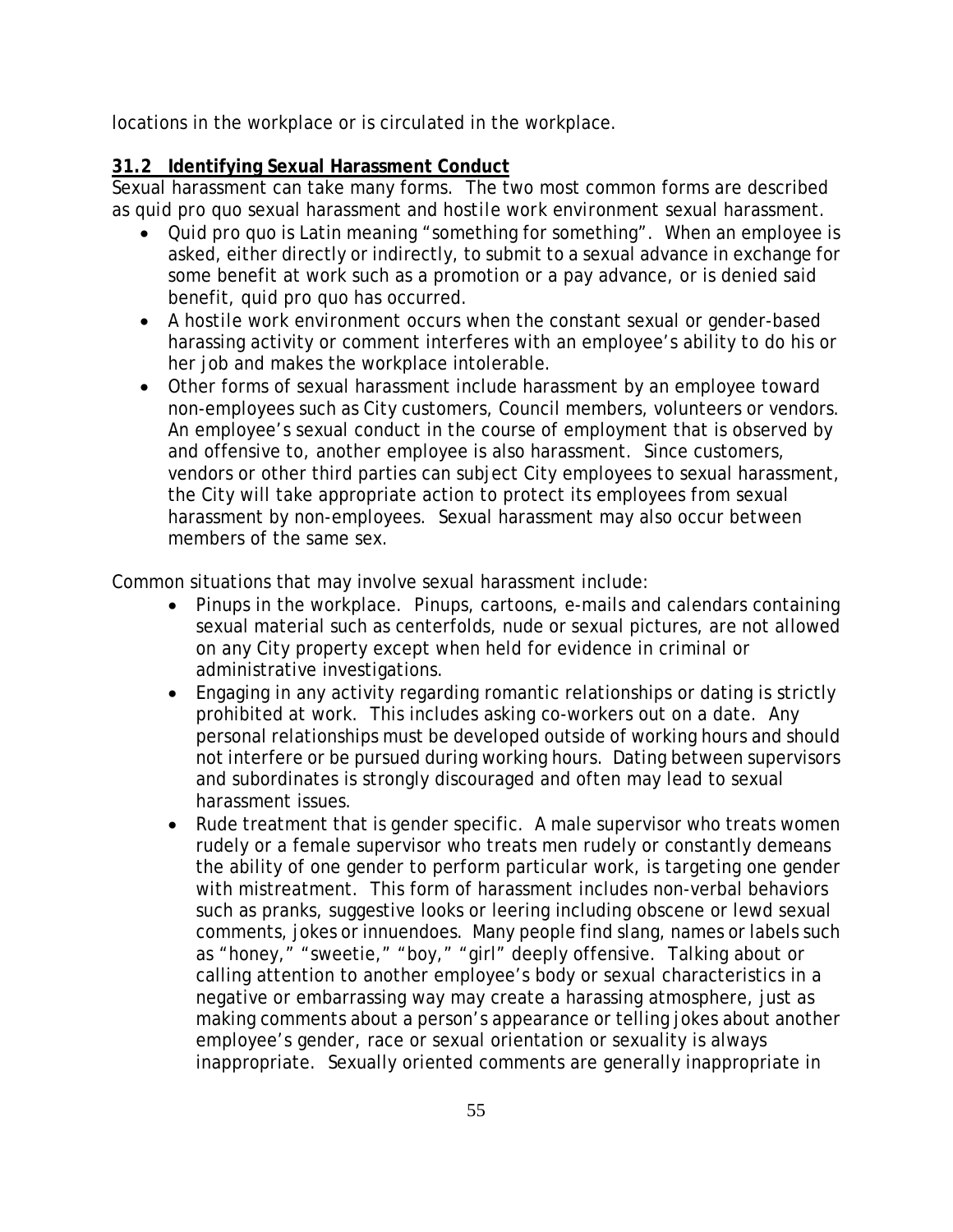locations in the workplace or is circulated in the workplace.

# **31.2 Identifying Sexual Harassment Conduct**

Sexual harassment can take many forms. The two most common forms are described as *quid pro quo* sexual harassment and *hostile work environment* sexual harassment.

- *Quid pro quo* is Latin meaning "something for something". When an employee is asked, either directly or indirectly, to submit to a sexual advance in exchange for some benefit at work such as a promotion or a pay advance, or is denied said benefit, *quid pro quo* has occurred.
- A *hostile work environment* occurs when the constant sexual or gender-based harassing activity or comment interferes with an employee's ability to do his or her job and makes the workplace intolerable.
- Other forms of sexual harassment include harassment by an employee toward non-employees such as City customers, Council members, volunteers or vendors. An employee's sexual conduct in the course of employment that is observed by and offensive to, another employee is also harassment. Since customers, vendors or other third parties can subject City employees to sexual harassment, the City will take appropriate action to protect its employees from sexual harassment by non-employees. Sexual harassment may also occur between members of the same sex.

Common situations that may involve sexual harassment include:

- Pinups in the workplace. Pinups, cartoons, e-mails and calendars containing sexual material such as centerfolds, nude or sexual pictures, are not allowed on any City property except when held for evidence in criminal or administrative investigations.
- Engaging in any activity regarding romantic relationships or dating is strictly prohibited at work. This includes asking co-workers out on a date. Any personal relationships must be developed outside of working hours and should not interfere or be pursued during working hours. Dating between supervisors and subordinates is strongly discouraged and often may lead to sexual harassment issues.
- Rude treatment that is gender specific. A male supervisor who treats women rudely or a female supervisor who treats men rudely or constantly demeans the ability of one gender to perform particular work, is targeting one gender with mistreatment. This form of harassment includes non-verbal behaviors such as pranks, suggestive looks or leering including obscene or lewd sexual comments, jokes or innuendoes. Many people find slang, names or labels such as "honey," "sweetie," "boy," "girl" deeply offensive. Talking about or calling attention to another employee's body or sexual characteristics in a negative or embarrassing way may create a harassing atmosphere, just as making comments about a person's appearance or telling jokes about another employee's gender, race or sexual orientation or sexuality is always inappropriate. Sexually oriented comments are generally inappropriate in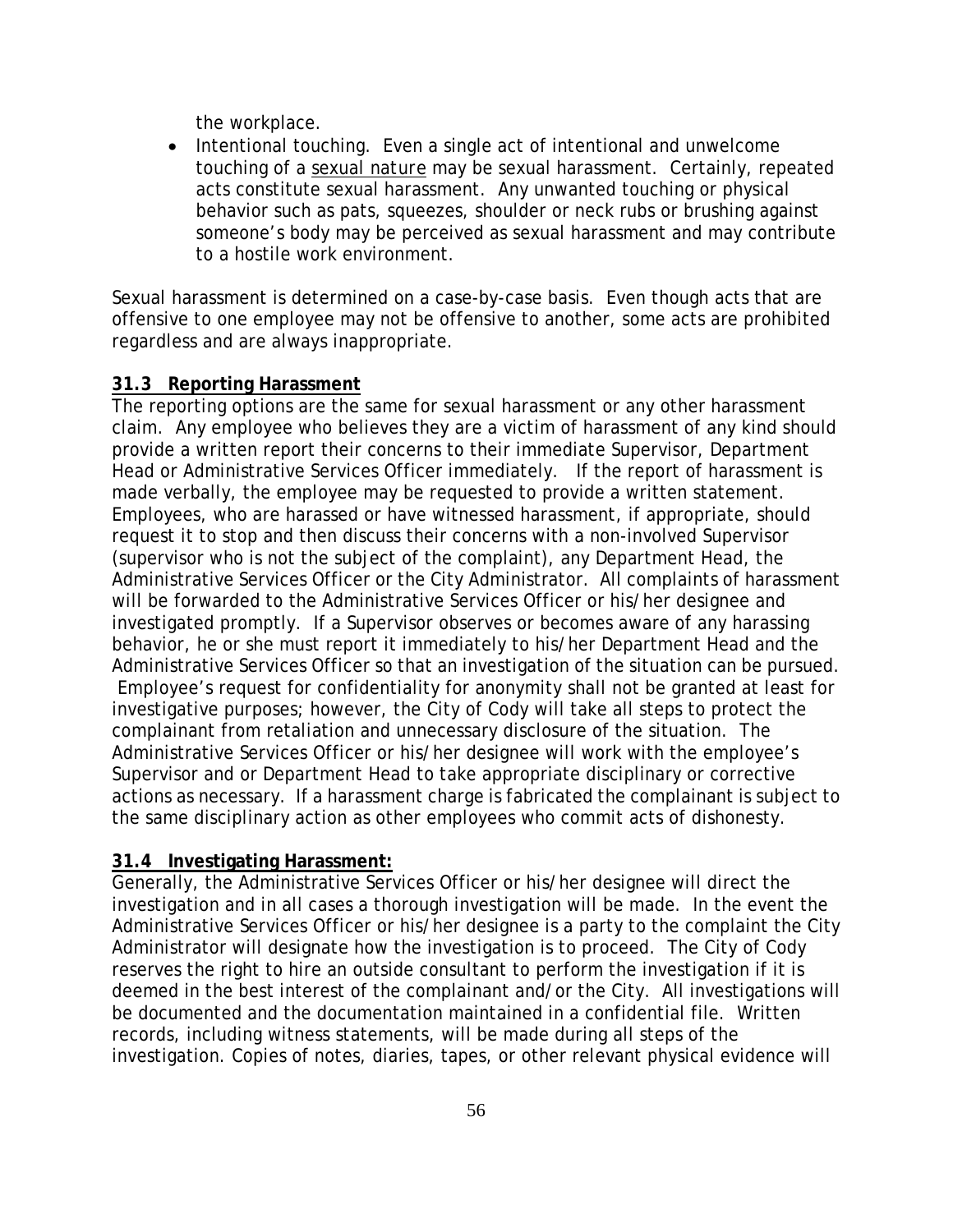the workplace.

• Intentional touching. Even a single act of intentional and unwelcome touching of a *sexual nature* may be sexual harassment. Certainly, repeated acts constitute sexual harassment. Any unwanted touching or physical behavior such as pats, squeezes, shoulder or neck rubs or brushing against someone's body may be perceived as sexual harassment and may contribute to a hostile work environment.

Sexual harassment is determined on a case-by-case basis. Even though acts that are offensive to one employee may not be offensive to another, some acts are prohibited regardless and are always inappropriate.

### **31.3 Reporting Harassment**

The reporting options are the same for sexual harassment or any other harassment claim. Any employee who believes they are a victim of harassment of any kind should provide a written report their concerns to their immediate Supervisor, Department Head or Administrative Services Officer immediately. If the report of harassment is made verbally, the employee may be requested to provide a written statement. Employees, who are harassed or have witnessed harassment, if appropriate, should request it to stop and then discuss their concerns with a non-involved Supervisor (supervisor who is not the subject of the complaint), any Department Head, the Administrative Services Officer or the City Administrator. All complaints of harassment will be forwarded to the Administrative Services Officer or his/her designee and investigated promptly. If a Supervisor observes or becomes aware of any harassing behavior, he or she must report it immediately to his/her Department Head and the Administrative Services Officer so that an investigation of the situation can be pursued. Employee's request for confidentiality for anonymity shall not be granted at least for investigative purposes; however, the City of Cody will take all steps to protect the complainant from retaliation and unnecessary disclosure of the situation. The Administrative Services Officer or his/her designee will work with the employee's Supervisor and or Department Head to take appropriate disciplinary or corrective actions as necessary. If a harassment charge is fabricated the complainant is subject to the same disciplinary action as other employees who commit acts of dishonesty.

# **31.4 Investigating Harassment:**

Generally, the Administrative Services Officer or his/her designee will direct the investigation and in all cases a thorough investigation will be made. In the event the Administrative Services Officer or his/her designee is a party to the complaint the City Administrator will designate how the investigation is to proceed. The City of Cody reserves the right to hire an outside consultant to perform the investigation if it is deemed in the best interest of the complainant and/or the City. All investigations will be documented and the documentation maintained in a confidential file. Written records, including witness statements, will be made during all steps of the investigation. Copies of notes, diaries, tapes, or other relevant physical evidence will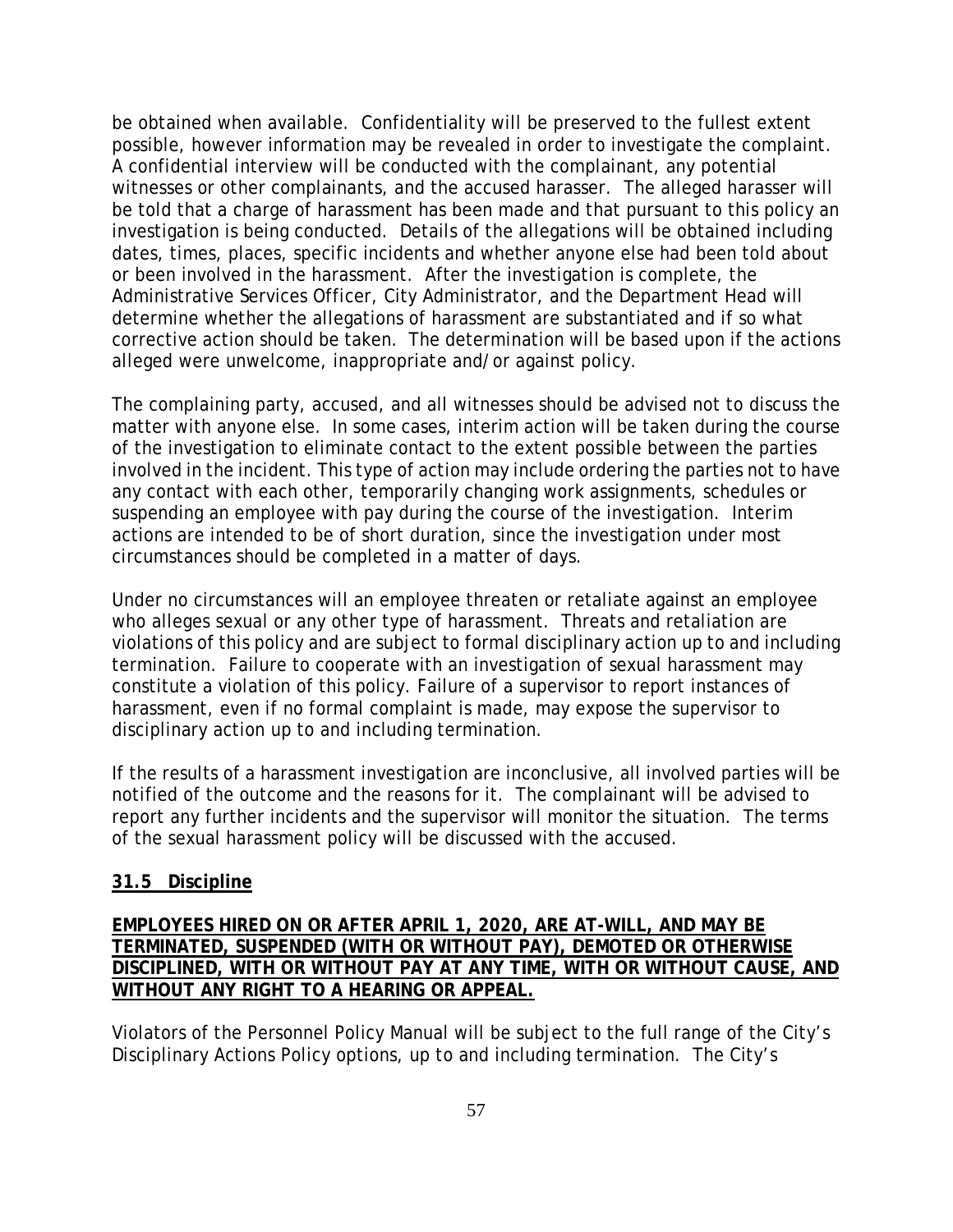be obtained when available. Confidentiality will be preserved to the fullest extent possible, however information may be revealed in order to investigate the complaint. A confidential interview will be conducted with the complainant, any potential witnesses or other complainants, and the accused harasser. The alleged harasser will be told that a charge of harassment has been made and that pursuant to this policy an investigation is being conducted. Details of the allegations will be obtained including dates, times, places, specific incidents and whether anyone else had been told about or been involved in the harassment. After the investigation is complete, the Administrative Services Officer, City Administrator, and the Department Head will determine whether the allegations of harassment are substantiated and if so what corrective action should be taken. The determination will be based upon if the actions alleged were unwelcome, inappropriate and/or against policy.

The complaining party, accused, and all witnesses should be advised not to discuss the matter with anyone else. In some cases, interim action will be taken during the course of the investigation to eliminate contact to the extent possible between the parties involved in the incident. This type of action may include ordering the parties not to have any contact with each other, temporarily changing work assignments, schedules or suspending an employee with pay during the course of the investigation. Interim actions are intended to be of short duration, since the investigation under most circumstances should be completed in a matter of days.

Under no circumstances will an employee threaten or retaliate against an employee who alleges sexual or any other type of harassment. Threats and retaliation are violations of this policy and are subject to formal disciplinary action up to and including termination. Failure to cooperate with an investigation of sexual harassment may constitute a violation of this policy. Failure of a supervisor to report instances of harassment, even if no formal complaint is made, may expose the supervisor to disciplinary action up to and including termination.

If the results of a harassment investigation are inconclusive, all involved parties will be notified of the outcome and the reasons for it. The complainant will be advised to report any further incidents and the supervisor will monitor the situation. The terms of the sexual harassment policy will be discussed with the accused.

## **31.5 Discipline**

### **EMPLOYEES HIRED ON OR AFTER APRIL 1, 2020, ARE AT-WILL, AND MAY BE TERMINATED, SUSPENDED (WITH OR WITHOUT PAY), DEMOTED OR OTHERWISE DISCIPLINED, WITH OR WITHOUT PAY AT ANY TIME, WITH OR WITHOUT CAUSE, AND WITHOUT ANY RIGHT TO A HEARING OR APPEAL.**

Violators of the Personnel Policy Manual will be subject to the full range of the City's Disciplinary Actions Policy options, up to and including termination. The City's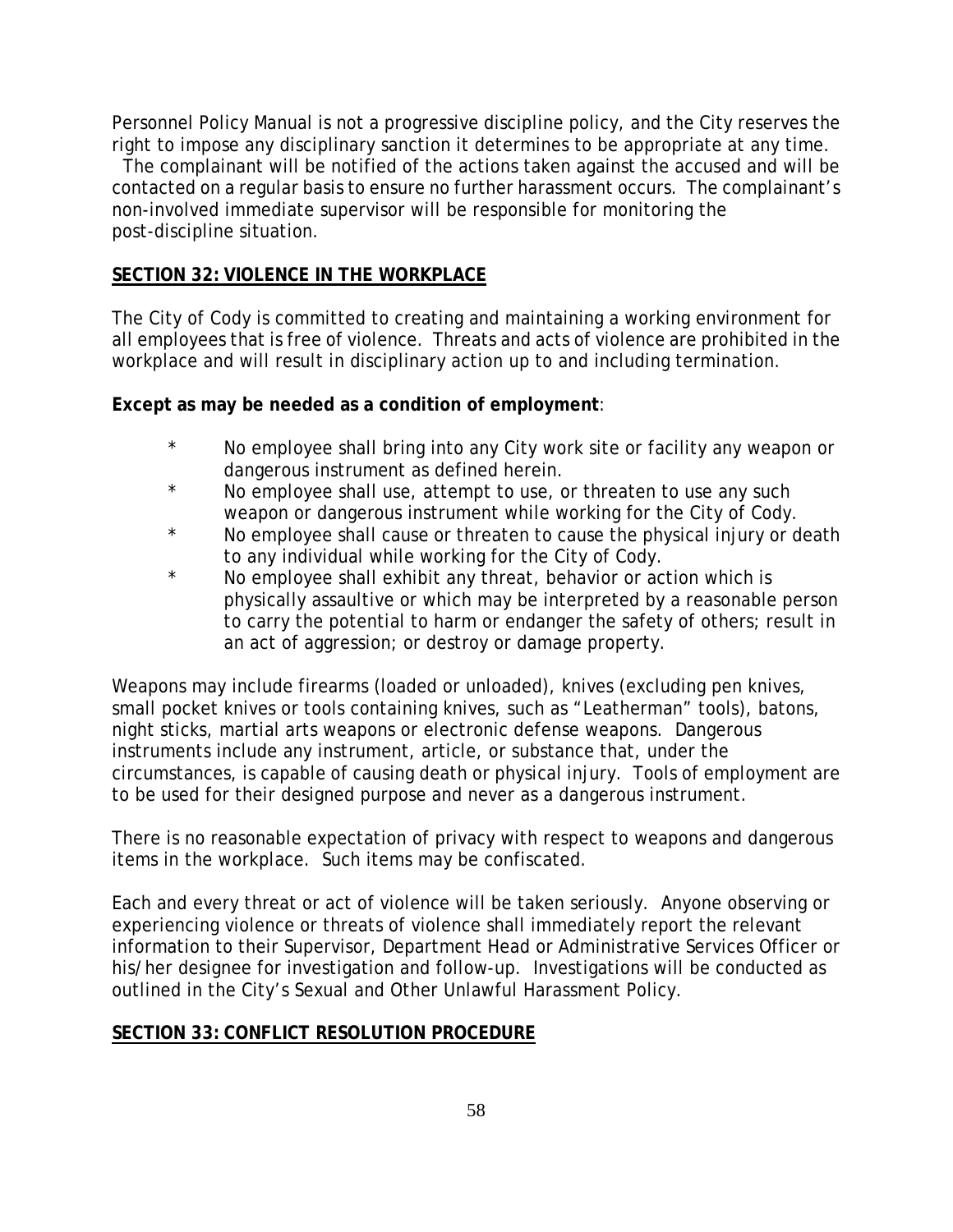Personnel Policy Manual is not a progressive discipline policy, and the City reserves the right to impose any disciplinary sanction it determines to be appropriate at any time.

 The complainant will be notified of the actions taken against the accused and will be contacted on a regular basis to ensure no further harassment occurs. The complainant's non-involved immediate supervisor will be responsible for monitoring the post-discipline situation.

### **SECTION 32: VIOLENCE IN THE WORKPLACE**

The City of Cody is committed to creating and maintaining a working environment for all employees that is free of violence. Threats and acts of violence are prohibited in the workplace and will result in disciplinary action up to and including termination.

**Except as may be needed as a condition of employment**:

- \* No employee shall bring into any City work site or facility any weapon or dangerous instrument as defined herein.
- \* No employee shall use, attempt to use, or threaten to use any such weapon or dangerous instrument while working for the City of Cody.
- \* No employee shall cause or threaten to cause the physical injury or death to any individual while working for the City of Cody.
- No employee shall exhibit any threat, behavior or action which is physically assaultive or which may be interpreted by a reasonable person to carry the potential to harm or endanger the safety of others; result in an act of aggression; or destroy or damage property.

Weapons may include firearms (loaded or unloaded), knives (excluding pen knives, small pocket knives or tools containing knives, such as "Leatherman" tools), batons, night sticks, martial arts weapons or electronic defense weapons. Dangerous instruments include any instrument, article, or substance that, under the circumstances, is capable of causing death or physical injury. Tools of employment are to be used for their designed purpose and never as a dangerous instrument.

There is no reasonable expectation of privacy with respect to weapons and dangerous items in the workplace. Such items may be confiscated.

Each and every threat or act of violence will be taken seriously. Anyone observing or experiencing violence or threats of violence shall immediately report the relevant information to their Supervisor, Department Head or Administrative Services Officer or his/her designee for investigation and follow-up. Investigations will be conducted as outlined in the City's Sexual and Other Unlawful Harassment Policy.

### **SECTION 33: CONFLICT RESOLUTION PROCEDURE**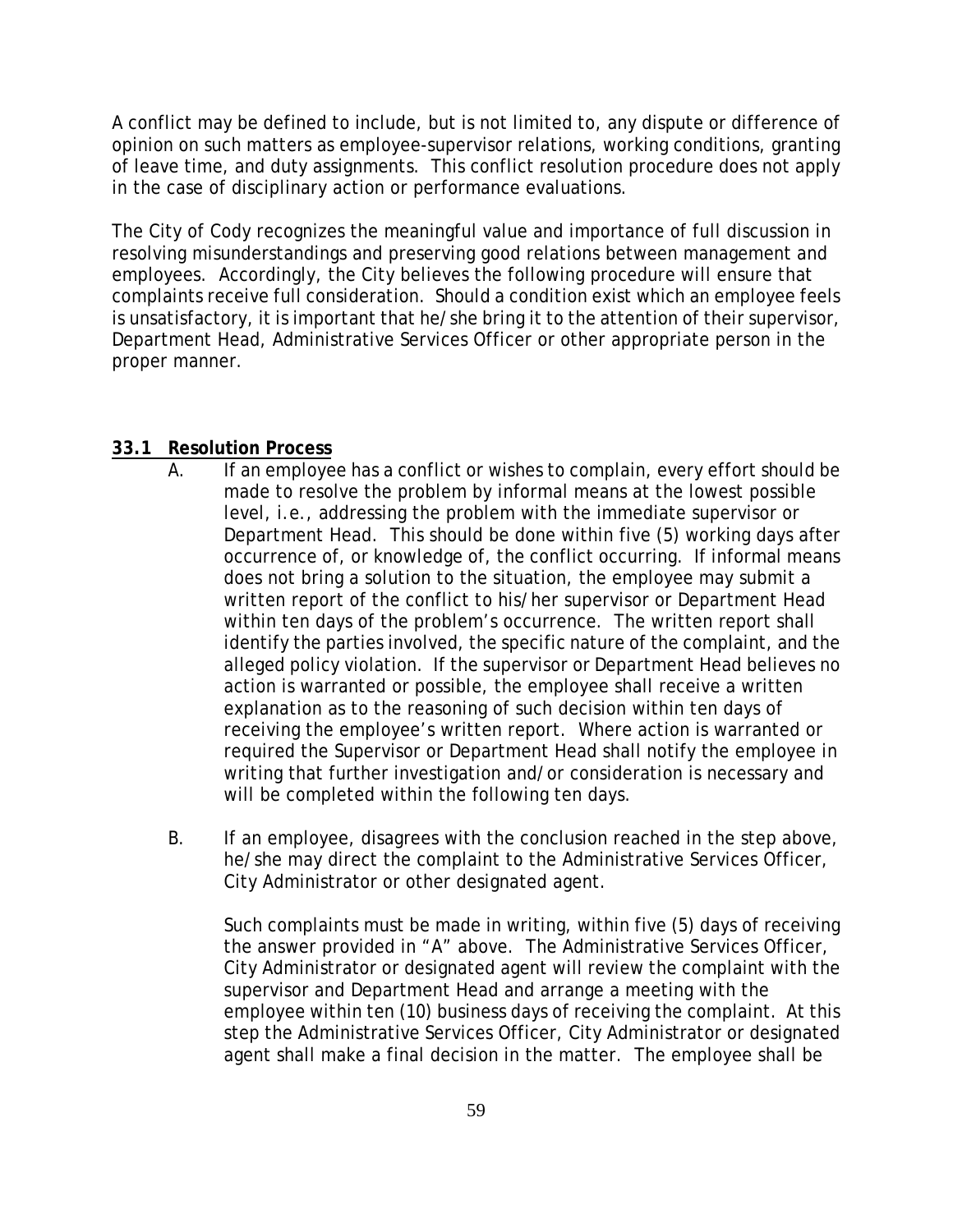A conflict may be defined to include, but is not limited to, any dispute or difference of opinion on such matters as employee-supervisor relations, working conditions, granting of leave time, and duty assignments. This conflict resolution procedure does not apply in the case of disciplinary action or performance evaluations.

The City of Cody recognizes the meaningful value and importance of full discussion in resolving misunderstandings and preserving good relations between management and employees. Accordingly, the City believes the following procedure will ensure that complaints receive full consideration. Should a condition exist which an employee feels is unsatisfactory, it is important that he/she bring it to the attention of their supervisor, Department Head, Administrative Services Officer or other appropriate person in the proper manner.

### **33.1 Resolution Process**

- A. If an employee has a conflict or wishes to complain, every effort should be made to resolve the problem by informal means at the lowest possible level, i.e., addressing the problem with the immediate supervisor or Department Head. This should be done within five (5) working days after occurrence of, or knowledge of, the conflict occurring. If informal means does not bring a solution to the situation, the employee may submit a written report of the conflict to his/her supervisor or Department Head within ten days of the problem's occurrence. The written report shall identify the parties involved, the specific nature of the complaint, and the alleged policy violation. If the supervisor or Department Head believes no action is warranted or possible, the employee shall receive a written explanation as to the reasoning of such decision within ten days of receiving the employee's written report. Where action is warranted or required the Supervisor or Department Head shall notify the employee in writing that further investigation and/or consideration is necessary and will be completed within the following ten days.
- B. If an employee, disagrees with the conclusion reached in the step above, he/she may direct the complaint to the Administrative Services Officer, City Administrator or other designated agent.

Such complaints must be made in writing, within five (5) days of receiving the answer provided in "A" above. The Administrative Services Officer, City Administrator or designated agent will review the complaint with the supervisor and Department Head and arrange a meeting with the employee within ten (10) business days of receiving the complaint. At this step the Administrative Services Officer, City Administrator or designated agent shall make a final decision in the matter. The employee shall be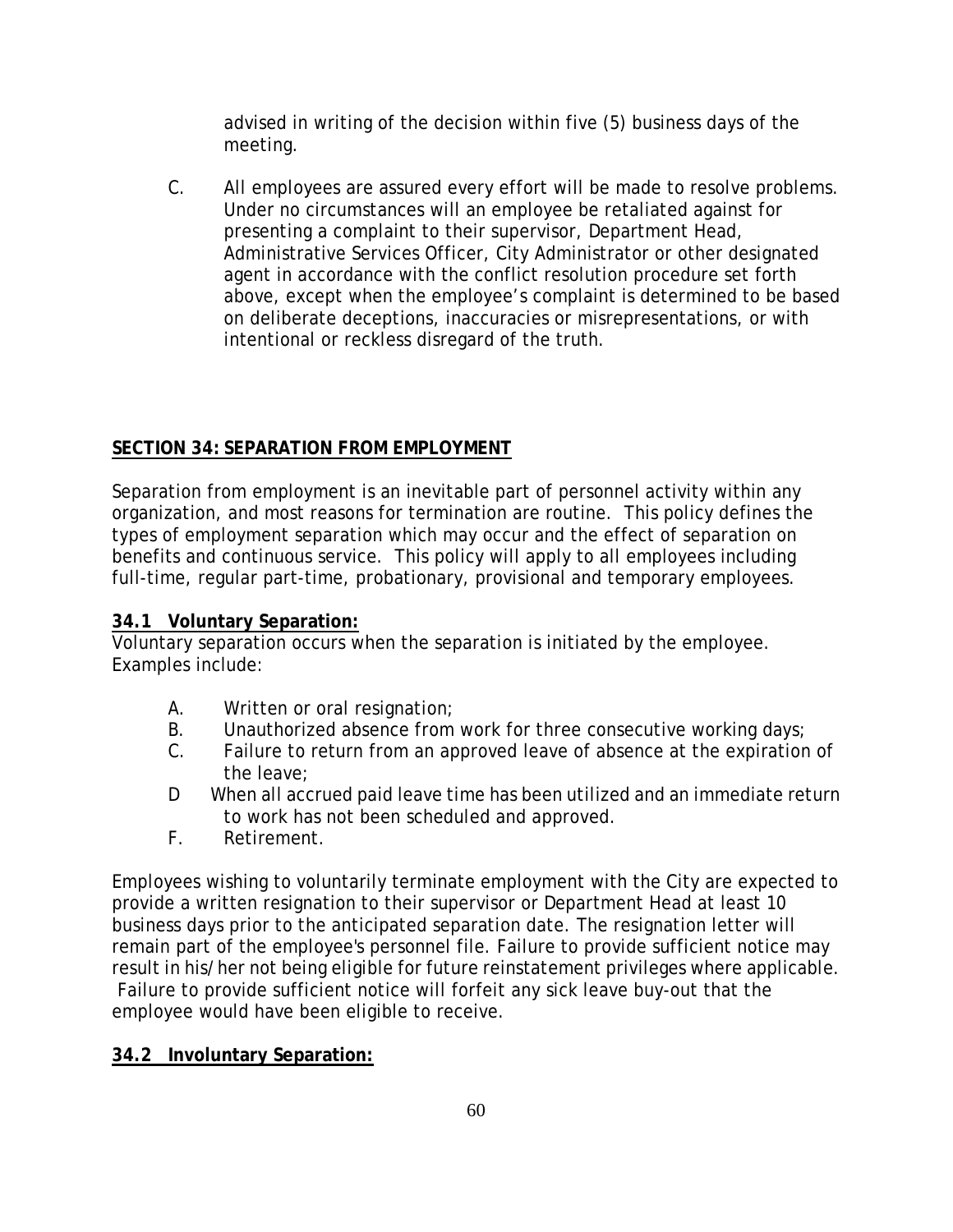advised in writing of the decision within five (5) business days of the meeting.

C. All employees are assured every effort will be made to resolve problems. Under no circumstances will an employee be retaliated against for presenting a complaint to their supervisor, Department Head, Administrative Services Officer, City Administrator or other designated agent in accordance with the conflict resolution procedure set forth above, except when the employee's complaint is determined to be based on deliberate deceptions, inaccuracies or misrepresentations, or with intentional or reckless disregard of the truth.

# **SECTION 34: SEPARATION FROM EMPLOYMENT**

Separation from employment is an inevitable part of personnel activity within any organization, and most reasons for termination are routine. This policy defines the types of employment separation which may occur and the effect of separation on benefits and continuous service. This policy will apply to all employees including full-time, regular part-time, probationary, provisional and temporary employees.

# **34.1 Voluntary Separation:**

Voluntary separation occurs when the separation is initiated by the employee. Examples include:

- A. Written or oral resignation;
- B. Unauthorized absence from work for three consecutive working days;
- C. Failure to return from an approved leave of absence at the expiration of the leave;
- D When all accrued paid leave time has been utilized and an immediate return to work has not been scheduled and approved.
- F. Retirement.

Employees wishing to voluntarily terminate employment with the City are expected to provide a written resignation to their supervisor or Department Head at least 10 business days prior to the anticipated separation date. The resignation letter will remain part of the employee's personnel file. Failure to provide sufficient notice may result in his/her not being eligible for future reinstatement privileges where applicable. Failure to provide sufficient notice will forfeit any sick leave buy-out that the employee would have been eligible to receive.

# **34.2 Involuntary Separation:**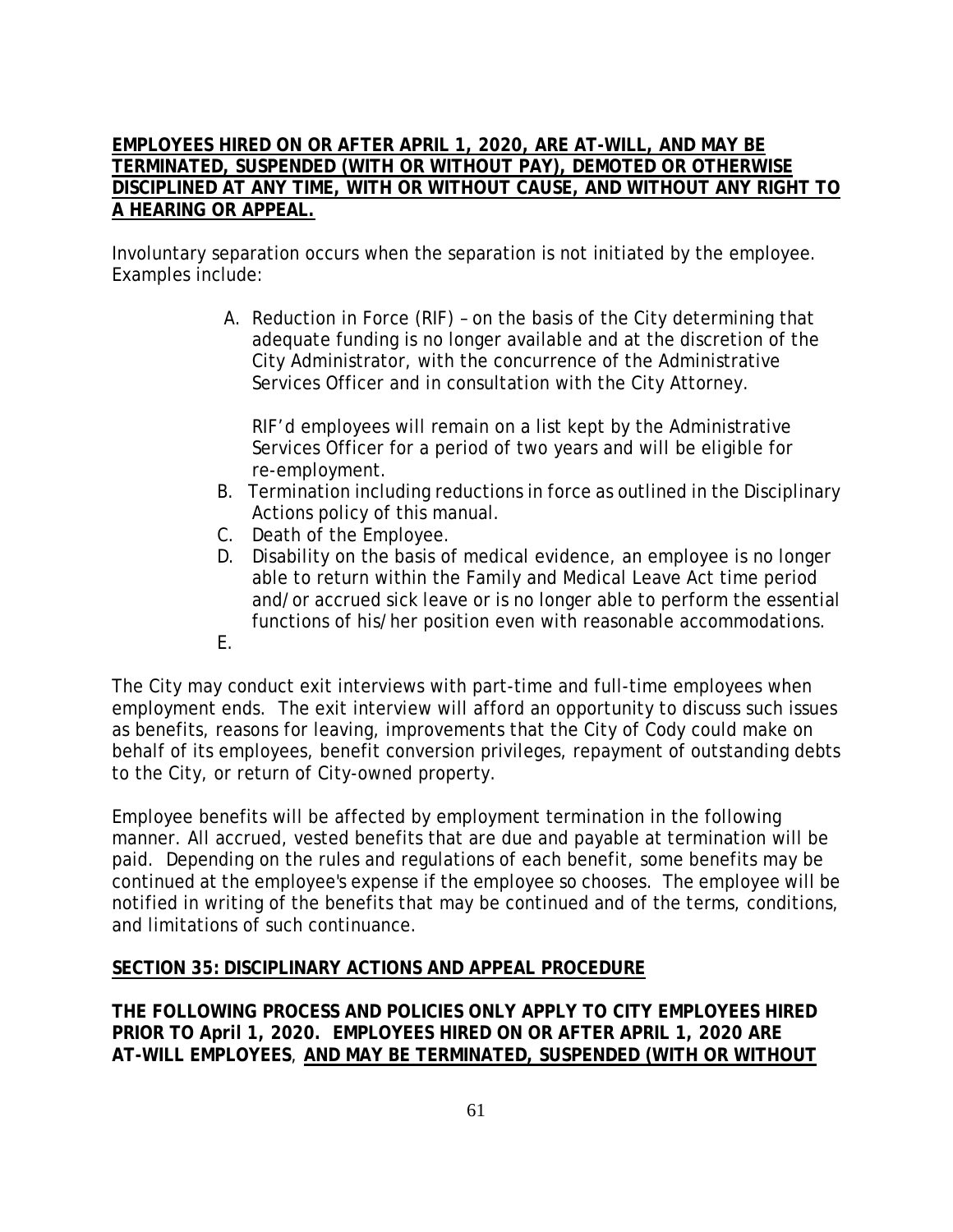## **EMPLOYEES HIRED ON OR AFTER APRIL 1, 2020, ARE AT-WILL, AND MAY BE TERMINATED, SUSPENDED (WITH OR WITHOUT PAY), DEMOTED OR OTHERWISE DISCIPLINED AT ANY TIME, WITH OR WITHOUT CAUSE, AND WITHOUT ANY RIGHT TO A HEARING OR APPEAL.**

Involuntary separation occurs when the separation is not initiated by the employee. Examples include:

> A. Reduction in Force (RIF) – on the basis of the City determining that adequate funding is no longer available and at the discretion of the City Administrator, with the concurrence of the Administrative Services Officer and in consultation with the City Attorney.

RIF'd employees will remain on a list kept by the Administrative Services Officer for a period of two years and will be eligible for re-employment.

- B. Termination including reductions in force as outlined in the Disciplinary Actions policy of this manual.
- C. Death of the Employee.
- D. Disability on the basis of medical evidence, an employee is no longer able to return within the Family and Medical Leave Act time period and/or accrued sick leave or is no longer able to perform the essential functions of his/her position even with reasonable accommodations.
- E.

The City may conduct exit interviews with part-time and full-time employees when employment ends. The exit interview will afford an opportunity to discuss such issues as benefits, reasons for leaving, improvements that the City of Cody could make on behalf of its employees, benefit conversion privileges, repayment of outstanding debts to the City, or return of City-owned property.

Employee benefits will be affected by employment termination in the following manner. All accrued, vested benefits that are due and payable at termination will be paid. Depending on the rules and regulations of each benefit, some benefits may be continued at the employee's expense if the employee so chooses. The employee will be notified in writing of the benefits that may be continued and of the terms, conditions, and limitations of such continuance.

# **SECTION 35: DISCIPLINARY ACTIONS AND APPEAL PROCEDURE**

**THE FOLLOWING PROCESS AND POLICIES ONLY APPLY TO CITY EMPLOYEES HIRED PRIOR TO April 1, 2020. EMPLOYEES HIRED ON OR AFTER APRIL 1, 2020 ARE AT-WILL EMPLOYEES**, **AND MAY BE TERMINATED, SUSPENDED (WITH OR WITHOUT**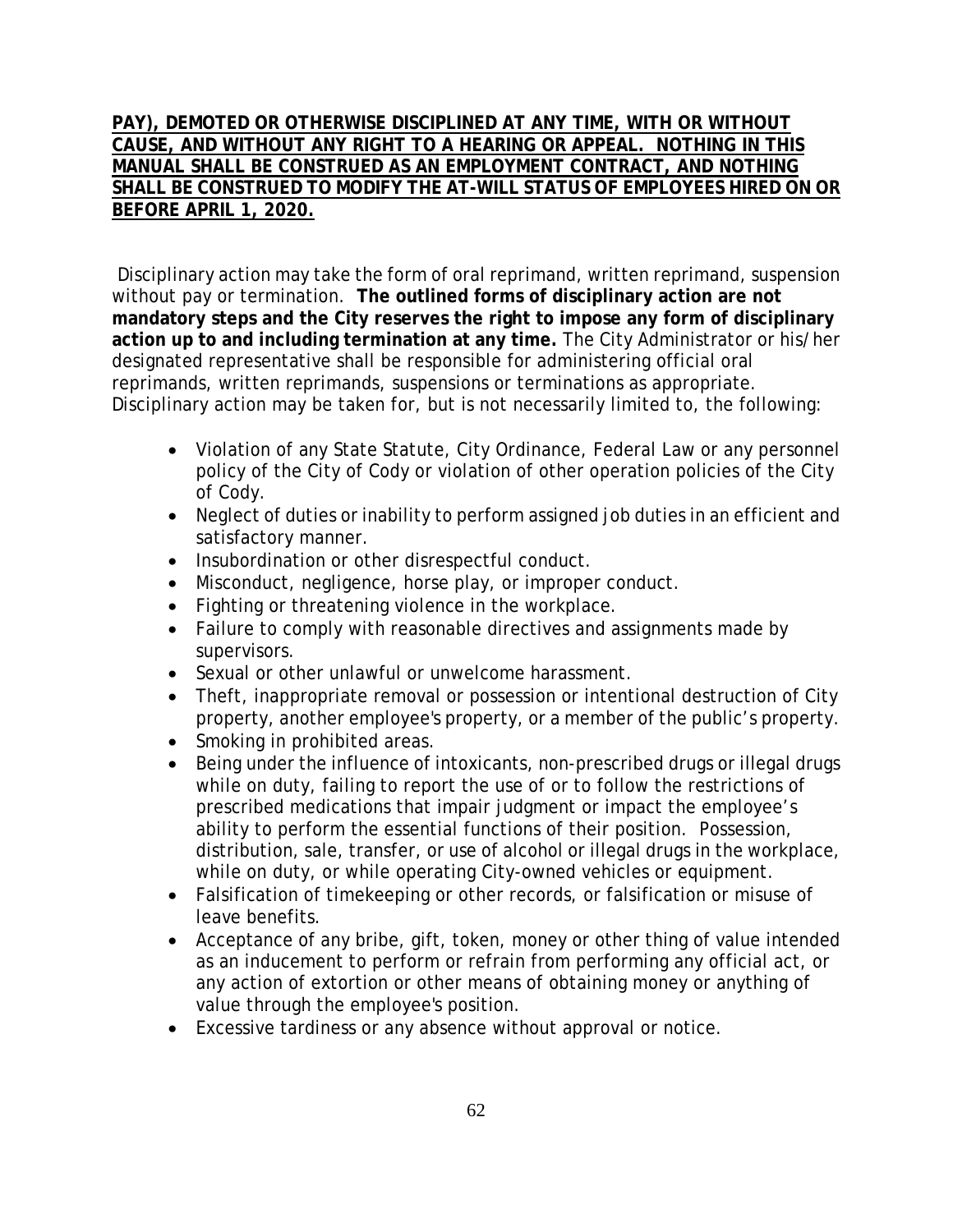# **PAY), DEMOTED OR OTHERWISE DISCIPLINED AT ANY TIME, WITH OR WITHOUT CAUSE, AND WITHOUT ANY RIGHT TO A HEARING OR APPEAL. NOTHING IN THIS MANUAL SHALL BE CONSTRUED AS AN EMPLOYMENT CONTRACT, AND NOTHING SHALL BE CONSTRUED TO MODIFY THE AT-WILL STATUS OF EMPLOYEES HIRED ON OR BEFORE APRIL 1, 2020.**

Disciplinary action may take the form of oral reprimand, written reprimand, suspension without pay or termination. **The outlined forms of disciplinary action are not mandatory steps and the City reserves the right to impose any form of disciplinary action up to and including termination at any time.** The City Administrator or his/her designated representative shall be responsible for administering official oral reprimands, written reprimands, suspensions or terminations as appropriate. Disciplinary action may be taken for, but is not necessarily limited to, the following:

- Violation of any State Statute, City Ordinance, Federal Law or any personnel policy of the City of Cody or violation of other operation policies of the City of Cody.
- Neglect of duties or inability to perform assigned job duties in an efficient and satisfactory manner.
- Insubordination or other disrespectful conduct.
- Misconduct, negligence, horse play, or improper conduct.
- Fighting or threatening violence in the workplace.
- Failure to comply with reasonable directives and assignments made by supervisors.
- Sexual or other unlawful or unwelcome harassment.
- Theft, inappropriate removal or possession or intentional destruction of City property, another employee's property, or a member of the public's property.
- Smoking in prohibited areas.
- Being under the influence of intoxicants, non-prescribed drugs or illegal drugs while on duty, failing to report the use of or to follow the restrictions of prescribed medications that impair judgment or impact the employee's ability to perform the essential functions of their position. Possession, distribution, sale, transfer, or use of alcohol or illegal drugs in the workplace, while on duty, or while operating City-owned vehicles or equipment.
- Falsification of timekeeping or other records, or falsification or misuse of leave benefits.
- Acceptance of any bribe, gift, token, money or other thing of value intended as an inducement to perform or refrain from performing any official act, or any action of extortion or other means of obtaining money or anything of value through the employee's position.
- Excessive tardiness or any absence without approval or notice.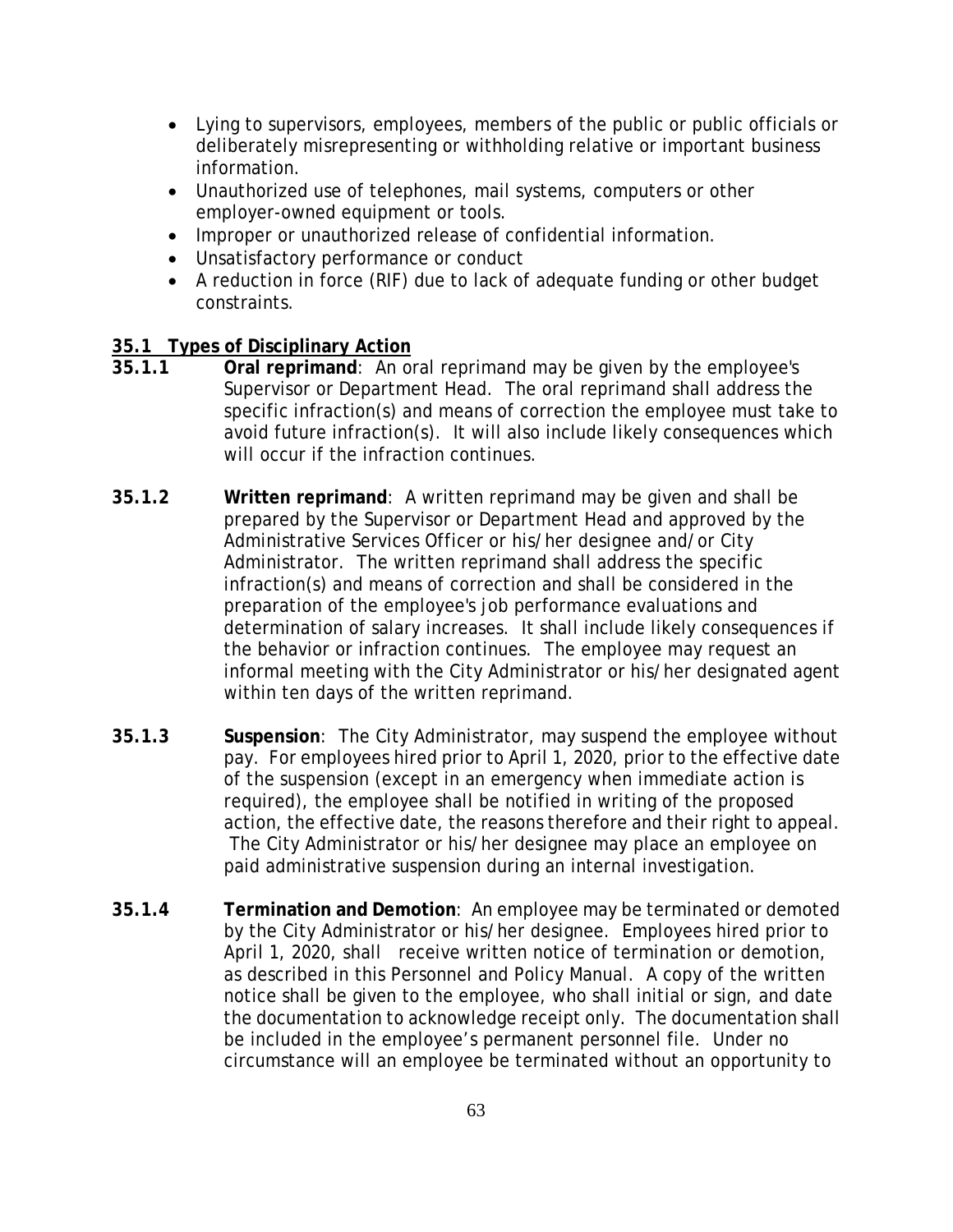- Lying to supervisors, employees, members of the public or public officials or deliberately misrepresenting or withholding relative or important business information.
- Unauthorized use of telephones, mail systems, computers or other employer-owned equipment or tools.
- Improper or unauthorized release of confidential information.
- Unsatisfactory performance or conduct
- A reduction in force (RIF) due to lack of adequate funding or other budget constraints.

## **35.1 Types of Disciplinary Action**

- **35.1.1 Oral reprimand**: An oral reprimand may be given by the employee's Supervisor or Department Head. The oral reprimand shall address the specific infraction(s) and means of correction the employee must take to avoid future infraction(s). It will also include likely consequences which will occur if the infraction continues.
- **35.1.2 Written reprimand**: A written reprimand may be given and shall be prepared by the Supervisor or Department Head and approved by the Administrative Services Officer or his/her designee and/or City Administrator. The written reprimand shall address the specific infraction(s) and means of correction and shall be considered in the preparation of the employee's job performance evaluations and determination of salary increases. It shall include likely consequences if the behavior or infraction continues. The employee may request an informal meeting with the City Administrator or his/her designated agent within ten days of the written reprimand.
- **35.1.3 Suspension**: The City Administrator, may suspend the employee without pay. For employees hired prior to April 1, 2020, prior to the effective date of the suspension (except in an emergency when immediate action is required), the employee shall be notified in writing of the proposed action, the effective date, the reasons therefore and their right to appeal. The City Administrator or his/her designee may place an employee on paid administrative suspension during an internal investigation.
- **35.1.4 Termination and Demotion**: An employee may be terminated or demoted by the City Administrator or his/her designee. Employees hired prior to April 1, 2020, shall receive written notice of termination or demotion, as described in this Personnel and Policy Manual. A copy of the written notice shall be given to the employee, who shall initial or sign, and date the documentation to acknowledge receipt only. The documentation shall be included in the employee's permanent personnel file. Under no circumstance will an employee be terminated without an opportunity to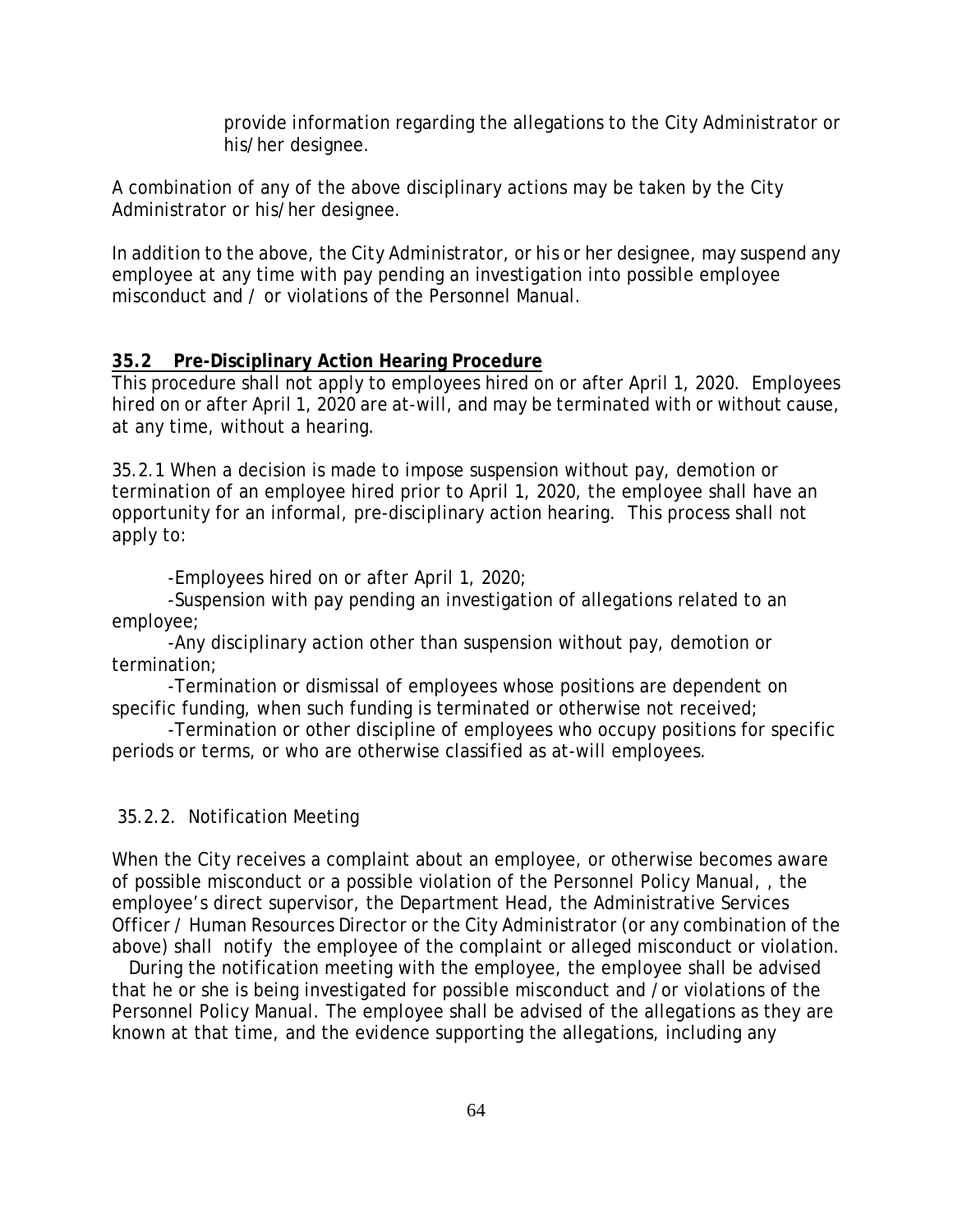provide information regarding the allegations to the City Administrator or his/her designee.

A combination of any of the above disciplinary actions may be taken by the City Administrator or his/her designee.

In addition to the above, the City Administrator, or his or her designee, may suspend any employee at any time with pay pending an investigation into possible employee misconduct and / or violations of the Personnel Manual.

### **35.2 Pre-Disciplinary Action Hearing Procedure**

This procedure shall not apply to employees hired on or after April 1, 2020. Employees hired on or after April 1, 2020 are at-will, and may be terminated with or without cause, at any time, without a hearing.

35.2.1 When a decision is made to impose suspension without pay, demotion or termination of an employee hired prior to April 1, 2020, the employee shall have an opportunity for an informal, pre-disciplinary action hearing. This process shall not apply to:

-Employees hired on or after April 1, 2020;

-Suspension with pay pending an investigation of allegations related to an employee;

-Any disciplinary action other than suspension without pay, demotion or termination;

-Termination or dismissal of employees whose positions are dependent on specific funding, when such funding is terminated or otherwise not received;

-Termination or other discipline of employees who occupy positions for specific periods or terms, or who are otherwise classified as at-will employees.

### 35.2.2. Notification Meeting

When the City receives a complaint about an employee, or otherwise becomes aware of possible misconduct or a possible violation of the Personnel Policy Manual, , the employee's direct supervisor, the Department Head, the Administrative Services Officer / Human Resources Director or the City Administrator (or any combination of the above) shall notify the employee of the complaint or alleged misconduct or violation.

 During the notification meeting with the employee, the employee shall be advised that he or she is being investigated for possible misconduct and /or violations of the Personnel Policy Manual. The employee shall be advised of the allegations as they are known at that time, and the evidence supporting the allegations, including any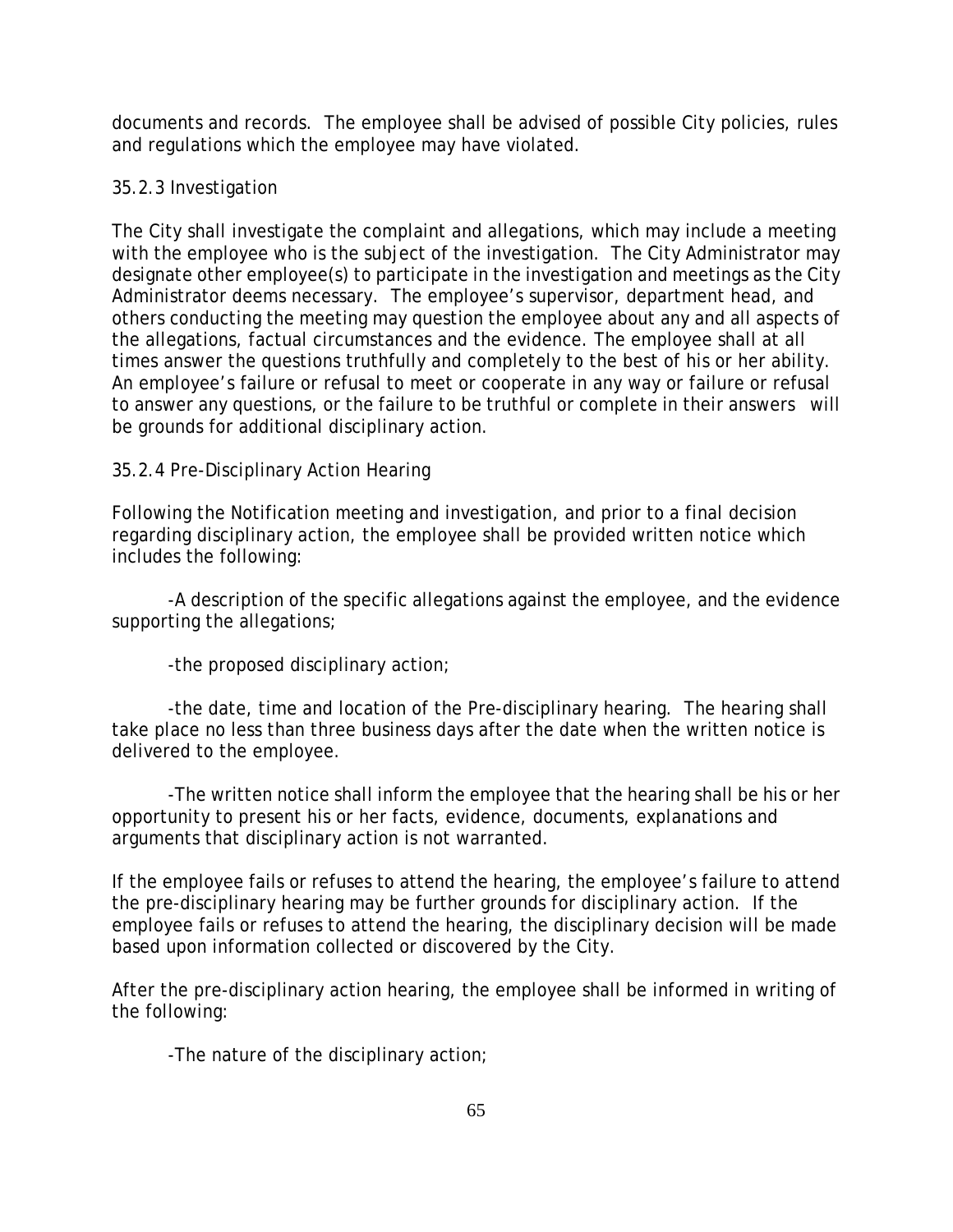documents and records. The employee shall be advised of possible City policies, rules and regulations which the employee may have violated.

# 35.2.3 Investigation

The City shall investigate the complaint and allegations, which may include a meeting with the employee who is the subject of the investigation. The City Administrator may designate other employee(s) to participate in the investigation and meetings as the City Administrator deems necessary. The employee's supervisor, department head, and others conducting the meeting may question the employee about any and all aspects of the allegations, factual circumstances and the evidence. The employee shall at all times answer the questions truthfully and completely to the best of his or her ability. An employee's failure or refusal to meet or cooperate in any way or failure or refusal to answer any questions, or the failure to be truthful or complete in their answers will be grounds for additional disciplinary action.

# 35.2.4 Pre-Disciplinary Action Hearing

Following the Notification meeting and investigation, and prior to a final decision regarding disciplinary action, the employee shall be provided written notice which includes the following:

-A description of the specific allegations against the employee, and the evidence supporting the allegations;

-the proposed disciplinary action;

-the date, time and location of the Pre-disciplinary hearing. The hearing shall take place no less than three business days after the date when the written notice is delivered to the employee.

-The written notice shall inform the employee that the hearing shall be his or her opportunity to present his or her facts, evidence, documents, explanations and arguments that disciplinary action is not warranted.

If the employee fails or refuses to attend the hearing, the employee's failure to attend the pre-disciplinary hearing may be further grounds for disciplinary action. If the employee fails or refuses to attend the hearing, the disciplinary decision will be made based upon information collected or discovered by the City.

After the pre-disciplinary action hearing, the employee shall be informed in writing of the following:

-The nature of the disciplinary action;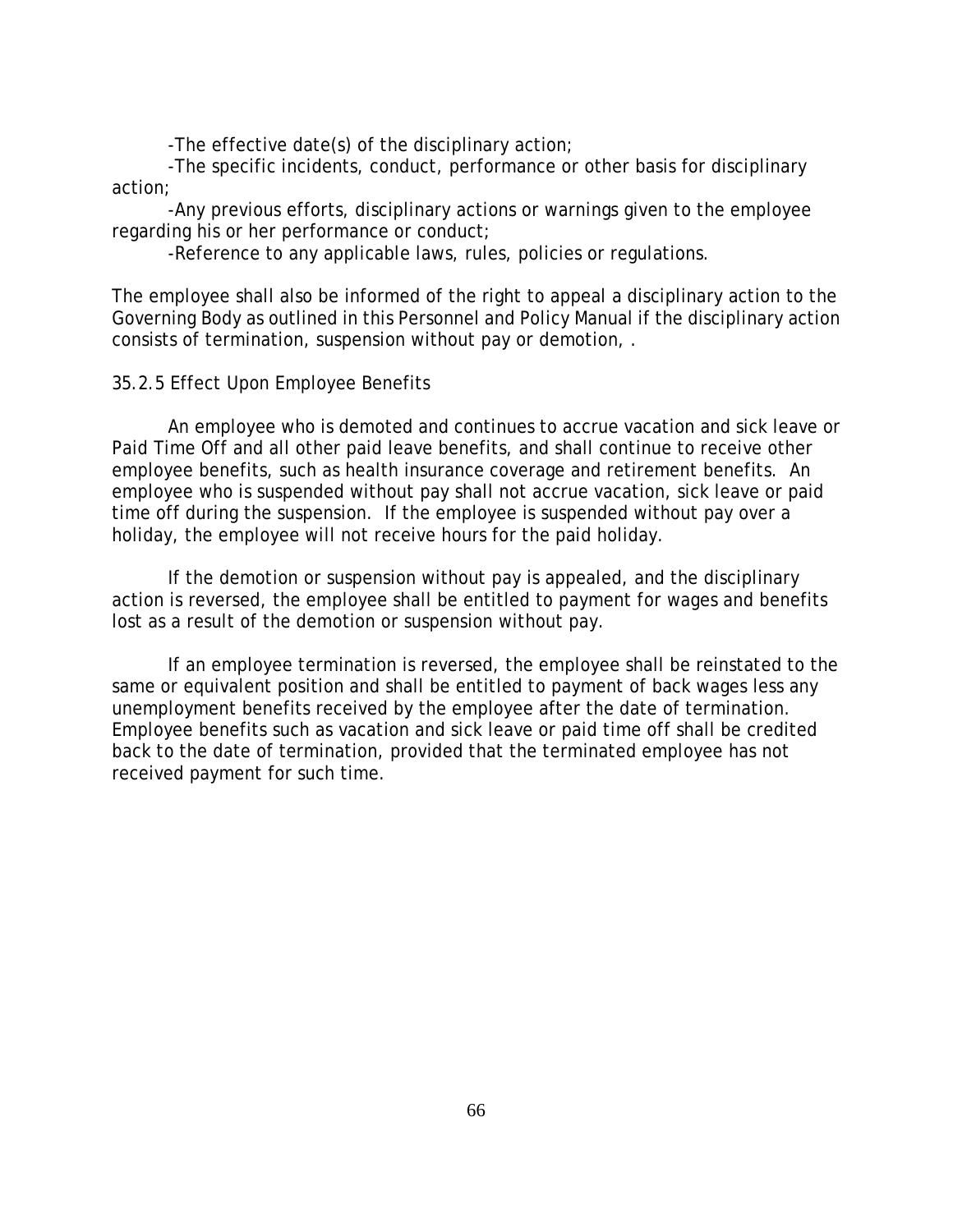-The effective date(s) of the disciplinary action;

-The specific incidents, conduct, performance or other basis for disciplinary action;

-Any previous efforts, disciplinary actions or warnings given to the employee regarding his or her performance or conduct;

-Reference to any applicable laws, rules, policies or regulations.

The employee shall also be informed of the right to appeal a disciplinary action to the Governing Body as outlined in this Personnel and Policy Manual if the disciplinary action consists of termination, suspension without pay or demotion, .

#### 35.2.5 Effect Upon Employee Benefits

An employee who is demoted and continues to accrue vacation and sick leave or Paid Time Off and all other paid leave benefits, and shall continue to receive other employee benefits, such as health insurance coverage and retirement benefits. An employee who is suspended without pay shall not accrue vacation, sick leave or paid time off during the suspension. If the employee is suspended without pay over a holiday, the employee will not receive hours for the paid holiday.

If the demotion or suspension without pay is appealed, and the disciplinary action is reversed, the employee shall be entitled to payment for wages and benefits lost as a result of the demotion or suspension without pay.

If an employee termination is reversed, the employee shall be reinstated to the same or equivalent position and shall be entitled to payment of back wages less any unemployment benefits received by the employee after the date of termination. Employee benefits such as vacation and sick leave or paid time off shall be credited back to the date of termination, provided that the terminated employee has not received payment for such time.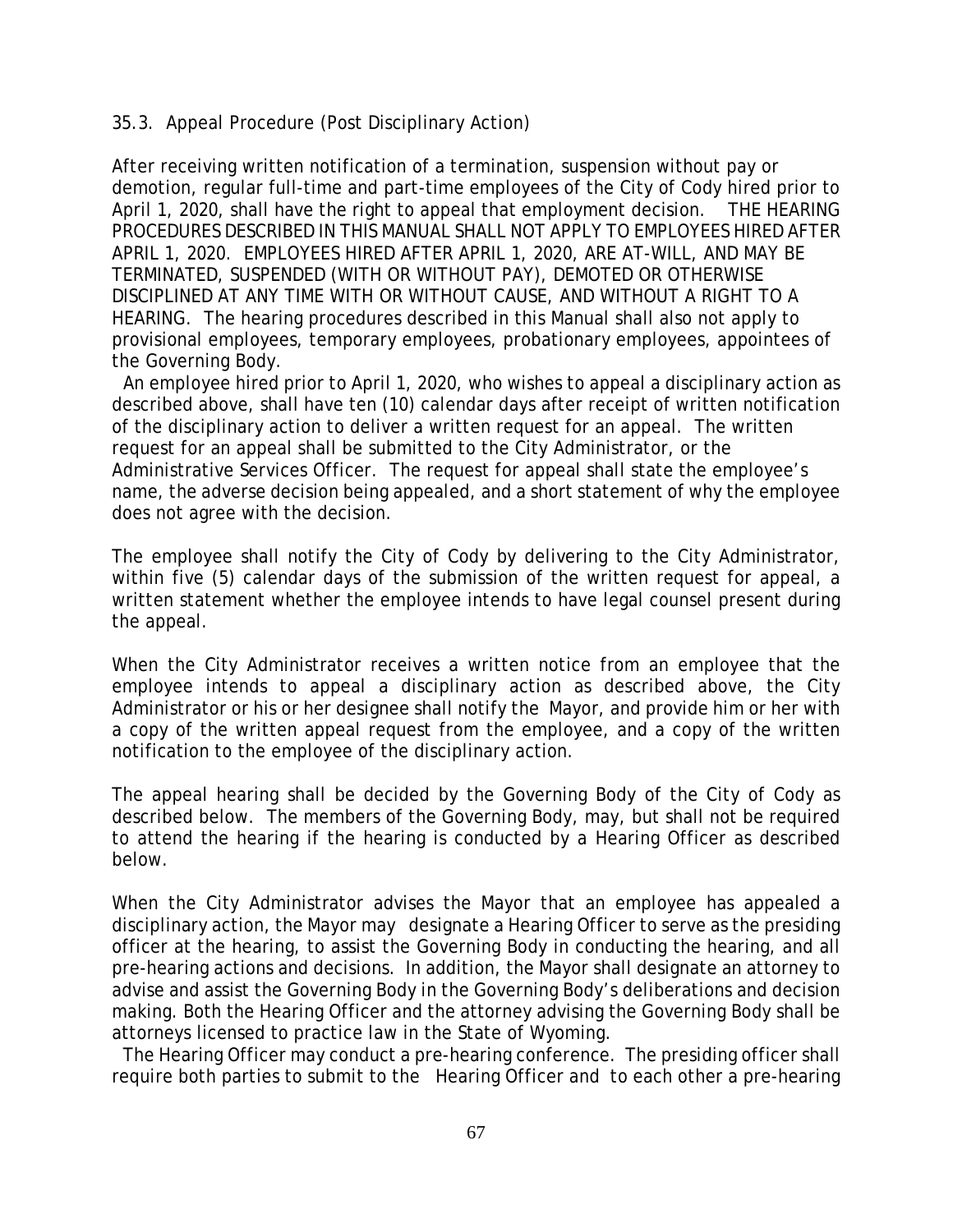### 35.3. Appeal Procedure (Post Disciplinary Action)

After receiving written notification of a termination, suspension without pay or demotion, regular full-time and part-time employees of the City of Cody hired prior to April 1, 2020, shall have the right to appeal that employment decision. THE HEARING PROCEDURES DESCRIBED IN THIS MANUAL SHALL NOT APPLY TO EMPLOYEES HIRED AFTER APRIL 1, 2020. EMPLOYEES HIRED AFTER APRIL 1, 2020, ARE AT-WILL, AND MAY BE TERMINATED, SUSPENDED (WITH OR WITHOUT PAY), DEMOTED OR OTHERWISE DISCIPLINED AT ANY TIME WITH OR WITHOUT CAUSE, AND WITHOUT A RIGHT TO A HEARING. The hearing procedures described in this Manual shall also not apply to provisional employees, temporary employees, probationary employees, appointees of the Governing Body.

An employee hired prior to April 1, 2020, who wishes to appeal a disciplinary action as described above, shall have ten (10) calendar days after receipt of written notification of the disciplinary action to deliver a written request for an appeal. The written request for an appeal shall be submitted to the City Administrator, or the Administrative Services Officer. The request for appeal shall state the employee's name, the adverse decision being appealed, and a short statement of why the employee does not agree with the decision.

The employee shall notify the City of Cody by delivering to the City Administrator, within five (5) calendar days of the submission of the written request for appeal, a written statement whether the employee intends to have legal counsel present during the appeal.

When the City Administrator receives a written notice from an employee that the employee intends to appeal a disciplinary action as described above, the City Administrator or his or her designee shall notify the Mayor, and provide him or her with a copy of the written appeal request from the employee, and a copy of the written notification to the employee of the disciplinary action.

The appeal hearing shall be decided by the Governing Body of the City of Cody as described below. The members of the Governing Body, may, but shall not be required to attend the hearing if the hearing is conducted by a Hearing Officer as described below.

When the City Administrator advises the Mayor that an employee has appealed a disciplinary action, the Mayor may designate a Hearing Officer to serve as the presiding officer at the hearing, to assist the Governing Body in conducting the hearing, and all pre-hearing actions and decisions. In addition, the Mayor shall designate an attorney to advise and assist the Governing Body in the Governing Body's deliberations and decision making. Both the Hearing Officer and the attorney advising the Governing Body shall be attorneys licensed to practice law in the State of Wyoming.

The Hearing Officer may conduct a pre-hearing conference. The presiding officer shall require both parties to submit to the Hearing Officer and to each other a pre-hearing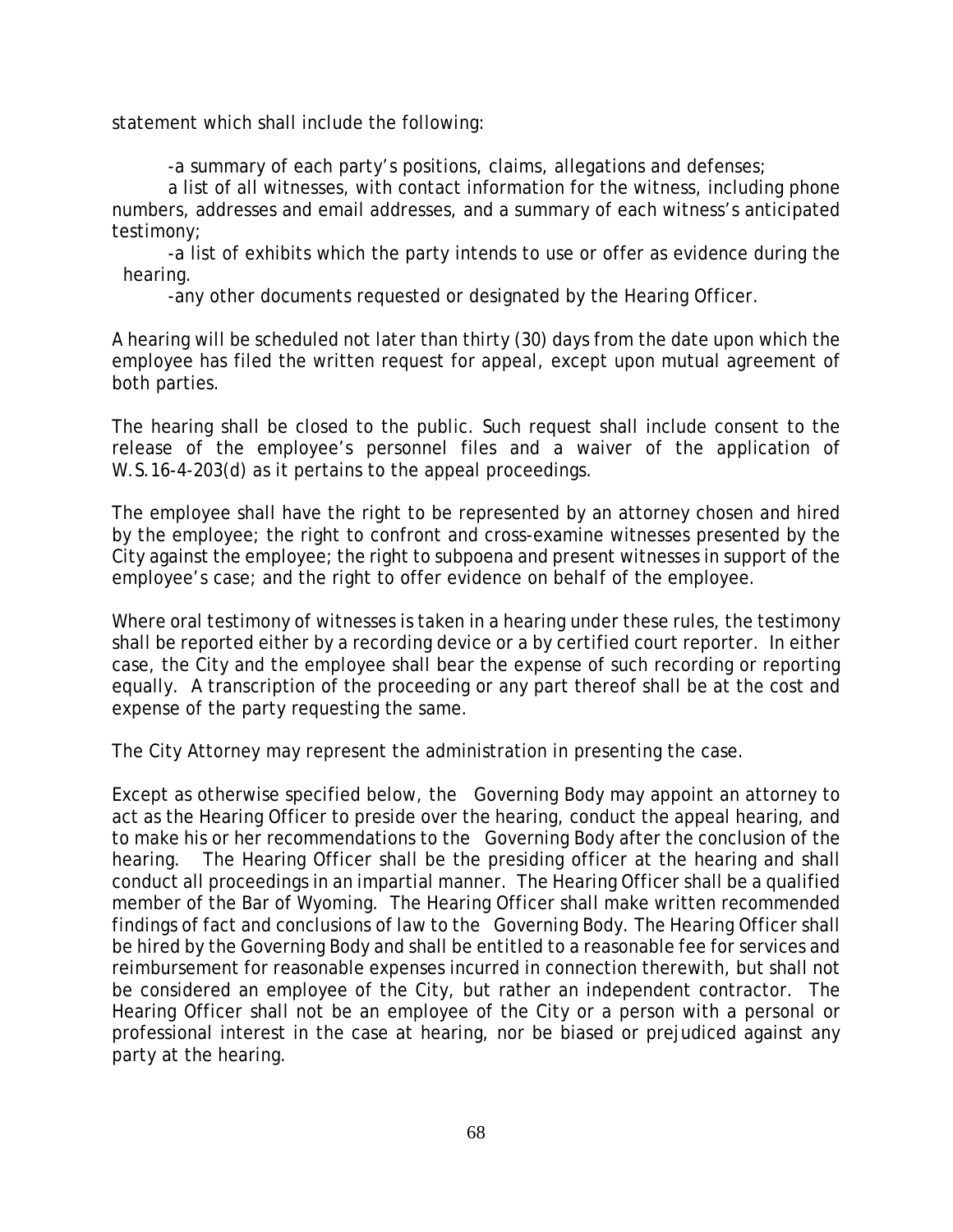statement which shall include the following:

-a summary of each party's positions, claims, allegations and defenses;

a list of all witnesses, with contact information for the witness, including phone numbers, addresses and email addresses, and a summary of each witness's anticipated testimony;

-a list of exhibits which the party intends to use or offer as evidence during the hearing.

-any other documents requested or designated by the Hearing Officer.

A hearing will be scheduled not later than thirty (30) days from the date upon which the employee has filed the written request for appeal, except upon mutual agreement of both parties.

The hearing shall be closed to the public. Such request shall include consent to the release of the employee's personnel files and a waiver of the application of W.S.16-4-203(d) as it pertains to the appeal proceedings.

The employee shall have the right to be represented by an attorney chosen and hired by the employee; the right to confront and cross-examine witnesses presented by the City against the employee; the right to subpoena and present witnesses in support of the employee's case; and the right to offer evidence on behalf of the employee.

Where oral testimony of witnesses is taken in a hearing under these rules, the testimony shall be reported either by a recording device or a by certified court reporter. In either case, the City and the employee shall bear the expense of such recording or reporting equally. A transcription of the proceeding or any part thereof shall be at the cost and expense of the party requesting the same.

The City Attorney may represent the administration in presenting the case.

Except as otherwise specified below, the Governing Body may appoint an attorney to act as the Hearing Officer to preside over the hearing, conduct the appeal hearing, and to make his or her recommendations to the Governing Body after the conclusion of the hearing. The Hearing Officer shall be the presiding officer at the hearing and shall conduct all proceedings in an impartial manner. The Hearing Officer shall be a qualified member of the Bar of Wyoming. The Hearing Officer shall make written recommended findings of fact and conclusions of law to the Governing Body. The Hearing Officer shall be hired by the Governing Body and shall be entitled to a reasonable fee for services and reimbursement for reasonable expenses incurred in connection therewith, but shall not be considered an employee of the City, but rather an independent contractor. The Hearing Officer shall not be an employee of the City or a person with a personal or professional interest in the case at hearing, nor be biased or prejudiced against any party at the hearing.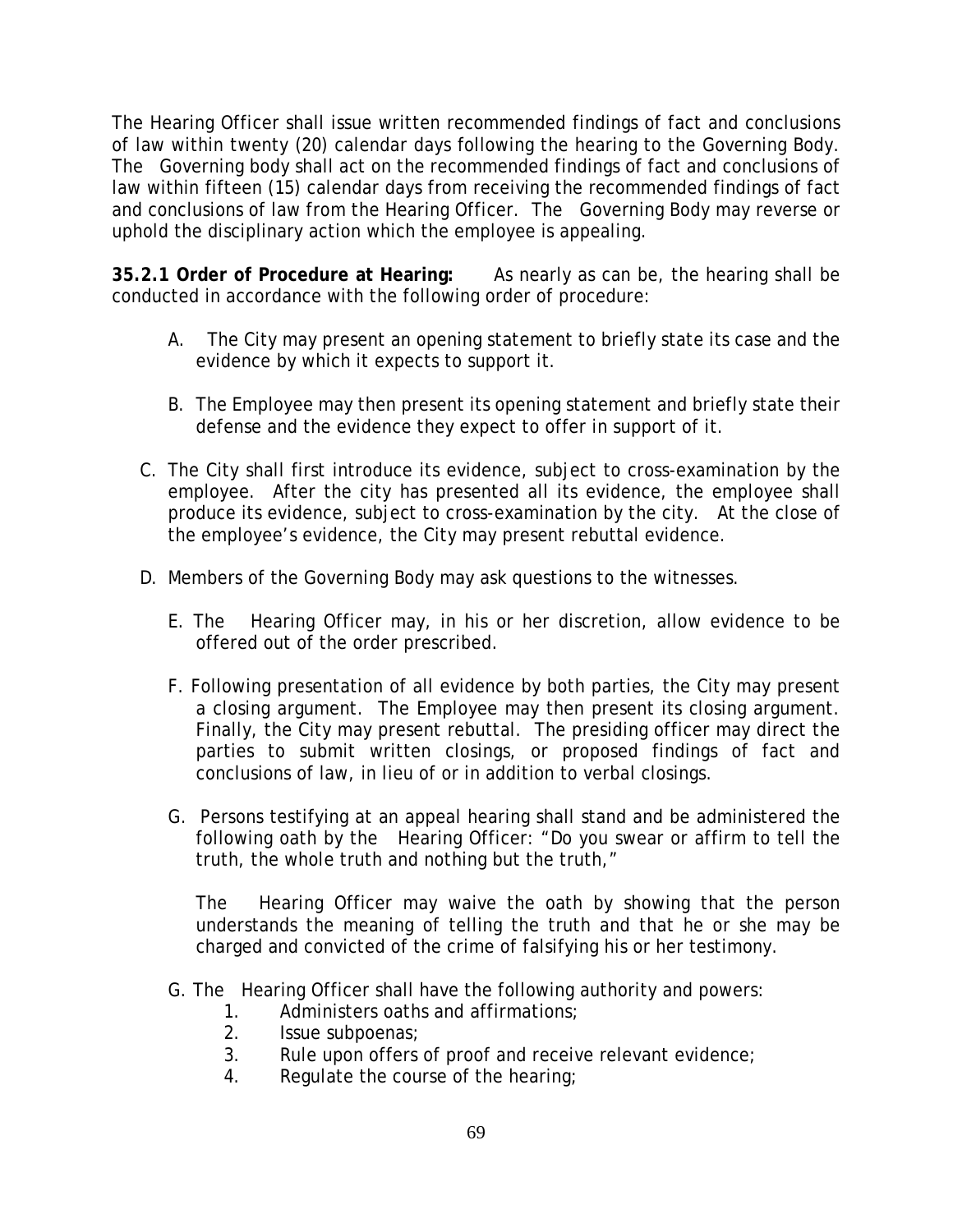The Hearing Officer shall issue written recommended findings of fact and conclusions of law within twenty (20) calendar days following the hearing to the Governing Body. The Governing body shall act on the recommended findings of fact and conclusions of law within fifteen (15) calendar days from receiving the recommended findings of fact and conclusions of law from the Hearing Officer. The Governing Body may reverse or uphold the disciplinary action which the employee is appealing.

**35.2.1 Order of Procedure at Hearing:** As nearly as can be, the hearing shall be conducted in accordance with the following order of procedure:

- A. The City may present an opening statement to briefly state its case and the evidence by which it expects to support it.
- B. The Employee may then present its opening statement and briefly state their defense and the evidence they expect to offer in support of it.
- C. The City shall first introduce its evidence, subject to cross-examination by the employee. After the city has presented all its evidence, the employee shall produce its evidence, subject to cross-examination by the city. At the close of the employee's evidence, the City may present rebuttal evidence.
- D. Members of the Governing Body may ask questions to the witnesses.
	- E. The Hearing Officer may, in his or her discretion, allow evidence to be offered out of the order prescribed.
	- F. Following presentation of all evidence by both parties, the City may present a closing argument. The Employee may then present its closing argument. Finally, the City may present rebuttal. The presiding officer may direct the parties to submit written closings, or proposed findings of fact and conclusions of law, in lieu of or in addition to verbal closings.
	- G. Persons testifying at an appeal hearing shall stand and be administered the following oath by the Hearing Officer: "Do you swear or affirm to tell the truth, the whole truth and nothing but the truth,"

The Hearing Officer may waive the oath by showing that the person understands the meaning of telling the truth and that he or she may be charged and convicted of the crime of falsifying his or her testimony.

- G. The Hearing Officer shall have the following authority and powers:
	- 1. Administers oaths and affirmations;
	- 2. Issue subpoenas;
	- 3. Rule upon offers of proof and receive relevant evidence;
	- 4. Regulate the course of the hearing;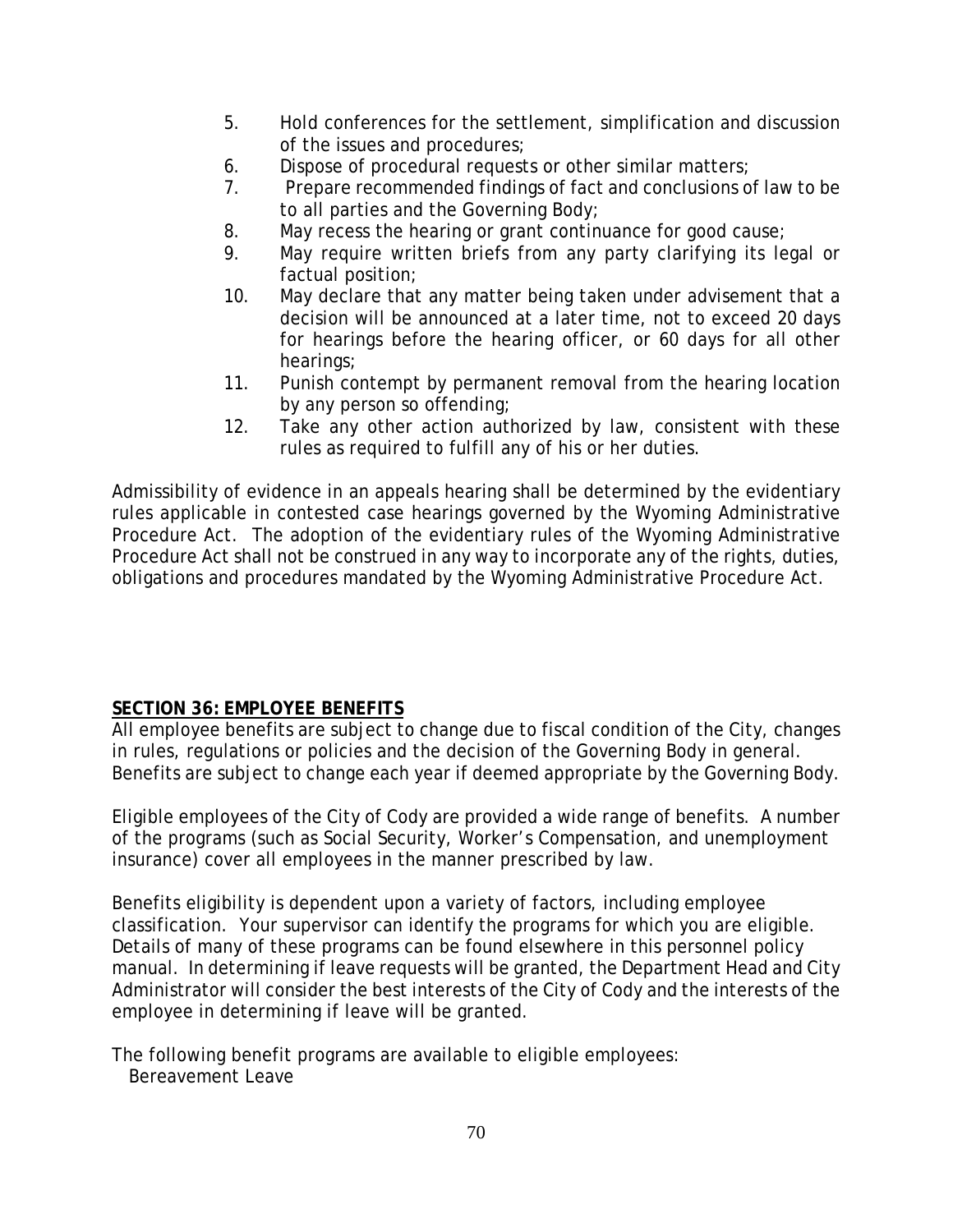- 5. Hold conferences for the settlement, simplification and discussion of the issues and procedures;
- 6. Dispose of procedural requests or other similar matters;
- 7. Prepare recommended findings of fact and conclusions of law to be to all parties and the Governing Body;
- 8. May recess the hearing or grant continuance for good cause;
- 9. May require written briefs from any party clarifying its legal or factual position;
- 10. May declare that any matter being taken under advisement that a decision will be announced at a later time, not to exceed 20 days for hearings before the hearing officer, or 60 days for all other hearings;
- 11. Punish contempt by permanent removal from the hearing location by any person so offending;
- 12. Take any other action authorized by law, consistent with these rules as required to fulfill any of his or her duties.

Admissibility of evidence in an appeals hearing shall be determined by the evidentiary rules applicable in contested case hearings governed by the Wyoming Administrative Procedure Act. The adoption of the evidentiary rules of the Wyoming Administrative Procedure Act shall not be construed in any way to incorporate any of the rights, duties, obligations and procedures mandated by the Wyoming Administrative Procedure Act.

## **SECTION 36: EMPLOYEE BENEFITS**

All employee benefits are subject to change due to fiscal condition of the City, changes in rules, regulations or policies and the decision of the Governing Body in general. Benefits are subject to change each year if deemed appropriate by the Governing Body.

Eligible employees of the City of Cody are provided a wide range of benefits. A number of the programs (such as Social Security, Worker's Compensation, and unemployment insurance) cover all employees in the manner prescribed by law.

Benefits eligibility is dependent upon a variety of factors, including employee classification. Your supervisor can identify the programs for which you are eligible. Details of many of these programs can be found elsewhere in this personnel policy manual. In determining if leave requests will be granted, the Department Head and City Administrator will consider the best interests of the City of Cody and the interests of the employee in determining if leave will be granted.

The following benefit programs are available to eligible employees: Bereavement Leave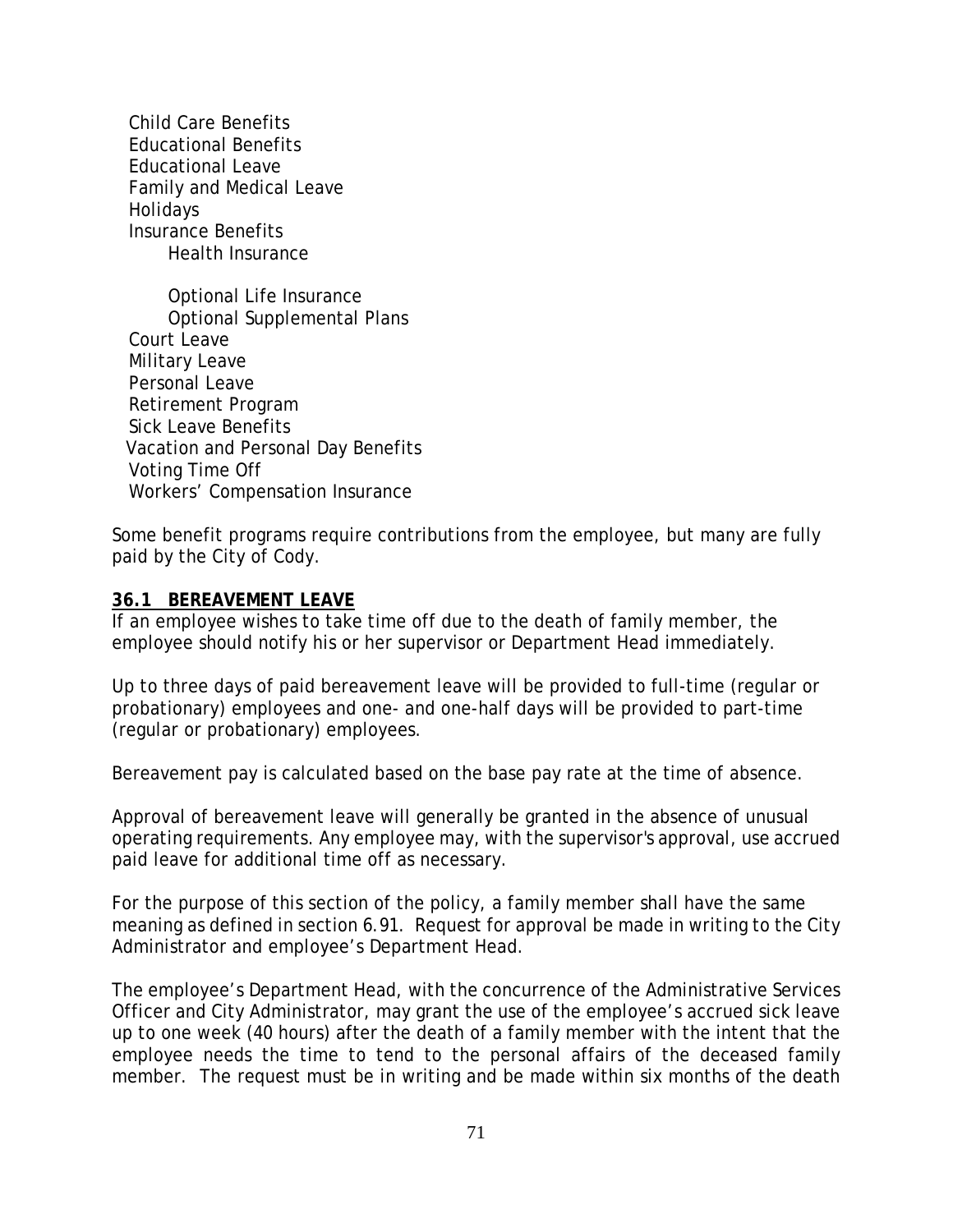Child Care Benefits Educational Benefits Educational Leave Family and Medical Leave Holidays Insurance Benefits Health Insurance

Optional Life Insurance Optional Supplemental Plans Court Leave Military Leave Personal Leave Retirement Program Sick Leave Benefits Vacation and Personal Day Benefits Voting Time Off Workers' Compensation Insurance

Some benefit programs require contributions from the employee, but many are fully paid by the City of Cody.

### **36.1 BEREAVEMENT LEAVE**

If an employee wishes to take time off due to the death of family member, the employee should notify his or her supervisor or Department Head immediately.

Up to three days of paid bereavement leave will be provided to full-time (regular or probationary) employees and one- and one-half days will be provided to part-time (regular or probationary) employees.

Bereavement pay is calculated based on the base pay rate at the time of absence.

Approval of bereavement leave will generally be granted in the absence of unusual operating requirements. Any employee may, with the supervisor's approval, use accrued paid leave for additional time off as necessary.

For the purpose of this section of the policy, a family member shall have the same meaning as defined in section 6.91. Request for approval be made in writing to the City Administrator and employee's Department Head.

The employee's Department Head, with the concurrence of the Administrative Services Officer and City Administrator, may grant the use of the employee's accrued sick leave up to one week (40 hours) after the death of a family member with the intent that the employee needs the time to tend to the personal affairs of the deceased family member. The request must be in writing and be made within six months of the death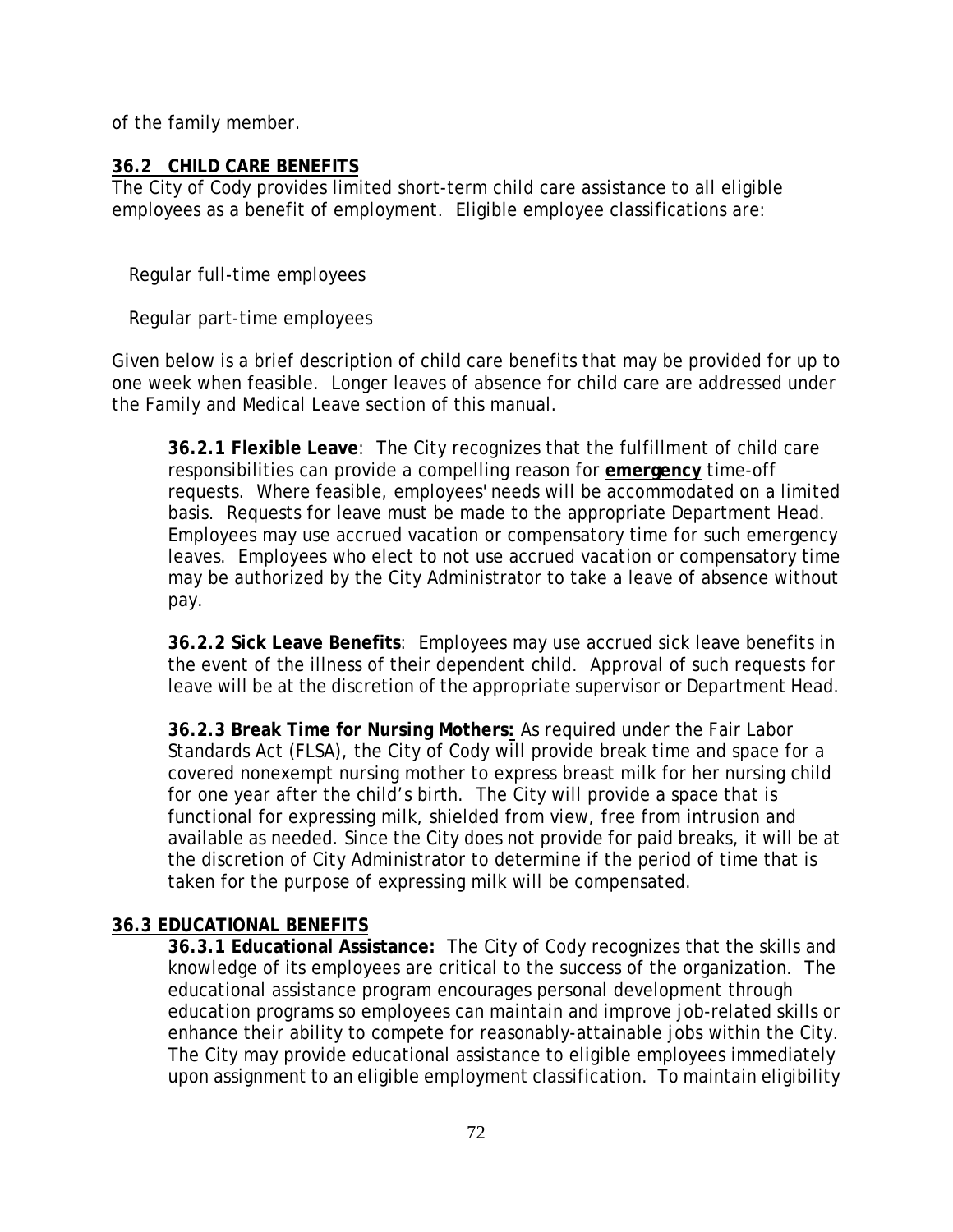of the family member.

# **36.2 CHILD CARE BENEFITS**

The City of Cody provides limited short-term child care assistance to all eligible employees as a benefit of employment. Eligible employee classifications are:

Regular full-time employees

Regular part-time employees

Given below is a brief description of child care benefits that may be provided for up to one week when feasible. Longer leaves of absence for child care are addressed under the Family and Medical Leave section of this manual.

**36.2.1 Flexible Leave**: The City recognizes that the fulfillment of child care responsibilities can provide a compelling reason for **emergency** time-off requests. Where feasible, employees' needs will be accommodated on a limited basis. Requests for leave must be made to the appropriate Department Head. Employees may use accrued vacation or compensatory time for such emergency leaves. Employees who elect to not use accrued vacation or compensatory time may be authorized by the City Administrator to take a leave of absence without pay.

**36.2.2 Sick Leave Benefits**: Employees may use accrued sick leave benefits in the event of the illness of their dependent child. Approval of such requests for leave will be at the discretion of the appropriate supervisor or Department Head.

**36.2.3 Break Time for Nursing Mothers:** As required under the Fair Labor Standards Act (FLSA), the City of Cody will provide break time and space for a covered nonexempt nursing mother to express breast milk for her nursing child for one year after the child's birth. The City will provide a space that is functional for expressing milk, shielded from view, free from intrusion and available as needed. Since the City does not provide for paid breaks, it will be at the discretion of City Administrator to determine if the period of time that is taken for the purpose of expressing milk will be compensated.

## **36.3 EDUCATIONAL BENEFITS**

**36.3.1 Educational Assistance:** The City of Cody recognizes that the skills and knowledge of its employees are critical to the success of the organization. The educational assistance program encourages personal development through education programs so employees can maintain and improve job-related skills or enhance their ability to compete for reasonably-attainable jobs within the City. The City may provide educational assistance to eligible employees immediately upon assignment to an eligible employment classification. To maintain eligibility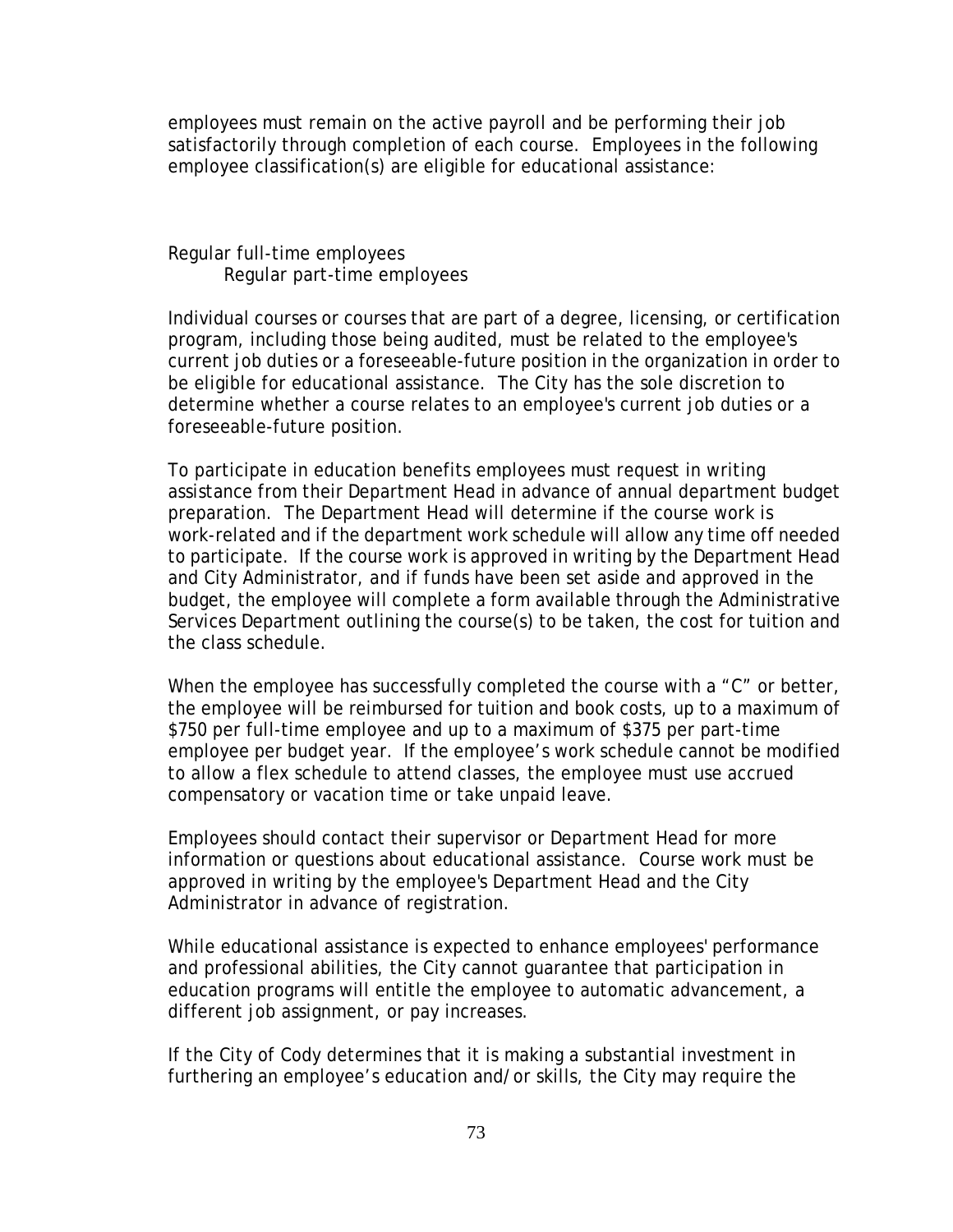employees must remain on the active payroll and be performing their job satisfactorily through completion of each course. Employees in the following employee classification(s) are eligible for educational assistance:

 Regular full-time employees Regular part-time employees

Individual courses or courses that are part of a degree, licensing, or certification program, including those being audited, must be related to the employee's current job duties or a foreseeable-future position in the organization in order to be eligible for educational assistance. The City has the sole discretion to determine whether a course relates to an employee's current job duties or a foreseeable-future position.

To participate in education benefits employees must request in writing assistance from their Department Head in advance of annual department budget preparation. The Department Head will determine if the course work is work-related and if the department work schedule will allow any time off needed to participate. If the course work is approved in writing by the Department Head and City Administrator, and if funds have been set aside and approved in the budget, the employee will complete a form available through the Administrative Services Department outlining the course(s) to be taken, the cost for tuition and the class schedule.

When the employee has successfully completed the course with a "C" or better, the employee will be reimbursed for tuition and book costs, up to a maximum of \$750 per full-time employee and up to a maximum of \$375 per part-time employee per budget year. If the employee's work schedule cannot be modified to allow a flex schedule to attend classes, the employee must use accrued compensatory or vacation time or take unpaid leave.

Employees should contact their supervisor or Department Head for more information or questions about educational assistance. Course work must be approved in writing by the employee's Department Head and the City Administrator in advance of registration.

While educational assistance is expected to enhance employees' performance and professional abilities, the City cannot guarantee that participation in education programs will entitle the employee to automatic advancement, a different job assignment, or pay increases.

If the City of Cody determines that it is making a substantial investment in furthering an employee's education and/or skills, the City may require the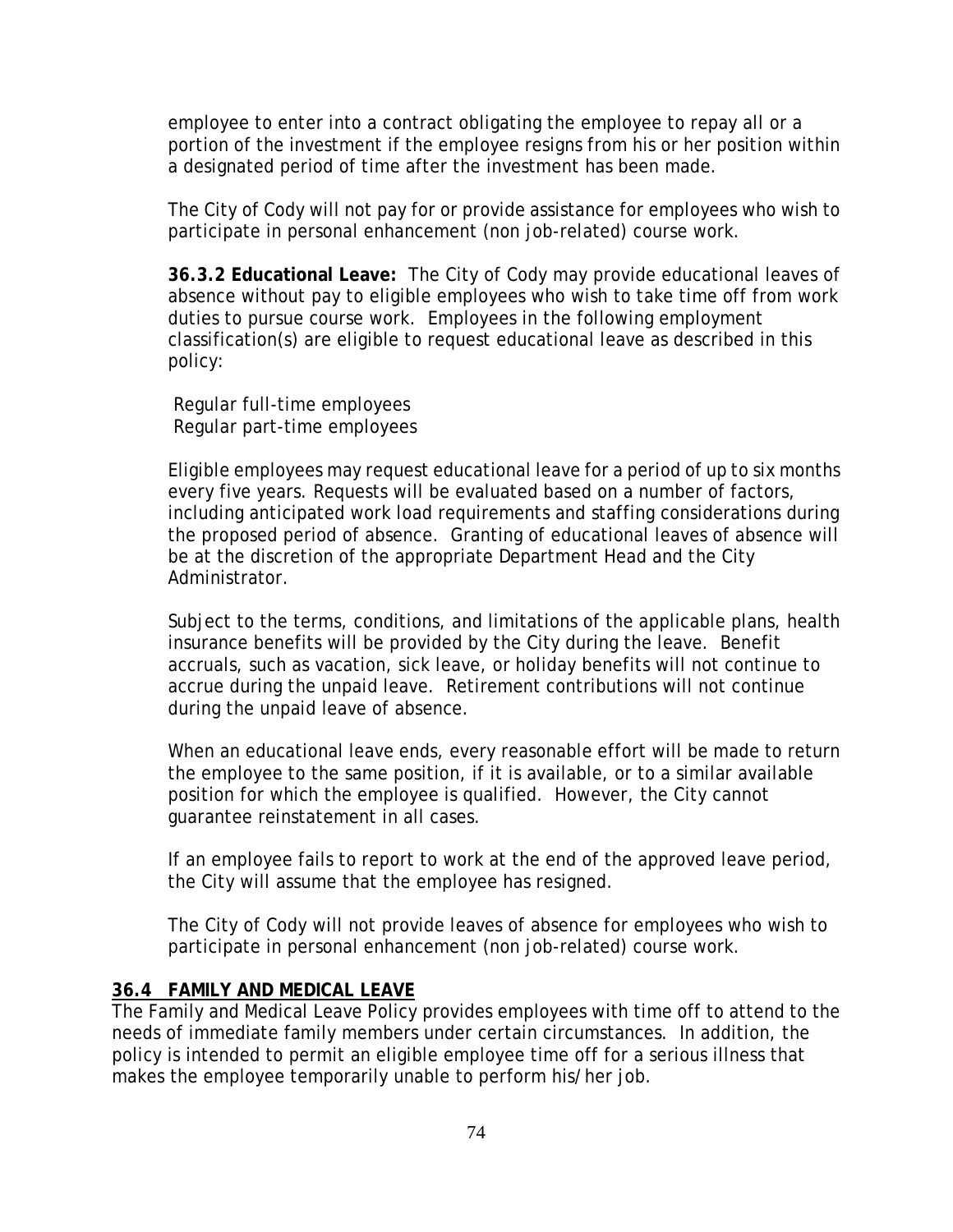employee to enter into a contract obligating the employee to repay all or a portion of the investment if the employee resigns from his or her position within a designated period of time after the investment has been made.

The City of Cody will not pay for or provide assistance for employees who wish to participate in personal enhancement (non job-related) course work.

**36.3.2 Educational Leave:** The City of Cody may provide educational leaves of absence without pay to eligible employees who wish to take time off from work duties to pursue course work. Employees in the following employment classification(s) are eligible to request educational leave as described in this policy:

 Regular full-time employees Regular part-time employees

Eligible employees may request educational leave for a period of up to six months every five years. Requests will be evaluated based on a number of factors, including anticipated work load requirements and staffing considerations during the proposed period of absence. Granting of educational leaves of absence will be at the discretion of the appropriate Department Head and the City Administrator.

Subject to the terms, conditions, and limitations of the applicable plans, health insurance benefits will be provided by the City during the leave. Benefit accruals, such as vacation, sick leave, or holiday benefits will not continue to accrue during the unpaid leave. Retirement contributions will not continue during the unpaid leave of absence.

When an educational leave ends, every reasonable effort will be made to return the employee to the same position, if it is available, or to a similar available position for which the employee is qualified. However, the City cannot guarantee reinstatement in all cases.

If an employee fails to report to work at the end of the approved leave period, the City will assume that the employee has resigned.

The City of Cody will not provide leaves of absence for employees who wish to participate in personal enhancement (non job-related) course work.

## **36.4 FAMILY AND MEDICAL LEAVE**

The Family and Medical Leave Policy provides employees with time off to attend to the needs of immediate family members under certain circumstances. In addition, the policy is intended to permit an eligible employee time off for a serious illness that makes the employee temporarily unable to perform his/her job.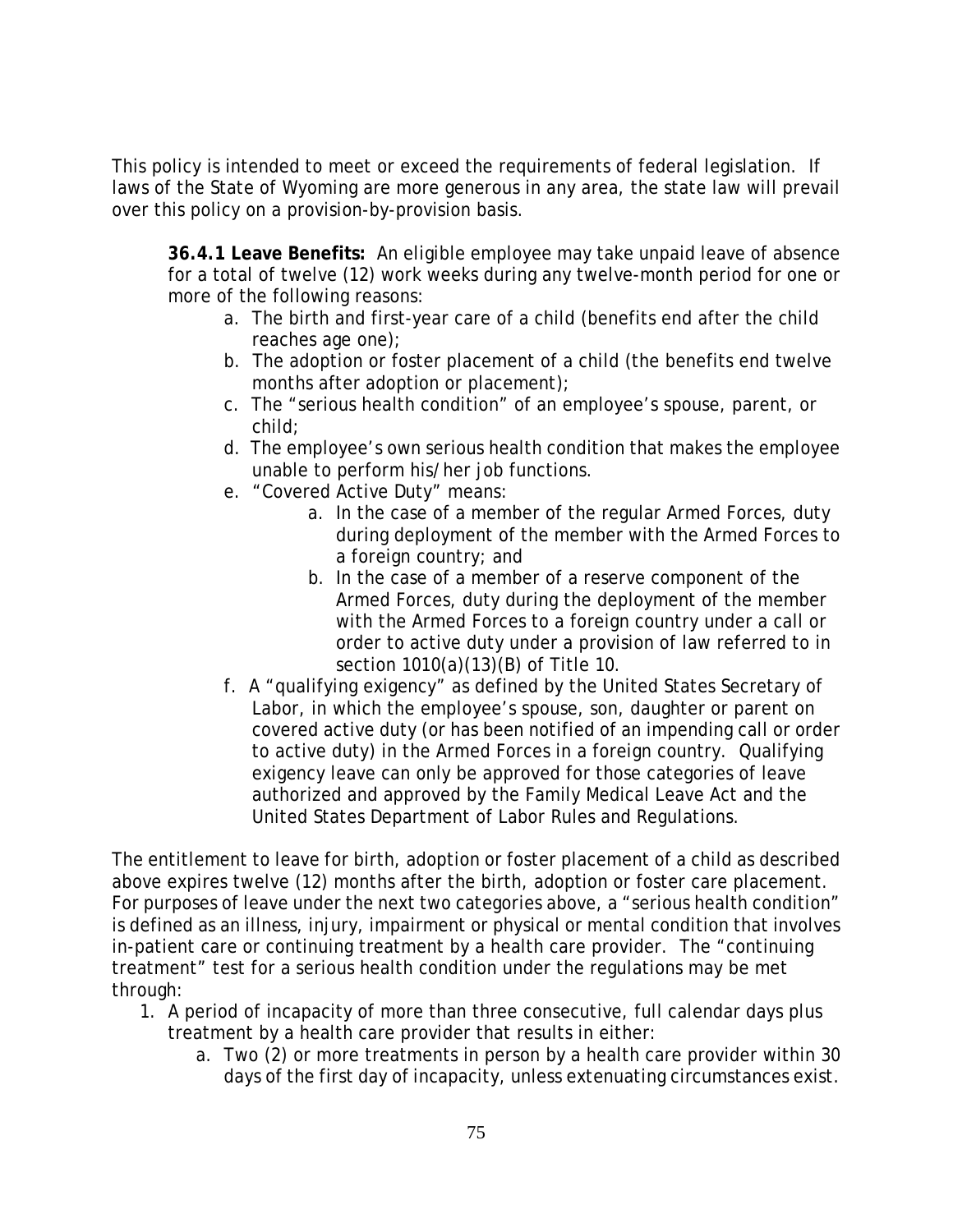This policy is intended to meet or exceed the requirements of federal legislation. If laws of the State of Wyoming are more generous in any area, the state law will prevail over this policy on a provision-by-provision basis.

**36.4.1 Leave Benefits:** An eligible employee may take unpaid leave of absence for a total of twelve (12) work weeks during any twelve-month period for one or more of the following reasons:

- a. The birth and first-year care of a child (benefits end after the child reaches age one);
- b. The adoption or foster placement of a child (the benefits end twelve months after adoption or placement);
- c. The "serious health condition" of an employee's spouse, parent, or child;
- d. The employee's own serious health condition that makes the employee unable to perform his/her job functions.
- e. "Covered Active Duty" means:
	- a. In the case of a member of the regular Armed Forces, duty during deployment of the member with the Armed Forces to a foreign country; and
	- b. In the case of a member of a reserve component of the Armed Forces, duty during the deployment of the member with the Armed Forces to a foreign country under a call or order to active duty under a provision of law referred to in section 1010(a)(13)(B) of Title 10.
- f. A "qualifying exigency" as defined by the United States Secretary of Labor, in which the employee's spouse, son, daughter or parent on covered active duty (or has been notified of an impending call or order to active duty) in the Armed Forces in a foreign country. Qualifying exigency leave can only be approved for those categories of leave authorized and approved by the Family Medical Leave Act and the United States Department of Labor Rules and Regulations.

The entitlement to leave for birth, adoption or foster placement of a child as described above expires twelve (12) months after the birth, adoption or foster care placement. For purposes of leave under the next two categories above, a "serious health condition" is defined as an illness, injury, impairment or physical or mental condition that involves in-patient care or continuing treatment by a health care provider. The "continuing treatment" test for a serious health condition under the regulations may be met through:

- 1. A period of incapacity of more than three consecutive, full calendar days plus treatment by a health care provider that results in either:
	- a. Two (2) or more treatments in person by a health care provider within 30 days of the first day of incapacity, unless extenuating circumstances exist.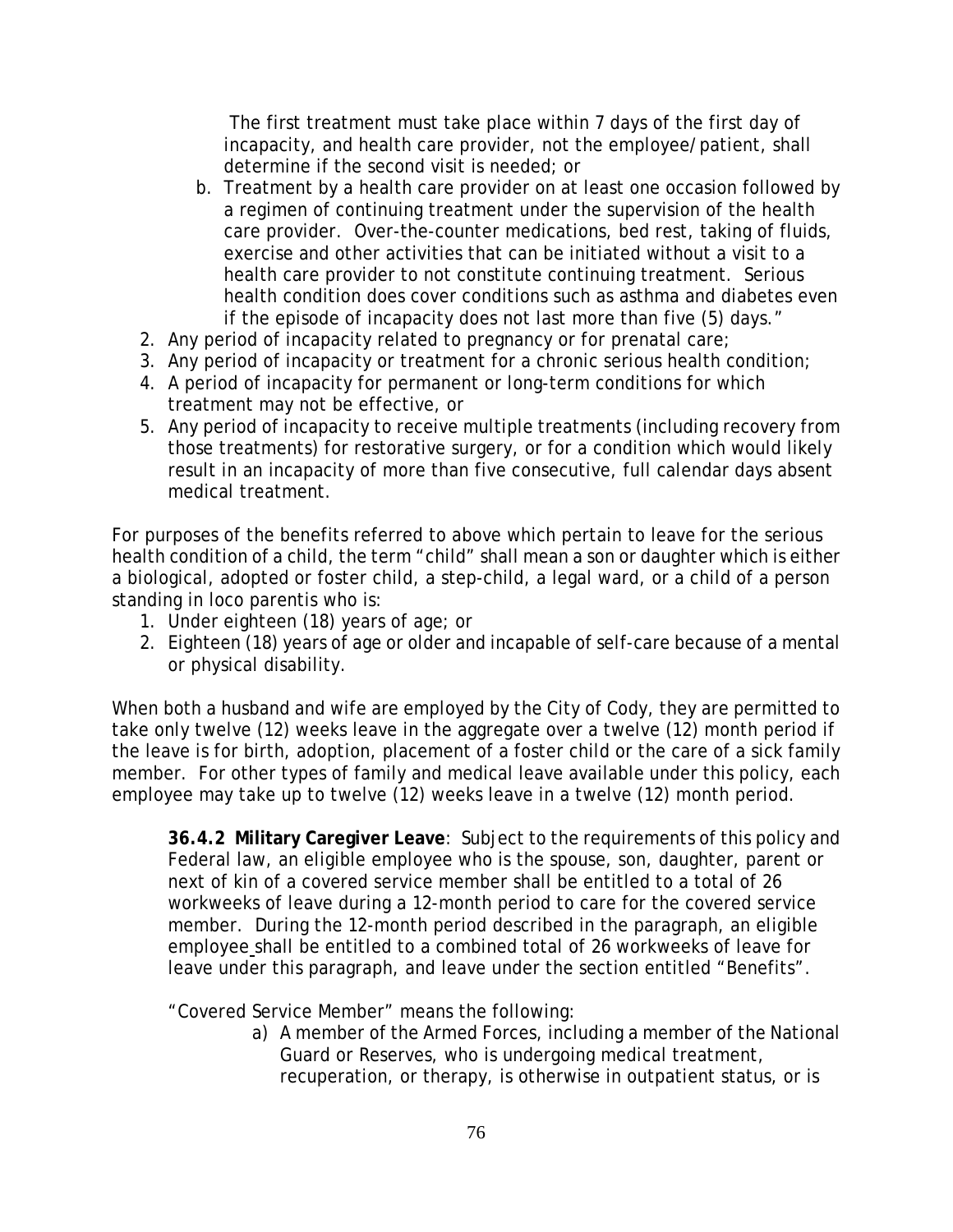The first treatment must take place within 7 days of the first day of incapacity, and health care provider, not the employee/patient, shall determine if the second visit is needed; or

- b. Treatment by a health care provider on at least one occasion followed by a regimen of continuing treatment under the supervision of the health care provider. Over-the-counter medications, bed rest, taking of fluids, exercise and other activities that can be initiated without a visit to a health care provider to not constitute continuing treatment. Serious health condition does cover conditions such as asthma and diabetes even if the episode of incapacity does not last more than five (5) days."
- 2. Any period of incapacity related to pregnancy or for prenatal care;
- 3. Any period of incapacity or treatment for a chronic serious health condition;
- 4. A period of incapacity for permanent or long-term conditions for which treatment may not be effective, or
- 5. Any period of incapacity to receive multiple treatments (including recovery from those treatments) for restorative surgery, or for a condition which would likely result in an incapacity of more than five consecutive, full calendar days absent medical treatment.

For purposes of the benefits referred to above which pertain to leave for the serious health condition of a child, the term "child" shall mean a son or daughter which is either a biological, adopted or foster child, a step-child, a legal ward, or a child of a person standing in loco parentis who is:

- 1. Under eighteen (18) years of age; or
- 2. Eighteen (18) years of age or older and incapable of self-care because of a mental or physical disability.

When both a husband and wife are employed by the City of Cody, they are permitted to take only twelve (12) weeks leave in the aggregate over a twelve (12) month period if the leave is for birth, adoption, placement of a foster child or the care of a sick family member. For other types of family and medical leave available under this policy, each employee may take up to twelve (12) weeks leave in a twelve (12) month period.

**36.4.2 Military Caregiver Leave**: Subject to the requirements of this policy and Federal law, an eligible employee who is the spouse, son, daughter, parent or next of kin of a covered service member shall be entitled to a total of 26 workweeks of leave during a 12-month period to care for the covered service member. During the 12-month period described in the paragraph, an eligible employee shall be entitled to a combined total of 26 workweeks of leave for leave under this paragraph, and leave under the section entitled "Benefits".

"Covered Service Member" means the following:

a) A member of the Armed Forces, including a member of the National Guard or Reserves, who is undergoing medical treatment, recuperation, or therapy, is otherwise in outpatient status, or is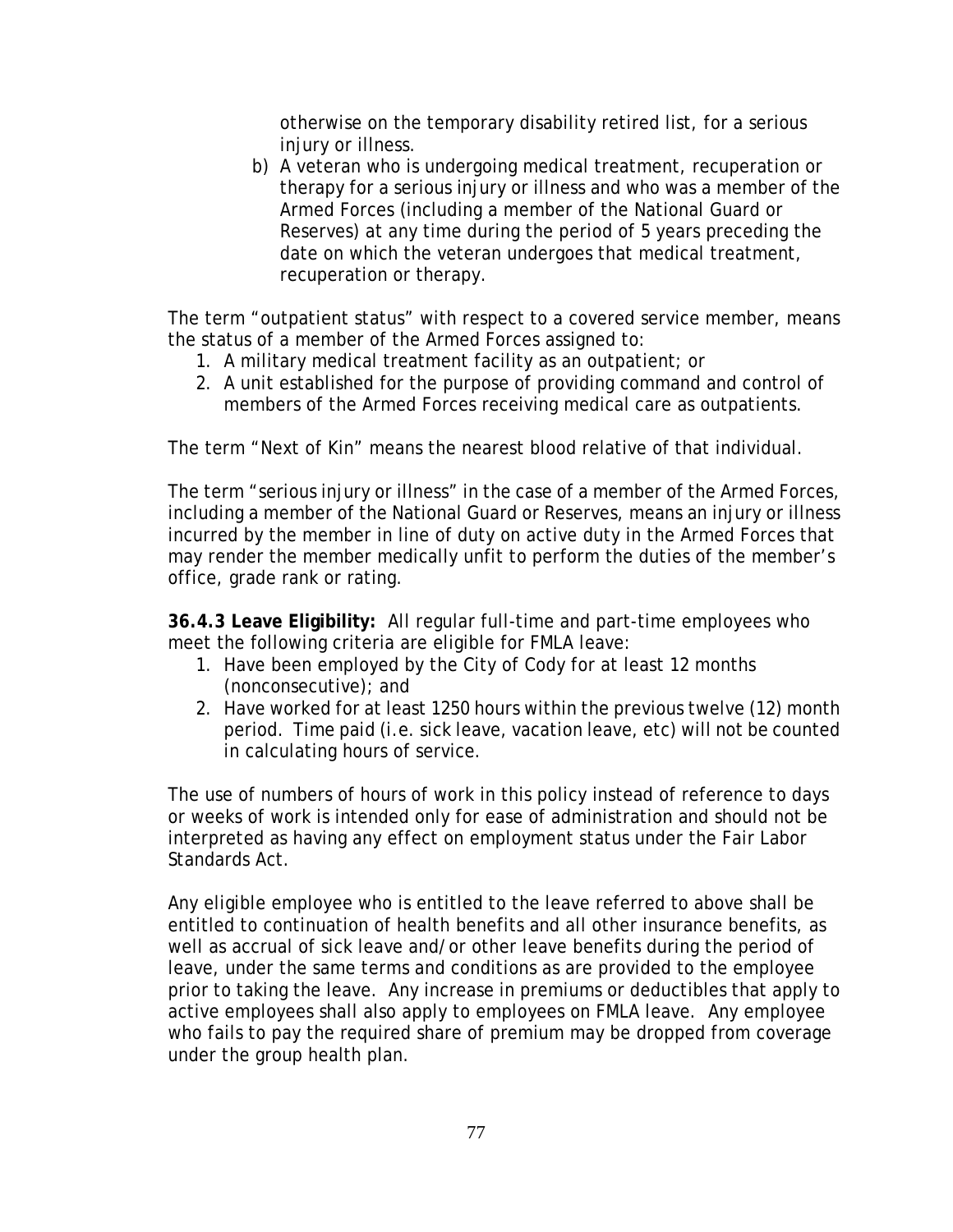otherwise on the temporary disability retired list, for a serious injury or illness.

b) A veteran who is undergoing medical treatment, recuperation or therapy for a serious injury or illness and who was a member of the Armed Forces (including a member of the National Guard or Reserves) at any time during the period of 5 years preceding the date on which the veteran undergoes that medical treatment, recuperation or therapy.

The term "outpatient status" with respect to a covered service member, means the status of a member of the Armed Forces assigned to:

- 1. A military medical treatment facility as an outpatient; or
- 2. A unit established for the purpose of providing command and control of members of the Armed Forces receiving medical care as outpatients.

The term "Next of Kin" means the nearest blood relative of that individual.

The term "serious injury or illness" in the case of a member of the Armed Forces, including a member of the National Guard or Reserves, means an injury or illness incurred by the member in line of duty on active duty in the Armed Forces that may render the member medically unfit to perform the duties of the member's office, grade rank or rating.

**36.4.3 Leave Eligibility:** All regular full-time and part-time employees who meet the following criteria are eligible for FMLA leave:

- 1. Have been employed by the City of Cody for at least 12 months (nonconsecutive); and
- 2. Have worked for at least 1250 hours within the previous twelve (12) month period. Time paid (i.e. sick leave, vacation leave, etc) will not be counted in calculating hours of service.

The use of numbers of hours of work in this policy instead of reference to days or weeks of work is intended only for ease of administration and should not be interpreted as having any effect on employment status under the Fair Labor Standards Act.

Any eligible employee who is entitled to the leave referred to above shall be entitled to continuation of health benefits and all other insurance benefits, as well as accrual of sick leave and/or other leave benefits during the period of leave, under the same terms and conditions as are provided to the employee prior to taking the leave. Any increase in premiums or deductibles that apply to active employees shall also apply to employees on FMLA leave. Any employee who fails to pay the required share of premium may be dropped from coverage under the group health plan.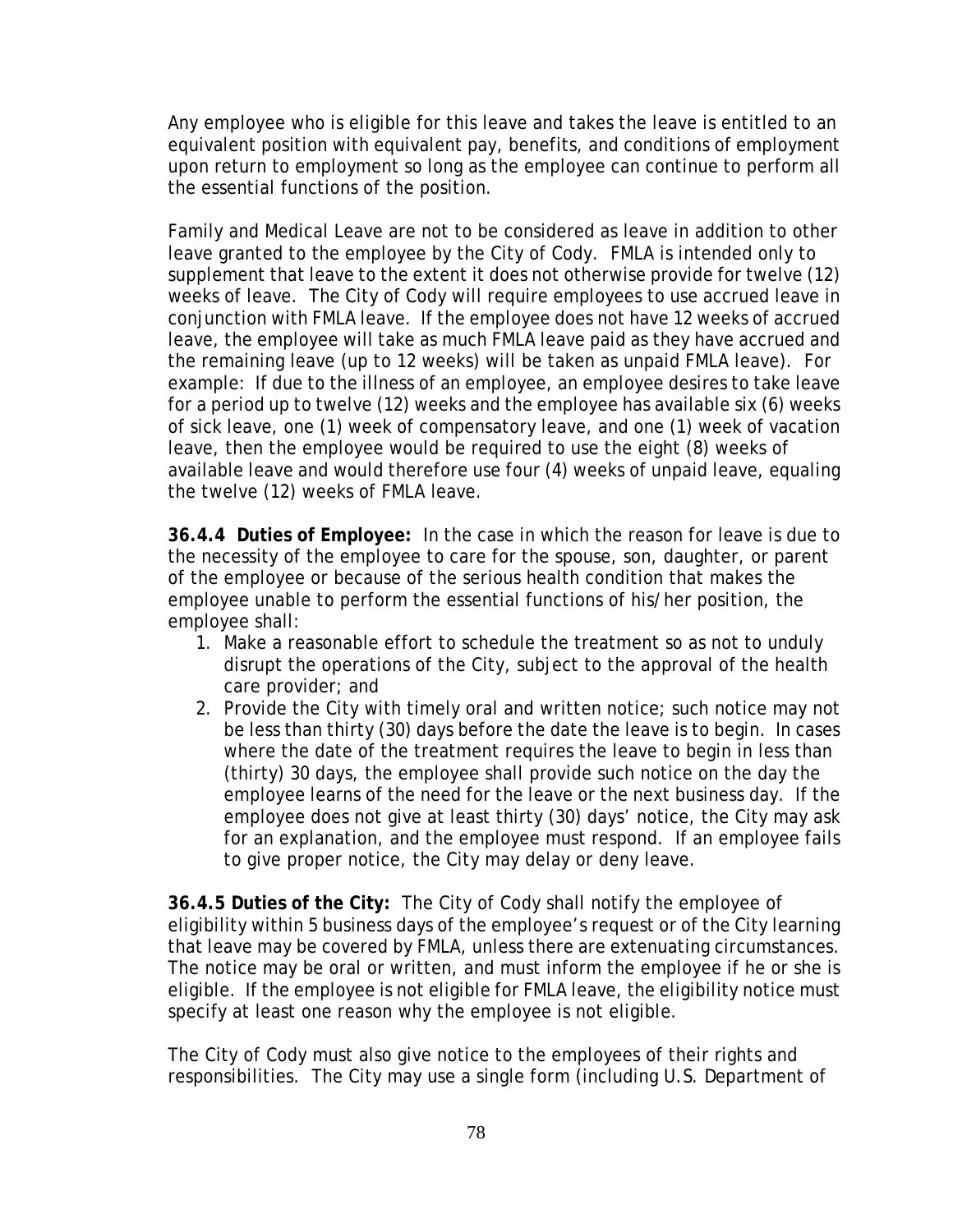Any employee who is eligible for this leave and takes the leave is entitled to an equivalent position with equivalent pay, benefits, and conditions of employment upon return to employment so long as the employee can continue to perform all the essential functions of the position.

Family and Medical Leave are not to be considered as leave in addition to other leave granted to the employee by the City of Cody. FMLA is intended only to supplement that leave to the extent it does not otherwise provide for twelve (12) weeks of leave. The City of Cody will require employees to use accrued leave in conjunction with FMLA leave. If the employee does not have 12 weeks of accrued leave, the employee will take as much FMLA leave paid as they have accrued and the remaining leave (up to 12 weeks) will be taken as unpaid FMLA leave). For example: If due to the illness of an employee, an employee desires to take leave for a period up to twelve (12) weeks and the employee has available six (6) weeks of sick leave, one (1) week of compensatory leave, and one (1) week of vacation leave, then the employee would be required to use the eight (8) weeks of available leave and would therefore use four (4) weeks of unpaid leave, equaling the twelve (12) weeks of FMLA leave.

**36.4.4 Duties of Employee:** In the case in which the reason for leave is due to the necessity of the employee to care for the spouse, son, daughter, or parent of the employee or because of the serious health condition that makes the employee unable to perform the essential functions of his/her position, the employee shall:

- 1. Make a reasonable effort to schedule the treatment so as not to unduly disrupt the operations of the City, subject to the approval of the health care provider; and
- 2. Provide the City with timely oral and written notice; such notice may not be less than thirty (30) days before the date the leave is to begin. In cases where the date of the treatment requires the leave to begin in less than (thirty) 30 days, the employee shall provide such notice on the day the employee learns of the need for the leave or the next business day. If the employee does not give at least thirty (30) days' notice, the City may ask for an explanation, and the employee must respond. If an employee fails to give proper notice, the City may delay or deny leave.

**36.4.5 Duties of the City:** The City of Cody shall notify the employee of eligibility within 5 business days of the employee's request or of the City learning that leave may be covered by FMLA, unless there are extenuating circumstances. The notice may be oral or written, and must inform the employee if he or she is eligible. If the employee is not eligible for FMLA leave, the eligibility notice must specify at least one reason why the employee is not eligible.

The City of Cody must also give notice to the employees of their rights and responsibilities. The City may use a single form (including U.S. Department of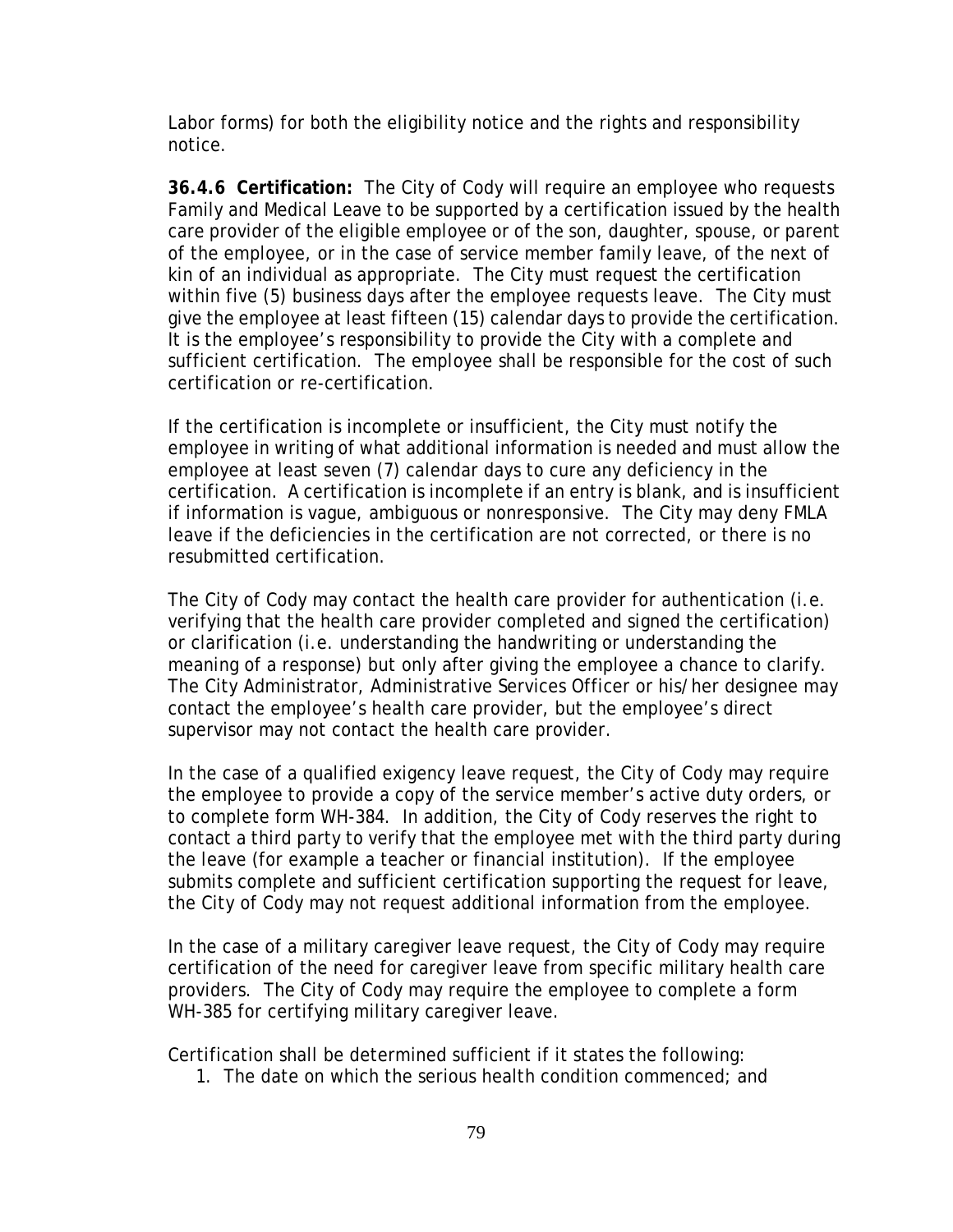Labor forms) for both the eligibility notice and the rights and responsibility notice.

**36.4.6 Certification:** The City of Cody will require an employee who requests Family and Medical Leave to be supported by a certification issued by the health care provider of the eligible employee or of the son, daughter, spouse, or parent of the employee, or in the case of service member family leave, of the next of kin of an individual as appropriate. The City must request the certification within five (5) business days after the employee requests leave. The City must give the employee at least fifteen (15) calendar days to provide the certification. It is the employee's responsibility to provide the City with a complete and sufficient certification. The employee shall be responsible for the cost of such certification or re-certification.

If the certification is incomplete or insufficient, the City must notify the employee in writing of what additional information is needed and must allow the employee at least seven (7) calendar days to cure any deficiency in the certification. A certification is incomplete if an entry is blank, and is insufficient if information is vague, ambiguous or nonresponsive. The City may deny FMLA leave if the deficiencies in the certification are not corrected, or there is no resubmitted certification.

The City of Cody may contact the health care provider for authentication (i.e. verifying that the health care provider completed and signed the certification) or clarification (i.e. understanding the handwriting or understanding the meaning of a response) but only after giving the employee a chance to clarify. The City Administrator, Administrative Services Officer or his/her designee may contact the employee's health care provider, but the employee's direct supervisor may not contact the health care provider.

In the case of a qualified exigency leave request, the City of Cody may require the employee to provide a copy of the service member's active duty orders, or to complete form WH-384. In addition, the City of Cody reserves the right to contact a third party to verify that the employee met with the third party during the leave (for example a teacher or financial institution). If the employee submits complete and sufficient certification supporting the request for leave, the City of Cody may not request additional information from the employee.

In the case of a military caregiver leave request, the City of Cody may require certification of the need for caregiver leave from specific military health care providers. The City of Cody may require the employee to complete a form WH-385 for certifying military caregiver leave.

Certification shall be determined sufficient if it states the following:

1. The date on which the serious health condition commenced; and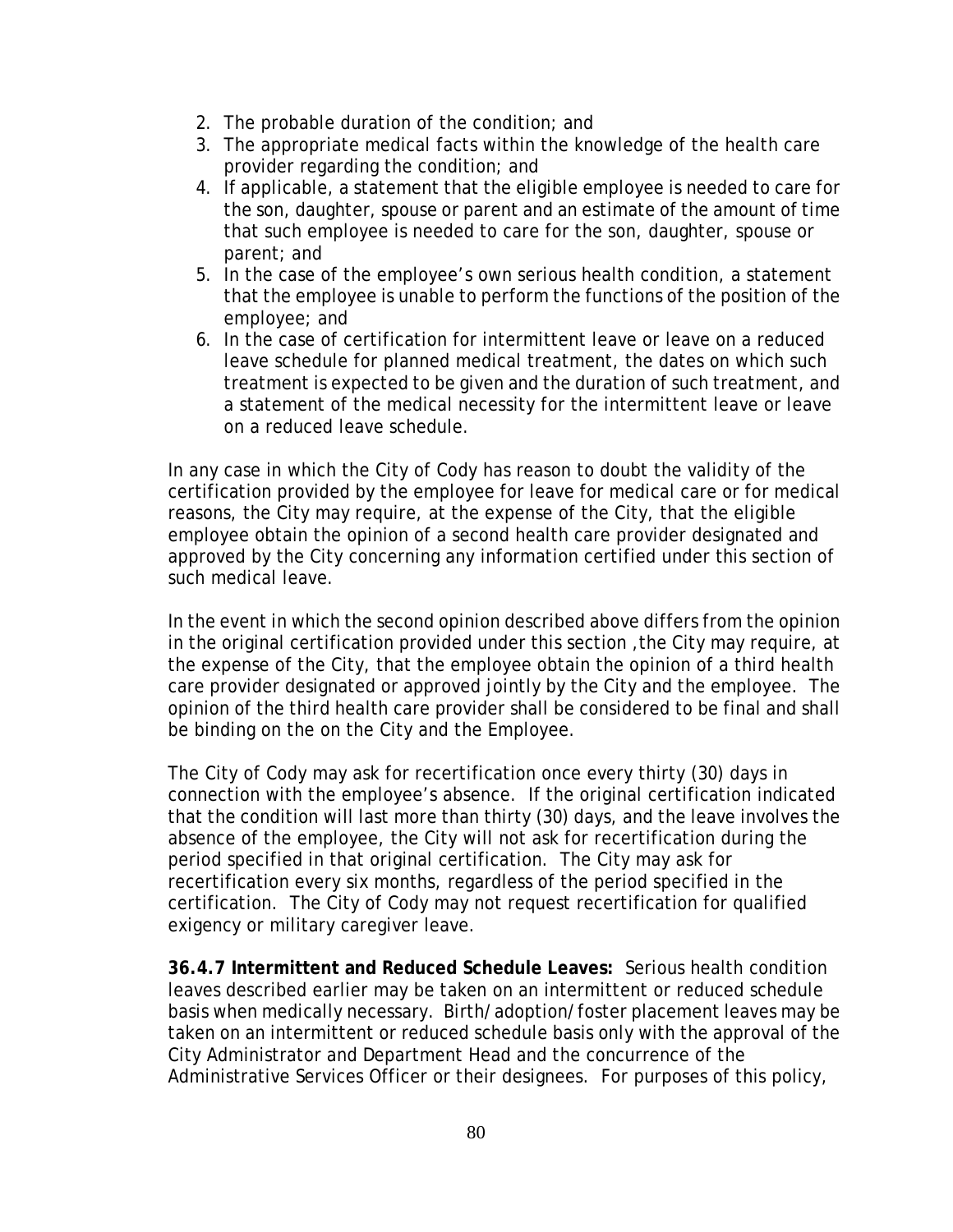- 2. The probable duration of the condition; and
- 3. The appropriate medical facts within the knowledge of the health care provider regarding the condition; and
- 4. If applicable, a statement that the eligible employee is needed to care for the son, daughter, spouse or parent and an estimate of the amount of time that such employee is needed to care for the son, daughter, spouse or parent; and
- 5. In the case of the employee's own serious health condition, a statement that the employee is unable to perform the functions of the position of the employee; and
- 6. In the case of certification for intermittent leave or leave on a reduced leave schedule for planned medical treatment, the dates on which such treatment is expected to be given and the duration of such treatment, and a statement of the medical necessity for the intermittent leave or leave on a reduced leave schedule.

In any case in which the City of Cody has reason to doubt the validity of the certification provided by the employee for leave for medical care or for medical reasons, the City may require, at the expense of the City, that the eligible employee obtain the opinion of a second health care provider designated and approved by the City concerning any information certified under this section of such medical leave.

In the event in which the second opinion described above differs from the opinion in the original certification provided under this section ,the City may require, at the expense of the City, that the employee obtain the opinion of a third health care provider designated or approved jointly by the City and the employee. The opinion of the third health care provider shall be considered to be final and shall be binding on the on the City and the Employee.

The City of Cody may ask for recertification once every thirty (30) days in connection with the employee's absence. If the original certification indicated that the condition will last more than thirty (30) days, and the leave involves the absence of the employee, the City will not ask for recertification during the period specified in that original certification. The City may ask for recertification every six months, regardless of the period specified in the certification. The City of Cody may not request recertification for qualified exigency or military caregiver leave.

**36.4.7 Intermittent and Reduced Schedule Leaves:** Serious health condition leaves described earlier may be taken on an intermittent or reduced schedule basis when medically necessary. Birth/adoption/foster placement leaves may be taken on an intermittent or reduced schedule basis only with the approval of the City Administrator and Department Head and the concurrence of the Administrative Services Officer or their designees. For purposes of this policy,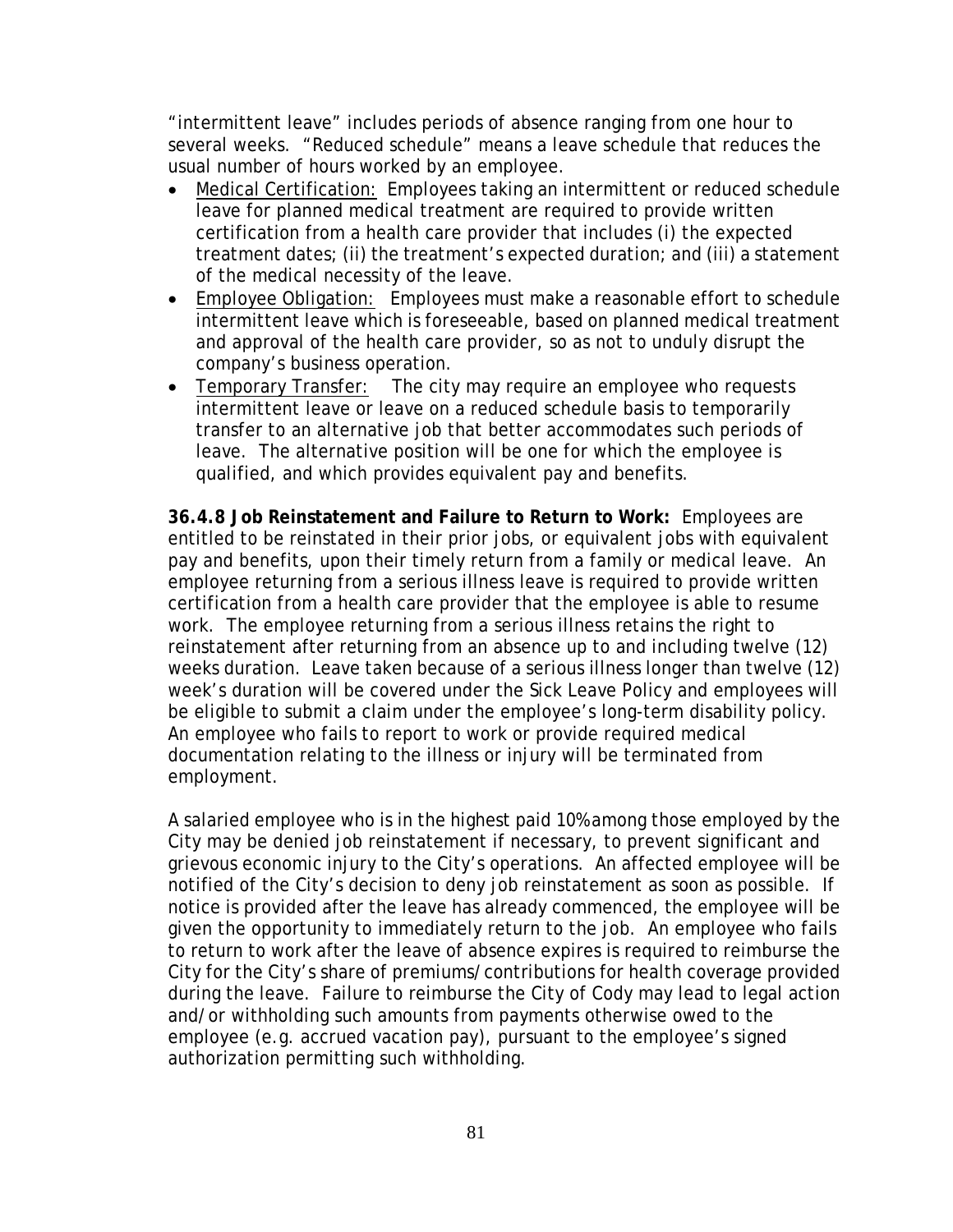"intermittent leave" includes periods of absence ranging from one hour to several weeks. "Reduced schedule" means a leave schedule that reduces the usual number of hours worked by an employee.

- Medical Certification: Employees taking an intermittent or reduced schedule leave for planned medical treatment are required to provide written certification from a health care provider that includes (i) the expected treatment dates; (ii) the treatment's expected duration; and (iii) a statement of the medical necessity of the leave.
- Employee Obligation: Employees must make a reasonable effort to schedule intermittent leave which is foreseeable, based on planned medical treatment and approval of the health care provider, so as not to unduly disrupt the company's business operation.
- Temporary Transfer: The city may require an employee who requests intermittent leave or leave on a reduced schedule basis to temporarily transfer to an alternative job that better accommodates such periods of leave. The alternative position will be one for which the employee is qualified, and which provides equivalent pay and benefits.

**36.4.8 Job Reinstatement and Failure to Return to Work:** Employees are entitled to be reinstated in their prior jobs, or equivalent jobs with equivalent pay and benefits, upon their timely return from a family or medical leave. An employee returning from a serious illness leave is required to provide written certification from a health care provider that the employee is able to resume work. The employee returning from a serious illness retains the right to reinstatement after returning from an absence up to and including twelve (12) weeks duration. Leave taken because of a serious illness longer than twelve (12) week's duration will be covered under the Sick Leave Policy and employees will be eligible to submit a claim under the employee's long-term disability policy. An employee who fails to report to work or provide required medical documentation relating to the illness or injury will be terminated from employment.

A salaried employee who is in the highest paid 10% among those employed by the City may be denied job reinstatement if necessary, to prevent significant and grievous economic injury to the City's operations. An affected employee will be notified of the City's decision to deny job reinstatement as soon as possible. If notice is provided after the leave has already commenced, the employee will be given the opportunity to immediately return to the job. An employee who fails to return to work after the leave of absence expires is required to reimburse the City for the City's share of premiums/contributions for health coverage provided during the leave. Failure to reimburse the City of Cody may lead to legal action and/or withholding such amounts from payments otherwise owed to the employee (e.g. accrued vacation pay), pursuant to the employee's signed authorization permitting such withholding.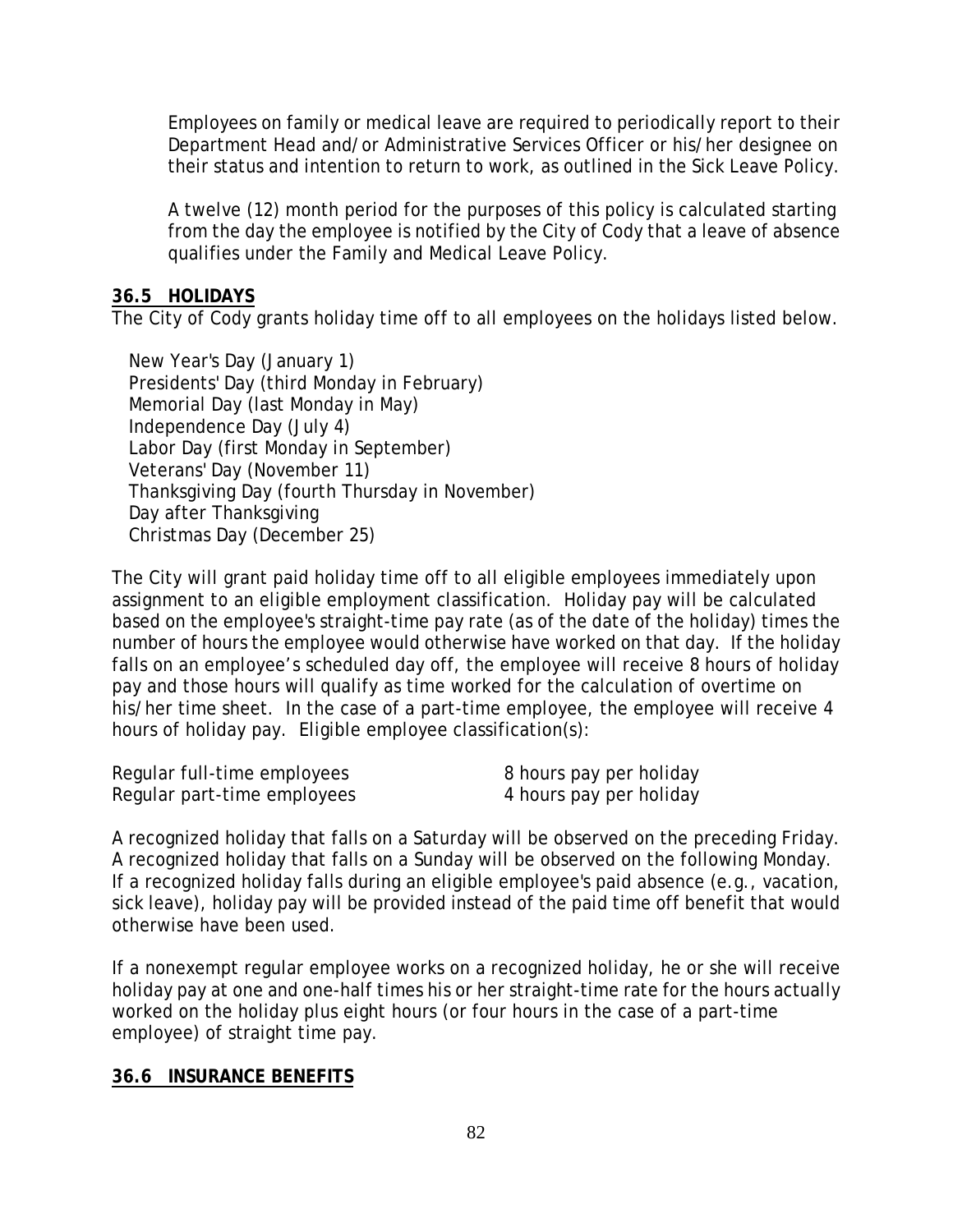Employees on family or medical leave are required to periodically report to their Department Head and/or Administrative Services Officer or his/her designee on their status and intention to return to work, as outlined in the Sick Leave Policy.

A twelve (12) month period for the purposes of this policy is calculated starting from the day the employee is notified by the City of Cody that a leave of absence qualifies under the Family and Medical Leave Policy.

## **36.5 HOLIDAYS**

The City of Cody grants holiday time off to all employees on the holidays listed below.

 New Year's Day (January 1) Presidents' Day (third Monday in February) Memorial Day (last Monday in May) Independence Day (July 4) Labor Day (first Monday in September) Veterans' Day (November 11) Thanksgiving Day (fourth Thursday in November) Day after Thanksgiving Christmas Day (December 25)

The City will grant paid holiday time off to all eligible employees immediately upon assignment to an eligible employment classification. Holiday pay will be calculated based on the employee's straight-time pay rate (as of the date of the holiday) times the number of hours the employee would otherwise have worked on that day. If the holiday falls on an employee's scheduled day off, the employee will receive 8 hours of holiday pay and those hours will qualify as time worked for the calculation of overtime on his/her time sheet. In the case of a part-time employee, the employee will receive 4 hours of holiday pay. Eligible employee classification(s):

| Regular full-time employees | 8 hours pay per holiday |
|-----------------------------|-------------------------|
| Regular part-time employees | 4 hours pay per holiday |

A recognized holiday that falls on a Saturday will be observed on the preceding Friday. A recognized holiday that falls on a Sunday will be observed on the following Monday. If a recognized holiday falls during an eligible employee's paid absence (e.g., vacation, sick leave), holiday pay will be provided instead of the paid time off benefit that would otherwise have been used.

If a nonexempt regular employee works on a recognized holiday, he or she will receive holiday pay at one and one-half times his or her straight-time rate for the hours actually worked on the holiday plus eight hours (or four hours in the case of a part-time employee) of straight time pay.

## **36.6 INSURANCE BENEFITS**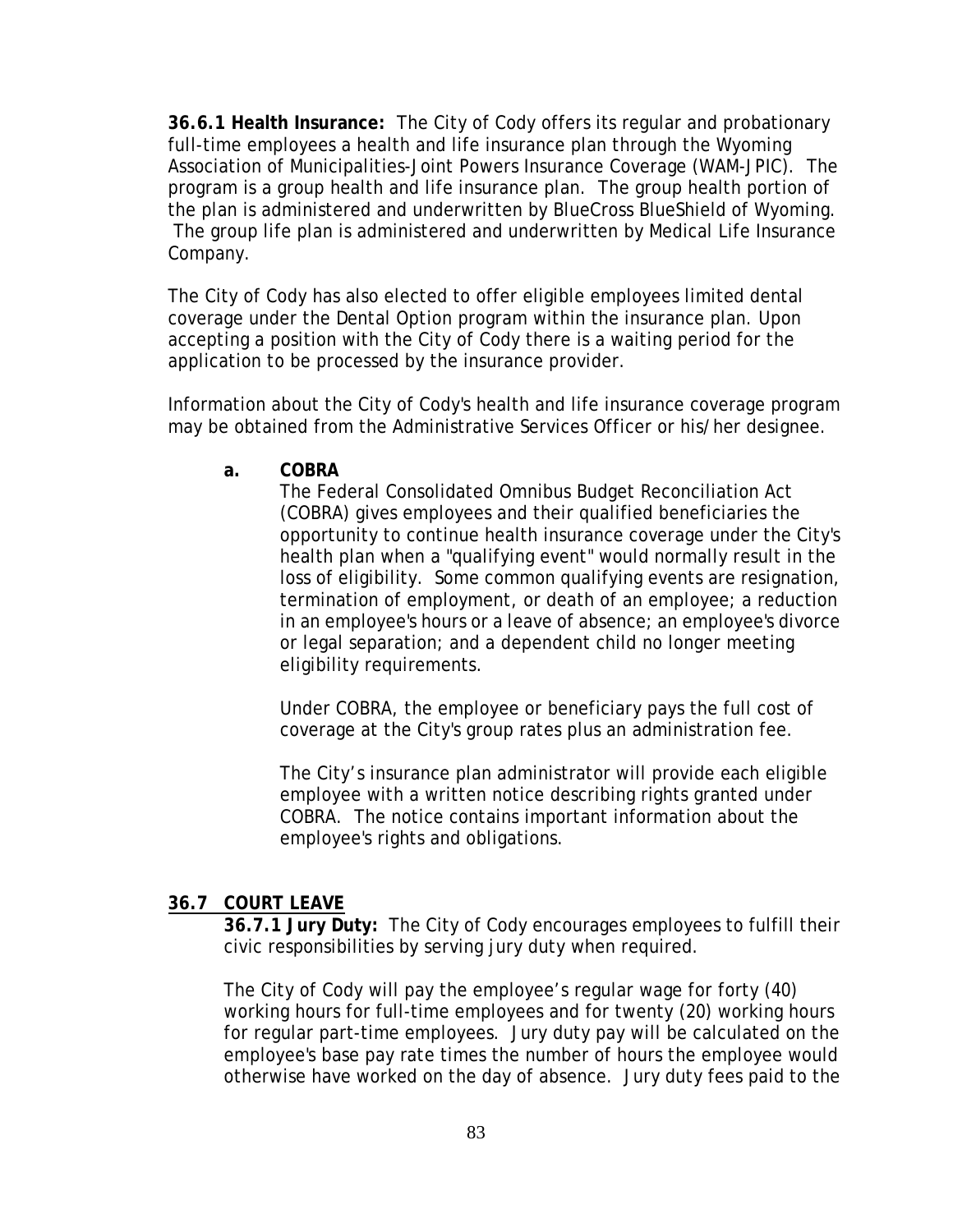**36.6.1 Health Insurance:** The City of Cody offers its regular and probationary full-time employees a health and life insurance plan through the Wyoming Association of Municipalities-Joint Powers Insurance Coverage (WAM-JPIC). The program is a group health and life insurance plan. The group health portion of the plan is administered and underwritten by BlueCross BlueShield of Wyoming. The group life plan is administered and underwritten by Medical Life Insurance Company.

The City of Cody has also elected to offer eligible employees limited dental coverage under the Dental Option program within the insurance plan. Upon accepting a position with the City of Cody there is a waiting period for the application to be processed by the insurance provider.

Information about the City of Cody's health and life insurance coverage program may be obtained from the Administrative Services Officer or his/her designee.

**a. COBRA**

The Federal Consolidated Omnibus Budget Reconciliation Act (COBRA) gives employees and their qualified beneficiaries the opportunity to continue health insurance coverage under the City's health plan when a "qualifying event" would normally result in the loss of eligibility. Some common qualifying events are resignation, termination of employment, or death of an employee; a reduction in an employee's hours or a leave of absence; an employee's divorce or legal separation; and a dependent child no longer meeting eligibility requirements.

Under COBRA, the employee or beneficiary pays the full cost of coverage at the City's group rates plus an administration fee.

The City's insurance plan administrator will provide each eligible employee with a written notice describing rights granted under COBRA. The notice contains important information about the employee's rights and obligations.

## **36.7 COURT LEAVE**

**36.7.1 Jury Duty:** The City of Cody encourages employees to fulfill their civic responsibilities by serving jury duty when required.

The City of Cody will pay the employee's regular wage for forty (40) working hours for full-time employees and for twenty (20) working hours for regular part-time employees. Jury duty pay will be calculated on the employee's base pay rate times the number of hours the employee would otherwise have worked on the day of absence. Jury duty fees paid to the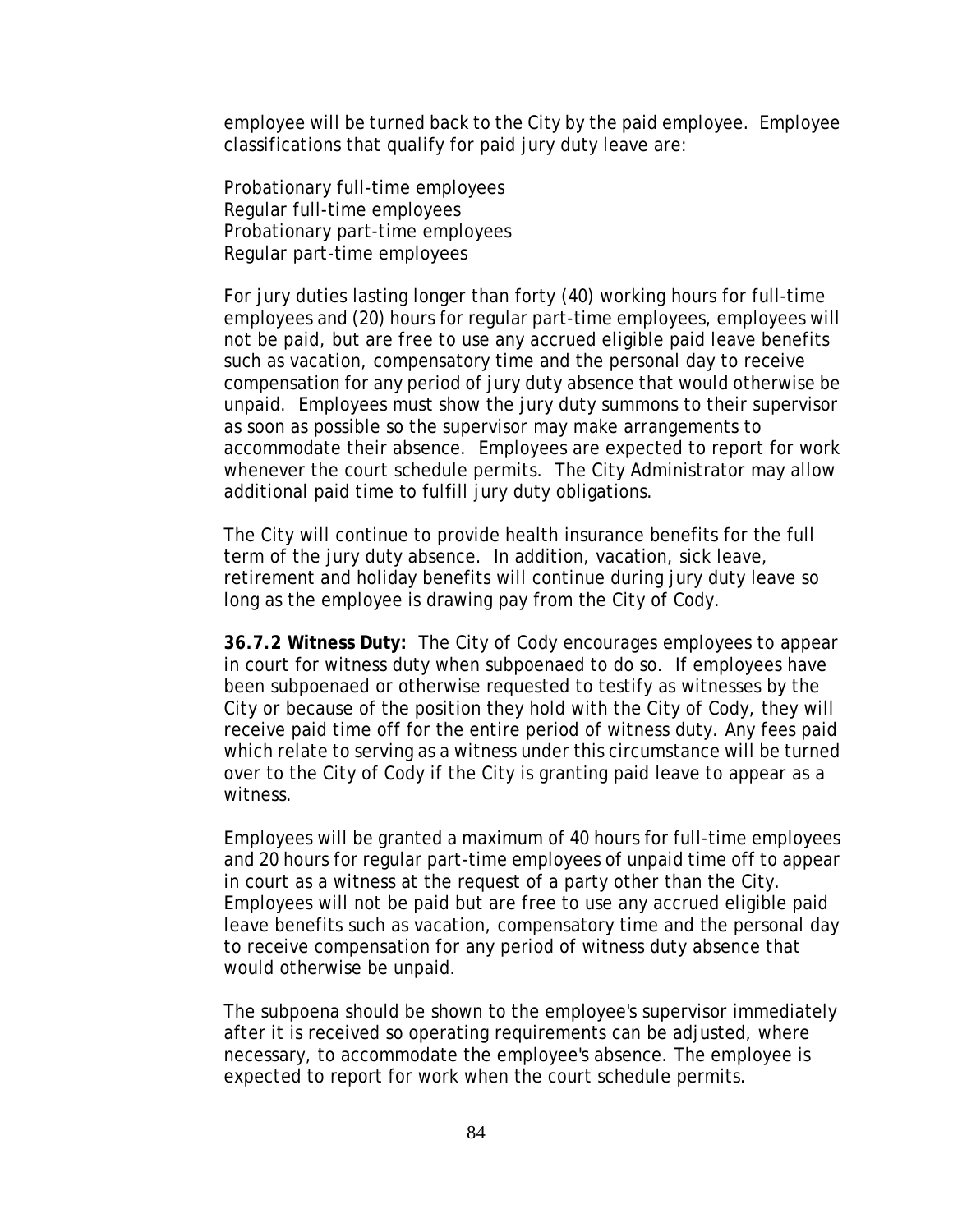employee will be turned back to the City by the paid employee. Employee classifications that qualify for paid jury duty leave are:

Probationary full-time employees Regular full-time employees Probationary part-time employees Regular part-time employees

For jury duties lasting longer than forty (40) working hours for full-time employees and (20) hours for regular part-time employees, employees will not be paid, but are free to use any accrued eligible paid leave benefits such as vacation, compensatory time and the personal day to receive compensation for any period of jury duty absence that would otherwise be unpaid. Employees must show the jury duty summons to their supervisor as soon as possible so the supervisor may make arrangements to accommodate their absence. Employees are expected to report for work whenever the court schedule permits. The City Administrator may allow additional paid time to fulfill jury duty obligations.

The City will continue to provide health insurance benefits for the full term of the jury duty absence. In addition, vacation, sick leave, retirement and holiday benefits will continue during jury duty leave so long as the employee is drawing pay from the City of Cody.

**36.7.2 Witness Duty:** The City of Cody encourages employees to appear in court for witness duty when subpoenaed to do so. If employees have been subpoenaed or otherwise requested to testify as witnesses by the City or because of the position they hold with the City of Cody, they will receive paid time off for the entire period of witness duty. Any fees paid which relate to serving as a witness under this circumstance will be turned over to the City of Cody if the City is granting paid leave to appear as a witness.

Employees will be granted a maximum of 40 hours for full-time employees and 20 hours for regular part-time employees of unpaid time off to appear in court as a witness at the request of a party other than the City. Employees will not be paid but are free to use any accrued eligible paid leave benefits such as vacation, compensatory time and the personal day to receive compensation for any period of witness duty absence that would otherwise be unpaid.

The subpoena should be shown to the employee's supervisor immediately after it is received so operating requirements can be adjusted, where necessary, to accommodate the employee's absence. The employee is expected to report for work when the court schedule permits.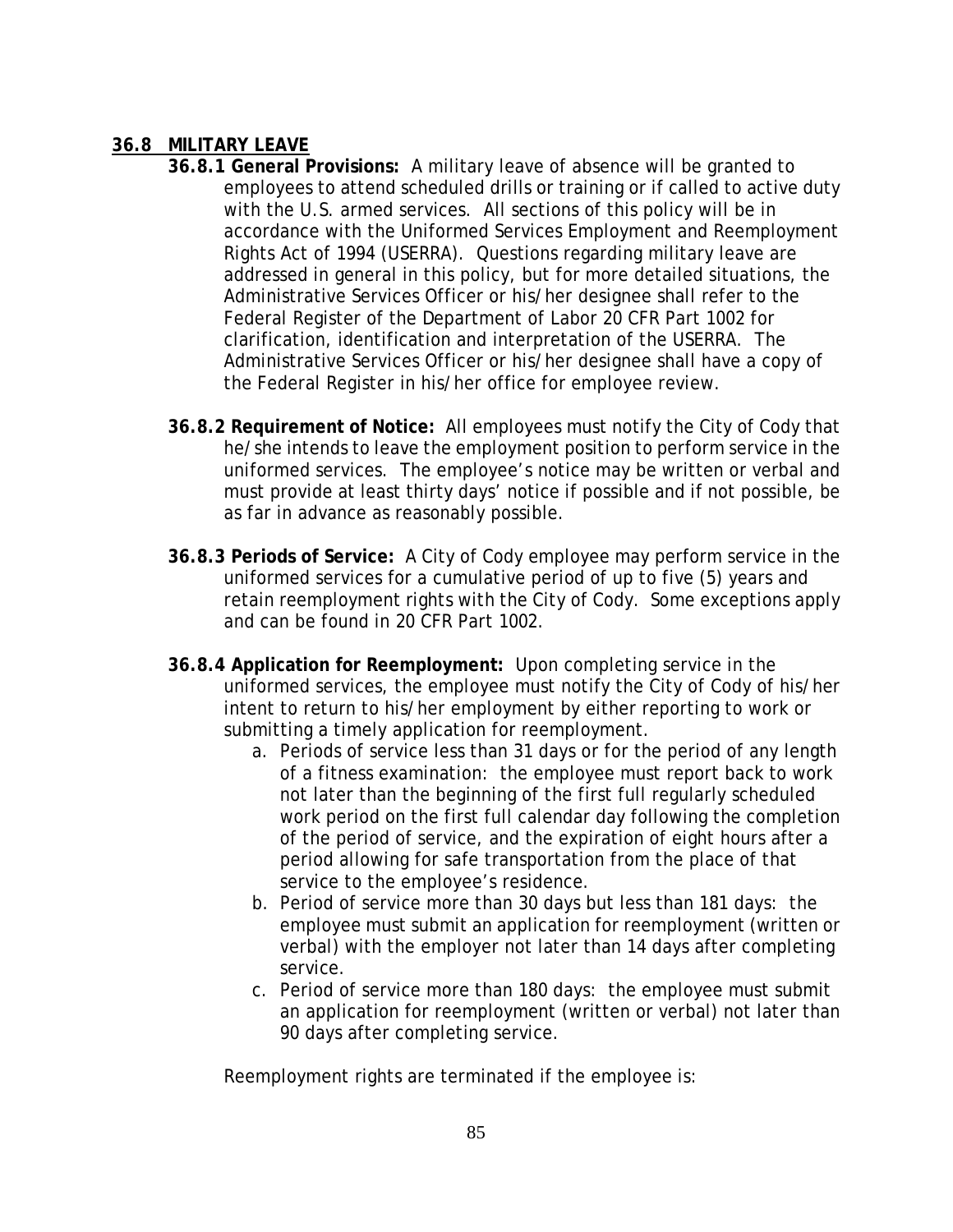## **36.8 MILITARY LEAVE**

- **36.8.1 General Provisions:** A military leave of absence will be granted to employees to attend scheduled drills or training or if called to active duty with the U.S. armed services. All sections of this policy will be in accordance with the Uniformed Services Employment and Reemployment Rights Act of 1994 (USERRA). Questions regarding military leave are addressed in general in this policy, but for more detailed situations, the Administrative Services Officer or his/her designee shall refer to the Federal Register of the Department of Labor 20 CFR Part 1002 for clarification, identification and interpretation of the USERRA. The Administrative Services Officer or his/her designee shall have a copy of the Federal Register in his/her office for employee review.
- **36.8.2 Requirement of Notice:** All employees must notify the City of Cody that he/she intends to leave the employment position to perform service in the uniformed services. The employee's notice may be written or verbal and must provide at least thirty days' notice if possible and if not possible, be as far in advance as reasonably possible.
- **36.8.3 Periods of Service:** A City of Cody employee may perform service in the uniformed services for a cumulative period of up to five (5) years and retain reemployment rights with the City of Cody. Some exceptions apply and can be found in 20 CFR Part 1002.
- **36.8.4 Application for Reemployment:** Upon completing service in the uniformed services, the employee must notify the City of Cody of his/her intent to return to his/her employment by either reporting to work or submitting a timely application for reemployment.
	- a. Periods of service less than 31 days or for the period of any length of a fitness examination: the employee must report back to work not later than the beginning of the first full regularly scheduled work period on the first full calendar day following the completion of the period of service, and the expiration of eight hours after a period allowing for safe transportation from the place of that service to the employee's residence.
	- b. Period of service more than 30 days but less than 181 days: the employee must submit an application for reemployment (written or verbal) with the employer not later than 14 days after completing service.
	- c. Period of service more than 180 days: the employee must submit an application for reemployment (written or verbal) not later than 90 days after completing service.

Reemployment rights are terminated if the employee is: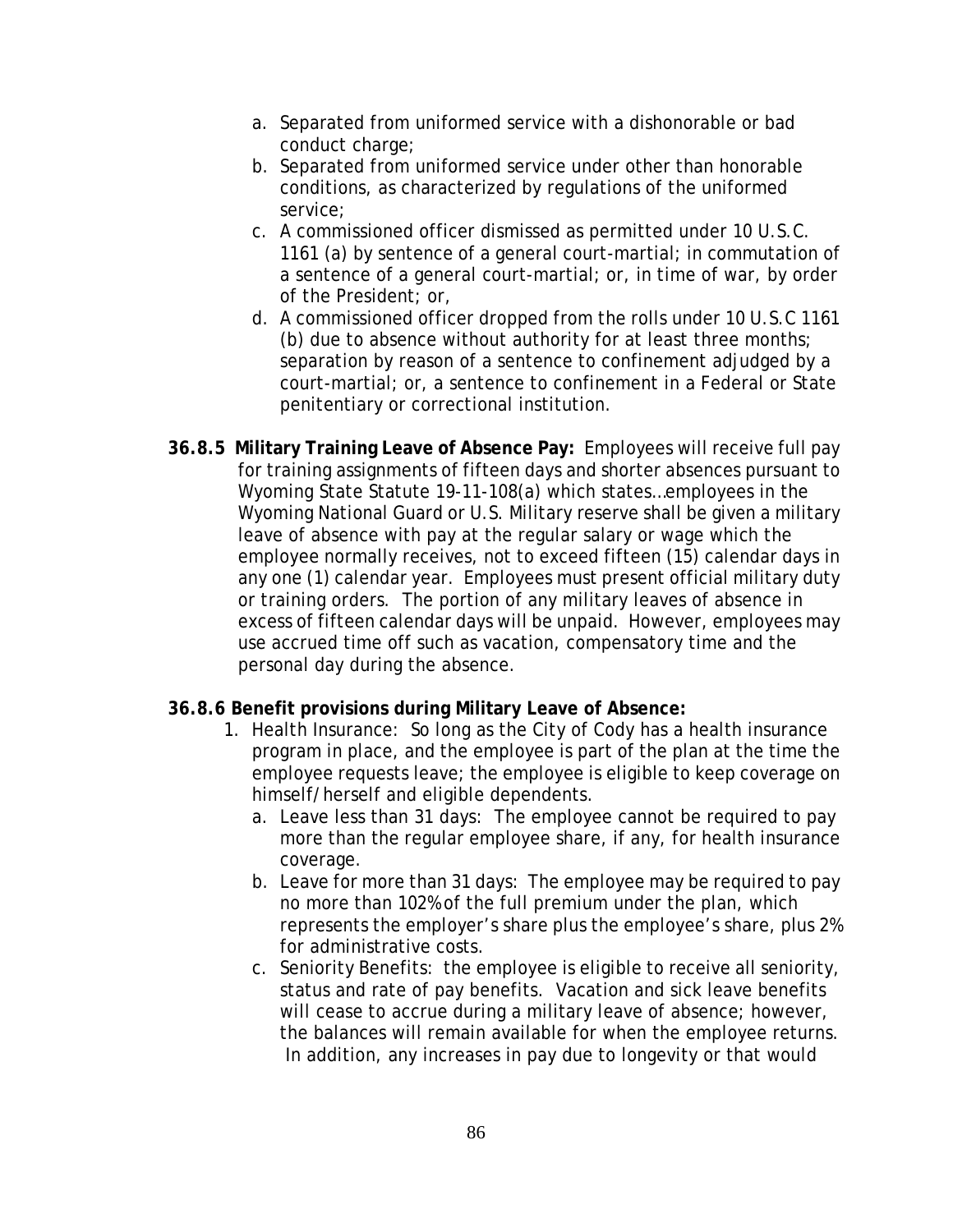- a. Separated from uniformed service with a dishonorable or bad conduct charge;
- b. Separated from uniformed service under other than honorable conditions, as characterized by regulations of the uniformed service;
- c. A commissioned officer dismissed as permitted under 10 U.S.C. 1161 (a) by sentence of a general court-martial; in commutation of a sentence of a general court-martial; or, in time of war, by order of the President; or,
- d. A commissioned officer dropped from the rolls under 10 U.S.C 1161 (b) due to absence without authority for at least three months; separation by reason of a sentence to confinement adjudged by a court-martial; or, a sentence to confinement in a Federal or State penitentiary or correctional institution.
- **36.8.5 Military Training Leave of Absence Pay:** Employees will receive full pay for training assignments of fifteen days and shorter absences pursuant to Wyoming State Statute 19-11-108(a) which states…employees in the Wyoming National Guard or U.S. Military reserve shall be given a military leave of absence with pay at the regular salary or wage which the employee normally receives, not to exceed fifteen (15) calendar days in any one (1) calendar year. Employees must present official military duty or training orders. The portion of any military leaves of absence in excess of fifteen calendar days will be unpaid. However, employees may use accrued time off such as vacation, compensatory time and the personal day during the absence.

## **36.8.6 Benefit provisions during Military Leave of Absence:**

- 1. Health Insurance: So long as the City of Cody has a health insurance program in place, and the employee is part of the plan at the time the employee requests leave; the employee is eligible to keep coverage on himself/herself and eligible dependents.
	- a. Leave less than 31 days: The employee cannot be required to pay more than the regular employee share, if any, for health insurance coverage.
	- b. Leave for more than 31 days: The employee may be required to pay no more than 102% of the full premium under the plan, which represents the employer's share plus the employee's share, plus 2% for administrative costs.
	- c. Seniority Benefits: the employee is eligible to receive all seniority, status and rate of pay benefits. Vacation and sick leave benefits will cease to accrue during a military leave of absence; however, the balances will remain available for when the employee returns. In addition, any increases in pay due to longevity or that would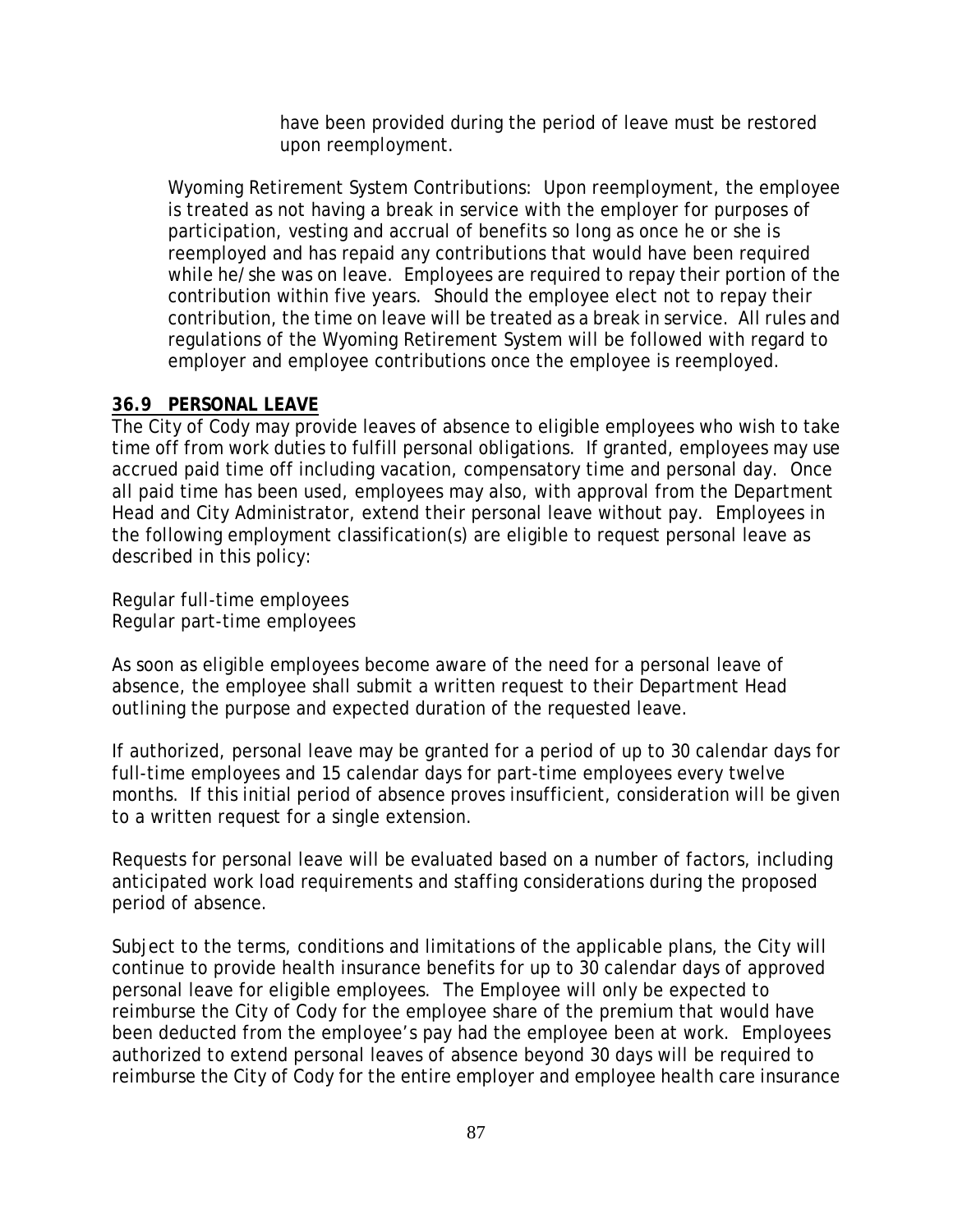have been provided during the period of leave must be restored upon reemployment.

Wyoming Retirement System Contributions: Upon reemployment, the employee is treated as not having a break in service with the employer for purposes of participation, vesting and accrual of benefits so long as once he or she is reemployed and has repaid any contributions that would have been required while he/she was on leave. Employees are required to repay their portion of the contribution within five years. Should the employee elect not to repay their contribution, the time on leave will be treated as a break in service. All rules and regulations of the Wyoming Retirement System will be followed with regard to employer and employee contributions once the employee is reemployed.

# **36.9 PERSONAL LEAVE**

The City of Cody may provide leaves of absence to eligible employees who wish to take time off from work duties to fulfill personal obligations. If granted, employees may use accrued paid time off including vacation, compensatory time and personal day. Once all paid time has been used, employees may also, with approval from the Department Head and City Administrator, extend their personal leave without pay. Employees in the following employment classification(s) are eligible to request personal leave as described in this policy:

Regular full-time employees Regular part-time employees

As soon as eligible employees become aware of the need for a personal leave of absence, the employee shall submit a written request to their Department Head outlining the purpose and expected duration of the requested leave.

If authorized, personal leave may be granted for a period of up to 30 calendar days for full-time employees and 15 calendar days for part-time employees every twelve months. If this initial period of absence proves insufficient, consideration will be given to a written request for a single extension.

Requests for personal leave will be evaluated based on a number of factors, including anticipated work load requirements and staffing considerations during the proposed period of absence.

Subject to the terms, conditions and limitations of the applicable plans, the City will continue to provide health insurance benefits for up to 30 calendar days of approved personal leave for eligible employees. The Employee will only be expected to reimburse the City of Cody for the employee share of the premium that would have been deducted from the employee's pay had the employee been at work. Employees authorized to extend personal leaves of absence beyond 30 days will be required to reimburse the City of Cody for the entire employer and employee health care insurance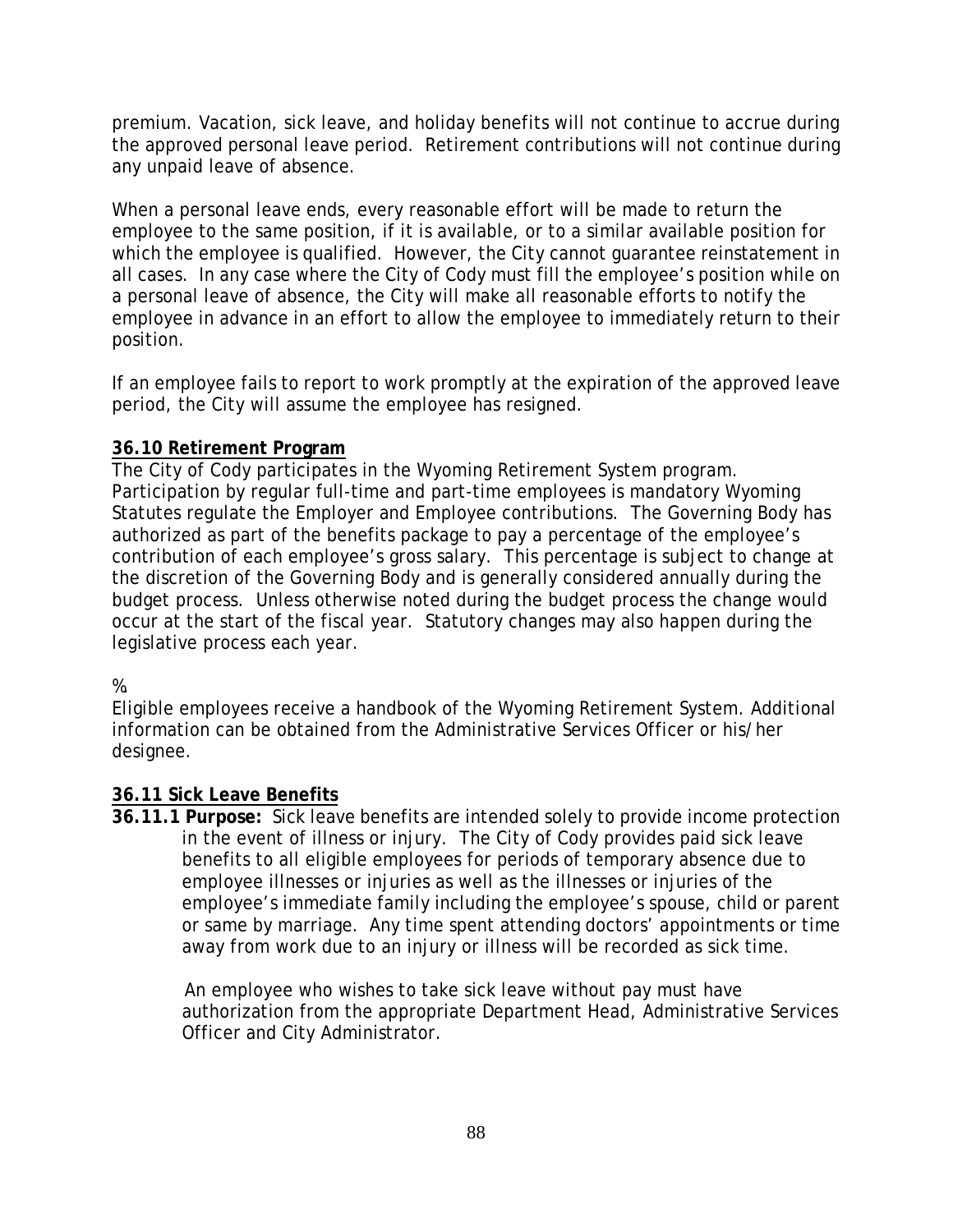premium. Vacation, sick leave, and holiday benefits will not continue to accrue during the approved personal leave period. Retirement contributions will not continue during any unpaid leave of absence.

When a personal leave ends, every reasonable effort will be made to return the employee to the same position, if it is available, or to a similar available position for which the employee is qualified. However, the City cannot guarantee reinstatement in all cases. In any case where the City of Cody must fill the employee's position while on a personal leave of absence, the City will make all reasonable efforts to notify the employee in advance in an effort to allow the employee to immediately return to their position.

If an employee fails to report to work promptly at the expiration of the approved leave period, the City will assume the employee has resigned.

# **36.10 Retirement Program**

The City of Cody participates in the Wyoming Retirement System program. Participation by regular full-time and part-time employees is mandatory Wyoming Statutes regulate the Employer and Employee contributions. The Governing Body has authorized as part of the benefits package to pay a percentage of the employee's contribution of each employee's gross salary. This percentage is subject to change at the discretion of the Governing Body and is generally considered annually during the budget process. Unless otherwise noted during the budget process the change would occur at the start of the fiscal year. Statutory changes may also happen during the legislative process each year.

# %.

Eligible employees receive a handbook of the Wyoming Retirement System. Additional information can be obtained from the Administrative Services Officer or his/her designee.

# **36.11 Sick Leave Benefits**

**36.11.1 Purpose:** Sick leave benefits are intended solely to provide income protection in the event of illness or injury. The City of Cody provides paid sick leave benefits to all eligible employees for periods of temporary absence due to employee illnesses or injuries as well as the illnesses or injuries of the employee's immediate family including the employee's spouse, child or parent or same by marriage. Any time spent attending doctors' appointments or time away from work due to an injury or illness will be recorded as sick time.

 An employee who wishes to take sick leave without pay must have authorization from the appropriate Department Head, Administrative Services Officer and City Administrator.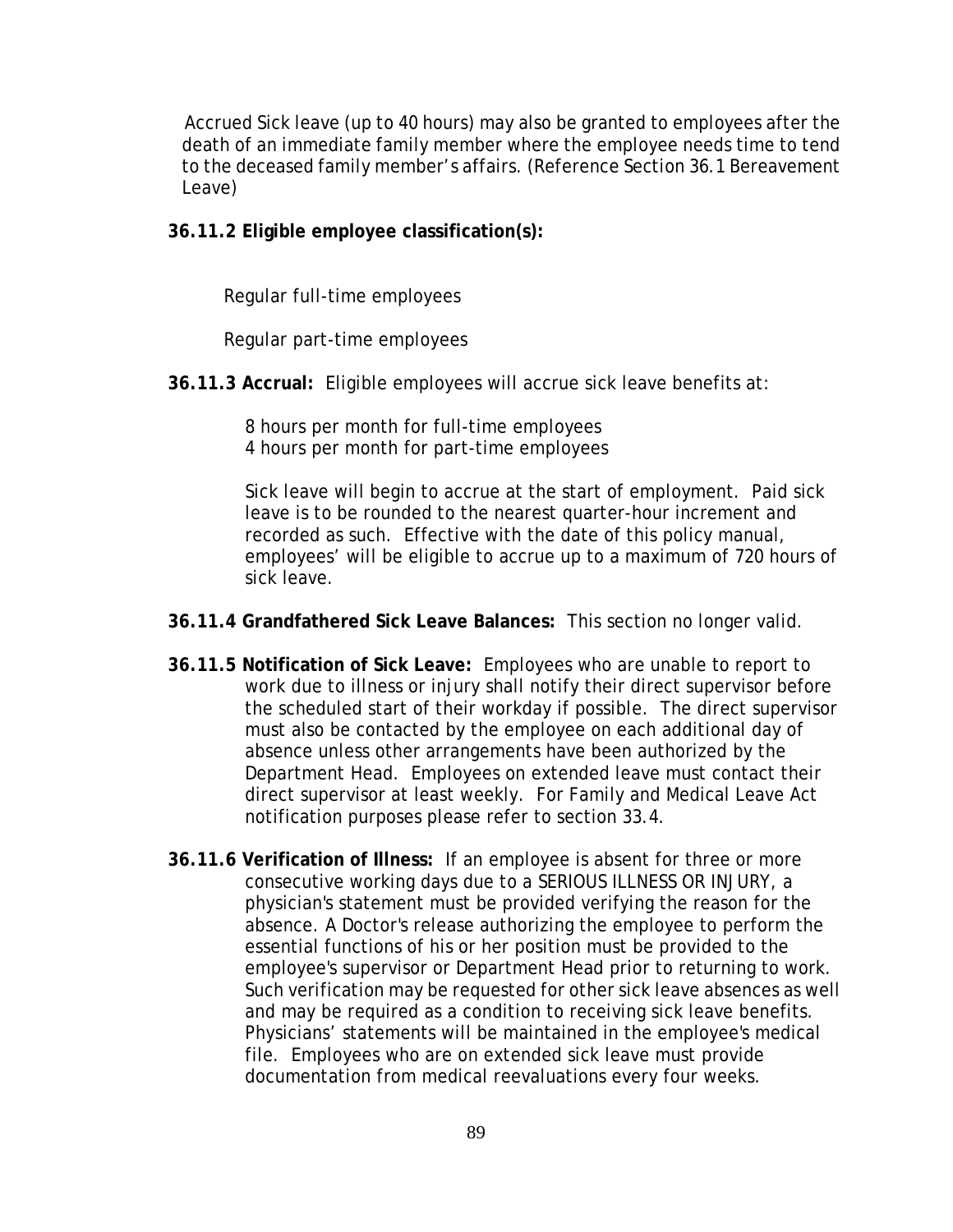Accrued Sick leave (up to 40 hours) may also be granted to employees after the death of an immediate family member where the employee needs time to tend to the deceased family member's affairs. (Reference Section 36.1 Bereavement Leave)

**36.11.2 Eligible employee classification(s):**

Regular full-time employees

Regular part-time employees

**36.11.3 Accrual:** Eligible employees will accrue sick leave benefits at:

8 hours per month for full-time employees 4 hours per month for part-time employees

Sick leave will begin to accrue at the start of employment. Paid sick leave is to be rounded to the nearest quarter-hour increment and recorded as such. Effective with the date of this policy manual, employees' will be eligible to accrue up to a maximum of 720 hours of sick leave.

- **36.11.4 Grandfathered Sick Leave Balances:** This section no longer valid.
- **36.11.5 Notification of Sick Leave:** Employees who are unable to report to work due to illness or injury shall notify their direct supervisor before the scheduled start of their workday if possible. The direct supervisor must also be contacted by the employee on each additional day of absence unless other arrangements have been authorized by the Department Head. Employees on extended leave must contact their direct supervisor at least weekly. For Family and Medical Leave Act notification purposes please refer to section 33.4.
- **36.11.6 Verification of Illness:** If an employee is absent for three or more consecutive working days due to a SERIOUS ILLNESS OR INJURY, a physician's statement must be provided verifying the reason for the absence. A Doctor's release authorizing the employee to perform the essential functions of his or her position must be provided to the employee's supervisor or Department Head prior to returning to work. Such verification may be requested for other sick leave absences as well and may be required as a condition to receiving sick leave benefits. Physicians' statements will be maintained in the employee's medical file. Employees who are on extended sick leave must provide documentation from medical reevaluations every four weeks.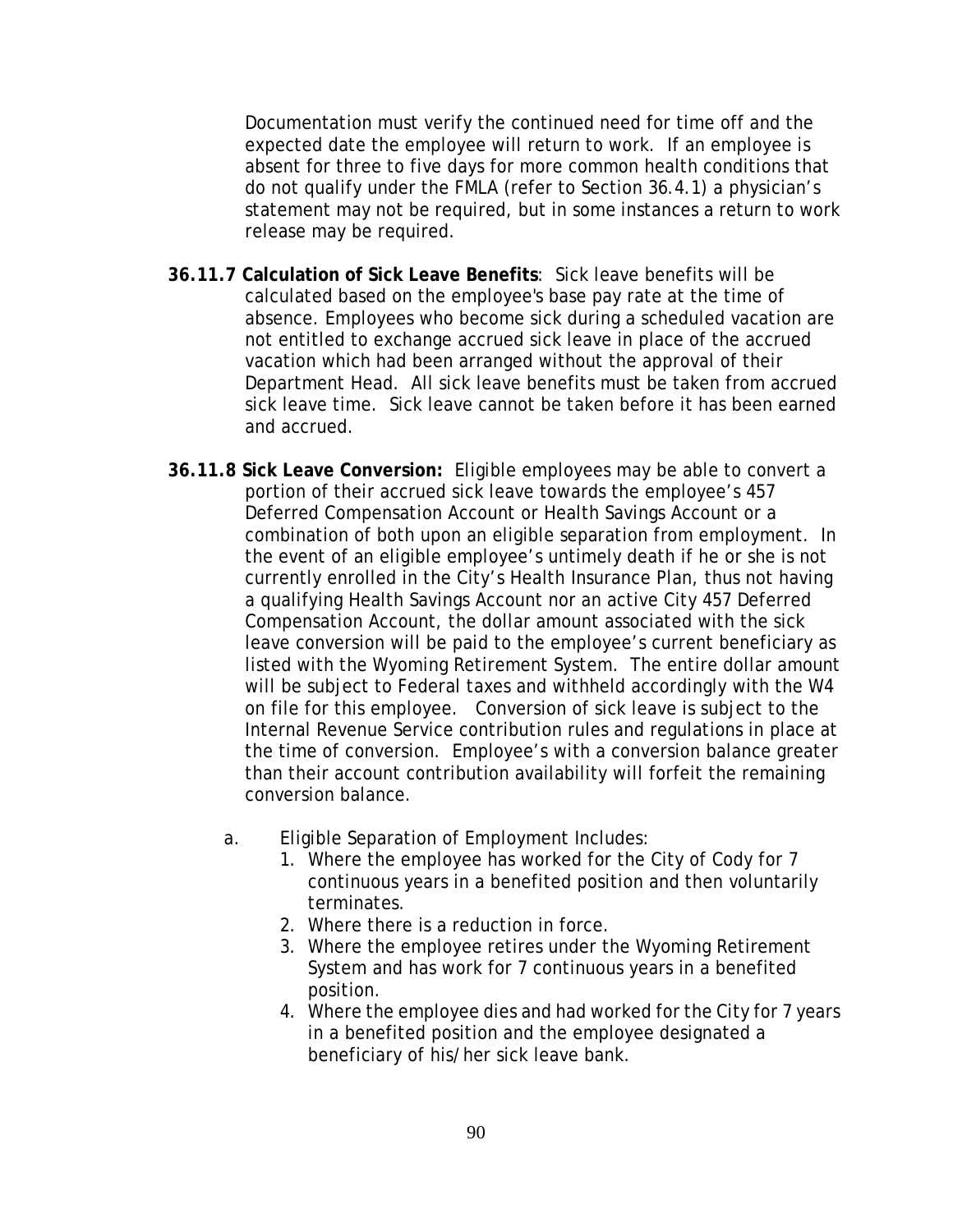Documentation must verify the continued need for time off and the expected date the employee will return to work. If an employee is absent for three to five days for more common health conditions that do not qualify under the FMLA (refer to Section 36.4.1) a physician's statement may not be required, but in some instances a return to work release may be required.

- **36.11.7 Calculation of Sick Leave Benefits**: Sick leave benefits will be calculated based on the employee's base pay rate at the time of absence. Employees who become sick during a scheduled vacation are not entitled to exchange accrued sick leave in place of the accrued vacation which had been arranged without the approval of their Department Head. All sick leave benefits must be taken from accrued sick leave time. Sick leave cannot be taken before it has been earned and accrued.
- **36.11.8 Sick Leave Conversion:** Eligible employees may be able to convert a portion of their accrued sick leave towards the employee's 457 Deferred Compensation Account or Health Savings Account or a combination of both upon an eligible separation from employment. In the event of an eligible employee's untimely death if he or she is not currently enrolled in the City's Health Insurance Plan, thus not having a qualifying Health Savings Account nor an active City 457 Deferred Compensation Account, the dollar amount associated with the sick leave conversion will be paid to the employee's current beneficiary as listed with the Wyoming Retirement System. The entire dollar amount will be subject to Federal taxes and withheld accordingly with the W4 on file for this employee. Conversion of sick leave is subject to the Internal Revenue Service contribution rules and regulations in place at the time of conversion. Employee's with a conversion balance greater than their account contribution availability will forfeit the remaining conversion balance.
	- a. Eligible Separation of Employment Includes:
		- 1. Where the employee has worked for the City of Cody for 7 continuous years in a benefited position and then voluntarily terminates.
		- 2. Where there is a reduction in force.
		- 3. Where the employee retires under the Wyoming Retirement System and has work for 7 continuous years in a benefited position.
		- 4. Where the employee dies and had worked for the City for 7 years in a benefited position and the employee designated a beneficiary of his/her sick leave bank.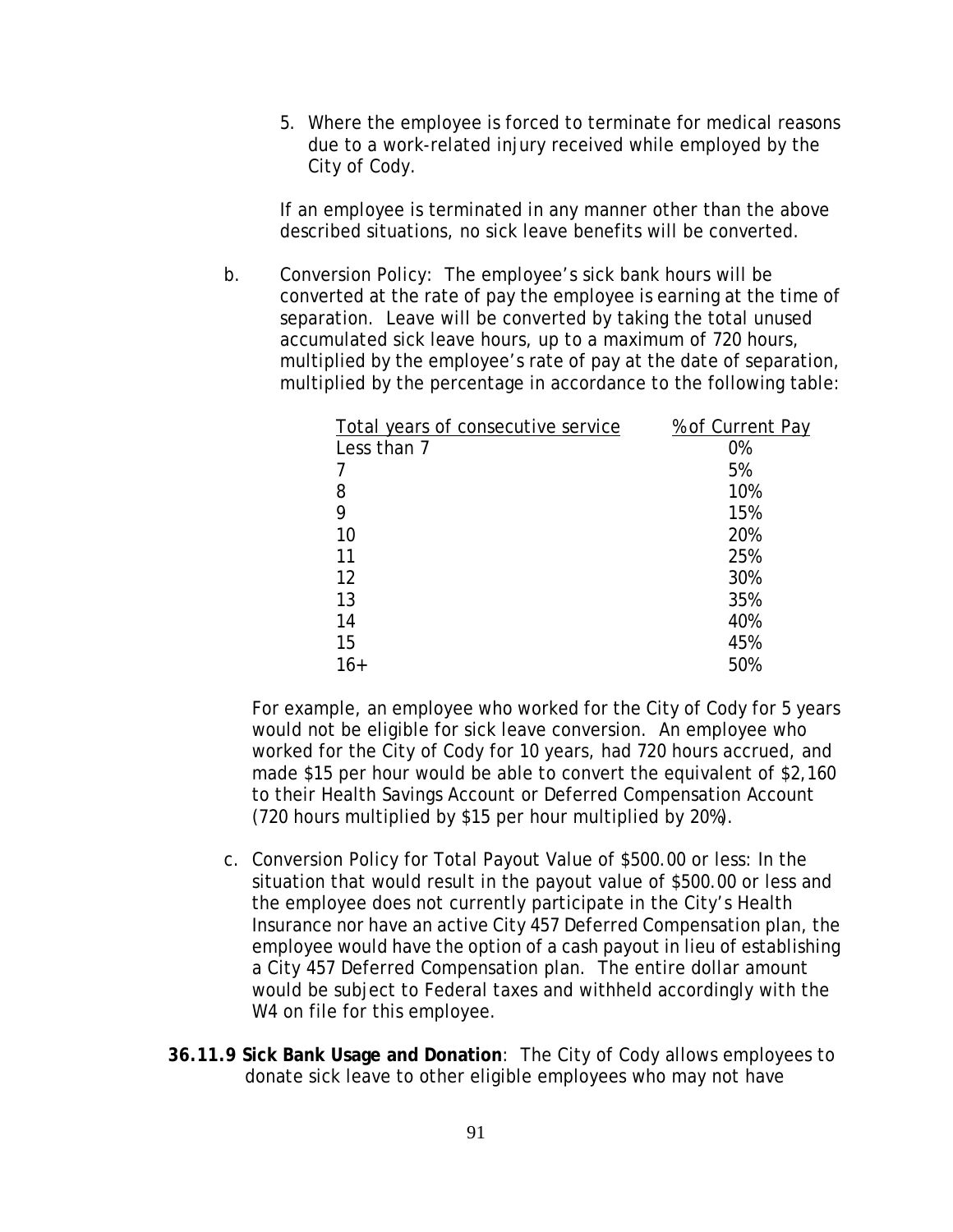5. Where the employee is forced to terminate for medical reasons due to a work-related injury received while employed by the City of Cody.

If an employee is terminated in any manner other than the above described situations, no sick leave benefits will be converted.

b. Conversion Policy: The employee's sick bank hours will be converted at the rate of pay the employee is earning at the time of separation. Leave will be converted by taking the total unused accumulated sick leave hours, up to a maximum of 720 hours, multiplied by the employee's rate of pay at the date of separation, multiplied by the percentage in accordance to the following table:

| Total years of consecutive service | % of Current Pay |
|------------------------------------|------------------|
| Less than 7                        | 0%               |
|                                    | 5%               |
| 8                                  | 10%              |
| 9                                  | 15%              |
| 10                                 | 20%              |
| 11                                 | 25%              |
| 12                                 | 30%              |
| 13                                 | 35%              |
| 14                                 | 40%              |
| 15                                 | 45%              |
| $16+$                              | 50%              |

For example, an employee who worked for the City of Cody for 5 years would not be eligible for sick leave conversion. An employee who worked for the City of Cody for 10 years, had 720 hours accrued, and made \$15 per hour would be able to convert the equivalent of \$2,160 to their Health Savings Account or Deferred Compensation Account (720 hours multiplied by \$15 per hour multiplied by 20%).

- c. Conversion Policy for Total Payout Value of \$500.00 or less: In the situation that would result in the payout value of \$500.00 or less and the employee does not currently participate in the City's Health Insurance nor have an active City 457 Deferred Compensation plan, the employee would have the option of a cash payout in lieu of establishing a City 457 Deferred Compensation plan. The entire dollar amount would be subject to Federal taxes and withheld accordingly with the W<sub>4</sub> on file for this employee.
- **36.11.9 Sick Bank Usage and Donation**: The City of Cody allows employees to donate sick leave to other eligible employees who may not have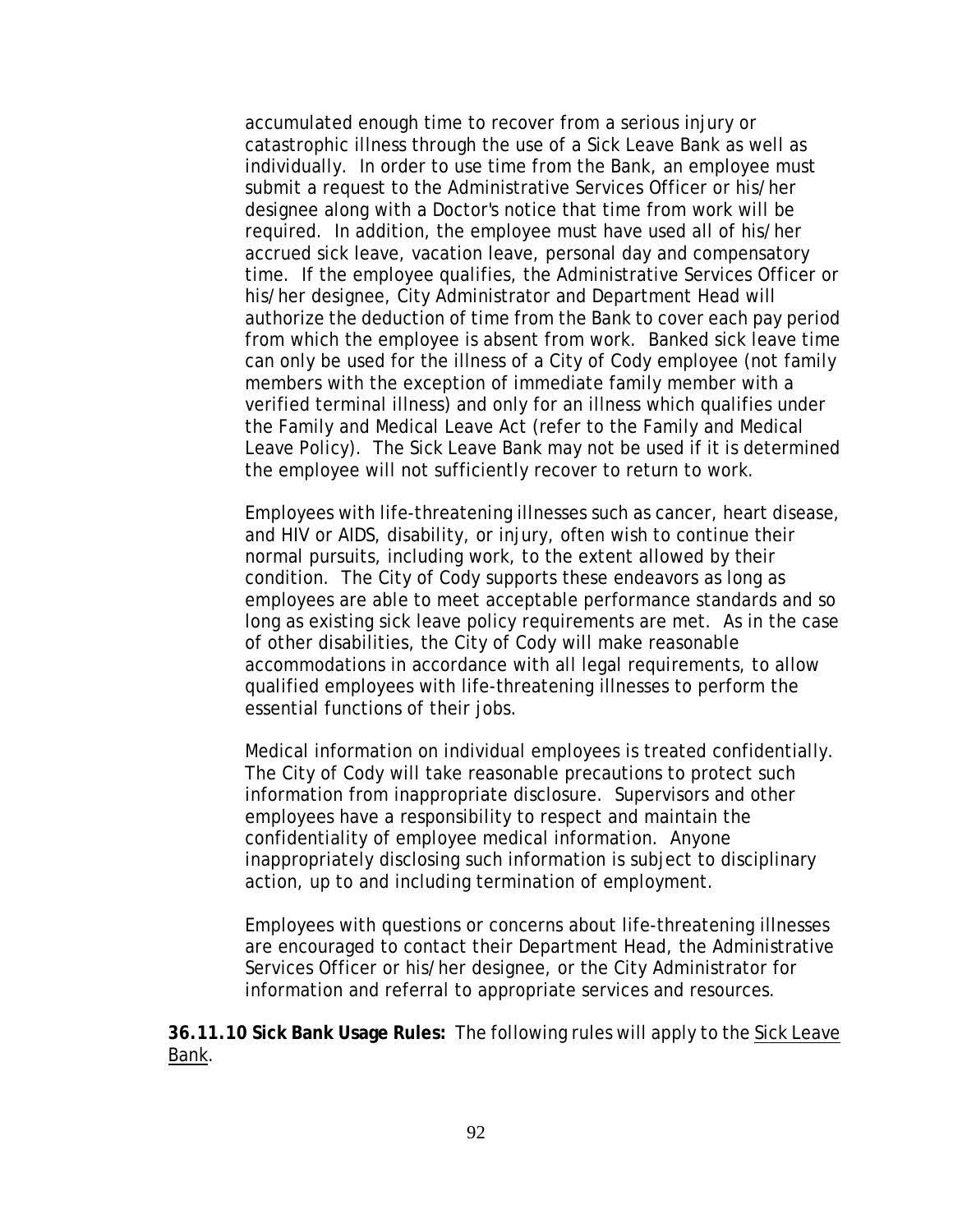accumulated enough time to recover from a serious injury or catastrophic illness through the use of a Sick Leave Bank as well as individually. In order to use time from the Bank, an employee must submit a request to the Administrative Services Officer or his/her designee along with a Doctor's notice that time from work will be required. In addition, the employee must have used all of his/her accrued sick leave, vacation leave, personal day and compensatory time. If the employee qualifies, the Administrative Services Officer or his/her designee, City Administrator and Department Head will authorize the deduction of time from the Bank to cover each pay period from which the employee is absent from work. Banked sick leave time can only be used for the illness of a City of Cody employee (not family members with the exception of immediate family member with a verified terminal illness) and only for an illness which qualifies under the Family and Medical Leave Act (refer to the Family and Medical Leave Policy). The Sick Leave Bank may not be used if it is determined the employee will not sufficiently recover to return to work.

Employees with life-threatening illnesses such as cancer, heart disease, and HIV or AIDS, disability, or injury, often wish to continue their normal pursuits, including work, to the extent allowed by their condition. The City of Cody supports these endeavors as long as employees are able to meet acceptable performance standards and so long as existing sick leave policy requirements are met. As in the case of other disabilities, the City of Cody will make reasonable accommodations in accordance with all legal requirements, to allow qualified employees with life-threatening illnesses to perform the essential functions of their jobs.

Medical information on individual employees is treated confidentially. The City of Cody will take reasonable precautions to protect such information from inappropriate disclosure. Supervisors and other employees have a responsibility to respect and maintain the confidentiality of employee medical information. Anyone inappropriately disclosing such information is subject to disciplinary action, up to and including termination of employment.

Employees with questions or concerns about life-threatening illnesses are encouraged to contact their Department Head, the Administrative Services Officer or his/her designee, or the City Administrator for information and referral to appropriate services and resources.

**36.11.10 Sick Bank Usage Rules:** The following rules will apply to the Sick Leave Bank.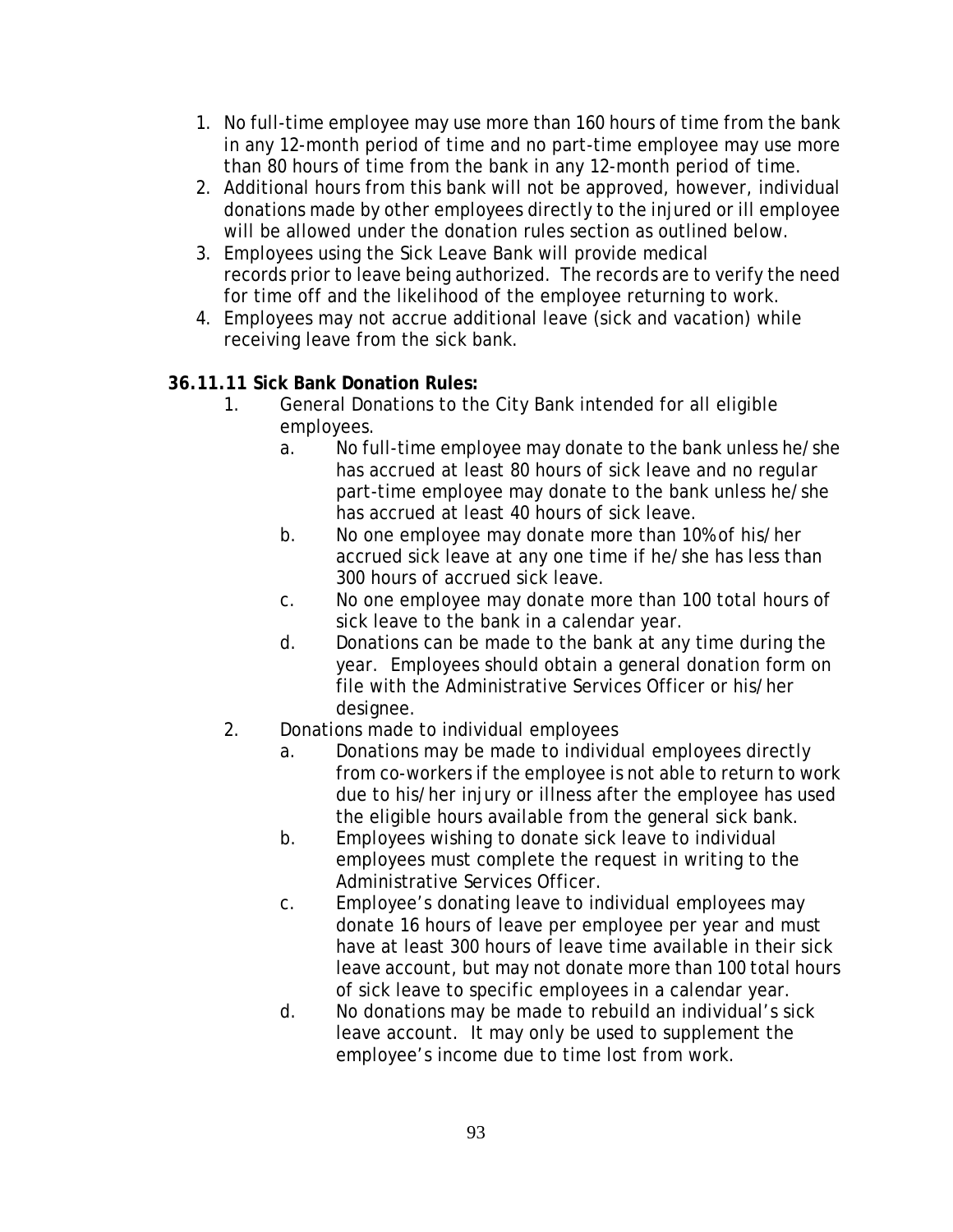- 1. No full-time employee may use more than 160 hours of time from the bank in any 12-month period of time and no part-time employee may use more than 80 hours of time from the bank in any 12-month period of time.
- 2. Additional hours from this bank will not be approved, however, individual donations made by other employees directly to the injured or ill employee will be allowed under the donation rules section as outlined below.
- 3. Employees using the Sick Leave Bank will provide medical records prior to leave being authorized. The records are to verify the need for time off and the likelihood of the employee returning to work.
- 4. Employees may not accrue additional leave (sick and vacation) while receiving leave from the sick bank.

# **36.11.11 Sick Bank Donation Rules:**

- 1. General Donations to the City Bank intended for all eligible employees.
	- a. No full-time employee may donate to the bank unless he/she has accrued at least 80 hours of sick leave and no regular part-time employee may donate to the bank unless he/she has accrued at least 40 hours of sick leave.
	- b. No one employee may donate more than 10% of his/her accrued sick leave at any one time if he/she has less than 300 hours of accrued sick leave.
	- c. No one employee may donate more than 100 total hours of sick leave to the bank in a calendar year.
	- d. Donations can be made to the bank at any time during the year. Employees should obtain a general donation form on file with the Administrative Services Officer or his/her designee.
- 2. Donations made to individual employees
	- a. Donations may be made to individual employees directly from co-workers if the employee is not able to return to work due to his/her injury or illness after the employee has used the eligible hours available from the general sick bank.
	- b. Employees wishing to donate sick leave to individual employees must complete the request in writing to the Administrative Services Officer.
	- c. Employee's donating leave to individual employees may donate 16 hours of leave per employee per year and must have at least 300 hours of leave time available in their sick leave account, but may not donate more than 100 total hours of sick leave to specific employees in a calendar year.
	- d. No donations may be made to rebuild an individual's sick leave account. It may only be used to supplement the employee's income due to time lost from work.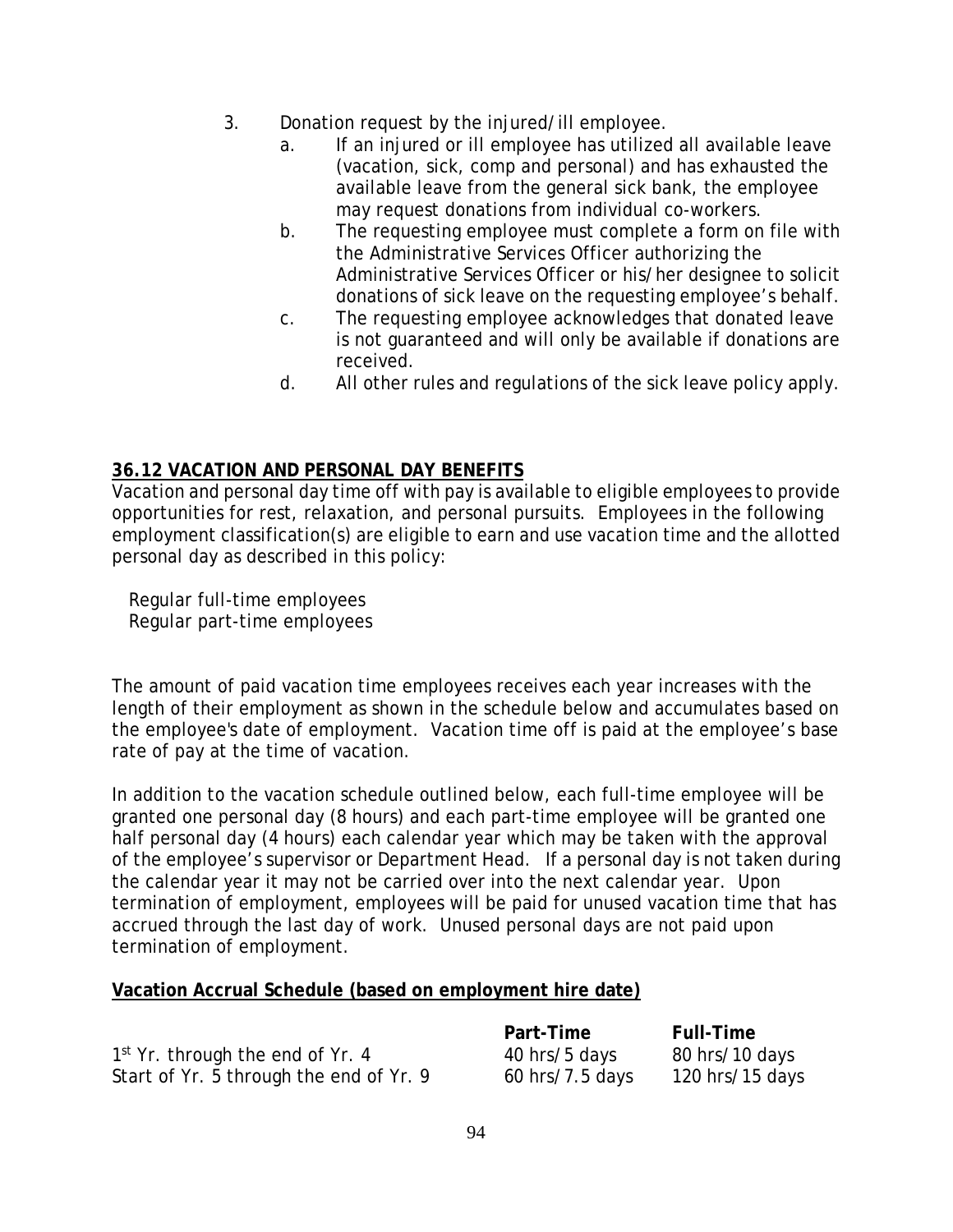- 3. Donation request by the injured/ill employee.
	- a. If an injured or ill employee has utilized all available leave (vacation, sick, comp and personal) and has exhausted the available leave from the general sick bank, the employee may request donations from individual co-workers.
	- b. The requesting employee must complete a form on file with the Administrative Services Officer authorizing the Administrative Services Officer or his/her designee to solicit donations of sick leave on the requesting employee's behalf.
	- c. The requesting employee acknowledges that donated leave is not guaranteed and will only be available if donations are received.
	- d. All other rules and regulations of the sick leave policy apply.

# **36.12 VACATION AND PERSONAL DAY BENEFITS**

Vacation and personal day time off with pay is available to eligible employees to provide opportunities for rest, relaxation, and personal pursuits. Employees in the following employment classification(s) are eligible to earn and use vacation time and the allotted personal day as described in this policy:

 Regular full-time employees Regular part-time employees

The amount of paid vacation time employees receives each year increases with the length of their employment as shown in the schedule below and accumulates based on the employee's date of employment. Vacation time off is paid at the employee's base rate of pay at the time of vacation.

In addition to the vacation schedule outlined below, each full-time employee will be granted one personal day (8 hours) and each part-time employee will be granted one half personal day (4 hours) each calendar year which may be taken with the approval of the employee's supervisor or Department Head. If a personal day is not taken during the calendar year it may not be carried over into the next calendar year. Upon termination of employment, employees will be paid for unused vacation time that has accrued through the last day of work. Unused personal days are not paid upon termination of employment.

94

## **Vacation Accrual Schedule (based on employment hire date)**

 $1<sup>st</sup>$  Yr. through the end of Yr. 4  $\hspace{1.5cm}$  40 hrs/5 days  $\hspace{1.5cm}$  80 hrs/10 days Start of Yr. 5 through the end of Yr. 9 60 hrs/7.5 days 120 hrs/15 days

**Part-Time Full-Time**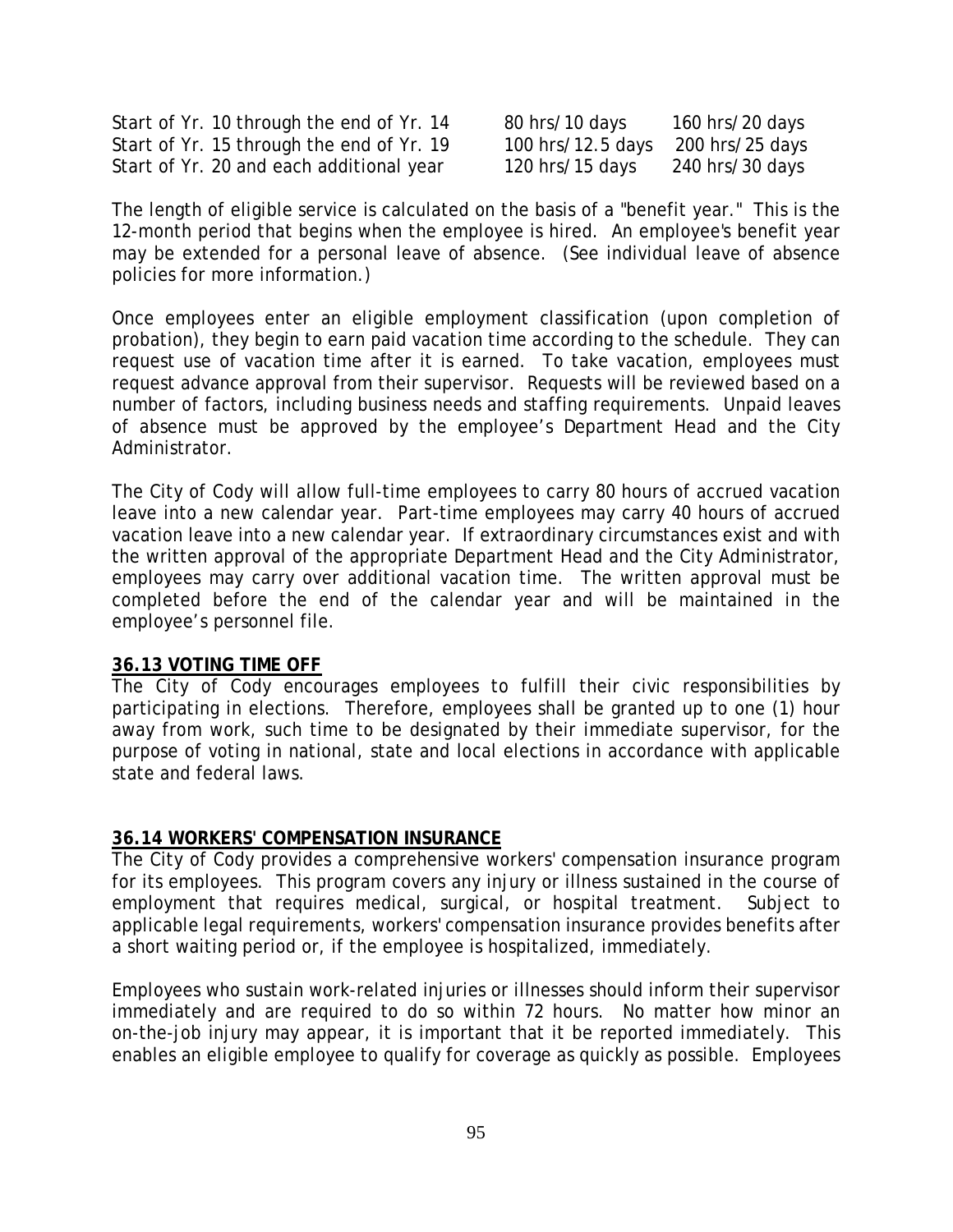Start of Yr. 10 through the end of Yr. 14 80 hrs/10 days 160 hrs/20 days Start of Yr. 15 through the end of Yr.  $19 \qquad 100$  hrs/12.5 days 200 hrs/25 days Start of Yr. 20 and each additional year 120 hrs/15 days 240 hrs/30 days

The length of eligible service is calculated on the basis of a "benefit year." This is the 12-month period that begins when the employee is hired. An employee's benefit year may be extended for a personal leave of absence. (See individual leave of absence policies for more information.)

Once employees enter an eligible employment classification (upon completion of probation), they begin to earn paid vacation time according to the schedule. They can request use of vacation time after it is earned. To take vacation, employees must request advance approval from their supervisor. Requests will be reviewed based on a number of factors, including business needs and staffing requirements. Unpaid leaves of absence must be approved by the employee's Department Head and the City Administrator.

The City of Cody will allow full-time employees to carry 80 hours of accrued vacation leave into a new calendar year. Part-time employees may carry 40 hours of accrued vacation leave into a new calendar year. If extraordinary circumstances exist and with the written approval of the appropriate Department Head and the City Administrator, employees may carry over additional vacation time. The written approval must be completed before the end of the calendar year and will be maintained in the employee's personnel file.

#### **36.13 VOTING TIME OFF**

The City of Cody encourages employees to fulfill their civic responsibilities by participating in elections. Therefore, employees shall be granted up to one (1) hour away from work, such time to be designated by their immediate supervisor, for the purpose of voting in national, state and local elections in accordance with applicable state and federal laws.

#### **36.14 WORKERS' COMPENSATION INSURANCE**

The City of Cody provides a comprehensive workers' compensation insurance program for its employees. This program covers any injury or illness sustained in the course of employment that requires medical, surgical, or hospital treatment. Subject to applicable legal requirements, workers' compensation insurance provides benefits after a short waiting period or, if the employee is hospitalized, immediately.

Employees who sustain work-related injuries or illnesses should inform their supervisor immediately and are required to do so within 72 hours. No matter how minor an on-the-job injury may appear, it is important that it be reported immediately. This enables an eligible employee to qualify for coverage as quickly as possible. Employees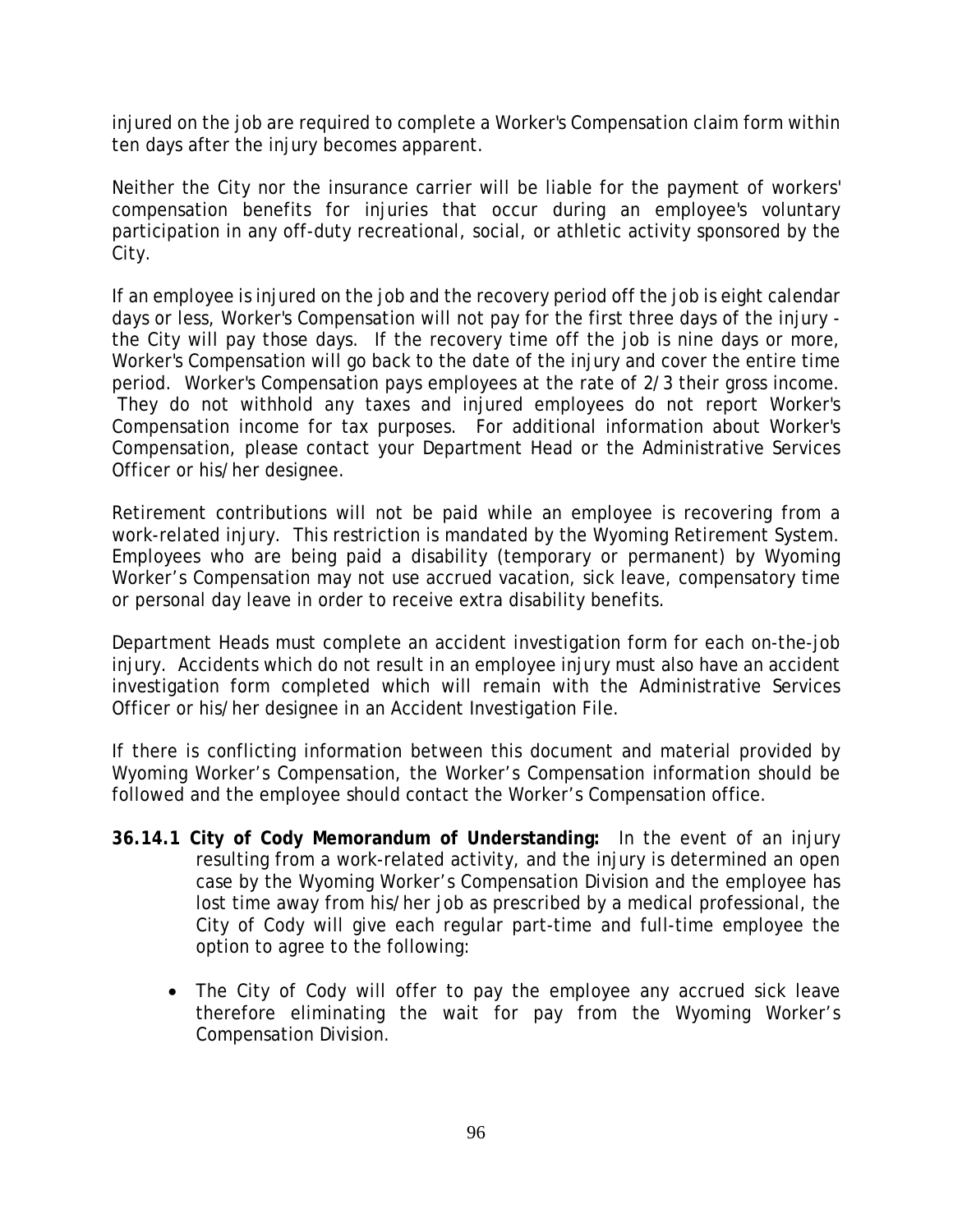injured on the job are required to complete a Worker's Compensation claim form within ten days after the injury becomes apparent.

Neither the City nor the insurance carrier will be liable for the payment of workers' compensation benefits for injuries that occur during an employee's voluntary participation in any off-duty recreational, social, or athletic activity sponsored by the City.

If an employee is injured on the job and the recovery period off the job is eight calendar days or less, Worker's Compensation will not pay for the first three days of the injury the City will pay those days. If the recovery time off the job is nine days or more, Worker's Compensation will go back to the date of the injury and cover the entire time period. Worker's Compensation pays employees at the rate of 2/3 their gross income. They do not withhold any taxes and injured employees do not report Worker's Compensation income for tax purposes. For additional information about Worker's Compensation, please contact your Department Head or the Administrative Services Officer or his/her designee.

Retirement contributions will not be paid while an employee is recovering from a work-related injury. This restriction is mandated by the Wyoming Retirement System. Employees who are being paid a disability (temporary or permanent) by Wyoming Worker's Compensation may not use accrued vacation, sick leave, compensatory time or personal day leave in order to receive extra disability benefits.

Department Heads must complete an accident investigation form for each on-the-job injury. Accidents which do not result in an employee injury must also have an accident investigation form completed which will remain with the Administrative Services Officer or his/her designee in an Accident Investigation File.

If there is conflicting information between this document and material provided by Wyoming Worker's Compensation, the Worker's Compensation information should be followed and the employee should contact the Worker's Compensation office.

- **36.14.1 City of Cody Memorandum of Understanding:** In the event of an injury resulting from a work-related activity, and the injury is determined an open case by the Wyoming Worker's Compensation Division and the employee has lost time away from his/her job as prescribed by a medical professional, the City of Cody will give each regular part-time and full-time employee the option to agree to the following:
	- The City of Cody will offer to pay the employee any accrued sick leave therefore eliminating the wait for pay from the Wyoming Worker's Compensation Division.